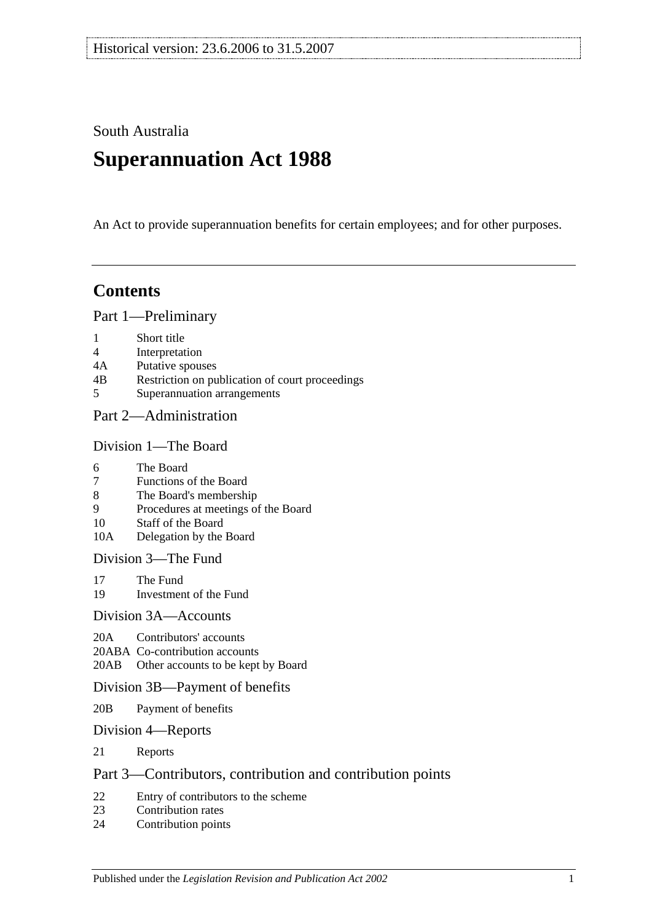South Australia

# **Superannuation Act 1988**

An Act to provide superannuation benefits for certain employees; and for other purposes.

# **Contents**

[Part 1—Preliminary](#page-6-0)

- 1 [Short title](#page-6-1)
- 4 [Interpretation](#page-6-2)
- 4A [Putative spouses](#page-13-0)
- 4B [Restriction on publication of court proceedings](#page-14-0)
- 5 [Superannuation arrangements](#page-14-1)

## [Part 2—Administration](#page-18-0)

#### [Division 1—The Board](#page-18-1)

- 6 [The Board](#page-18-2)
- 7 [Functions of the Board](#page-18-3)
- 8 [The Board's membership](#page-18-4)
- 9 [Procedures at meetings of the Board](#page-19-0)
- 10 [Staff of the Board](#page-19-1)
- 10A [Delegation by the Board](#page-19-2)

[Division 3—The Fund](#page-20-0)

- 17 [The Fund](#page-20-1)<br>19 Investmen
- [Investment of the Fund](#page-21-0)

#### [Division 3A—Accounts](#page-21-1)

- 20A [Contributors' accounts](#page-21-2)
- 20ABA [Co-contribution accounts](#page-22-0)
- 20AB [Other accounts to be kept by Board](#page-22-1)

#### [Division 3B—Payment of benefits](#page-23-0)

- 20B [Payment of benefits](#page-23-1)
- [Division 4—Reports](#page-23-2)
- 21 [Reports](#page-23-3)

## [Part 3—Contributors, contribution and contribution points](#page-24-0)

- 22 [Entry of contributors to the scheme](#page-24-1)<br>23 Contribution rates
- [Contribution rates](#page-26-0)
- 24 [Contribution points](#page-28-0)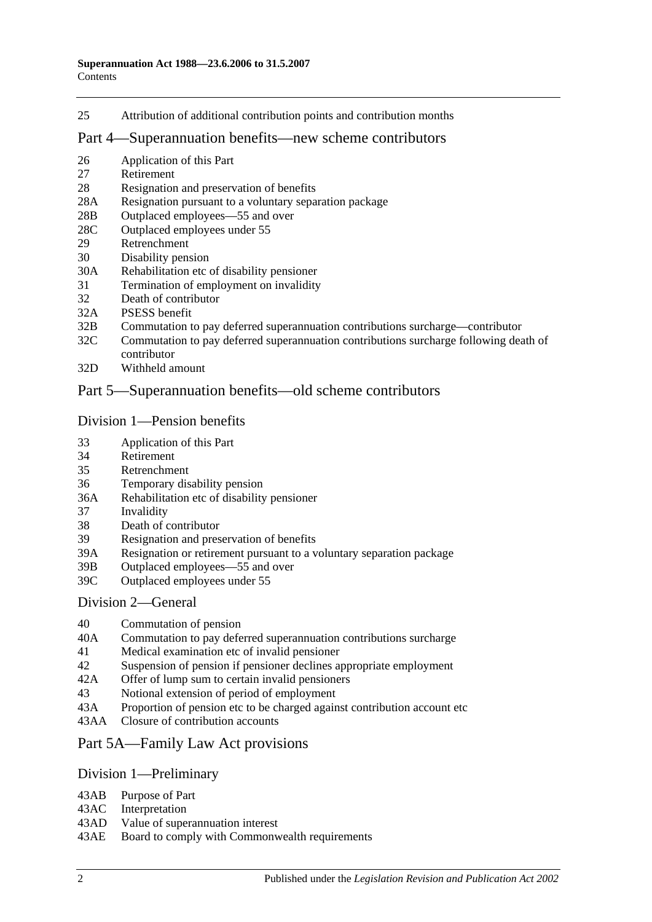25 [Attribution of additional contribution points and contribution months](#page-29-0)

#### [Part 4—Superannuation benefits—new scheme contributors](#page-30-0)

- 26 [Application of this Part](#page-30-1)
- 27 [Retirement](#page-30-2)
- 28 [Resignation and preservation of benefits](#page-31-0)
- 28A [Resignation pursuant to a voluntary separation package](#page-34-0)
- 28B [Outplaced employees—55 and over](#page-35-0)
- 28C [Outplaced employees under 55](#page-36-0)
- 29 [Retrenchment](#page-36-1)
- 30 [Disability pension](#page-37-0)
- 30A [Rehabilitation etc of disability pensioner](#page-38-0)
- 31 [Termination of employment on invalidity](#page-39-0)
- 32 [Death of contributor](#page-42-0)
- 32A [PSESS benefit](#page-47-0)
- 32B [Commutation to pay deferred superannuation contributions surcharge—contributor](#page-48-0)
- 32C [Commutation to pay deferred superannuation contributions surcharge following death of](#page-49-0)  [contributor](#page-49-0)
- 32D [Withheld amount](#page-51-0)

## [Part 5—Superannuation benefits—old scheme contributors](#page-52-0)

#### [Division 1—Pension benefits](#page-52-1)

- 33 [Application of this Part](#page-52-2)
- 34 [Retirement](#page-52-3)
- 35 [Retrenchment](#page-54-0)
- 36 [Temporary disability pension](#page-56-0)
- 36A [Rehabilitation etc of disability pensioner](#page-58-0)
- 37 [Invalidity](#page-58-1)
- 38 [Death of contributor](#page-61-0)
- 39 [Resignation and preservation of benefits](#page-65-0)
- 39A [Resignation or retirement pursuant to a voluntary separation package](#page-71-0)
- 39B [Outplaced employees—55 and over](#page-73-0)
- 39C [Outplaced employees under 55](#page-74-0)

#### [Division 2—General](#page-74-1)

- 40 [Commutation of pension](#page-74-2)<br>40A Commutation to pay defe
- [Commutation to pay deferred superannuation contributions surcharge](#page-75-0)
- 41 [Medical examination etc of invalid pensioner](#page-76-0)
- 42 [Suspension of pension if pensioner declines appropriate employment](#page-76-1)
- 42A [Offer of lump sum to certain invalid pensioners](#page-77-0)
- 43 [Notional extension of period of employment](#page-77-1)
- 43A [Proportion of pension etc to be charged against contribution account etc](#page-78-0)
- 43AA [Closure of contribution accounts](#page-78-1)

## [Part 5A—Family Law Act provisions](#page-80-0)

#### [Division 1—Preliminary](#page-80-1)

- 43AB [Purpose of Part](#page-80-2)
- 43AC [Interpretation](#page-80-3)
- 43AD [Value of superannuation interest](#page-81-0)
- 43AE [Board to comply with Commonwealth requirements](#page-81-1)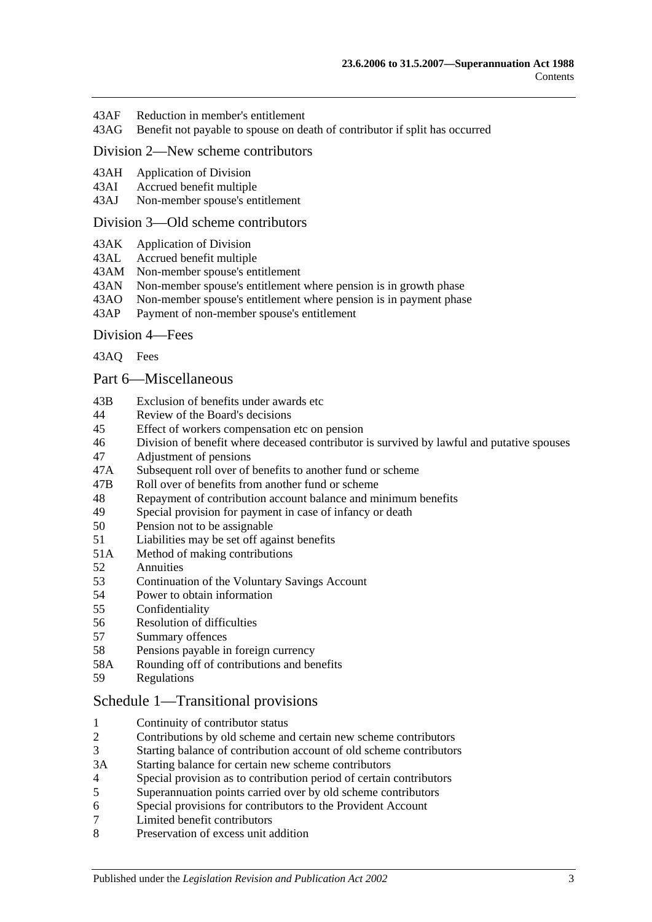- 43AF [Reduction in member's entitlement](#page-81-2)
- 43AG [Benefit not payable to spouse on death of contributor if split has occurred](#page-82-0)

## [Division 2—New scheme contributors](#page-82-1)

- 43AH [Application of Division](#page-82-2)<br>43AI Accrued benefit multiple
- [Accrued benefit multiple](#page-82-3)
- 43AJ [Non-member spouse's entitlement](#page-83-0)

#### [Division 3—Old scheme contributors](#page-83-1)

- 43AK [Application of Division](#page-83-2)
- 43AL [Accrued benefit multiple](#page-83-3)
- 43AM [Non-member spouse's entitlement](#page-84-0)
- 43AN [Non-member spouse's entitlement where pension is in growth phase](#page-84-1)
- 43AO [Non-member spouse's entitlement where pension is in payment phase](#page-84-2)
- 43AP [Payment of non-member spouse's entitlement](#page-86-0)

#### [Division 4—Fees](#page-86-1)

[43AQ](#page-86-2) Fees

#### [Part 6—Miscellaneous](#page-88-0)

- 43B [Exclusion of benefits under awards etc](#page-88-1)
- 44 [Review of the Board's decisions](#page-88-2)
- 45 [Effect of workers compensation etc on pension](#page-88-3)
- 46 [Division of benefit where deceased contributor is survived by lawful and putative spouses](#page-90-0)
- 47 [Adjustment of pensions](#page-91-0)
- 47A [Subsequent roll over of benefits to another fund or scheme](#page-92-0)
- 47B [Roll over of benefits from](#page-92-1) another fund or scheme
- 48 [Repayment of contribution account balance and minimum benefits](#page-92-2)<br>49 Special provision for payment in case of infancy or death
- [Special provision for payment in case of infancy or death](#page-93-0)
- 50 [Pension not to be assignable](#page-93-1)
- 51 [Liabilities may be set off against benefits](#page-94-0)
- 51A [Method of making contributions](#page-94-1)
- 52 [Annuities](#page-94-2)
- 53 Continuation of the [Voluntary Savings Account](#page-94-3)
- 54 [Power to obtain information](#page-94-4)
- 55 [Confidentiality](#page-95-0)
- 56 [Resolution of difficulties](#page-96-0)
- 57 [Summary offences](#page-96-1)
- 58 [Pensions payable in foreign currency](#page-96-2)
- 58A [Rounding off of contributions and benefits](#page-97-0)
- 59 [Regulations](#page-97-1)

#### [Schedule 1—Transitional provisions](#page-98-0)

- 1 [Continuity of contributor status](#page-98-1)<br>2 Contributions by old scheme and
- 2 [Contributions by old scheme and certain new scheme contributors](#page-98-2)
- 3 [Starting balance of contribution account of old scheme contributors](#page-99-0)
- 3A [Starting balance for certain new scheme contributors](#page-99-1)
- 4 [Special provision as to contribution period of certain contributors](#page-99-2)
- 5 [Superannuation points carried over by old scheme contributors](#page-100-0)
- 6 [Special provisions for contributors to the Provident Account](#page-101-0)
- 7 [Limited benefit contributors](#page-102-0)
- 8 [Preservation of excess unit addition](#page-103-0)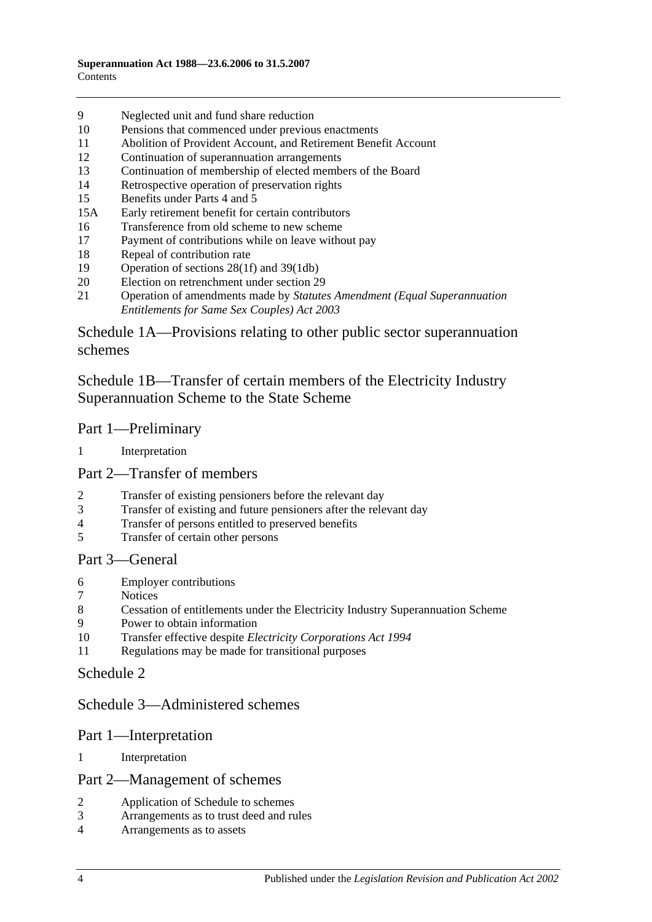- [Neglected unit and fund share reduction](#page-103-1)
- [Pensions that commenced under previous enactments](#page-103-2)
- [Abolition of Provident Account, and Retirement Benefit Account](#page-104-0)
- [Continuation of superannuation arrangements](#page-104-1)
- [Continuation of membership of elected members of the Board](#page-104-2)
- [Retrospective operation of preservation rights](#page-104-3)
- [Benefits under Parts 4](#page-104-4) and [5](#page-104-4)
- 15A [Early retirement benefit for certain contributors](#page-105-0)
- [Transference from old scheme to new scheme](#page-106-0)
- [Payment of contributions while on leave without pay](#page-107-0)
- [Repeal of contribution rate](#page-107-1)
- [Operation of sections](#page-108-0) 28(1f) and [39\(1db\)](#page-108-0)
- [Election on retrenchment under section](#page-108-1) 29
- Operation of amendments made by *[Statutes Amendment \(Equal Superannuation](#page-108-2)  [Entitlements for Same Sex Couples\) Act 2003](#page-108-2)*

[Schedule 1A—Provisions relating to other public sector superannuation](#page-108-3)  [schemes](#page-108-3)

[Schedule 1B—Transfer of certain members of the Electricity Industry](#page-109-0)  [Superannuation Scheme to the State Scheme](#page-109-0)

#### Part 1—Preliminary

[Interpretation](#page-109-1)

## Part 2—Transfer of members

- [Transfer of existing pensioners before the relevant day](#page-110-0)<br>3 Transfer of existing and future pensioners after the rele
- [Transfer of existing and future pensioners after the relevant day](#page-111-0)
- [Transfer of persons entitled to preserved benefits](#page-113-0)<br>5 Transfer of certain other persons
- [Transfer of certain other persons](#page-115-0)

#### Part 3—General

- [Employer contributions](#page-117-0)
- **[Notices](#page-117-1)**
- [Cessation of entitlements under the Electricity Industry Superannuation Scheme](#page-117-2)
- [Power to obtain information](#page-117-3)
- Transfer effective despite *[Electricity Corporations Act](#page-117-4) 1994*
- [Regulations may be made for transitional purposes](#page-117-5)

## [Schedule 2](#page-118-0)

## [Schedule 3—Administered schemes](#page-122-0)

#### Part 1—Interpretation

[Interpretation](#page-122-1)

#### Part 2—Management of schemes

- [Application of Schedule to schemes](#page-123-0)
- [Arrangements as to trust deed and rules](#page-124-0)
- [Arrangements as to assets](#page-125-0)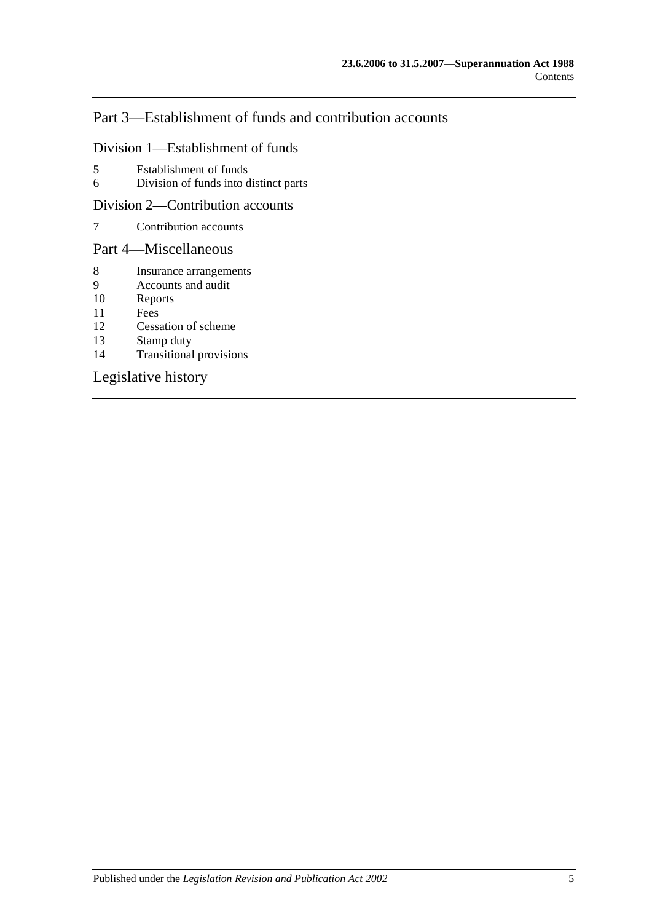# Part 3—Establishment of funds and contribution accounts

#### Division 1—Establishment of funds

- 5 [Establishment of funds](#page-125-1)
- 6 [Division of funds into distinct parts](#page-126-0)

#### Division 2—Contribution accounts

7 [Contribution accounts](#page-126-1)

## Part 4—Miscellaneous

- 8 [Insurance arrangements](#page-127-0)<br>9 Accounts and audit
- [Accounts and audit](#page-127-1)
- 10 [Reports](#page-128-0)
- 11 [Fees](#page-128-1)
- 12 [Cessation of scheme](#page-129-0)
- 13 [Stamp duty](#page-129-1)<br>14 Transitional
- [Transitional provisions](#page-129-2)

## [Legislative history](#page-130-0)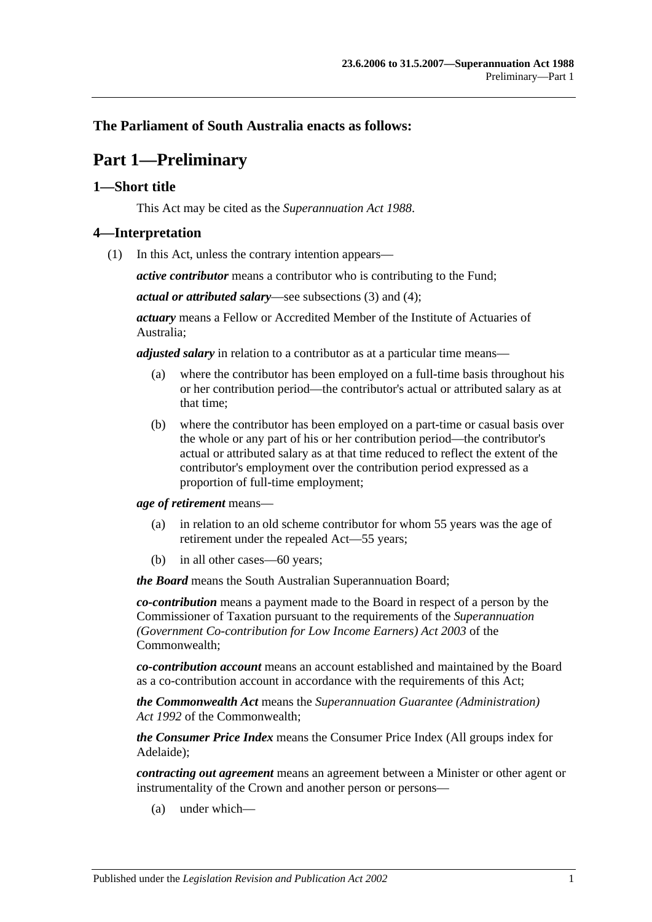## <span id="page-6-0"></span>**The Parliament of South Australia enacts as follows:**

# **Part 1—Preliminary**

## <span id="page-6-1"></span>**1—Short title**

This Act may be cited as the *Superannuation Act 1988*.

## <span id="page-6-3"></span><span id="page-6-2"></span>**4—Interpretation**

(1) In this Act, unless the contrary intention appears—

*active contributor* means a contributor who is contributing to the Fund;

*actual or attributed salary*—see [subsections](#page-11-0) (3) and [\(4\);](#page-11-1)

*actuary* means a Fellow or Accredited Member of the Institute of Actuaries of Australia;

*adjusted salary* in relation to a contributor as at a particular time means—

- (a) where the contributor has been employed on a full-time basis throughout his or her contribution period—the contributor's actual or attributed salary as at that time;
- (b) where the contributor has been employed on a part-time or casual basis over the whole or any part of his or her contribution period—the contributor's actual or attributed salary as at that time reduced to reflect the extent of the contributor's employment over the contribution period expressed as a proportion of full-time employment;

*age of retirement* means—

- (a) in relation to an old scheme contributor for whom 55 years was the age of retirement under the repealed Act—55 years;
- (b) in all other cases—60 years;

*the Board* means the South Australian Superannuation Board;

*co-contribution* means a payment made to the Board in respect of a person by the Commissioner of Taxation pursuant to the requirements of the *Superannuation (Government Co-contribution for Low Income Earners) Act 2003* of the Commonwealth;

*co-contribution account* means an account established and maintained by the Board as a co-contribution account in accordance with the requirements of this Act;

*the Commonwealth Act* means the *Superannuation Guarantee (Administration) Act 1992* of the Commonwealth;

*the Consumer Price Index* means the Consumer Price Index (All groups index for Adelaide);

*contracting out agreement* means an agreement between a Minister or other agent or instrumentality of the Crown and another person or persons—

(a) under which—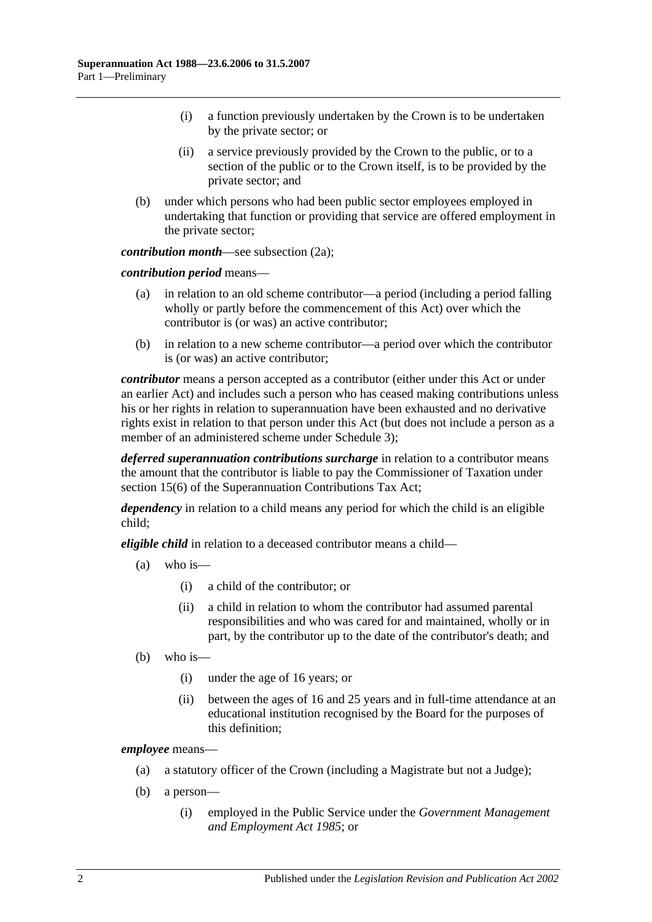- (i) a function previously undertaken by the Crown is to be undertaken by the private sector; or
- (ii) a service previously provided by the Crown to the public, or to a section of the public or to the Crown itself, is to be provided by the private sector; and
- (b) under which persons who had been public sector employees employed in undertaking that function or providing that service are offered employment in the private sector;

*contribution month—see [subsection](#page-10-0) (2a)*;

*contribution period* means—

- (a) in relation to an old scheme contributor—a period (including a period falling wholly or partly before the commencement of this Act) over which the contributor is (or was) an active contributor;
- (b) in relation to a new scheme contributor—a period over which the contributor is (or was) an active contributor;

*contributor* means a person accepted as a contributor (either under this Act or under an earlier Act) and includes such a person who has ceased making contributions unless his or her rights in relation to superannuation have been exhausted and no derivative rights exist in relation to that person under this Act (but does not include a person as a member of an administered scheme under [Schedule](#page-122-0) 3);

*deferred superannuation contributions surcharge* in relation to a contributor means the amount that the contributor is liable to pay the Commissioner of Taxation under section 15(6) of the Superannuation Contributions Tax Act;

*dependency* in relation to a child means any period for which the child is an eligible child;

*eligible child* in relation to a deceased contributor means a child—

- (a) who is—
	- (i) a child of the contributor; or
	- (ii) a child in relation to whom the contributor had assumed parental responsibilities and who was cared for and maintained, wholly or in part, by the contributor up to the date of the contributor's death; and
- (b) who is—
	- (i) under the age of 16 years; or
	- (ii) between the ages of 16 and 25 years and in full-time attendance at an educational institution recognised by the Board for the purposes of this definition;

*employee* means—

- (a) a statutory officer of the Crown (including a Magistrate but not a Judge);
- (b) a person—
	- (i) employed in the Public Service under the *[Government Management](http://www.legislation.sa.gov.au/index.aspx?action=legref&type=act&legtitle=Government%20Management%20and%20Employment%20Act%201985)  [and Employment Act](http://www.legislation.sa.gov.au/index.aspx?action=legref&type=act&legtitle=Government%20Management%20and%20Employment%20Act%201985) 1985*; or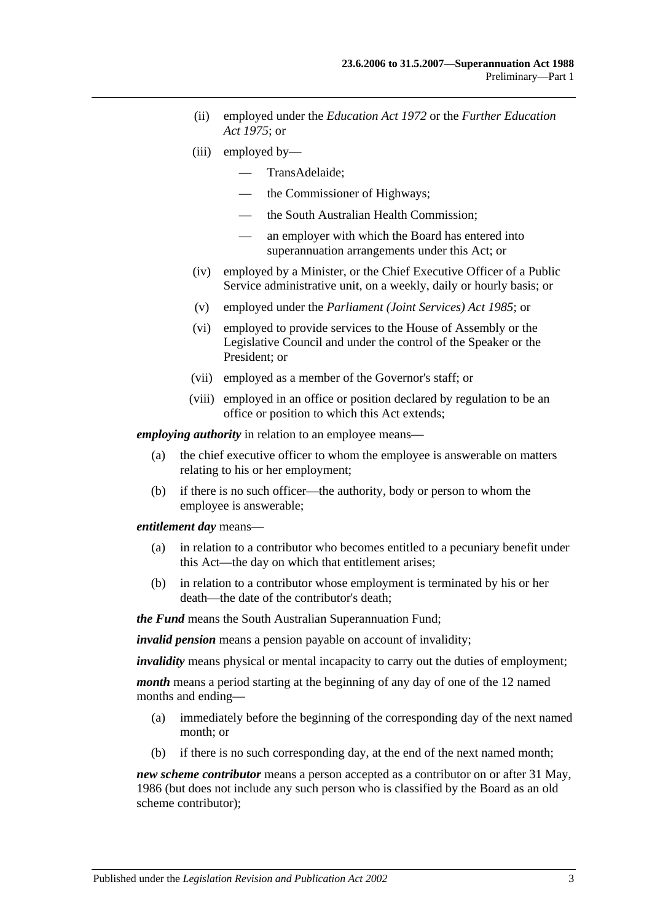- (ii) employed under the *[Education Act](http://www.legislation.sa.gov.au/index.aspx?action=legref&type=act&legtitle=Education%20Act%201972) 1972* or the *[Further Education](http://www.legislation.sa.gov.au/index.aspx?action=legref&type=act&legtitle=Further%20Education%20Act%201975)  Act [1975](http://www.legislation.sa.gov.au/index.aspx?action=legref&type=act&legtitle=Further%20Education%20Act%201975)*; or
- (iii) employed by—
	- TransAdelaide;
	- the Commissioner of Highways;
	- the South Australian Health Commission;
	- an employer with which the Board has entered into superannuation arrangements under this Act; or
- (iv) employed by a Minister, or the Chief Executive Officer of a Public Service administrative unit, on a weekly, daily or hourly basis; or
- (v) employed under the *[Parliament \(Joint Services\) Act](http://www.legislation.sa.gov.au/index.aspx?action=legref&type=act&legtitle=Parliament%20(Joint%20Services)%20Act%201985) 1985*; or
- (vi) employed to provide services to the House of Assembly or the Legislative Council and under the control of the Speaker or the President; or
- (vii) employed as a member of the Governor's staff; or
- (viii) employed in an office or position declared by regulation to be an office or position to which this Act extends;

*employing authority* in relation to an employee means—

- (a) the chief executive officer to whom the employee is answerable on matters relating to his or her employment;
- (b) if there is no such officer—the authority, body or person to whom the employee is answerable;

*entitlement day* means—

- (a) in relation to a contributor who becomes entitled to a pecuniary benefit under this Act—the day on which that entitlement arises;
- (b) in relation to a contributor whose employment is terminated by his or her death—the date of the contributor's death;

*the Fund* means the South Australian Superannuation Fund;

*invalid pension* means a pension payable on account of invalidity;

*invalidity* means physical or mental incapacity to carry out the duties of employment;

*month* means a period starting at the beginning of any day of one of the 12 named months and ending—

- (a) immediately before the beginning of the corresponding day of the next named month; or
- (b) if there is no such corresponding day, at the end of the next named month;

*new scheme contributor* means a person accepted as a contributor on or after 31 May, 1986 (but does not include any such person who is classified by the Board as an old scheme contributor);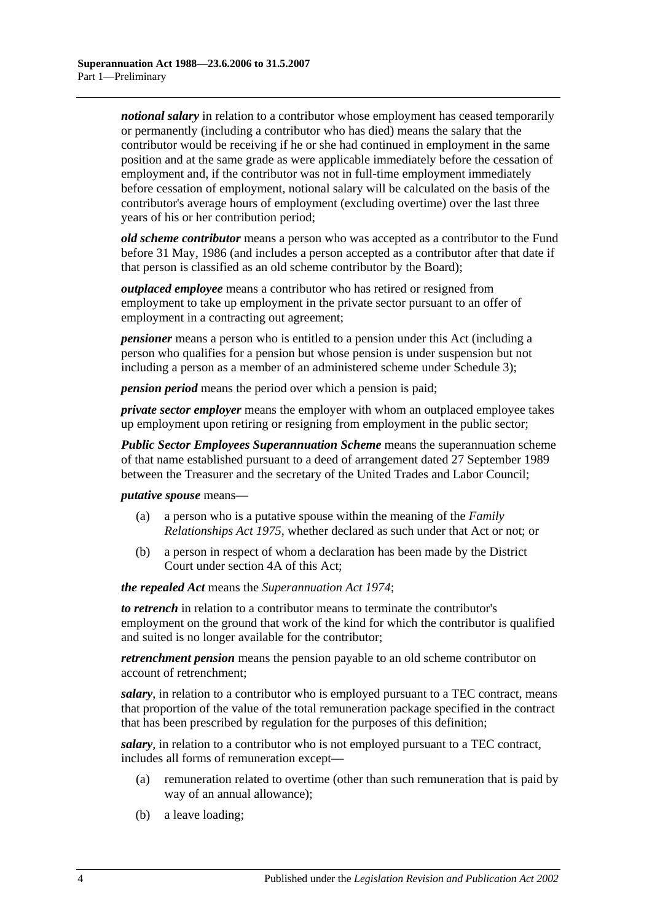*notional salary* in relation to a contributor whose employment has ceased temporarily or permanently (including a contributor who has died) means the salary that the contributor would be receiving if he or she had continued in employment in the same position and at the same grade as were applicable immediately before the cessation of employment and, if the contributor was not in full-time employment immediately before cessation of employment, notional salary will be calculated on the basis of the contributor's average hours of employment (excluding overtime) over the last three years of his or her contribution period;

*old scheme contributor* means a person who was accepted as a contributor to the Fund before 31 May, 1986 (and includes a person accepted as a contributor after that date if that person is classified as an old scheme contributor by the Board);

*outplaced employee* means a contributor who has retired or resigned from employment to take up employment in the private sector pursuant to an offer of employment in a contracting out agreement;

*pensioner* means a person who is entitled to a pension under this Act (including a person who qualifies for a pension but whose pension is under suspension but not including a person as a member of an administered scheme under [Schedule 3\)](#page-122-0);

*pension period* means the period over which a pension is paid;

*private sector employer* means the employer with whom an outplaced employee takes up employment upon retiring or resigning from employment in the public sector;

*Public Sector Employees Superannuation Scheme* means the superannuation scheme of that name established pursuant to a deed of arrangement dated 27 September 1989 between the Treasurer and the secretary of the United Trades and Labor Council;

*putative spouse* means—

- (a) a person who is a putative spouse within the meaning of the *[Family](http://www.legislation.sa.gov.au/index.aspx?action=legref&type=act&legtitle=Family%20Relationships%20Act%201975)  [Relationships Act](http://www.legislation.sa.gov.au/index.aspx?action=legref&type=act&legtitle=Family%20Relationships%20Act%201975) 1975*, whether declared as such under that Act or not; or
- (b) a person in respect of whom a declaration has been made by the District Court under [section](#page-13-0) 4A of this Act;

*the repealed Act* means the *[Superannuation Act](http://www.legislation.sa.gov.au/index.aspx?action=legref&type=act&legtitle=Superannuation%20Act%201974) 1974*;

*to retrench* in relation to a contributor means to terminate the contributor's employment on the ground that work of the kind for which the contributor is qualified and suited is no longer available for the contributor;

*retrenchment pension* means the pension payable to an old scheme contributor on account of retrenchment;

*salary*, in relation to a contributor who is employed pursuant to a TEC contract, means that proportion of the value of the total remuneration package specified in the contract that has been prescribed by regulation for the purposes of this definition;

*salary*, in relation to a contributor who is not employed pursuant to a TEC contract, includes all forms of remuneration except—

- (a) remuneration related to overtime (other than such remuneration that is paid by way of an annual allowance);
- (b) a leave loading;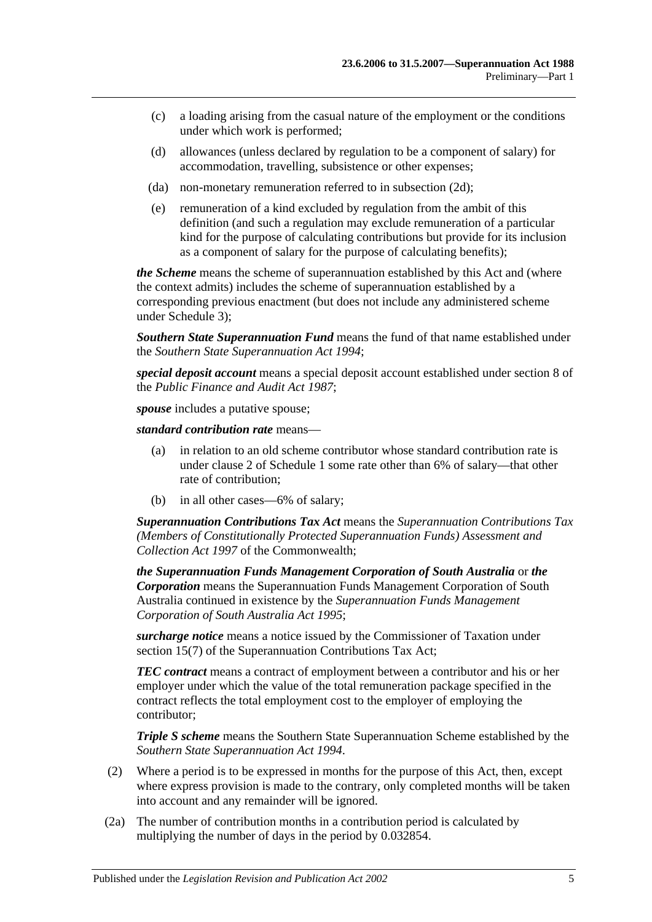- (c) a loading arising from the casual nature of the employment or the conditions under which work is performed;
- (d) allowances (unless declared by regulation to be a component of salary) for accommodation, travelling, subsistence or other expenses;
- (da) non-monetary remuneration referred to in [subsection](#page-11-2) (2d);
- (e) remuneration of a kind excluded by regulation from the ambit of this definition (and such a regulation may exclude remuneration of a particular kind for the purpose of calculating contributions but provide for its inclusion as a component of salary for the purpose of calculating benefits);

*the Scheme* means the scheme of superannuation established by this Act and (where the context admits) includes the scheme of superannuation established by a corresponding previous enactment (but does not include any administered scheme under [Schedule 3\)](#page-122-0);

*Southern State Superannuation Fund* means the fund of that name established under the *[Southern State Superannuation Act](http://www.legislation.sa.gov.au/index.aspx?action=legref&type=act&legtitle=Southern%20State%20Superannuation%20Act%201994) 1994*;

*special deposit account* means a special deposit account established under section 8 of the *[Public Finance and Audit Act](http://www.legislation.sa.gov.au/index.aspx?action=legref&type=act&legtitle=Public%20Finance%20and%20Audit%20Act%201987) 1987*;

*spouse* includes a putative spouse:

*standard contribution rate* means—

- (a) in relation to an old scheme contributor whose standard contribution rate is under [clause](#page-98-2) 2 of [Schedule 1](#page-98-0) some rate other than 6% of salary—that other rate of contribution;
- (b) in all other cases—6% of salary;

*Superannuation Contributions Tax Act* means the *Superannuation Contributions Tax (Members of Constitutionally Protected Superannuation Funds) Assessment and Collection Act 1997* of the Commonwealth;

*the Superannuation Funds Management Corporation of South Australia* or *the Corporation* means the Superannuation Funds Management Corporation of South Australia continued in existence by the *[Superannuation Funds Management](http://www.legislation.sa.gov.au/index.aspx?action=legref&type=act&legtitle=Superannuation%20Funds%20Management%20Corporation%20of%20South%20Australia%20Act%201995)  [Corporation of South Australia Act](http://www.legislation.sa.gov.au/index.aspx?action=legref&type=act&legtitle=Superannuation%20Funds%20Management%20Corporation%20of%20South%20Australia%20Act%201995) 1995*;

*surcharge notice* means a notice issued by the Commissioner of Taxation under section 15(7) of the Superannuation Contributions Tax Act;

*TEC contract* means a contract of employment between a contributor and his or her employer under which the value of the total remuneration package specified in the contract reflects the total employment cost to the employer of employing the contributor;

*Triple S scheme* means the Southern State Superannuation Scheme established by the *[Southern State Superannuation Act](http://www.legislation.sa.gov.au/index.aspx?action=legref&type=act&legtitle=Southern%20State%20Superannuation%20Act%201994) 1994*.

- (2) Where a period is to be expressed in months for the purpose of this Act, then, except where express provision is made to the contrary, only completed months will be taken into account and any remainder will be ignored.
- <span id="page-10-0"></span>(2a) The number of contribution months in a contribution period is calculated by multiplying the number of days in the period by 0.032854.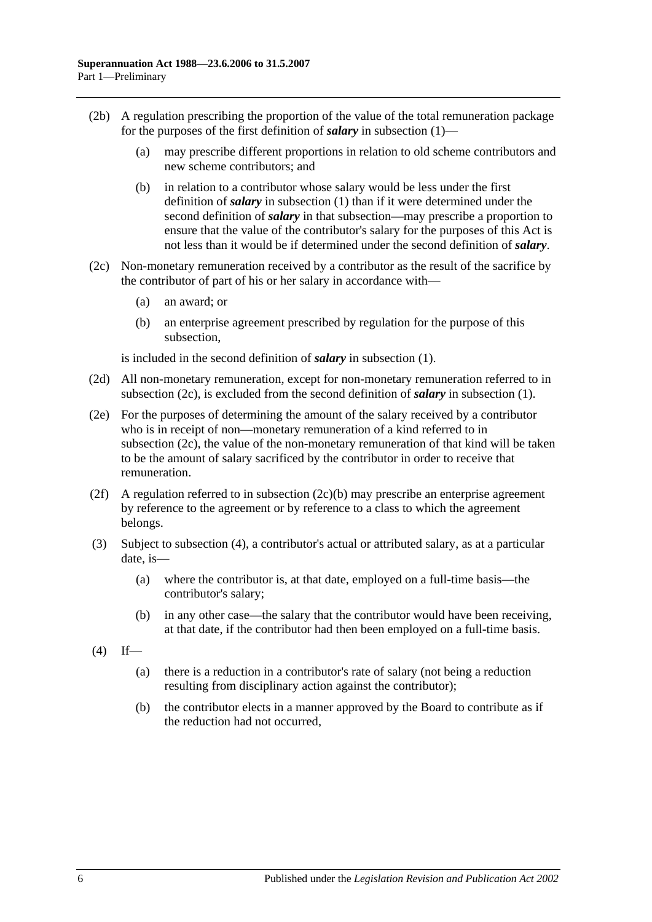- (2b) A regulation prescribing the proportion of the value of the total remuneration package for the purposes of the first definition of *salary* in [subsection](#page-6-3) (1)—
	- (a) may prescribe different proportions in relation to old scheme contributors and new scheme contributors; and
	- (b) in relation to a contributor whose salary would be less under the first definition of *salary* in [subsection](#page-6-3) (1) than if it were determined under the second definition of *salary* in that subsection—may prescribe a proportion to ensure that the value of the contributor's salary for the purposes of this Act is not less than it would be if determined under the second definition of *salary*.
- <span id="page-11-4"></span><span id="page-11-3"></span>(2c) Non-monetary remuneration received by a contributor as the result of the sacrifice by the contributor of part of his or her salary in accordance with—
	- (a) an award; or
	- (b) an enterprise agreement prescribed by regulation for the purpose of this subsection,

is included in the second definition of *salary* in [subsection](#page-6-3) (1).

- <span id="page-11-2"></span>(2d) All non-monetary remuneration, except for non-monetary remuneration referred to in [subsection](#page-11-3) (2c), is excluded from the second definition of *salary* in [subsection](#page-6-3) (1).
- (2e) For the purposes of determining the amount of the salary received by a contributor who is in receipt of non—monetary remuneration of a kind referred to in [subsection](#page-11-3) (2c), the value of the non-monetary remuneration of that kind will be taken to be the amount of salary sacrificed by the contributor in order to receive that remuneration.
- (2f) A regulation referred to in [subsection](#page-11-4)  $(2c)(b)$  may prescribe an enterprise agreement by reference to the agreement or by reference to a class to which the agreement belongs.
- <span id="page-11-0"></span>(3) Subject to [subsection](#page-11-1) (4), a contributor's actual or attributed salary, as at a particular date, is—
	- (a) where the contributor is, at that date, employed on a full-time basis—the contributor's salary;
	- (b) in any other case—the salary that the contributor would have been receiving, at that date, if the contributor had then been employed on a full-time basis.
- <span id="page-11-1"></span> $(4)$  If—
	- (a) there is a reduction in a contributor's rate of salary (not being a reduction resulting from disciplinary action against the contributor);
	- (b) the contributor elects in a manner approved by the Board to contribute as if the reduction had not occurred,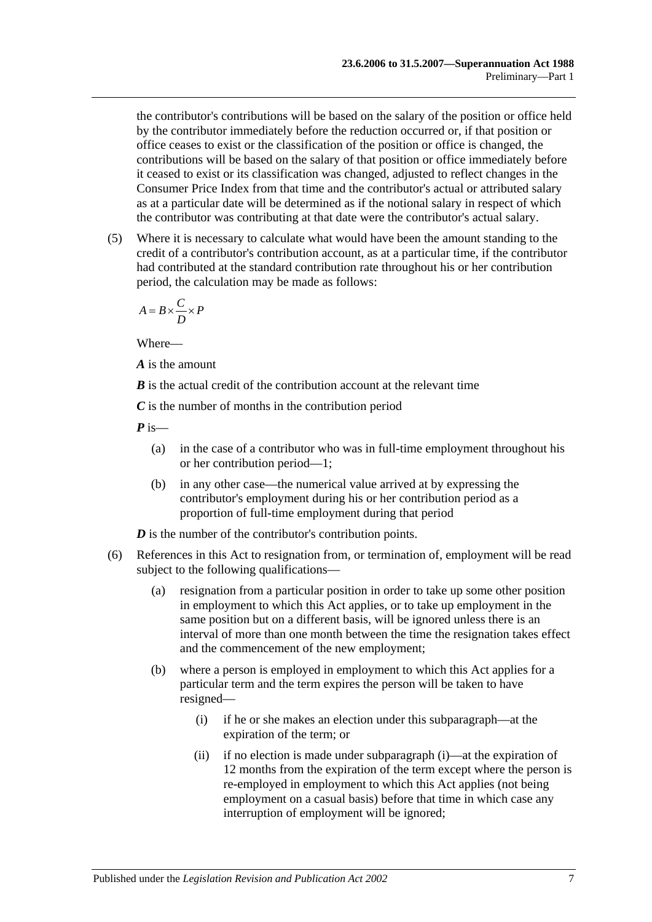the contributor's contributions will be based on the salary of the position or office held by the contributor immediately before the reduction occurred or, if that position or office ceases to exist or the classification of the position or office is changed, the contributions will be based on the salary of that position or office immediately before it ceased to exist or its classification was changed, adjusted to reflect changes in the Consumer Price Index from that time and the contributor's actual or attributed salary as at a particular date will be determined as if the notional salary in respect of which the contributor was contributing at that date were the contributor's actual salary.

(5) Where it is necessary to calculate what would have been the amount standing to the credit of a contributor's contribution account, as at a particular time, if the contributor had contributed at the standard contribution rate throughout his or her contribution period, the calculation may be made as follows:

$$
A = B \times \frac{C}{D} \times P
$$

Where—

*A* is the amount

*B* is the actual credit of the contribution account at the relevant time

*C* is the number of months in the contribution period

*P* is—

- (a) in the case of a contributor who was in full-time employment throughout his or her contribution period—1;
- (b) in any other case—the numerical value arrived at by expressing the contributor's employment during his or her contribution period as a proportion of full-time employment during that period

*D* is the number of the contributor's contribution points.

- <span id="page-12-1"></span><span id="page-12-0"></span>(6) References in this Act to resignation from, or termination of, employment will be read subject to the following qualifications—
	- (a) resignation from a particular position in order to take up some other position in employment to which this Act applies, or to take up employment in the same position but on a different basis, will be ignored unless there is an interval of more than one month between the time the resignation takes effect and the commencement of the new employment;
	- (b) where a person is employed in employment to which this Act applies for a particular term and the term expires the person will be taken to have resigned—
		- (i) if he or she makes an election under this subparagraph—at the expiration of the term; or
		- (ii) if no election is made under [subparagraph](#page-12-0) (i)—at the expiration of 12 months from the expiration of the term except where the person is re-employed in employment to which this Act applies (not being employment on a casual basis) before that time in which case any interruption of employment will be ignored;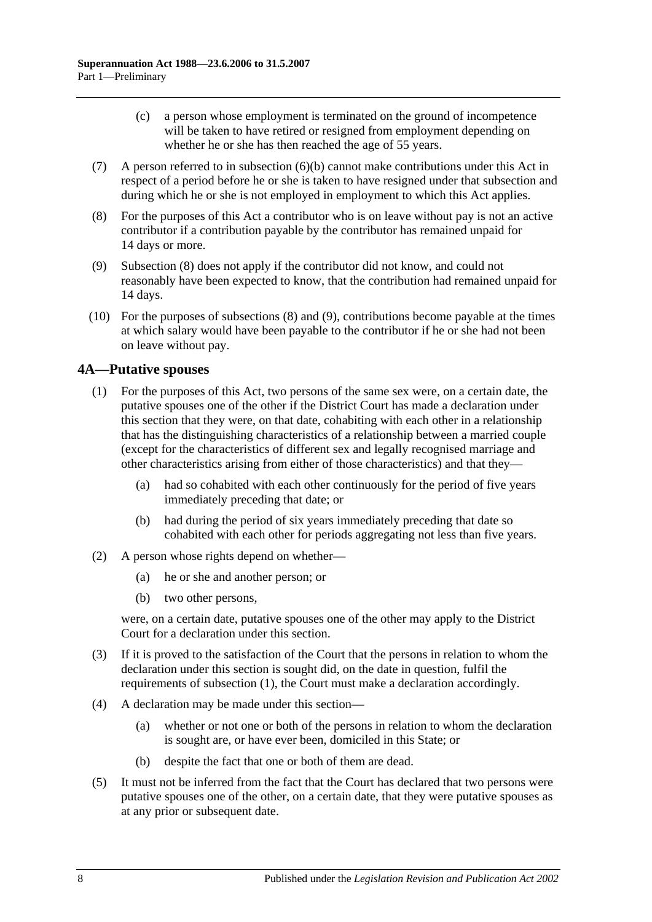- (c) a person whose employment is terminated on the ground of incompetence will be taken to have retired or resigned from employment depending on whether he or she has then reached the age of 55 years.
- (7) A person referred to in [subsection](#page-12-1) (6)(b) cannot make contributions under this Act in respect of a period before he or she is taken to have resigned under that subsection and during which he or she is not employed in employment to which this Act applies.
- <span id="page-13-1"></span>(8) For the purposes of this Act a contributor who is on leave without pay is not an active contributor if a contribution payable by the contributor has remained unpaid for 14 days or more.
- <span id="page-13-2"></span>(9) [Subsection](#page-13-1) (8) does not apply if the contributor did not know, and could not reasonably have been expected to know, that the contribution had remained unpaid for 14 days.
- (10) For the purposes of [subsections](#page-13-1) (8) and [\(9\),](#page-13-2) contributions become payable at the times at which salary would have been payable to the contributor if he or she had not been on leave without pay.

## <span id="page-13-3"></span><span id="page-13-0"></span>**4A—Putative spouses**

- (1) For the purposes of this Act, two persons of the same sex were, on a certain date, the putative spouses one of the other if the District Court has made a declaration under this section that they were, on that date, cohabiting with each other in a relationship that has the distinguishing characteristics of a relationship between a married couple (except for the characteristics of different sex and legally recognised marriage and other characteristics arising from either of those characteristics) and that they—
	- (a) had so cohabited with each other continuously for the period of five years immediately preceding that date; or
	- (b) had during the period of six years immediately preceding that date so cohabited with each other for periods aggregating not less than five years.
- (2) A person whose rights depend on whether—
	- (a) he or she and another person; or
	- (b) two other persons,

were, on a certain date, putative spouses one of the other may apply to the District Court for a declaration under this section.

- (3) If it is proved to the satisfaction of the Court that the persons in relation to whom the declaration under this section is sought did, on the date in question, fulfil the requirements of [subsection](#page-13-3) (1), the Court must make a declaration accordingly.
- (4) A declaration may be made under this section—
	- (a) whether or not one or both of the persons in relation to whom the declaration is sought are, or have ever been, domiciled in this State; or
	- (b) despite the fact that one or both of them are dead.
- (5) It must not be inferred from the fact that the Court has declared that two persons were putative spouses one of the other, on a certain date, that they were putative spouses as at any prior or subsequent date.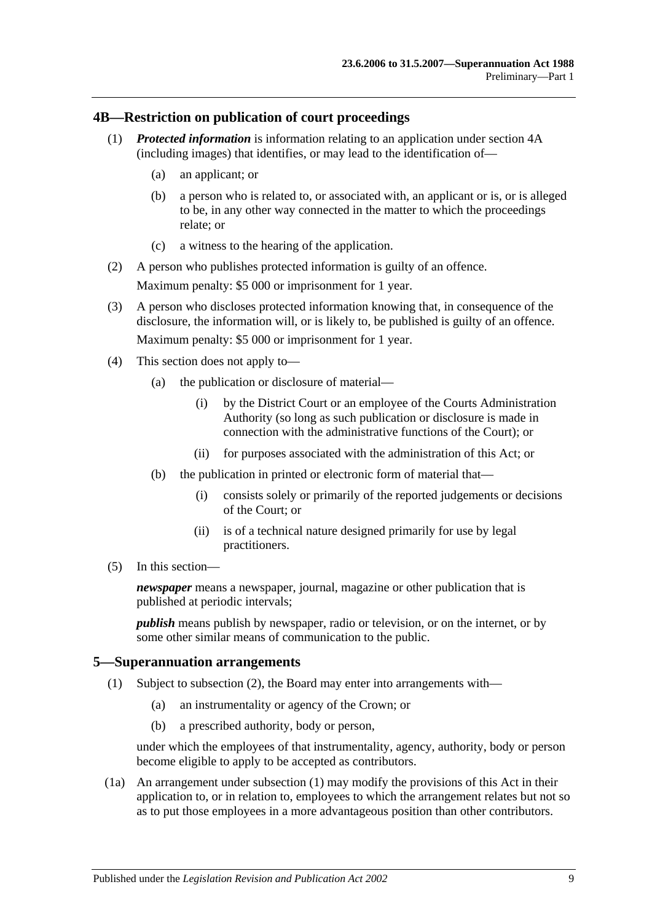#### <span id="page-14-0"></span>**4B—Restriction on publication of court proceedings**

- (1) *Protected information* is information relating to an application under [section](#page-13-0) 4A (including images) that identifies, or may lead to the identification of—
	- (a) an applicant; or
	- (b) a person who is related to, or associated with, an applicant or is, or is alleged to be, in any other way connected in the matter to which the proceedings relate; or
	- (c) a witness to the hearing of the application.
- (2) A person who publishes protected information is guilty of an offence. Maximum penalty: \$5 000 or imprisonment for 1 year.
- (3) A person who discloses protected information knowing that, in consequence of the disclosure, the information will, or is likely to, be published is guilty of an offence. Maximum penalty: \$5 000 or imprisonment for 1 year.
- (4) This section does not apply to—
	- (a) the publication or disclosure of material—
		- (i) by the District Court or an employee of the Courts Administration Authority (so long as such publication or disclosure is made in connection with the administrative functions of the Court); or
		- (ii) for purposes associated with the administration of this Act; or
	- (b) the publication in printed or electronic form of material that—
		- (i) consists solely or primarily of the reported judgements or decisions of the Court; or
		- (ii) is of a technical nature designed primarily for use by legal practitioners.
- (5) In this section—

*newspaper* means a newspaper, journal, magazine or other publication that is published at periodic intervals;

*publish* means publish by newspaper, radio or television, or on the internet, or by some other similar means of communication to the public.

#### <span id="page-14-2"></span><span id="page-14-1"></span>**5—Superannuation arrangements**

- (1) Subject to [subsection](#page-15-0) (2), the Board may enter into arrangements with—
	- (a) an instrumentality or agency of the Crown; or
	- (b) a prescribed authority, body or person,

under which the employees of that instrumentality, agency, authority, body or person become eligible to apply to be accepted as contributors.

(1a) An arrangement under [subsection](#page-14-2) (1) may modify the provisions of this Act in their application to, or in relation to, employees to which the arrangement relates but not so as to put those employees in a more advantageous position than other contributors.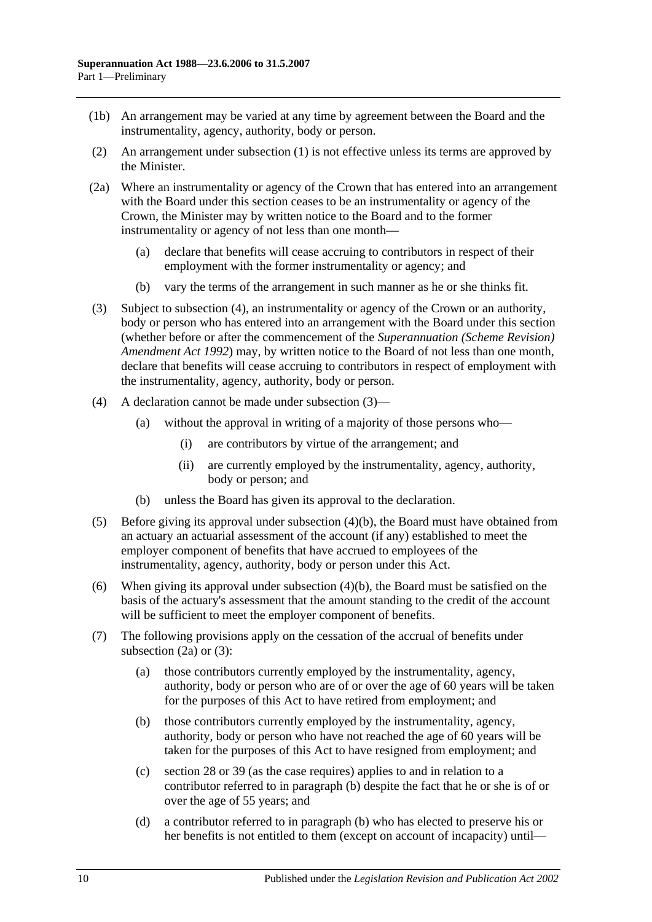- (1b) An arrangement may be varied at any time by agreement between the Board and the instrumentality, agency, authority, body or person.
- <span id="page-15-0"></span>(2) An arrangement under [subsection](#page-14-2) (1) is not effective unless its terms are approved by the Minister.
- <span id="page-15-4"></span>(2a) Where an instrumentality or agency of the Crown that has entered into an arrangement with the Board under this section ceases to be an instrumentality or agency of the Crown, the Minister may by written notice to the Board and to the former instrumentality or agency of not less than one month—
	- (a) declare that benefits will cease accruing to contributors in respect of their employment with the former instrumentality or agency; and
	- (b) vary the terms of the arrangement in such manner as he or she thinks fit.
- <span id="page-15-2"></span>(3) Subject to [subsection](#page-15-1) (4), an instrumentality or agency of the Crown or an authority, body or person who has entered into an arrangement with the Board under this section (whether before or after the commencement of the *[Superannuation \(Scheme Revision\)](http://www.legislation.sa.gov.au/index.aspx?action=legref&type=act&legtitle=Superannuation%20(Scheme%20Revision)%20Amendment%20Act%201992)  [Amendment Act](http://www.legislation.sa.gov.au/index.aspx?action=legref&type=act&legtitle=Superannuation%20(Scheme%20Revision)%20Amendment%20Act%201992) 1992*) may, by written notice to the Board of not less than one month, declare that benefits will cease accruing to contributors in respect of employment with the instrumentality, agency, authority, body or person.
- <span id="page-15-1"></span>(4) A declaration cannot be made under [subsection](#page-15-2) (3)—
	- (a) without the approval in writing of a majority of those persons who—
		- (i) are contributors by virtue of the arrangement; and
		- (ii) are currently employed by the instrumentality, agency, authority, body or person; and
	- (b) unless the Board has given its approval to the declaration.
- <span id="page-15-3"></span>(5) Before giving its approval under [subsection](#page-15-3) (4)(b), the Board must have obtained from an actuary an actuarial assessment of the account (if any) established to meet the employer component of benefits that have accrued to employees of the instrumentality, agency, authority, body or person under this Act.
- (6) When giving its approval under [subsection](#page-15-3) (4)(b), the Board must be satisfied on the basis of the actuary's assessment that the amount standing to the credit of the account will be sufficient to meet the employer component of benefits.
- <span id="page-15-5"></span>(7) The following provisions apply on the cessation of the accrual of benefits under [subsection](#page-15-4)  $(2a)$  or  $(3)$ :
	- (a) those contributors currently employed by the instrumentality, agency, authority, body or person who are of or over the age of 60 years will be taken for the purposes of this Act to have retired from employment; and
	- (b) those contributors currently employed by the instrumentality, agency, authority, body or person who have not reached the age of 60 years will be taken for the purposes of this Act to have resigned from employment; and
	- (c) [section](#page-31-0) 28 or [39](#page-65-0) (as the case requires) applies to and in relation to a contributor referred to in [paragraph](#page-15-5) (b) despite the fact that he or she is of or over the age of 55 years; and
	- (d) a contributor referred to in [paragraph](#page-15-5) (b) who has elected to preserve his or her benefits is not entitled to them (except on account of incapacity) until—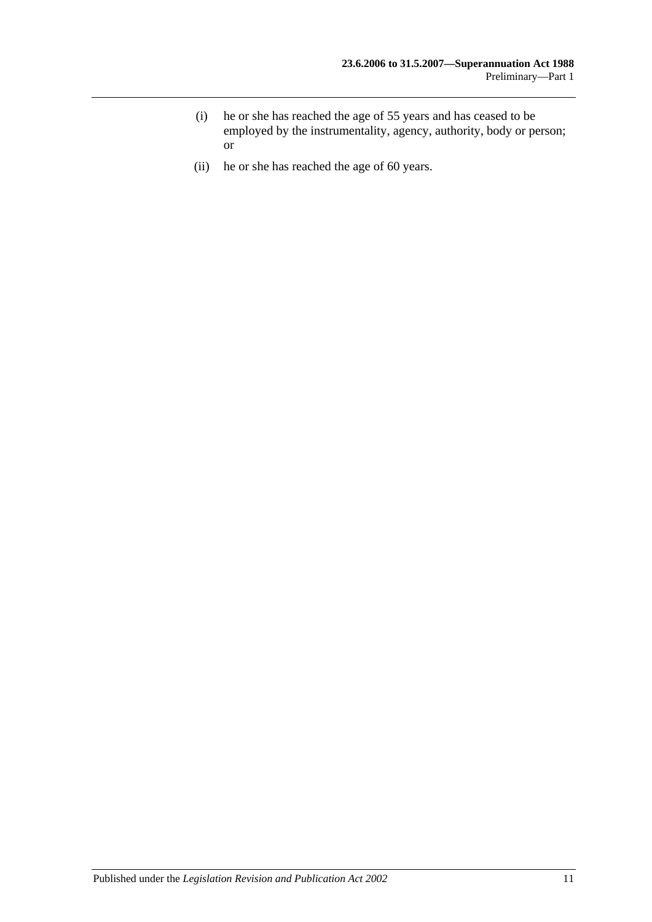- (i) he or she has reached the age of 55 years and has ceased to be employed by the instrumentality, agency, authority, body or person; or
- (ii) he or she has reached the age of 60 years.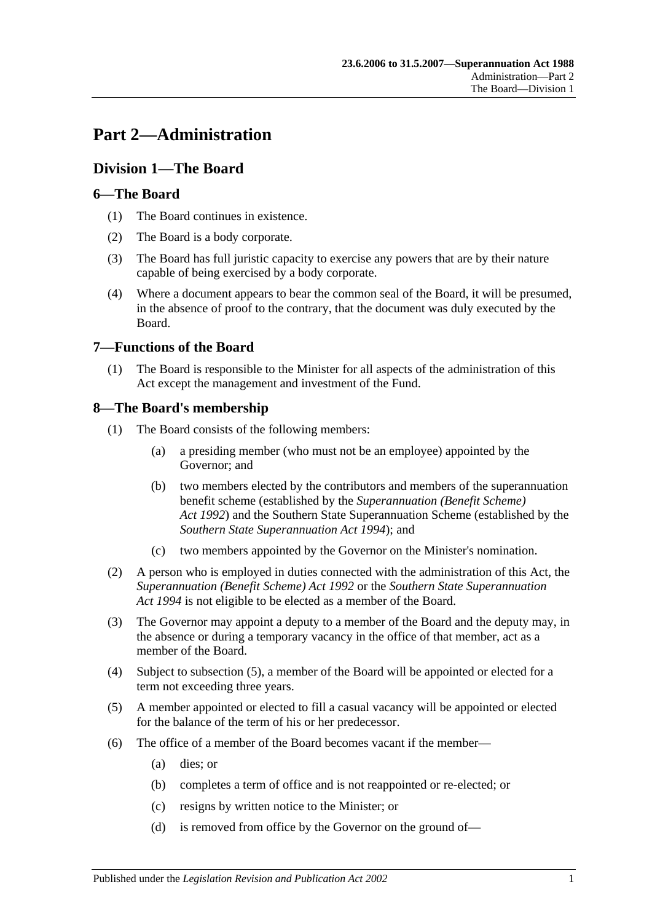# <span id="page-18-0"></span>**Part 2—Administration**

## <span id="page-18-1"></span>**Division 1—The Board**

## <span id="page-18-2"></span>**6—The Board**

- (1) The Board continues in existence.
- (2) The Board is a body corporate.
- (3) The Board has full juristic capacity to exercise any powers that are by their nature capable of being exercised by a body corporate.
- (4) Where a document appears to bear the common seal of the Board, it will be presumed, in the absence of proof to the contrary, that the document was duly executed by the Board.

## <span id="page-18-3"></span>**7—Functions of the Board**

(1) The Board is responsible to the Minister for all aspects of the administration of this Act except the management and investment of the Fund.

## <span id="page-18-4"></span>**8—The Board's membership**

- (1) The Board consists of the following members:
	- (a) a presiding member (who must not be an employee) appointed by the Governor; and
	- (b) two members elected by the contributors and members of the superannuation benefit scheme (established by the *[Superannuation \(Benefit Scheme\)](http://www.legislation.sa.gov.au/index.aspx?action=legref&type=act&legtitle=Superannuation%20(Benefit%20Scheme)%20Act%201992)  Act [1992](http://www.legislation.sa.gov.au/index.aspx?action=legref&type=act&legtitle=Superannuation%20(Benefit%20Scheme)%20Act%201992)*) and the Southern State Superannuation Scheme (established by the *[Southern State Superannuation Act](http://www.legislation.sa.gov.au/index.aspx?action=legref&type=act&legtitle=Southern%20State%20Superannuation%20Act%201994) 1994*); and
	- (c) two members appointed by the Governor on the Minister's nomination.
- (2) A person who is employed in duties connected with the administration of this Act, the *[Superannuation \(Benefit Scheme\) Act](http://www.legislation.sa.gov.au/index.aspx?action=legref&type=act&legtitle=Superannuation%20(Benefit%20Scheme)%20Act%201992) 1992* or the *[Southern State Superannuation](http://www.legislation.sa.gov.au/index.aspx?action=legref&type=act&legtitle=Southern%20State%20Superannuation%20Act%201994)  Act [1994](http://www.legislation.sa.gov.au/index.aspx?action=legref&type=act&legtitle=Southern%20State%20Superannuation%20Act%201994)* is not eligible to be elected as a member of the Board.
- (3) The Governor may appoint a deputy to a member of the Board and the deputy may, in the absence or during a temporary vacancy in the office of that member, act as a member of the Board.
- (4) Subject to [subsection](#page-18-5) (5), a member of the Board will be appointed or elected for a term not exceeding three years.
- <span id="page-18-5"></span>(5) A member appointed or elected to fill a casual vacancy will be appointed or elected for the balance of the term of his or her predecessor.
- (6) The office of a member of the Board becomes vacant if the member—
	- (a) dies; or
	- (b) completes a term of office and is not reappointed or re-elected; or
	- (c) resigns by written notice to the Minister; or
	- (d) is removed from office by the Governor on the ground of—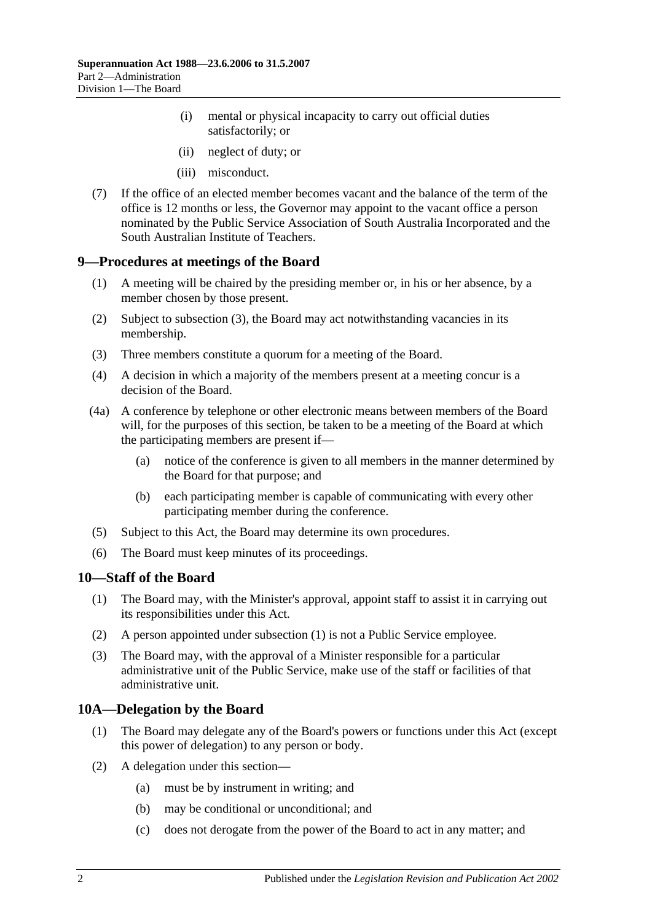- (i) mental or physical incapacity to carry out official duties satisfactorily; or
- (ii) neglect of duty; or
- (iii) misconduct.
- (7) If the office of an elected member becomes vacant and the balance of the term of the office is 12 months or less, the Governor may appoint to the vacant office a person nominated by the Public Service Association of South Australia Incorporated and the South Australian Institute of Teachers.

#### <span id="page-19-0"></span>**9—Procedures at meetings of the Board**

- (1) A meeting will be chaired by the presiding member or, in his or her absence, by a member chosen by those present.
- (2) Subject to [subsection](#page-19-3) (3), the Board may act notwithstanding vacancies in its membership.
- <span id="page-19-3"></span>(3) Three members constitute a quorum for a meeting of the Board.
- (4) A decision in which a majority of the members present at a meeting concur is a decision of the Board.
- (4a) A conference by telephone or other electronic means between members of the Board will, for the purposes of this section, be taken to be a meeting of the Board at which the participating members are present if—
	- (a) notice of the conference is given to all members in the manner determined by the Board for that purpose; and
	- (b) each participating member is capable of communicating with every other participating member during the conference.
- (5) Subject to this Act, the Board may determine its own procedures.
- (6) The Board must keep minutes of its proceedings.

#### <span id="page-19-4"></span><span id="page-19-1"></span>**10—Staff of the Board**

- (1) The Board may, with the Minister's approval, appoint staff to assist it in carrying out its responsibilities under this Act.
- (2) A person appointed under [subsection](#page-19-4) (1) is not a Public Service employee.
- (3) The Board may, with the approval of a Minister responsible for a particular administrative unit of the Public Service, make use of the staff or facilities of that administrative unit.

## <span id="page-19-2"></span>**10A—Delegation by the Board**

- (1) The Board may delegate any of the Board's powers or functions under this Act (except this power of delegation) to any person or body.
- (2) A delegation under this section—
	- (a) must be by instrument in writing; and
	- (b) may be conditional or unconditional; and
	- (c) does not derogate from the power of the Board to act in any matter; and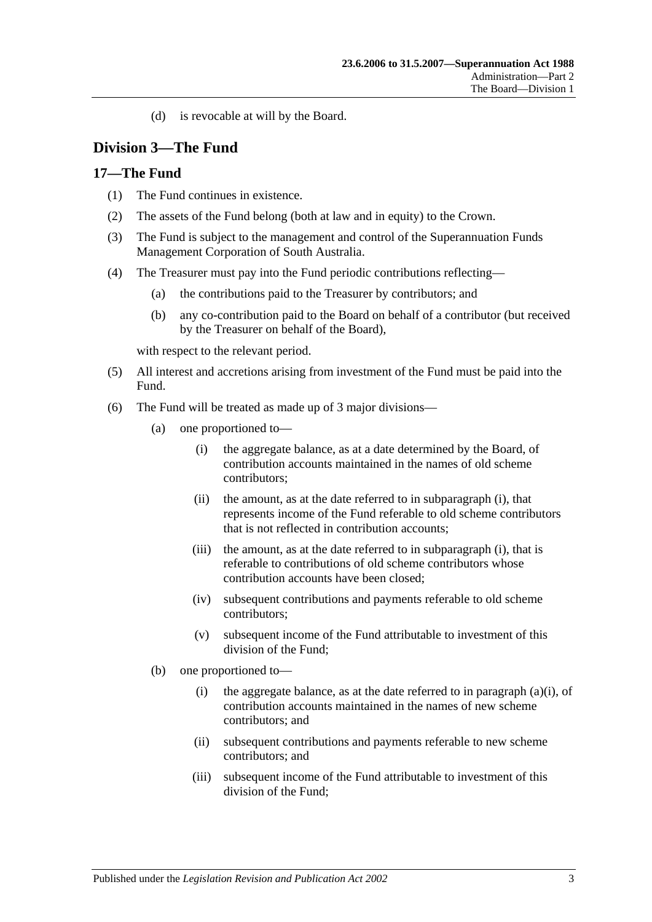(d) is revocable at will by the Board.

## <span id="page-20-0"></span>**Division 3—The Fund**

## <span id="page-20-1"></span>**17—The Fund**

- (1) The Fund continues in existence.
- (2) The assets of the Fund belong (both at law and in equity) to the Crown.
- (3) The Fund is subject to the management and control of the Superannuation Funds Management Corporation of South Australia.
- (4) The Treasurer must pay into the Fund periodic contributions reflecting—
	- (a) the contributions paid to the Treasurer by contributors; and
	- (b) any co-contribution paid to the Board on behalf of a contributor (but received by the Treasurer on behalf of the Board),

with respect to the relevant period.

- (5) All interest and accretions arising from investment of the Fund must be paid into the Fund.
- <span id="page-20-2"></span>(6) The Fund will be treated as made up of 3 major divisions—
	- (a) one proportioned to—
		- (i) the aggregate balance, as at a date determined by the Board, of contribution accounts maintained in the names of old scheme contributors;
		- (ii) the amount, as at the date referred to in [subparagraph](#page-20-2) (i), that represents income of the Fund referable to old scheme contributors that is not reflected in contribution accounts;
		- (iii) the amount, as at the date referred to in [subparagraph](#page-20-2) (i), that is referable to contributions of old scheme contributors whose contribution accounts have been closed;
		- (iv) subsequent contributions and payments referable to old scheme contributors;
		- (v) subsequent income of the Fund attributable to investment of this division of the Fund;
	- (b) one proportioned to
		- (i) the aggregate balance, as at the date referred to in [paragraph](#page-20-2)  $(a)(i)$ , of contribution accounts maintained in the names of new scheme contributors; and
		- (ii) subsequent contributions and payments referable to new scheme contributors; and
		- (iii) subsequent income of the Fund attributable to investment of this division of the Fund;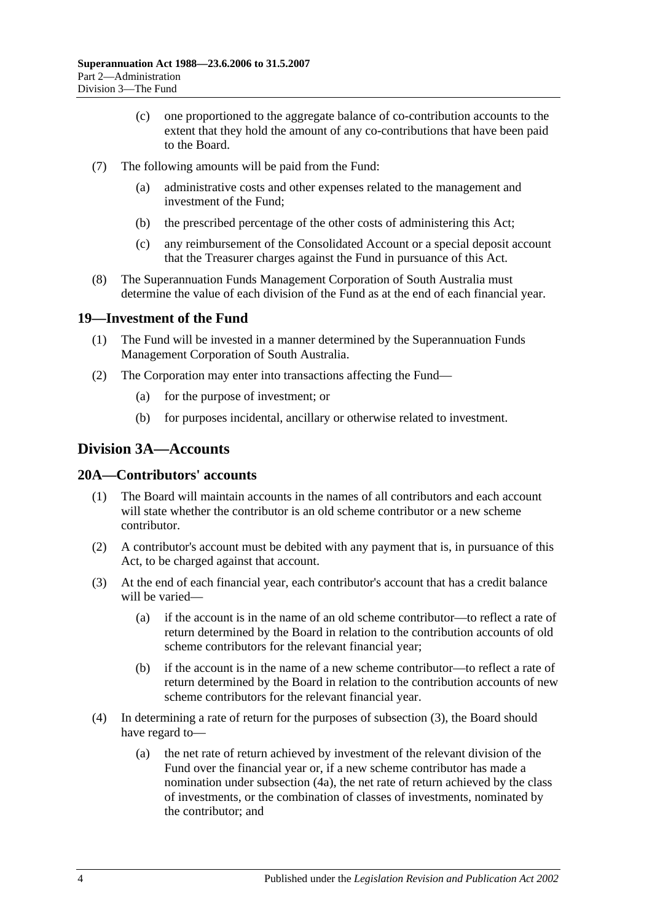- (c) one proportioned to the aggregate balance of co-contribution accounts to the extent that they hold the amount of any co-contributions that have been paid to the Board.
- (7) The following amounts will be paid from the Fund:
	- (a) administrative costs and other expenses related to the management and investment of the Fund;
	- (b) the prescribed percentage of the other costs of administering this Act;
	- (c) any reimbursement of the Consolidated Account or a special deposit account that the Treasurer charges against the Fund in pursuance of this Act.
- (8) The Superannuation Funds Management Corporation of South Australia must determine the value of each division of the Fund as at the end of each financial year.

## <span id="page-21-0"></span>**19—Investment of the Fund**

- (1) The Fund will be invested in a manner determined by the Superannuation Funds Management Corporation of South Australia.
- (2) The Corporation may enter into transactions affecting the Fund—
	- (a) for the purpose of investment; or
	- (b) for purposes incidental, ancillary or otherwise related to investment.

## <span id="page-21-1"></span>**Division 3A—Accounts**

## <span id="page-21-2"></span>**20A—Contributors' accounts**

- (1) The Board will maintain accounts in the names of all contributors and each account will state whether the contributor is an old scheme contributor or a new scheme contributor.
- (2) A contributor's account must be debited with any payment that is, in pursuance of this Act, to be charged against that account.
- <span id="page-21-3"></span>(3) At the end of each financial year, each contributor's account that has a credit balance will be varied—
	- (a) if the account is in the name of an old scheme contributor—to reflect a rate of return determined by the Board in relation to the contribution accounts of old scheme contributors for the relevant financial year;
	- (b) if the account is in the name of a new scheme contributor—to reflect a rate of return determined by the Board in relation to the contribution accounts of new scheme contributors for the relevant financial year.
- (4) In determining a rate of return for the purposes of [subsection](#page-21-3) (3), the Board should have regard to—
	- (a) the net rate of return achieved by investment of the relevant division of the Fund over the financial year or, if a new scheme contributor has made a nomination under [subsection](#page-22-2) (4a), the net rate of return achieved by the class of investments, or the combination of classes of investments, nominated by the contributor; and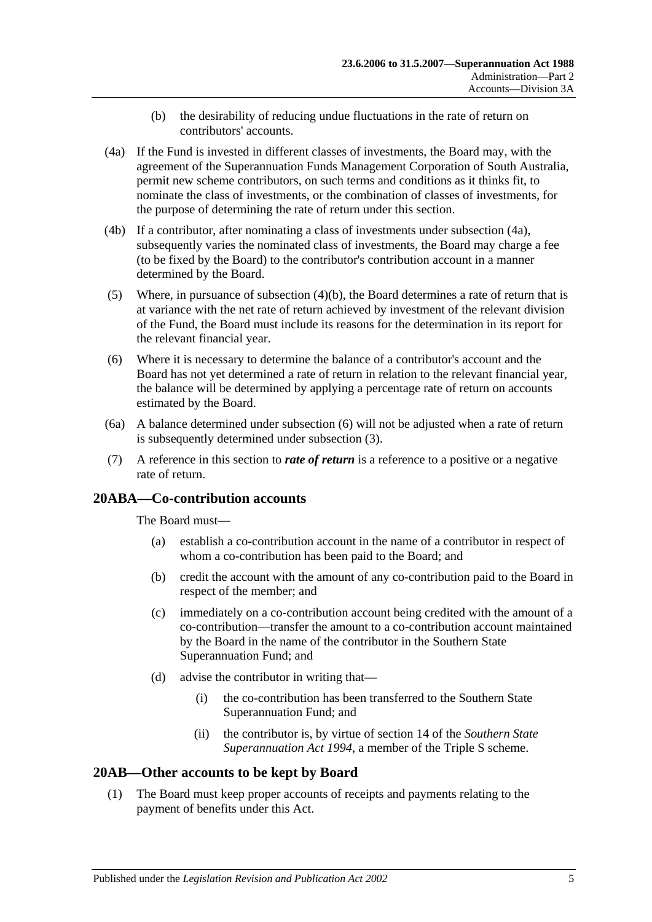- (b) the desirability of reducing undue fluctuations in the rate of return on contributors' accounts.
- <span id="page-22-3"></span><span id="page-22-2"></span>(4a) If the Fund is invested in different classes of investments, the Board may, with the agreement of the Superannuation Funds Management Corporation of South Australia, permit new scheme contributors, on such terms and conditions as it thinks fit, to nominate the class of investments, or the combination of classes of investments, for the purpose of determining the rate of return under this section.
- (4b) If a contributor, after nominating a class of investments under [subsection](#page-22-2) (4a), subsequently varies the nominated class of investments, the Board may charge a fee (to be fixed by the Board) to the contributor's contribution account in a manner determined by the Board.
- (5) Where, in pursuance of [subsection](#page-22-3)  $(4)(b)$ , the Board determines a rate of return that is at variance with the net rate of return achieved by investment of the relevant division of the Fund, the Board must include its reasons for the determination in its report for the relevant financial year.
- <span id="page-22-4"></span>(6) Where it is necessary to determine the balance of a contributor's account and the Board has not yet determined a rate of return in relation to the relevant financial year, the balance will be determined by applying a percentage rate of return on accounts estimated by the Board.
- (6a) A balance determined under [subsection](#page-22-4) (6) will not be adjusted when a rate of return is subsequently determined under [subsection](#page-21-3) (3).
- (7) A reference in this section to *rate of return* is a reference to a positive or a negative rate of return.

## <span id="page-22-0"></span>**20ABA—Co-contribution accounts**

The Board must—

- (a) establish a co-contribution account in the name of a contributor in respect of whom a co-contribution has been paid to the Board; and
- (b) credit the account with the amount of any co-contribution paid to the Board in respect of the member; and
- (c) immediately on a co-contribution account being credited with the amount of a co-contribution—transfer the amount to a co-contribution account maintained by the Board in the name of the contributor in the Southern State Superannuation Fund; and
- (d) advise the contributor in writing that—
	- (i) the co-contribution has been transferred to the Southern State Superannuation Fund; and
	- (ii) the contributor is, by virtue of section 14 of the *[Southern State](http://www.legislation.sa.gov.au/index.aspx?action=legref&type=act&legtitle=Southern%20State%20Superannuation%20Act%201994)  [Superannuation Act](http://www.legislation.sa.gov.au/index.aspx?action=legref&type=act&legtitle=Southern%20State%20Superannuation%20Act%201994) 1994*, a member of the Triple S scheme.

## <span id="page-22-5"></span><span id="page-22-1"></span>**20AB—Other accounts to be kept by Board**

(1) The Board must keep proper accounts of receipts and payments relating to the payment of benefits under this Act.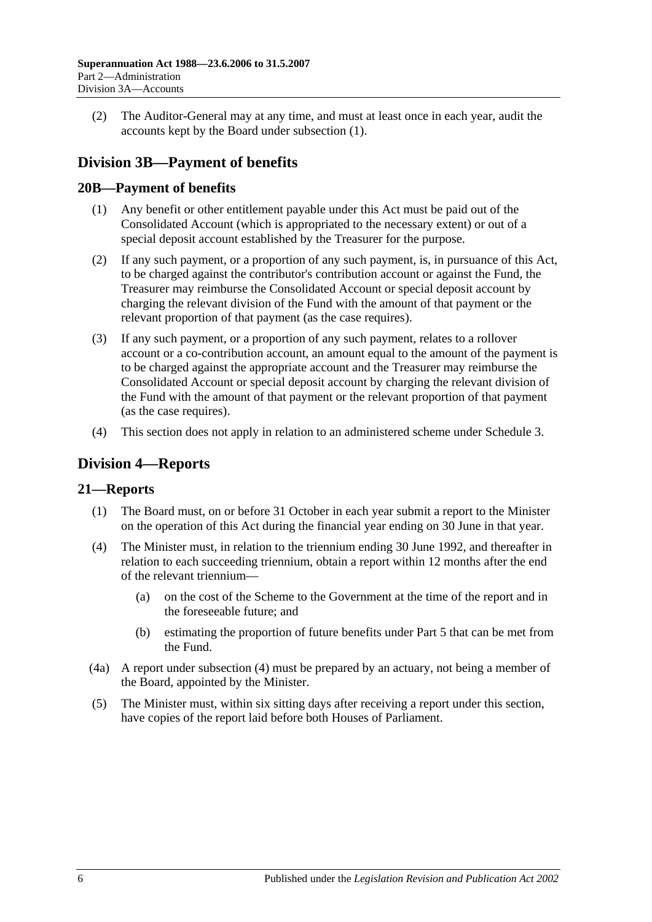(2) The Auditor-General may at any time, and must at least once in each year, audit the accounts kept by the Board under [subsection](#page-22-5) (1).

# <span id="page-23-0"></span>**Division 3B—Payment of benefits**

## <span id="page-23-1"></span>**20B—Payment of benefits**

- (1) Any benefit or other entitlement payable under this Act must be paid out of the Consolidated Account (which is appropriated to the necessary extent) or out of a special deposit account established by the Treasurer for the purpose.
- (2) If any such payment, or a proportion of any such payment, is, in pursuance of this Act, to be charged against the contributor's contribution account or against the Fund, the Treasurer may reimburse the Consolidated Account or special deposit account by charging the relevant division of the Fund with the amount of that payment or the relevant proportion of that payment (as the case requires).
- (3) If any such payment, or a proportion of any such payment, relates to a rollover account or a co-contribution account, an amount equal to the amount of the payment is to be charged against the appropriate account and the Treasurer may reimburse the Consolidated Account or special deposit account by charging the relevant division of the Fund with the amount of that payment or the relevant proportion of that payment (as the case requires).
- (4) This section does not apply in relation to an administered scheme under [Schedule 3.](#page-122-0)

## <span id="page-23-2"></span>**Division 4—Reports**

## <span id="page-23-3"></span>**21—Reports**

- (1) The Board must, on or before 31 October in each year submit a report to the Minister on the operation of this Act during the financial year ending on 30 June in that year.
- <span id="page-23-4"></span>(4) The Minister must, in relation to the triennium ending 30 June 1992, and thereafter in relation to each succeeding triennium, obtain a report within 12 months after the end of the relevant triennium—
	- (a) on the cost of the Scheme to the Government at the time of the report and in the foreseeable future; and
	- (b) estimating the proportion of future benefits under [Part 5](#page-52-0) that can be met from the Fund.
- (4a) A report under [subsection](#page-23-4) (4) must be prepared by an actuary, not being a member of the Board, appointed by the Minister.
- (5) The Minister must, within six sitting days after receiving a report under this section, have copies of the report laid before both Houses of Parliament.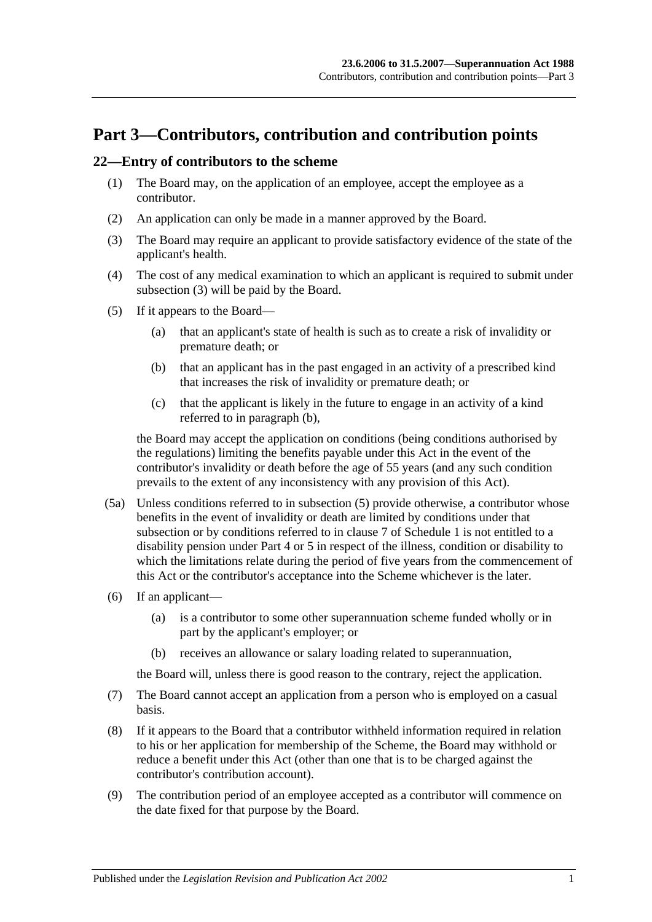# <span id="page-24-0"></span>**Part 3—Contributors, contribution and contribution points**

## <span id="page-24-5"></span><span id="page-24-1"></span>**22—Entry of contributors to the scheme**

- (1) The Board may, on the application of an employee, accept the employee as a contributor.
- (2) An application can only be made in a manner approved by the Board.
- <span id="page-24-2"></span>(3) The Board may require an applicant to provide satisfactory evidence of the state of the applicant's health.
- (4) The cost of any medical examination to which an applicant is required to submit under [subsection](#page-24-2) (3) will be paid by the Board.
- <span id="page-24-4"></span><span id="page-24-3"></span>(5) If it appears to the Board—
	- (a) that an applicant's state of health is such as to create a risk of invalidity or premature death; or
	- (b) that an applicant has in the past engaged in an activity of a prescribed kind that increases the risk of invalidity or premature death; or
	- (c) that the applicant is likely in the future to engage in an activity of a kind referred to in [paragraph](#page-24-3) (b),

the Board may accept the application on conditions (being conditions authorised by the regulations) limiting the benefits payable under this Act in the event of the contributor's invalidity or death before the age of 55 years (and any such condition prevails to the extent of any inconsistency with any provision of this Act).

- (5a) Unless conditions referred to in [subsection](#page-24-4) (5) provide otherwise, a contributor whose benefits in the event of invalidity or death are limited by conditions under that subsection or by conditions referred to in [clause](#page-102-0) 7 of [Schedule 1](#page-98-0) is not entitled to a disability pension under [Part 4](#page-30-0) or [5](#page-52-0) in respect of the illness, condition or disability to which the limitations relate during the period of five years from the commencement of this Act or the contributor's acceptance into the Scheme whichever is the later.
- (6) If an applicant—
	- (a) is a contributor to some other superannuation scheme funded wholly or in part by the applicant's employer; or
	- (b) receives an allowance or salary loading related to superannuation,

the Board will, unless there is good reason to the contrary, reject the application.

- (7) The Board cannot accept an application from a person who is employed on a casual basis.
- (8) If it appears to the Board that a contributor withheld information required in relation to his or her application for membership of the Scheme, the Board may withhold or reduce a benefit under this Act (other than one that is to be charged against the contributor's contribution account).
- (9) The contribution period of an employee accepted as a contributor will commence on the date fixed for that purpose by the Board.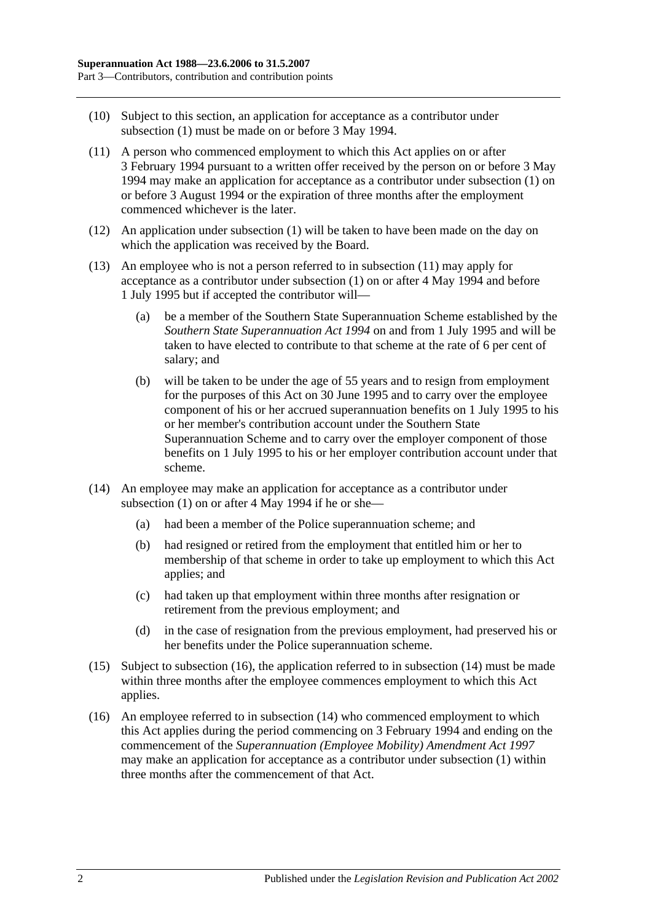- (10) Subject to this section, an application for acceptance as a contributor under [subsection](#page-24-5) (1) must be made on or before 3 May 1994.
- <span id="page-25-0"></span>(11) A person who commenced employment to which this Act applies on or after 3 February 1994 pursuant to a written offer received by the person on or before 3 May 1994 may make an application for acceptance as a contributor under [subsection](#page-24-5) (1) on or before 3 August 1994 or the expiration of three months after the employment commenced whichever is the later.
- (12) An application under [subsection](#page-24-5) (1) will be taken to have been made on the day on which the application was received by the Board.
- (13) An employee who is not a person referred to in [subsection](#page-25-0) (11) may apply for acceptance as a contributor under [subsection](#page-24-5) (1) on or after 4 May 1994 and before 1 July 1995 but if accepted the contributor will—
	- (a) be a member of the Southern State Superannuation Scheme established by the *[Southern State Superannuation Act](http://www.legislation.sa.gov.au/index.aspx?action=legref&type=act&legtitle=Southern%20State%20Superannuation%20Act%201994) 1994* on and from 1 July 1995 and will be taken to have elected to contribute to that scheme at the rate of 6 per cent of salary; and
	- (b) will be taken to be under the age of 55 years and to resign from employment for the purposes of this Act on 30 June 1995 and to carry over the employee component of his or her accrued superannuation benefits on 1 July 1995 to his or her member's contribution account under the Southern State Superannuation Scheme and to carry over the employer component of those benefits on 1 July 1995 to his or her employer contribution account under that scheme.
- <span id="page-25-2"></span>(14) An employee may make an application for acceptance as a contributor under [subsection](#page-24-5)  $(1)$  on or after 4 May 1994 if he or she-
	- (a) had been a member of the Police superannuation scheme; and
	- (b) had resigned or retired from the employment that entitled him or her to membership of that scheme in order to take up employment to which this Act applies; and
	- (c) had taken up that employment within three months after resignation or retirement from the previous employment; and
	- (d) in the case of resignation from the previous employment, had preserved his or her benefits under the Police superannuation scheme.
- (15) Subject to [subsection](#page-25-1) (16), the application referred to in [subsection](#page-25-2) (14) must be made within three months after the employee commences employment to which this Act applies.
- <span id="page-25-1"></span>(16) An employee referred to in [subsection](#page-25-2) (14) who commenced employment to which this Act applies during the period commencing on 3 February 1994 and ending on the commencement of the *[Superannuation \(Employee Mobility\) Amendment Act](http://www.legislation.sa.gov.au/index.aspx?action=legref&type=act&legtitle=Superannuation%20(Employee%20Mobility)%20Amendment%20Act%201997) 1997* may make an application for acceptance as a contributor under [subsection](#page-24-5) (1) within three months after the commencement of that Act.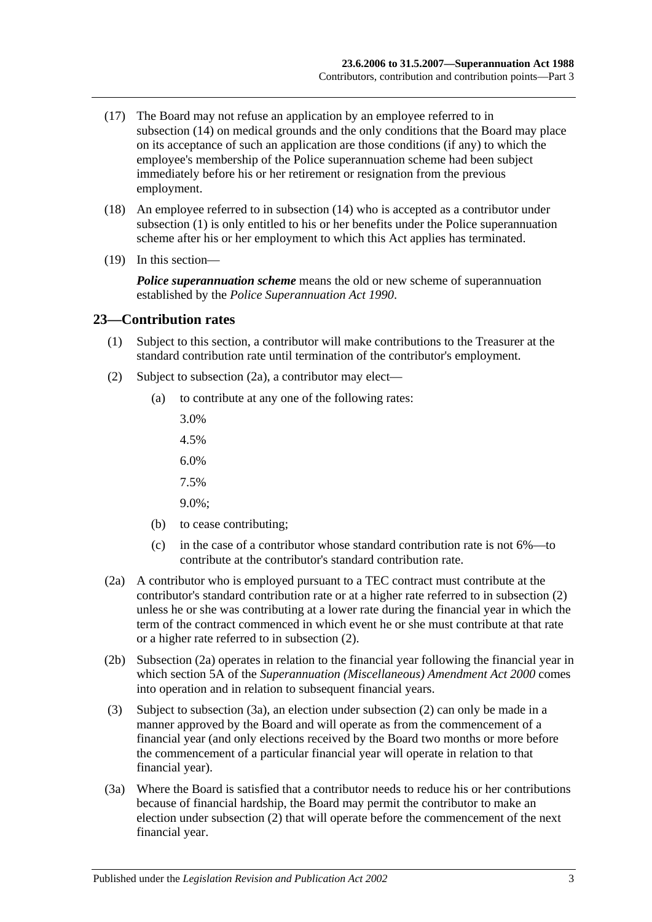- (17) The Board may not refuse an application by an employee referred to in [subsection](#page-25-2) (14) on medical grounds and the only conditions that the Board may place on its acceptance of such an application are those conditions (if any) to which the employee's membership of the Police superannuation scheme had been subject immediately before his or her retirement or resignation from the previous employment.
- (18) An employee referred to in [subsection](#page-25-2) (14) who is accepted as a contributor under [subsection](#page-24-5) (1) is only entitled to his or her benefits under the Police superannuation scheme after his or her employment to which this Act applies has terminated.
- (19) In this section—

*Police superannuation scheme* means the old or new scheme of superannuation established by the *[Police Superannuation Act](http://www.legislation.sa.gov.au/index.aspx?action=legref&type=act&legtitle=Police%20Superannuation%20Act%201990) 1990*.

#### <span id="page-26-0"></span>**23—Contribution rates**

- (1) Subject to this section, a contributor will make contributions to the Treasurer at the standard contribution rate until termination of the contributor's employment.
- <span id="page-26-2"></span>(2) Subject to [subsection](#page-26-1) (2a), a contributor may elect—
	- (a) to contribute at any one of the following rates:
		- 3.0%
		- 4.5%
		- 6.0%
		- 7.5%
		- 9.0%;
	- (b) to cease contributing;
	- (c) in the case of a contributor whose standard contribution rate is not 6%—to contribute at the contributor's standard contribution rate.
- <span id="page-26-1"></span>(2a) A contributor who is employed pursuant to a TEC contract must contribute at the contributor's standard contribution rate or at a higher rate referred to in [subsection](#page-26-2) (2) unless he or she was contributing at a lower rate during the financial year in which the term of the contract commenced in which event he or she must contribute at that rate or a higher rate referred to in [subsection](#page-26-2) (2).
- (2b) [Subsection](#page-26-1) (2a) operates in relation to the financial year following the financial year in which section 5A of the *[Superannuation \(Miscellaneous\) Amendment Act](http://www.legislation.sa.gov.au/index.aspx?action=legref&type=act&legtitle=Superannuation%20(Miscellaneous)%20Amendment%20Act%202000) 2000* comes into operation and in relation to subsequent financial years.
- (3) Subject to [subsection](#page-26-3) (3a), an election under [subsection](#page-26-2) (2) can only be made in a manner approved by the Board and will operate as from the commencement of a financial year (and only elections received by the Board two months or more before the commencement of a particular financial year will operate in relation to that financial year).
- <span id="page-26-3"></span>(3a) Where the Board is satisfied that a contributor needs to reduce his or her contributions because of financial hardship, the Board may permit the contributor to make an election under [subsection](#page-26-2) (2) that will operate before the commencement of the next financial year.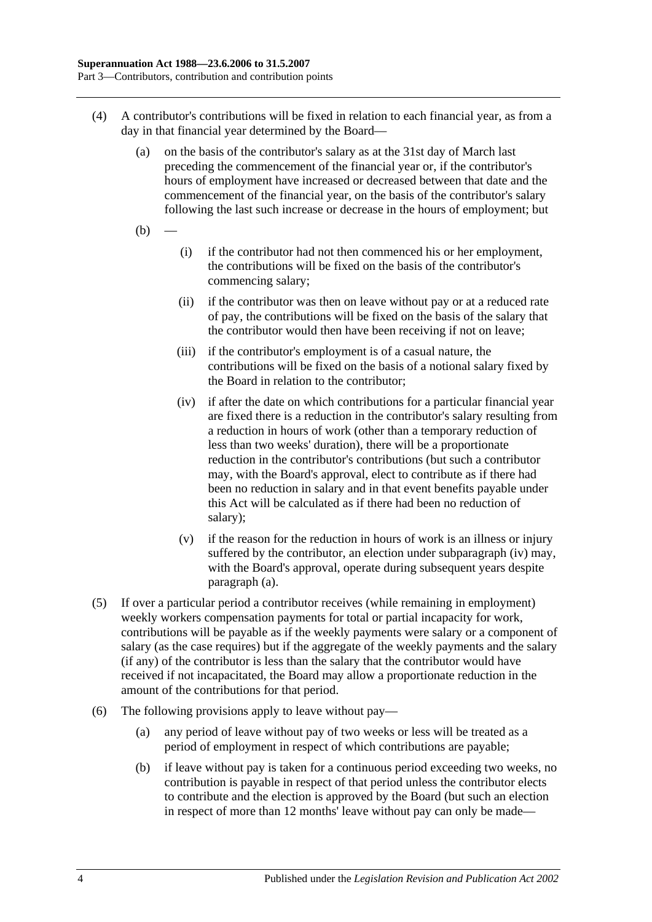- <span id="page-27-1"></span>(4) A contributor's contributions will be fixed in relation to each financial year, as from a day in that financial year determined by the Board—
	- (a) on the basis of the contributor's salary as at the 31st day of March last preceding the commencement of the financial year or, if the contributor's hours of employment have increased or decreased between that date and the commencement of the financial year, on the basis of the contributor's salary following the last such increase or decrease in the hours of employment; but
	- $(b)$
- (i) if the contributor had not then commenced his or her employment, the contributions will be fixed on the basis of the contributor's commencing salary;
- (ii) if the contributor was then on leave without pay or at a reduced rate of pay, the contributions will be fixed on the basis of the salary that the contributor would then have been receiving if not on leave;
- (iii) if the contributor's employment is of a casual nature, the contributions will be fixed on the basis of a notional salary fixed by the Board in relation to the contributor;
- <span id="page-27-0"></span>(iv) if after the date on which contributions for a particular financial year are fixed there is a reduction in the contributor's salary resulting from a reduction in hours of work (other than a temporary reduction of less than two weeks' duration), there will be a proportionate reduction in the contributor's contributions (but such a contributor may, with the Board's approval, elect to contribute as if there had been no reduction in salary and in that event benefits payable under this Act will be calculated as if there had been no reduction of salary);
- (v) if the reason for the reduction in hours of work is an illness or injury suffered by the contributor, an election under [subparagraph](#page-27-0) (iv) may, with the Board's approval, operate during subsequent years despite [paragraph](#page-27-1) (a).
- (5) If over a particular period a contributor receives (while remaining in employment) weekly workers compensation payments for total or partial incapacity for work, contributions will be payable as if the weekly payments were salary or a component of salary (as the case requires) but if the aggregate of the weekly payments and the salary (if any) of the contributor is less than the salary that the contributor would have received if not incapacitated, the Board may allow a proportionate reduction in the amount of the contributions for that period.
- <span id="page-27-2"></span>(6) The following provisions apply to leave without pay—
	- (a) any period of leave without pay of two weeks or less will be treated as a period of employment in respect of which contributions are payable;
	- (b) if leave without pay is taken for a continuous period exceeding two weeks, no contribution is payable in respect of that period unless the contributor elects to contribute and the election is approved by the Board (but such an election in respect of more than 12 months' leave without pay can only be made—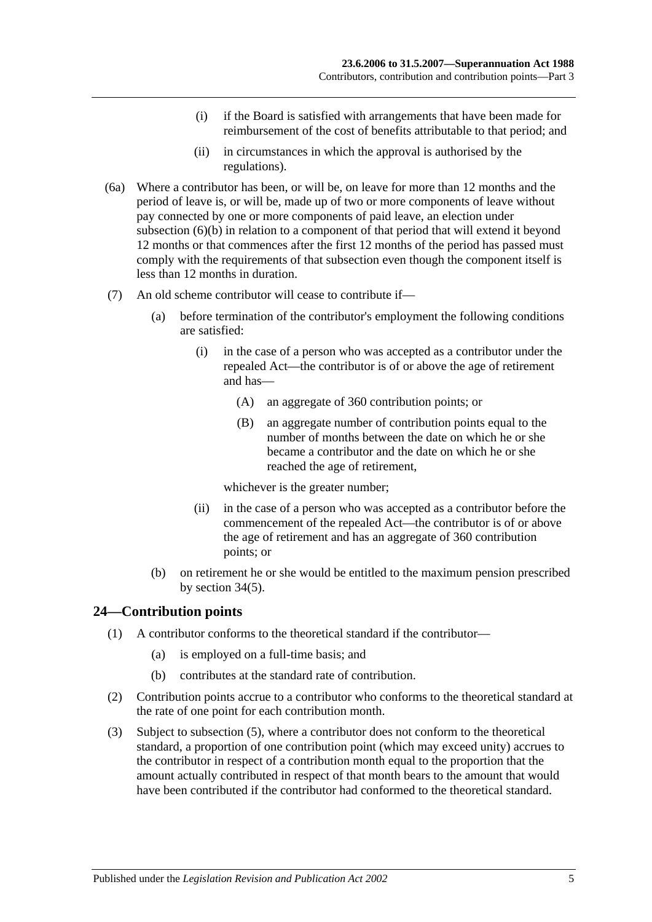- (i) if the Board is satisfied with arrangements that have been made for reimbursement of the cost of benefits attributable to that period; and
- (ii) in circumstances in which the approval is authorised by the regulations).
- (6a) Where a contributor has been, or will be, on leave for more than 12 months and the period of leave is, or will be, made up of two or more components of leave without pay connected by one or more components of paid leave, an election under [subsection](#page-27-2) (6)(b) in relation to a component of that period that will extend it beyond 12 months or that commences after the first 12 months of the period has passed must comply with the requirements of that subsection even though the component itself is less than 12 months in duration.
- (7) An old scheme contributor will cease to contribute if—
	- (a) before termination of the contributor's employment the following conditions are satisfied:
		- (i) in the case of a person who was accepted as a contributor under the repealed Act—the contributor is of or above the age of retirement and has—
			- (A) an aggregate of 360 contribution points; or
			- (B) an aggregate number of contribution points equal to the number of months between the date on which he or she became a contributor and the date on which he or she reached the age of retirement,

whichever is the greater number;

- (ii) in the case of a person who was accepted as a contributor before the commencement of the repealed Act—the contributor is of or above the age of retirement and has an aggregate of 360 contribution points; or
- (b) on retirement he or she would be entitled to the maximum pension prescribed by [section](#page-54-1) 34(5).

## <span id="page-28-0"></span>**24—Contribution points**

- (1) A contributor conforms to the theoretical standard if the contributor—
	- (a) is employed on a full-time basis; and
	- (b) contributes at the standard rate of contribution.
- (2) Contribution points accrue to a contributor who conforms to the theoretical standard at the rate of one point for each contribution month.
- (3) Subject to [subsection](#page-29-1) (5), where a contributor does not conform to the theoretical standard, a proportion of one contribution point (which may exceed unity) accrues to the contributor in respect of a contribution month equal to the proportion that the amount actually contributed in respect of that month bears to the amount that would have been contributed if the contributor had conformed to the theoretical standard.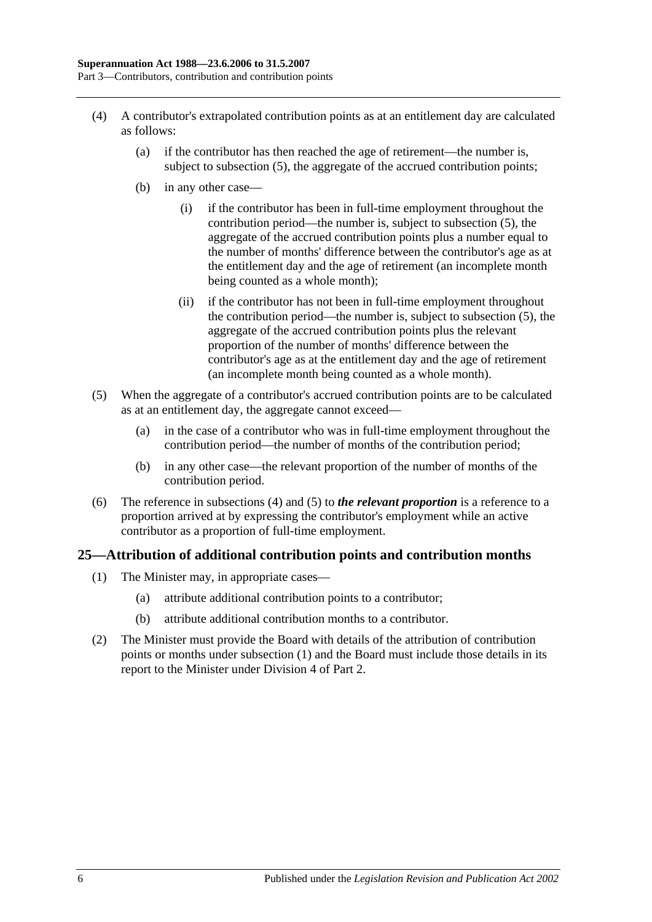- <span id="page-29-2"></span>(4) A contributor's extrapolated contribution points as at an entitlement day are calculated as follows:
	- (a) if the contributor has then reached the age of retirement—the number is, subject to [subsection](#page-29-1) (5), the aggregate of the accrued contribution points;
	- (b) in any other case—
		- (i) if the contributor has been in full-time employment throughout the contribution period—the number is, subject to [subsection](#page-29-1) (5), the aggregate of the accrued contribution points plus a number equal to the number of months' difference between the contributor's age as at the entitlement day and the age of retirement (an incomplete month being counted as a whole month);
		- (ii) if the contributor has not been in full-time employment throughout the contribution period—the number is, subject to [subsection](#page-29-1) (5), the aggregate of the accrued contribution points plus the relevant proportion of the number of months' difference between the contributor's age as at the entitlement day and the age of retirement (an incomplete month being counted as a whole month).
- <span id="page-29-1"></span>(5) When the aggregate of a contributor's accrued contribution points are to be calculated as at an entitlement day, the aggregate cannot exceed—
	- (a) in the case of a contributor who was in full-time employment throughout the contribution period—the number of months of the contribution period;
	- (b) in any other case—the relevant proportion of the number of months of the contribution period.
- (6) The reference in [subsections](#page-29-2) (4) and [\(5\)](#page-29-1) to *the relevant proportion* is a reference to a proportion arrived at by expressing the contributor's employment while an active contributor as a proportion of full-time employment.

## <span id="page-29-3"></span><span id="page-29-0"></span>**25—Attribution of additional contribution points and contribution months**

- (1) The Minister may, in appropriate cases—
	- (a) attribute additional contribution points to a contributor;
	- (b) attribute additional contribution months to a contributor.
- (2) The Minister must provide the Board with details of the attribution of contribution points or months under [subsection](#page-29-3) (1) and the Board must include those details in its report to the Minister under [Division 4](#page-23-2) of [Part 2.](#page-18-0)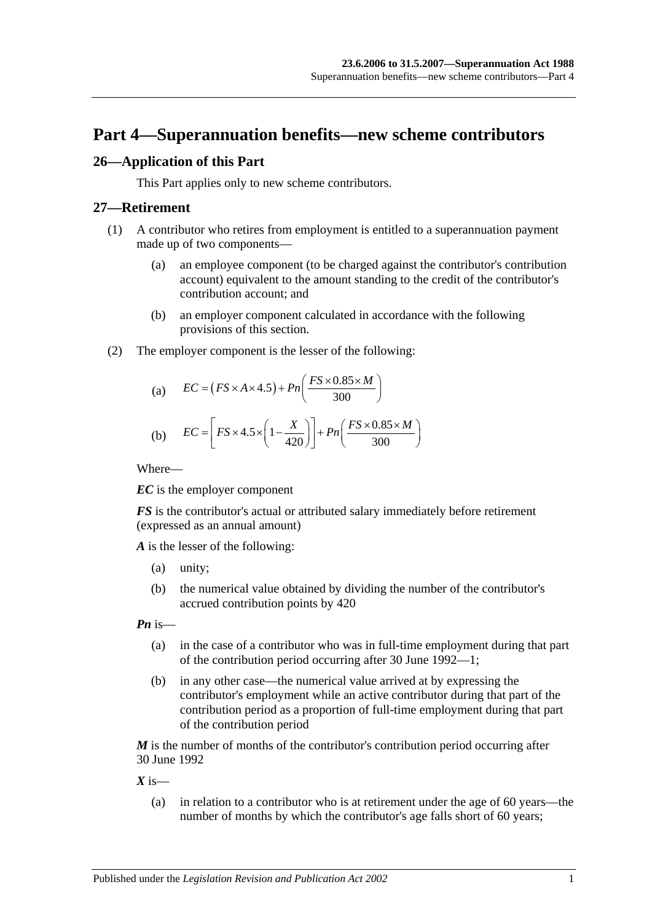# <span id="page-30-0"></span>**Part 4—Superannuation benefits—new scheme contributors**

## <span id="page-30-1"></span>**26—Application of this Part**

This Part applies only to new scheme contributors.

#### <span id="page-30-2"></span>**27—Retirement**

- (1) A contributor who retires from employment is entitled to a superannuation payment made up of two components—
	- (a) an employee component (to be charged against the contributor's contribution account) equivalent to the amount standing to the credit of the contributor's contribution account; and
	- (b) an employer component calculated in accordance with the following provisions of this section.
- (2) The employer component is the lesser of the following:

(a) 
$$
EC = (FS \times A \times 4.5) + Pn\left(\frac{FS \times 0.85 \times M}{300}\right)
$$

(b) 
$$
EC = \left[ FS \times 4.5 \times \left( 1 - \frac{X}{420} \right) \right] + Pn \left( \frac{FS \times 0.85 \times M}{300} \right)
$$

Where—

*EC* is the employer component

*FS* is the contributor's actual or attributed salary immediately before retirement (expressed as an annual amount)

*A* is the lesser of the following:

- (a) unity;
- (b) the numerical value obtained by dividing the number of the contributor's accrued contribution points by 420

*Pn* is—

- (a) in the case of a contributor who was in full-time employment during that part of the contribution period occurring after 30 June 1992—1;
- (b) in any other case—the numerical value arrived at by expressing the contributor's employment while an active contributor during that part of the contribution period as a proportion of full-time employment during that part of the contribution period

*M* is the number of months of the contributor's contribution period occurring after 30 June 1992

 $X$  is—

(a) in relation to a contributor who is at retirement under the age of 60 years—the number of months by which the contributor's age falls short of 60 years;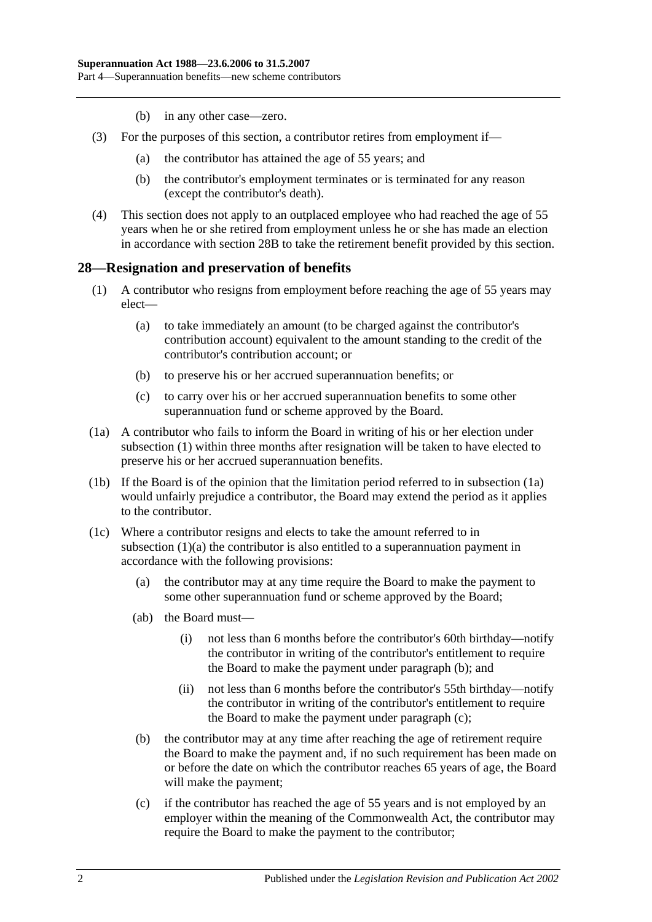- (b) in any other case—zero.
- (3) For the purposes of this section, a contributor retires from employment if—
	- (a) the contributor has attained the age of 55 years; and
	- (b) the contributor's employment terminates or is terminated for any reason (except the contributor's death).
- (4) This section does not apply to an outplaced employee who had reached the age of 55 years when he or she retired from employment unless he or she has made an election in accordance with [section](#page-35-0) 28B to take the retirement benefit provided by this section.

#### <span id="page-31-1"></span><span id="page-31-0"></span>**28—Resignation and preservation of benefits**

- <span id="page-31-3"></span>(1) A contributor who resigns from employment before reaching the age of 55 years may elect—
	- (a) to take immediately an amount (to be charged against the contributor's contribution account) equivalent to the amount standing to the credit of the contributor's contribution account; or
	- (b) to preserve his or her accrued superannuation benefits; or
	- (c) to carry over his or her accrued superannuation benefits to some other superannuation fund or scheme approved by the Board.
- <span id="page-31-2"></span>(1a) A contributor who fails to inform the Board in writing of his or her election under [subsection](#page-31-1) (1) within three months after resignation will be taken to have elected to preserve his or her accrued superannuation benefits.
- (1b) If the Board is of the opinion that the limitation period referred to in [subsection](#page-31-2) (1a) would unfairly prejudice a contributor, the Board may extend the period as it applies to the contributor.
- <span id="page-31-6"></span><span id="page-31-5"></span><span id="page-31-4"></span>(1c) Where a contributor resigns and elects to take the amount referred to in [subsection](#page-31-3) (1)(a) the contributor is also entitled to a superannuation payment in accordance with the following provisions:
	- (a) the contributor may at any time require the Board to make the payment to some other superannuation fund or scheme approved by the Board;
	- (ab) the Board must—
		- (i) not less than 6 months before the contributor's 60th birthday—notify the contributor in writing of the contributor's entitlement to require the Board to make the payment under [paragraph](#page-31-4) (b); and
		- (ii) not less than 6 months before the contributor's 55th birthday—notify the contributor in writing of the contributor's entitlement to require the Board to make the payment under [paragraph](#page-31-5) (c);
	- (b) the contributor may at any time after reaching the age of retirement require the Board to make the payment and, if no such requirement has been made on or before the date on which the contributor reaches 65 years of age, the Board will make the payment;
	- (c) if the contributor has reached the age of 55 years and is not employed by an employer within the meaning of the Commonwealth Act, the contributor may require the Board to make the payment to the contributor;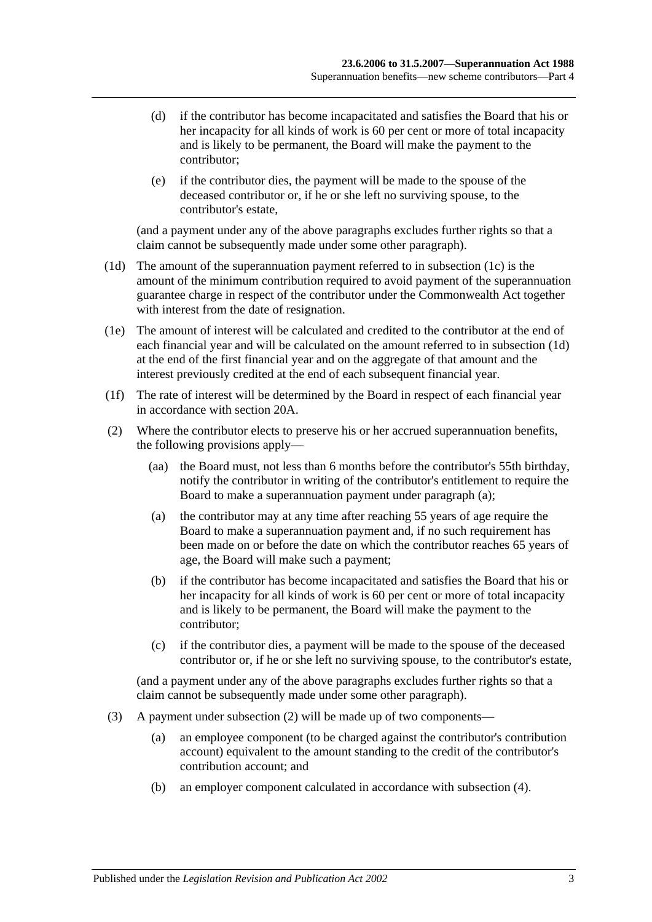- (d) if the contributor has become incapacitated and satisfies the Board that his or her incapacity for all kinds of work is 60 per cent or more of total incapacity and is likely to be permanent, the Board will make the payment to the contributor;
- (e) if the contributor dies, the payment will be made to the spouse of the deceased contributor or, if he or she left no surviving spouse, to the contributor's estate,

(and a payment under any of the above paragraphs excludes further rights so that a claim cannot be subsequently made under some other paragraph).

- <span id="page-32-0"></span>(1d) The amount of the superannuation payment referred to in [subsection](#page-31-6) (1c) is the amount of the minimum contribution required to avoid payment of the superannuation guarantee charge in respect of the contributor under the Commonwealth Act together with interest from the date of resignation.
- (1e) The amount of interest will be calculated and credited to the contributor at the end of each financial year and will be calculated on the amount referred to in [subsection](#page-32-0) (1d) at the end of the first financial year and on the aggregate of that amount and the interest previously credited at the end of each subsequent financial year.
- (1f) The rate of interest will be determined by the Board in respect of each financial year in accordance with [section](#page-21-2) 20A.
- <span id="page-32-2"></span><span id="page-32-1"></span>(2) Where the contributor elects to preserve his or her accrued superannuation benefits, the following provisions apply—
	- (aa) the Board must, not less than 6 months before the contributor's 55th birthday, notify the contributor in writing of the contributor's entitlement to require the Board to make a superannuation payment under [paragraph](#page-32-1) (a);
	- (a) the contributor may at any time after reaching 55 years of age require the Board to make a superannuation payment and, if no such requirement has been made on or before the date on which the contributor reaches 65 years of age, the Board will make such a payment;
	- (b) if the contributor has become incapacitated and satisfies the Board that his or her incapacity for all kinds of work is 60 per cent or more of total incapacity and is likely to be permanent, the Board will make the payment to the contributor;
	- (c) if the contributor dies, a payment will be made to the spouse of the deceased contributor or, if he or she left no surviving spouse, to the contributor's estate,

(and a payment under any of the above paragraphs excludes further rights so that a claim cannot be subsequently made under some other paragraph).

- (3) A payment under [subsection](#page-32-2) (2) will be made up of two components—
	- (a) an employee component (to be charged against the contributor's contribution account) equivalent to the amount standing to the credit of the contributor's contribution account; and
	- (b) an employer component calculated in accordance with [subsection](#page-33-0) (4).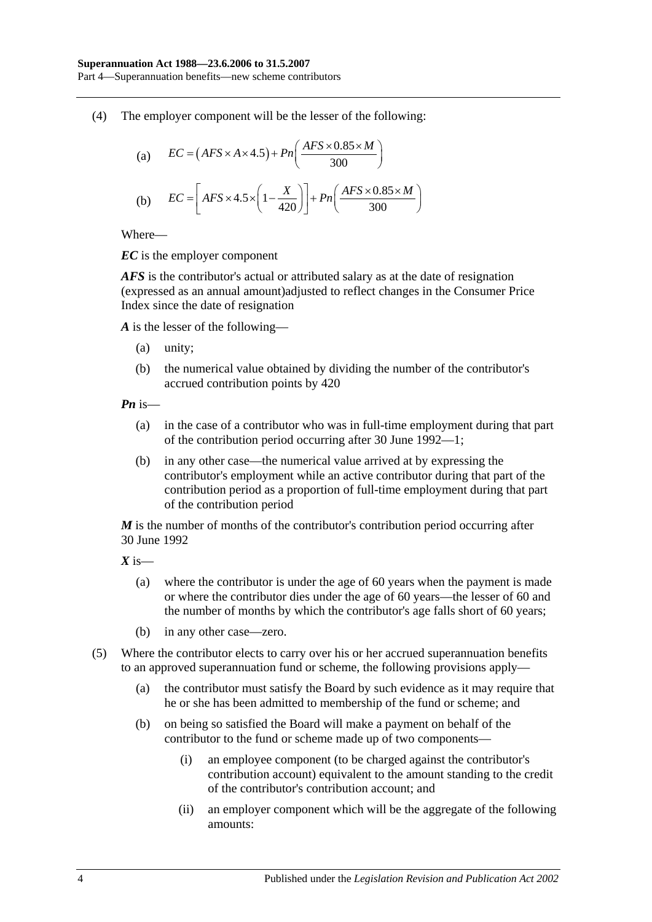<span id="page-33-0"></span>(4) The employer component will be the lesser of the following:

(a) 
$$
EC = (AFS \times A \times 4.5) + Pn\left(\frac{AFS \times 0.85 \times M}{300}\right)
$$
  
(b) 
$$
EC = \left[ AFS \times 4.5 \times \left(1 - \frac{X}{420}\right)\right] + Pn\left(\frac{AFS \times 0.85 \times M}{300}\right)
$$

Where—

*EC* is the employer component

*AFS* is the contributor's actual or attributed salary as at the date of resignation (expressed as an annual amount)adjusted to reflect changes in the Consumer Price Index since the date of resignation

*A* is the lesser of the following—

- (a) unity;
- (b) the numerical value obtained by dividing the number of the contributor's accrued contribution points by 420

*Pn* is—

- (a) in the case of a contributor who was in full-time employment during that part of the contribution period occurring after 30 June 1992—1;
- (b) in any other case—the numerical value arrived at by expressing the contributor's employment while an active contributor during that part of the contribution period as a proportion of full-time employment during that part of the contribution period

*M* is the number of months of the contributor's contribution period occurring after 30 June 1992

*X* is—

- (a) where the contributor is under the age of 60 years when the payment is made or where the contributor dies under the age of 60 years—the lesser of 60 and the number of months by which the contributor's age falls short of 60 years;
- (b) in any other case—zero.
- (5) Where the contributor elects to carry over his or her accrued superannuation benefits to an approved superannuation fund or scheme, the following provisions apply—
	- (a) the contributor must satisfy the Board by such evidence as it may require that he or she has been admitted to membership of the fund or scheme; and
	- (b) on being so satisfied the Board will make a payment on behalf of the contributor to the fund or scheme made up of two components—
		- (i) an employee component (to be charged against the contributor's contribution account) equivalent to the amount standing to the credit of the contributor's contribution account; and
		- (ii) an employer component which will be the aggregate of the following amounts: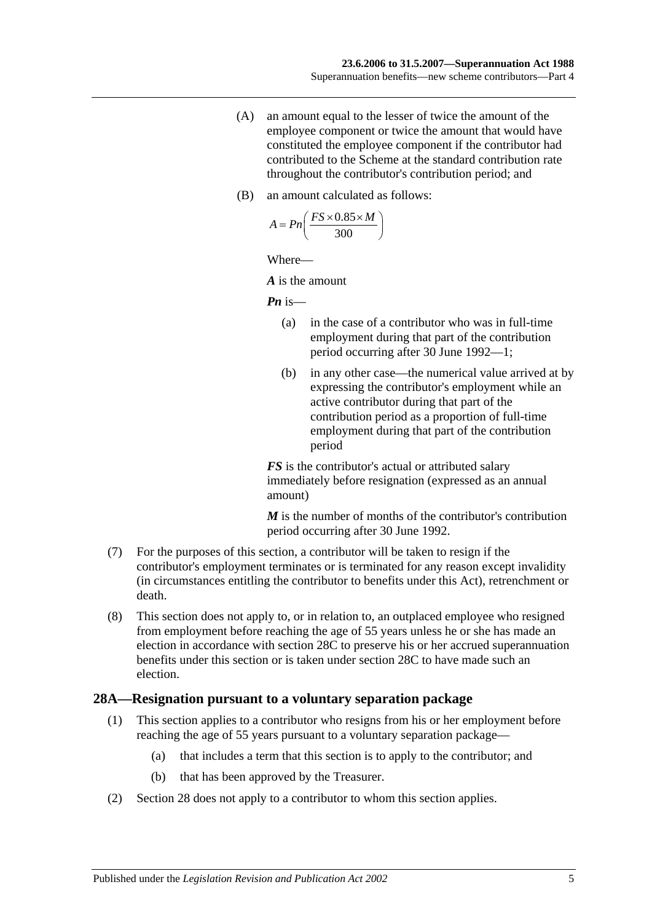- (A) an amount equal to the lesser of twice the amount of the employee component or twice the amount that would have constituted the employee component if the contributor had contributed to the Scheme at the standard contribution rate throughout the contributor's contribution period; and
- (B) an amount calculated as follows:

$$
A = P n \left( \frac{FS \times 0.85 \times M}{300} \right)
$$

Where—

*A* is the amount

*Pn* is—

- (a) in the case of a contributor who was in full-time employment during that part of the contribution period occurring after 30 June 1992—1;
- (b) in any other case—the numerical value arrived at by expressing the contributor's employment while an active contributor during that part of the contribution period as a proportion of full-time employment during that part of the contribution period

*FS* is the contributor's actual or attributed salary immediately before resignation (expressed as an annual amount)

*M* is the number of months of the contributor's contribution period occurring after 30 June 1992.

- (7) For the purposes of this section, a contributor will be taken to resign if the contributor's employment terminates or is terminated for any reason except invalidity (in circumstances entitling the contributor to benefits under this Act), retrenchment or death.
- (8) This section does not apply to, or in relation to, an outplaced employee who resigned from employment before reaching the age of 55 years unless he or she has made an election in accordance with [section](#page-36-0) 28C to preserve his or her accrued superannuation benefits under this section or is taken under [section](#page-36-0) 28C to have made such an election.

#### <span id="page-34-0"></span>**28A—Resignation pursuant to a voluntary separation package**

- (1) This section applies to a contributor who resigns from his or her employment before reaching the age of 55 years pursuant to a voluntary separation package—
	- (a) that includes a term that this section is to apply to the contributor; and
	- (b) that has been approved by the Treasurer.
- (2) [Section](#page-31-0) 28 does not apply to a contributor to whom this section applies.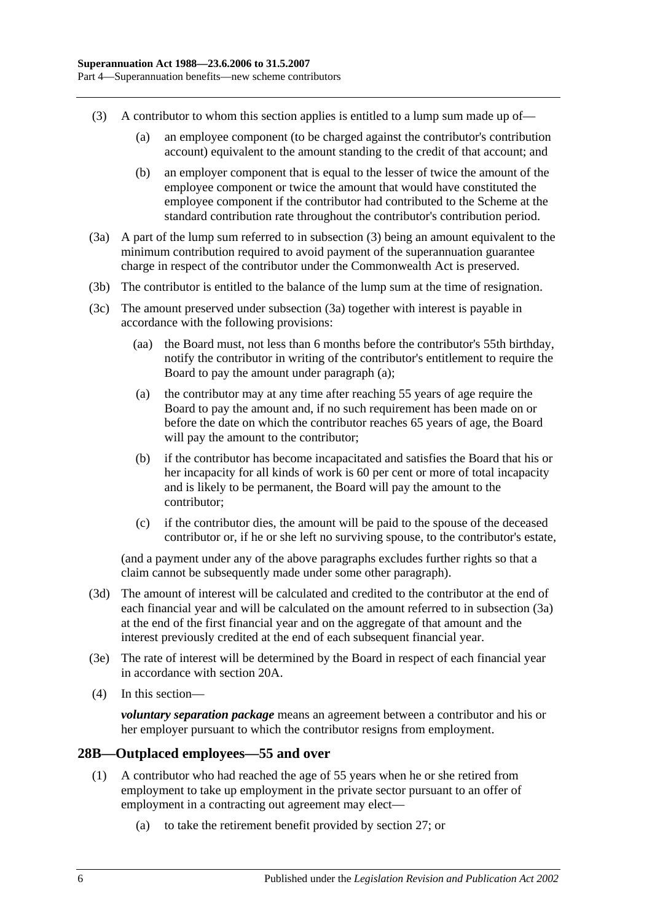- <span id="page-35-1"></span>(3) A contributor to whom this section applies is entitled to a lump sum made up of—
	- (a) an employee component (to be charged against the contributor's contribution account) equivalent to the amount standing to the credit of that account; and
	- (b) an employer component that is equal to the lesser of twice the amount of the employee component or twice the amount that would have constituted the employee component if the contributor had contributed to the Scheme at the standard contribution rate throughout the contributor's contribution period.
- <span id="page-35-2"></span>(3a) A part of the lump sum referred to in [subsection](#page-35-1) (3) being an amount equivalent to the minimum contribution required to avoid payment of the superannuation guarantee charge in respect of the contributor under the Commonwealth Act is preserved.
- (3b) The contributor is entitled to the balance of the lump sum at the time of resignation.
- <span id="page-35-3"></span>(3c) The amount preserved under [subsection](#page-35-2) (3a) together with interest is payable in accordance with the following provisions:
	- (aa) the Board must, not less than 6 months before the contributor's 55th birthday, notify the contributor in writing of the contributor's entitlement to require the Board to pay the amount under [paragraph](#page-35-3) (a);
	- (a) the contributor may at any time after reaching 55 years of age require the Board to pay the amount and, if no such requirement has been made on or before the date on which the contributor reaches 65 years of age, the Board will pay the amount to the contributor;
	- (b) if the contributor has become incapacitated and satisfies the Board that his or her incapacity for all kinds of work is 60 per cent or more of total incapacity and is likely to be permanent, the Board will pay the amount to the contributor;
	- (c) if the contributor dies, the amount will be paid to the spouse of the deceased contributor or, if he or she left no surviving spouse, to the contributor's estate,

(and a payment under any of the above paragraphs excludes further rights so that a claim cannot be subsequently made under some other paragraph).

- (3d) The amount of interest will be calculated and credited to the contributor at the end of each financial year and will be calculated on the amount referred to in [subsection](#page-35-2) (3a) at the end of the first financial year and on the aggregate of that amount and the interest previously credited at the end of each subsequent financial year.
- (3e) The rate of interest will be determined by the Board in respect of each financial year in accordance with [section](#page-21-2) 20A.
- (4) In this section—

*voluntary separation package* means an agreement between a contributor and his or her employer pursuant to which the contributor resigns from employment.

## <span id="page-35-0"></span>**28B—Outplaced employees—55 and over**

- (1) A contributor who had reached the age of 55 years when he or she retired from employment to take up employment in the private sector pursuant to an offer of employment in a contracting out agreement may elect—
	- (a) to take the retirement benefit provided by [section](#page-30-2) 27; or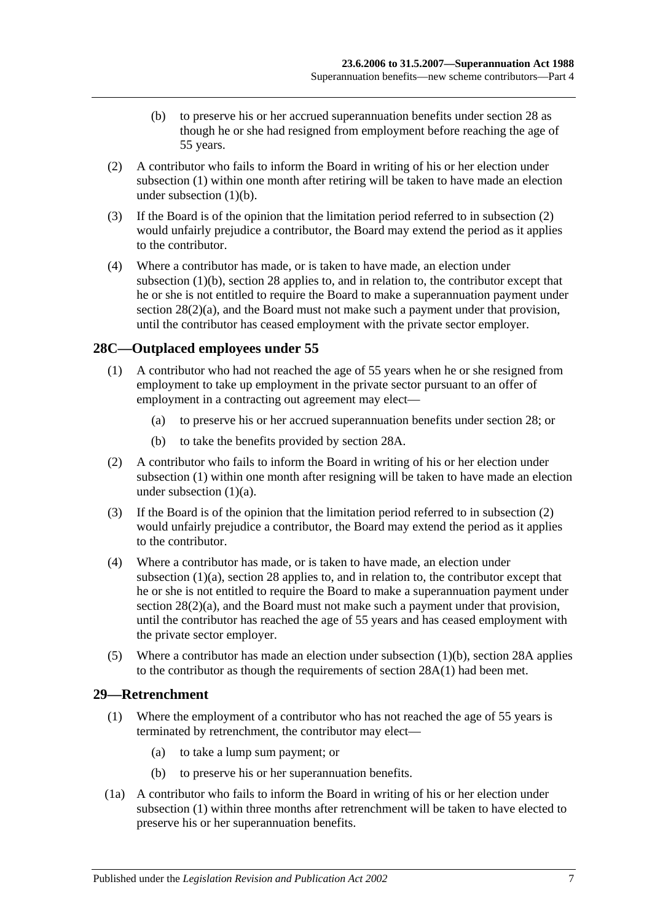- (b) to preserve his or her accrued superannuation benefits under [section](#page-31-0) 28 as though he or she had resigned from employment before reaching the age of 55 years.
- <span id="page-36-1"></span><span id="page-36-0"></span>(2) A contributor who fails to inform the Board in writing of his or her election under [subsection](#page-35-0) (1) within one month after retiring will be taken to have made an election under [subsection](#page-36-0)  $(1)(b)$ .
- (3) If the Board is of the opinion that the limitation period referred to in [subsection](#page-36-1) (2) would unfairly prejudice a contributor, the Board may extend the period as it applies to the contributor.
- (4) Where a contributor has made, or is taken to have made, an election under [subsection](#page-36-0) (1)(b), [section](#page-31-0) 28 applies to, and in relation to, the contributor except that he or she is not entitled to require the Board to make a superannuation payment under section  $28(2)(a)$ , and the Board must not make such a payment under that provision, until the contributor has ceased employment with the private sector employer.

# <span id="page-36-2"></span>**28C—Outplaced employees under 55**

- <span id="page-36-3"></span>(1) A contributor who had not reached the age of 55 years when he or she resigned from employment to take up employment in the private sector pursuant to an offer of employment in a contracting out agreement may elect—
	- (a) to preserve his or her accrued superannuation benefits under [section](#page-31-0) 28; or
	- (b) to take the benefits provided by [section](#page-34-0) 28A.
- <span id="page-36-5"></span><span id="page-36-4"></span>(2) A contributor who fails to inform the Board in writing of his or her election under [subsection](#page-36-2) (1) within one month after resigning will be taken to have made an election under [subsection](#page-36-3) (1)(a).
- (3) If the Board is of the opinion that the limitation period referred to in [subsection](#page-36-4) (2) would unfairly prejudice a contributor, the Board may extend the period as it applies to the contributor.
- (4) Where a contributor has made, or is taken to have made, an election under [subsection](#page-36-3) (1)(a), [section](#page-31-0) 28 applies to, and in relation to, the contributor except that he or she is not entitled to require the Board to make a superannuation payment under section  $28(2)(a)$ , and the Board must not make such a payment under that provision, until the contributor has reached the age of 55 years and has ceased employment with the private sector employer.
- (5) Where a contributor has made an election under [subsection](#page-36-5) (1)(b), [section](#page-34-0) 28A applies to the contributor as though the requirements of [section](#page-34-1) 28A(1) had been met.

## <span id="page-36-6"></span>**29—Retrenchment**

- (1) Where the employment of a contributor who has not reached the age of 55 years is terminated by retrenchment, the contributor may elect—
	- (a) to take a lump sum payment; or
	- (b) to preserve his or her superannuation benefits.
- <span id="page-36-7"></span>(1a) A contributor who fails to inform the Board in writing of his or her election under [subsection](#page-36-6) (1) within three months after retrenchment will be taken to have elected to preserve his or her superannuation benefits.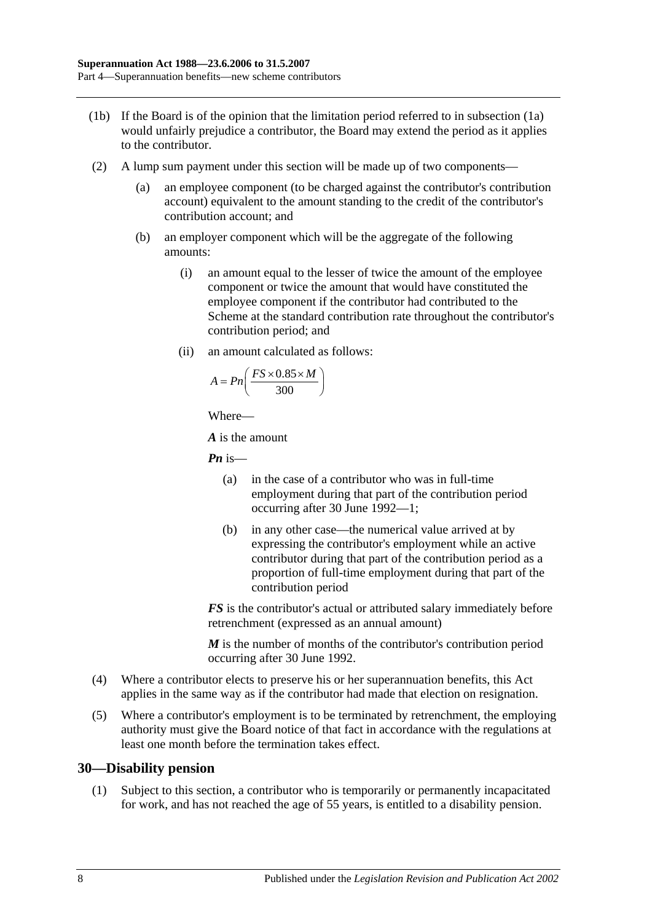- (1b) If the Board is of the opinion that the limitation period referred to in [subsection](#page-36-7) (1a) would unfairly prejudice a contributor, the Board may extend the period as it applies to the contributor.
- (2) A lump sum payment under this section will be made up of two components—
	- (a) an employee component (to be charged against the contributor's contribution account) equivalent to the amount standing to the credit of the contributor's contribution account; and
	- (b) an employer component which will be the aggregate of the following amounts:
		- (i) an amount equal to the lesser of twice the amount of the employee component or twice the amount that would have constituted the employee component if the contributor had contributed to the Scheme at the standard contribution rate throughout the contributor's contribution period; and
		- (ii) an amount calculated as follows:

$$
A = P n \left( \frac{FS \times 0.85 \times M}{300} \right)
$$

*A* is the amount

*Pn* is—

- (a) in the case of a contributor who was in full-time employment during that part of the contribution period occurring after 30 June 1992—1;
- (b) in any other case—the numerical value arrived at by expressing the contributor's employment while an active contributor during that part of the contribution period as a proportion of full-time employment during that part of the contribution period

*FS* is the contributor's actual or attributed salary immediately before retrenchment (expressed as an annual amount)

*M* is the number of months of the contributor's contribution period occurring after 30 June 1992.

- (4) Where a contributor elects to preserve his or her superannuation benefits, this Act applies in the same way as if the contributor had made that election on resignation.
- (5) Where a contributor's employment is to be terminated by retrenchment, the employing authority must give the Board notice of that fact in accordance with the regulations at least one month before the termination takes effect.

## **30—Disability pension**

(1) Subject to this section, a contributor who is temporarily or permanently incapacitated for work, and has not reached the age of 55 years, is entitled to a disability pension.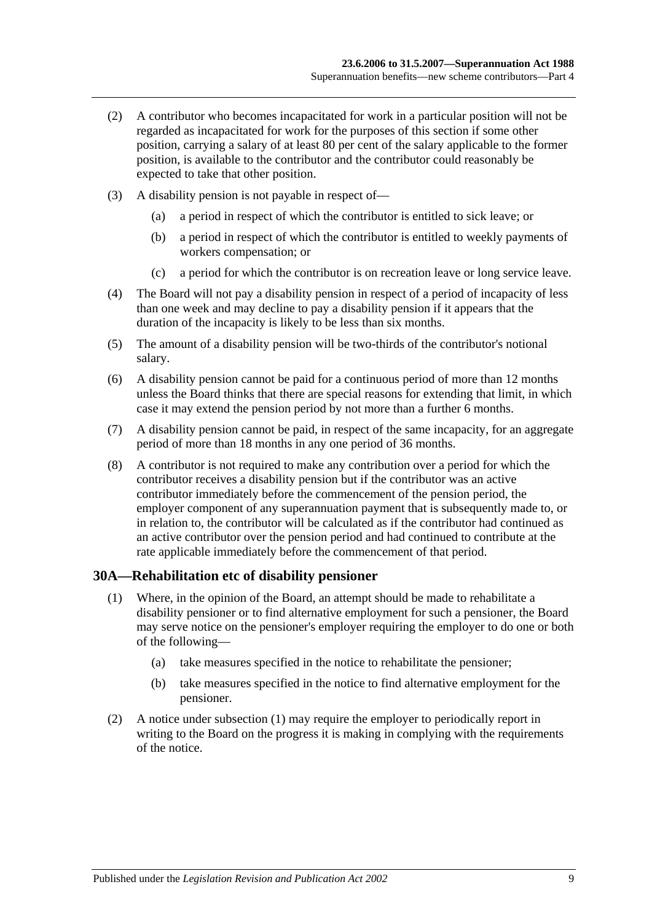- (2) A contributor who becomes incapacitated for work in a particular position will not be regarded as incapacitated for work for the purposes of this section if some other position, carrying a salary of at least 80 per cent of the salary applicable to the former position, is available to the contributor and the contributor could reasonably be expected to take that other position.
- (3) A disability pension is not payable in respect of—
	- (a) a period in respect of which the contributor is entitled to sick leave; or
	- (b) a period in respect of which the contributor is entitled to weekly payments of workers compensation; or
	- (c) a period for which the contributor is on recreation leave or long service leave.
- (4) The Board will not pay a disability pension in respect of a period of incapacity of less than one week and may decline to pay a disability pension if it appears that the duration of the incapacity is likely to be less than six months.
- (5) The amount of a disability pension will be two-thirds of the contributor's notional salary.
- (6) A disability pension cannot be paid for a continuous period of more than 12 months unless the Board thinks that there are special reasons for extending that limit, in which case it may extend the pension period by not more than a further 6 months.
- (7) A disability pension cannot be paid, in respect of the same incapacity, for an aggregate period of more than 18 months in any one period of 36 months.
- (8) A contributor is not required to make any contribution over a period for which the contributor receives a disability pension but if the contributor was an active contributor immediately before the commencement of the pension period, the employer component of any superannuation payment that is subsequently made to, or in relation to, the contributor will be calculated as if the contributor had continued as an active contributor over the pension period and had continued to contribute at the rate applicable immediately before the commencement of that period.

### <span id="page-38-0"></span>**30A—Rehabilitation etc of disability pensioner**

- (1) Where, in the opinion of the Board, an attempt should be made to rehabilitate a disability pensioner or to find alternative employment for such a pensioner, the Board may serve notice on the pensioner's employer requiring the employer to do one or both of the following—
	- (a) take measures specified in the notice to rehabilitate the pensioner;
	- (b) take measures specified in the notice to find alternative employment for the pensioner.
- (2) A notice under [subsection](#page-38-0) (1) may require the employer to periodically report in writing to the Board on the progress it is making in complying with the requirements of the notice.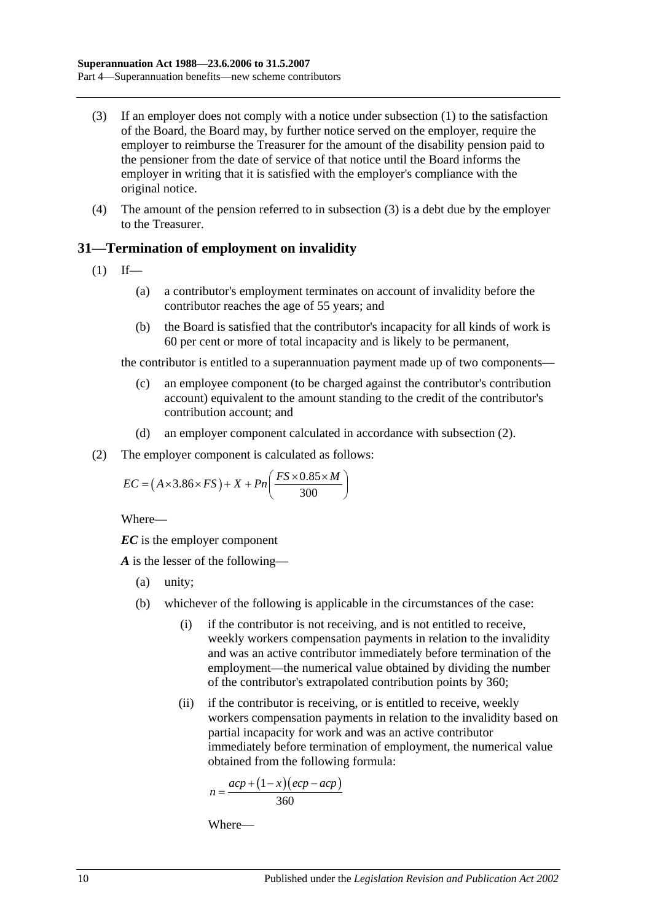- <span id="page-39-0"></span>(3) If an employer does not comply with a notice under [subsection](#page-38-0) (1) to the satisfaction of the Board, the Board may, by further notice served on the employer, require the employer to reimburse the Treasurer for the amount of the disability pension paid to the pensioner from the date of service of that notice until the Board informs the employer in writing that it is satisfied with the employer's compliance with the original notice.
- (4) The amount of the pension referred to in [subsection](#page-39-0) (3) is a debt due by the employer to the Treasurer.

# **31—Termination of employment on invalidity**

- <span id="page-39-2"></span> $(1)$  If—
	- (a) a contributor's employment terminates on account of invalidity before the contributor reaches the age of 55 years; and
	- (b) the Board is satisfied that the contributor's incapacity for all kinds of work is 60 per cent or more of total incapacity and is likely to be permanent,

the contributor is entitled to a superannuation payment made up of two components—

- (c) an employee component (to be charged against the contributor's contribution account) equivalent to the amount standing to the credit of the contributor's contribution account; and
- (d) an employer component calculated in accordance with [subsection](#page-39-1) (2).
- <span id="page-39-1"></span>(2) The employer component is calculated as follows:

$$
EC = (A \times 3.86 \times FS) + X + Pn\left(\frac{FS \times 0.85 \times M}{300}\right)
$$

Where—

*EC* is the employer component

*A* is the lesser of the following—

- (a) unity;
- (b) whichever of the following is applicable in the circumstances of the case:
	- (i) if the contributor is not receiving, and is not entitled to receive, weekly workers compensation payments in relation to the invalidity and was an active contributor immediately before termination of the employment—the numerical value obtained by dividing the number of the contributor's extrapolated contribution points by 360;
	- (ii) if the contributor is receiving, or is entitled to receive, weekly workers compensation payments in relation to the invalidity based on partial incapacity for work and was an active contributor immediately before termination of employment, the numerical value obtained from the following formula:

$$
n = \frac{acp + (1 - x)(ecp - acp)}{360}
$$

Where—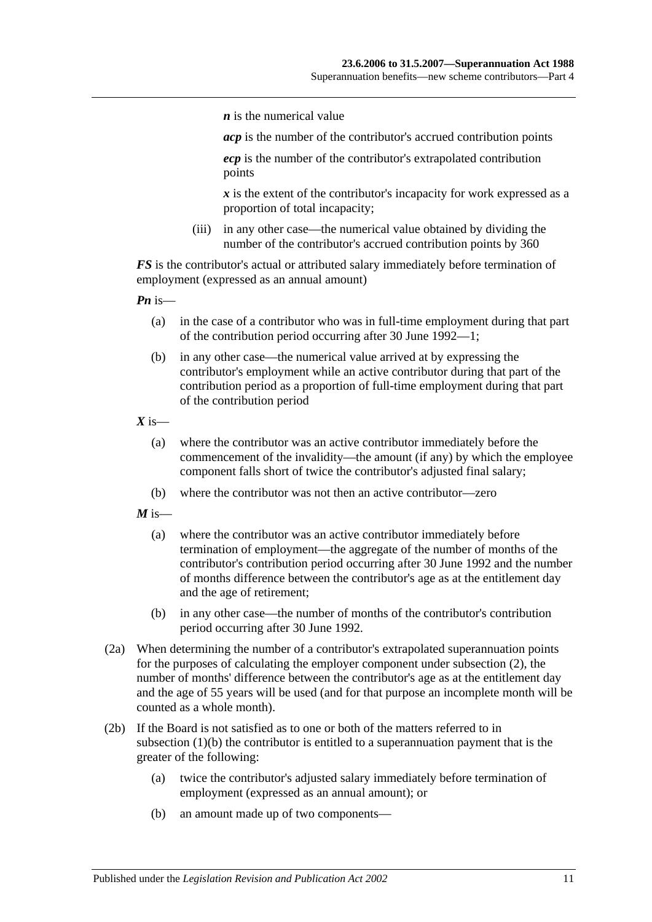*n* is the numerical value

*acp* is the number of the contributor's accrued contribution points

*ecp* is the number of the contributor's extrapolated contribution points

*x* is the extent of the contributor's incapacity for work expressed as a proportion of total incapacity;

(iii) in any other case—the numerical value obtained by dividing the number of the contributor's accrued contribution points by 360

*FS* is the contributor's actual or attributed salary immediately before termination of employment (expressed as an annual amount)

*Pn* is—

- (a) in the case of a contributor who was in full-time employment during that part of the contribution period occurring after 30 June 1992—1;
- (b) in any other case—the numerical value arrived at by expressing the contributor's employment while an active contributor during that part of the contribution period as a proportion of full-time employment during that part of the contribution period

 $X$  is—

- (a) where the contributor was an active contributor immediately before the commencement of the invalidity—the amount (if any) by which the employee component falls short of twice the contributor's adjusted final salary;
- (b) where the contributor was not then an active contributor—zero

 $M$  is—

- (a) where the contributor was an active contributor immediately before termination of employment—the aggregate of the number of months of the contributor's contribution period occurring after 30 June 1992 and the number of months difference between the contributor's age as at the entitlement day and the age of retirement;
- (b) in any other case—the number of months of the contributor's contribution period occurring after 30 June 1992.
- (2a) When determining the number of a contributor's extrapolated superannuation points for the purposes of calculating the employer component under [subsection](#page-39-1) (2), the number of months' difference between the contributor's age as at the entitlement day and the age of 55 years will be used (and for that purpose an incomplete month will be counted as a whole month).
- <span id="page-40-0"></span>(2b) If the Board is not satisfied as to one or both of the matters referred to in [subsection](#page-39-2) (1)(b) the contributor is entitled to a superannuation payment that is the greater of the following:
	- (a) twice the contributor's adjusted salary immediately before termination of employment (expressed as an annual amount); or
	- (b) an amount made up of two components—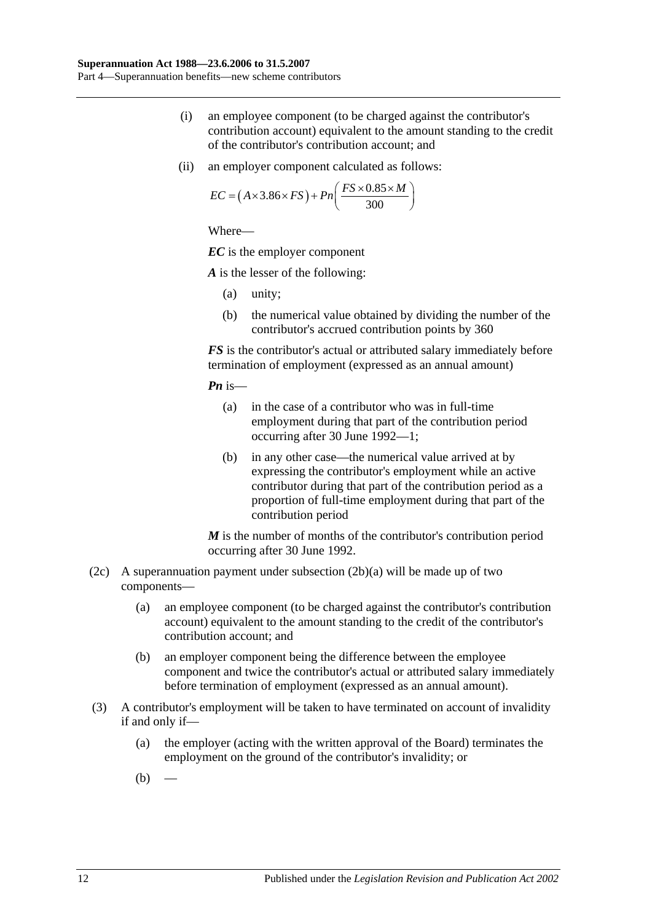- (i) an employee component (to be charged against the contributor's contribution account) equivalent to the amount standing to the credit of the contributor's contribution account; and
- (ii) an employer component calculated as follows:

$$
EC = (A \times 3.86 \times FS) + Pn\left(\frac{FS \times 0.85 \times M}{300}\right)
$$

*EC* is the employer component

*A* is the lesser of the following:

- (a) unity;
- (b) the numerical value obtained by dividing the number of the contributor's accrued contribution points by 360

*FS* is the contributor's actual or attributed salary immediately before termination of employment (expressed as an annual amount)

*Pn* is—

- (a) in the case of a contributor who was in full-time employment during that part of the contribution period occurring after 30 June 1992—1;
- (b) in any other case—the numerical value arrived at by expressing the contributor's employment while an active contributor during that part of the contribution period as a proportion of full-time employment during that part of the contribution period

*M* is the number of months of the contributor's contribution period occurring after 30 June 1992.

- (2c) A superannuation payment under [subsection](#page-40-0)  $(2b)(a)$  will be made up of two components—
	- (a) an employee component (to be charged against the contributor's contribution account) equivalent to the amount standing to the credit of the contributor's contribution account; and
	- (b) an employer component being the difference between the employee component and twice the contributor's actual or attributed salary immediately before termination of employment (expressed as an annual amount).
- <span id="page-41-1"></span><span id="page-41-0"></span>(3) A contributor's employment will be taken to have terminated on account of invalidity if and only if—
	- (a) the employer (acting with the written approval of the Board) terminates the employment on the ground of the contributor's invalidity; or
	- $(b)$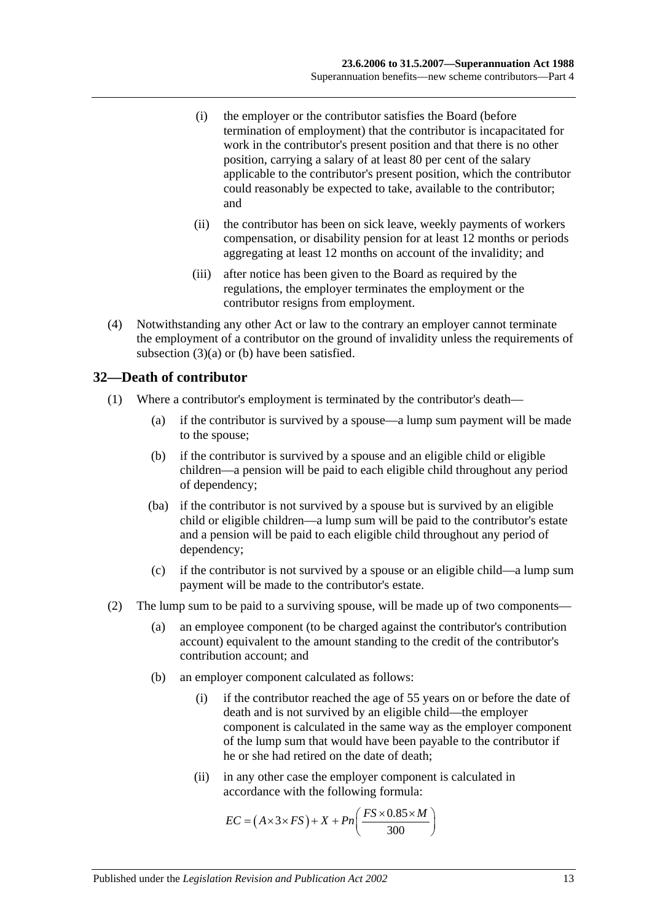- (i) the employer or the contributor satisfies the Board (before termination of employment) that the contributor is incapacitated for work in the contributor's present position and that there is no other position, carrying a salary of at least 80 per cent of the salary applicable to the contributor's present position, which the contributor could reasonably be expected to take, available to the contributor; and
- (ii) the contributor has been on sick leave, weekly payments of workers compensation, or disability pension for at least 12 months or periods aggregating at least 12 months on account of the invalidity; and
- (iii) after notice has been given to the Board as required by the regulations, the employer terminates the employment or the contributor resigns from employment.
- (4) Notwithstanding any other Act or law to the contrary an employer cannot terminate the employment of a contributor on the ground of invalidity unless the requirements of [subsection](#page-41-0) (3)(a) or [\(b\)](#page-41-1) have been satisfied.

## **32—Death of contributor**

- (1) Where a contributor's employment is terminated by the contributor's death—
	- (a) if the contributor is survived by a spouse—a lump sum payment will be made to the spouse;
	- (b) if the contributor is survived by a spouse and an eligible child or eligible children—a pension will be paid to each eligible child throughout any period of dependency;
	- (ba) if the contributor is not survived by a spouse but is survived by an eligible child or eligible children—a lump sum will be paid to the contributor's estate and a pension will be paid to each eligible child throughout any period of dependency;
	- (c) if the contributor is not survived by a spouse or an eligible child—a lump sum payment will be made to the contributor's estate.
- (2) The lump sum to be paid to a surviving spouse, will be made up of two components—
	- (a) an employee component (to be charged against the contributor's contribution account) equivalent to the amount standing to the credit of the contributor's contribution account; and
	- (b) an employer component calculated as follows:
		- (i) if the contributor reached the age of 55 years on or before the date of death and is not survived by an eligible child—the employer component is calculated in the same way as the employer component of the lump sum that would have been payable to the contributor if he or she had retired on the date of death;
		- (ii) in any other case the employer component is calculated in accordance with the following formula:

$$
EC = (A \times 3 \times FS) + X + Pn\left(\frac{FS \times 0.85 \times M}{300}\right)
$$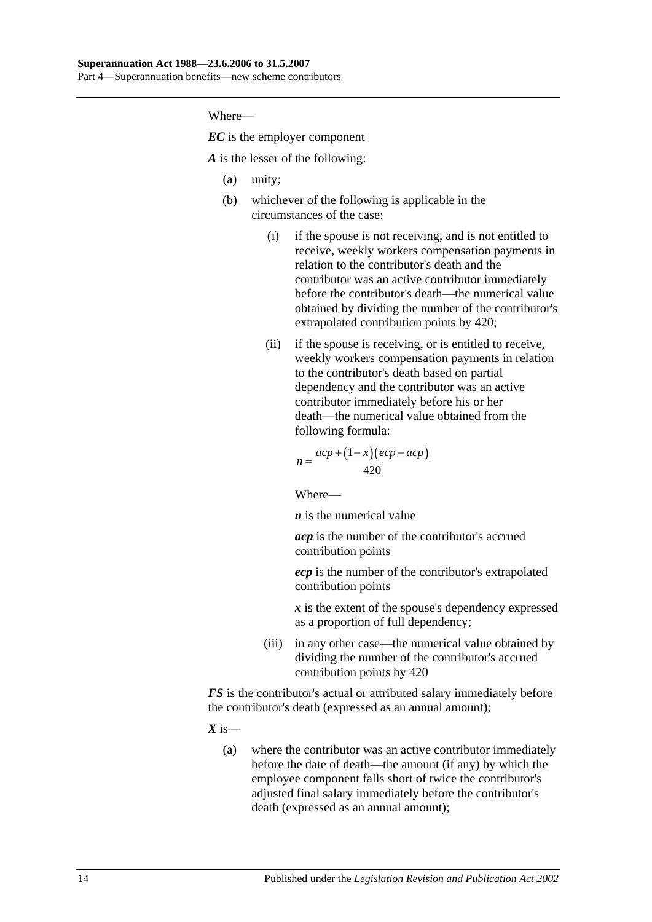*EC* is the employer component

*A* is the lesser of the following:

- (a) unity;
- (b) whichever of the following is applicable in the circumstances of the case:
	- (i) if the spouse is not receiving, and is not entitled to receive, weekly workers compensation payments in relation to the contributor's death and the contributor was an active contributor immediately before the contributor's death—the numerical value obtained by dividing the number of the contributor's extrapolated contribution points by 420;
	- (ii) if the spouse is receiving, or is entitled to receive, weekly workers compensation payments in relation to the contributor's death based on partial dependency and the contributor was an active contributor immediately before his or her death—the numerical value obtained from the following formula:

$$
n = \frac{acp + (1 - x)(ecp - acp)}{420}
$$

Where—

*n* is the numerical value

*acp* is the number of the contributor's accrued contribution points

*ecp* is the number of the contributor's extrapolated contribution points

*x* is the extent of the spouse's dependency expressed as a proportion of full dependency;

(iii) in any other case—the numerical value obtained by dividing the number of the contributor's accrued contribution points by 420

*FS* is the contributor's actual or attributed salary immediately before the contributor's death (expressed as an annual amount);

 $X$  is—

(a) where the contributor was an active contributor immediately before the date of death—the amount (if any) by which the employee component falls short of twice the contributor's adjusted final salary immediately before the contributor's death (expressed as an annual amount);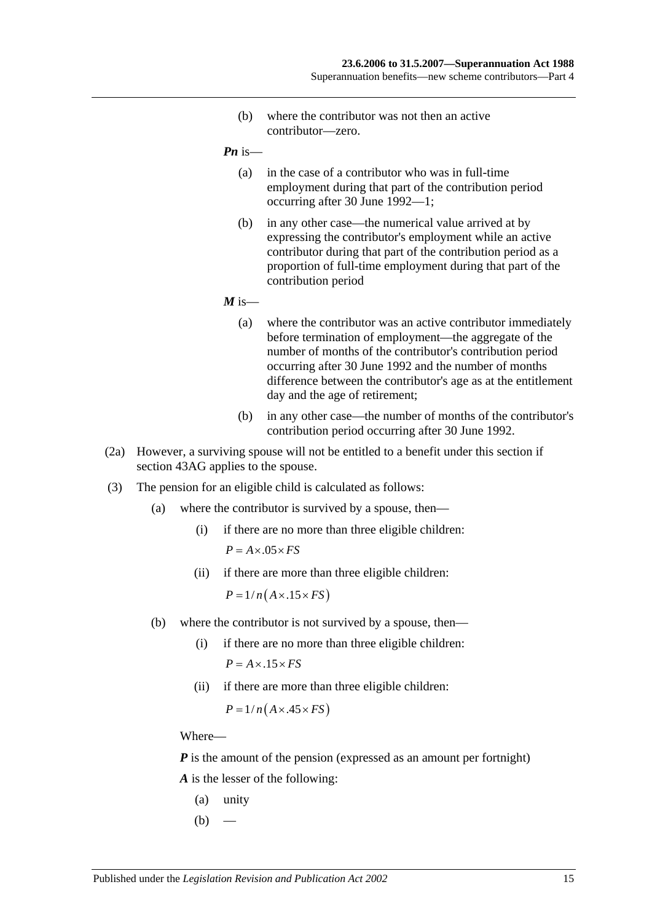(b) where the contributor was not then an active contributor—zero.

*Pn* is—

- (a) in the case of a contributor who was in full-time employment during that part of the contribution period occurring after 30 June 1992—1;
- (b) in any other case—the numerical value arrived at by expressing the contributor's employment while an active contributor during that part of the contribution period as a proportion of full-time employment during that part of the contribution period

 $M$  is—

- (a) where the contributor was an active contributor immediately before termination of employment—the aggregate of the number of months of the contributor's contribution period occurring after 30 June 1992 and the number of months difference between the contributor's age as at the entitlement day and the age of retirement;
- (b) in any other case—the number of months of the contributor's contribution period occurring after 30 June 1992.
- (2a) However, a surviving spouse will not be entitled to a benefit under this section if section 43AG applies to the spouse.
- (3) The pension for an eligible child is calculated as follows:
	- (a) where the contributor is survived by a spouse, then—
		- (i) if there are no more than three eligible children:  $P = A \times .05 \times FS$
		- (ii) if there are more than three eligible children:

 $P = 1/n(A \times .15 \times FS)$ 

- (b) where the contributor is not survived by a spouse, then—
	- (i) if there are no more than three eligible children:  $P = A \times 0.15 \times FS$
	- (ii) if there are more than three eligible children:

 $P = 1/n(A \times .45 \times FS)$ 

Where—

*P* is the amount of the pension (expressed as an amount per fortnight) *A* is the lesser of the following:

- (a) unity
- $(b)$  —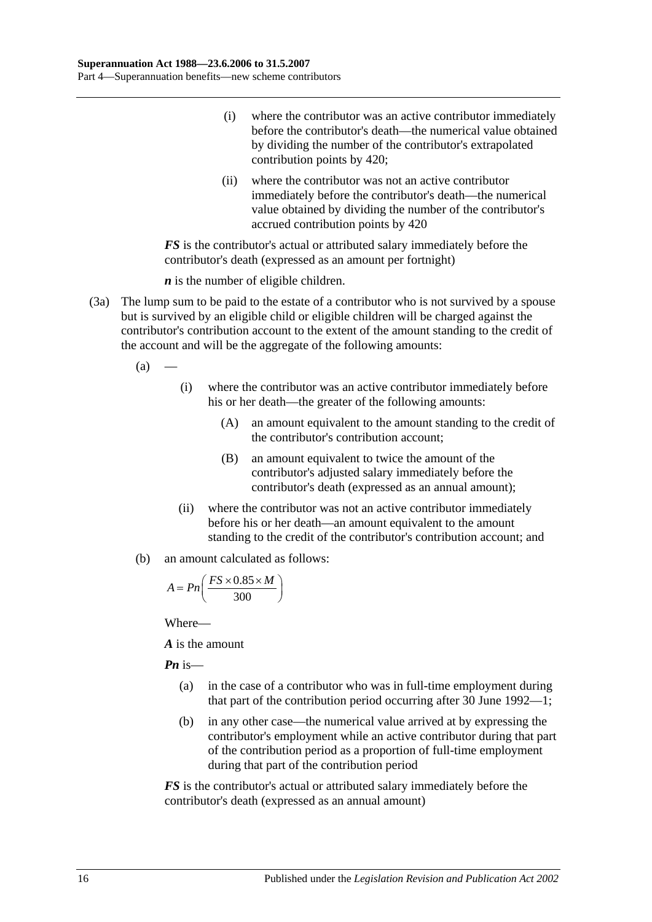- (i) where the contributor was an active contributor immediately before the contributor's death—the numerical value obtained by dividing the number of the contributor's extrapolated contribution points by 420;
- (ii) where the contributor was not an active contributor immediately before the contributor's death—the numerical value obtained by dividing the number of the contributor's accrued contribution points by 420

*FS* is the contributor's actual or attributed salary immediately before the contributor's death (expressed as an amount per fortnight)

*n* is the number of eligible children.

- (3a) The lump sum to be paid to the estate of a contributor who is not survived by a spouse but is survived by an eligible child or eligible children will be charged against the contributor's contribution account to the extent of the amount standing to the credit of the account and will be the aggregate of the following amounts:
	- $(a)$ 
		- (i) where the contributor was an active contributor immediately before his or her death—the greater of the following amounts:
			- (A) an amount equivalent to the amount standing to the credit of the contributor's contribution account;
			- (B) an amount equivalent to twice the amount of the contributor's adjusted salary immediately before the contributor's death (expressed as an annual amount);
		- (ii) where the contributor was not an active contributor immediately before his or her death—an amount equivalent to the amount standing to the credit of the contributor's contribution account; and
	- (b) an amount calculated as follows:

$$
A = P n \left( \frac{FS \times 0.85 \times M}{300} \right)
$$

Where—

*A* is the amount

*Pn* is—

- (a) in the case of a contributor who was in full-time employment during that part of the contribution period occurring after 30 June 1992—1;
- (b) in any other case—the numerical value arrived at by expressing the contributor's employment while an active contributor during that part of the contribution period as a proportion of full-time employment during that part of the contribution period

*FS* is the contributor's actual or attributed salary immediately before the contributor's death (expressed as an annual amount)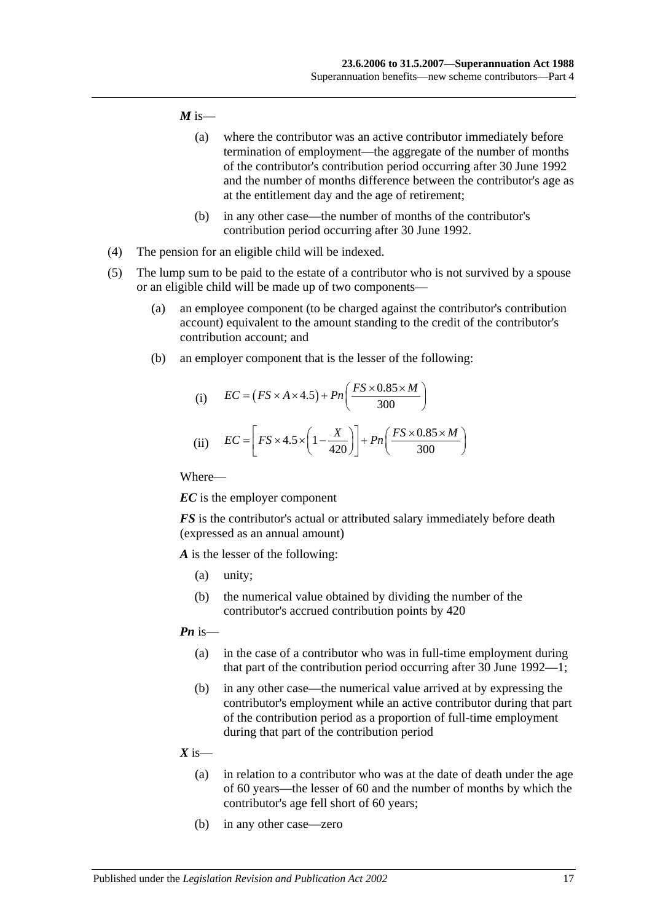### $M$  is—

- (a) where the contributor was an active contributor immediately before termination of employment—the aggregate of the number of months of the contributor's contribution period occurring after 30 June 1992 and the number of months difference between the contributor's age as at the entitlement day and the age of retirement;
- (b) in any other case—the number of months of the contributor's contribution period occurring after 30 June 1992.
- (4) The pension for an eligible child will be indexed.
- (5) The lump sum to be paid to the estate of a contributor who is not survived by a spouse or an eligible child will be made up of two components—
	- (a) an employee component (to be charged against the contributor's contribution account) equivalent to the amount standing to the credit of the contributor's contribution account; and
	- (b) an employer component that is the lesser of the following:

(i) 
$$
EC = (FS \times A \times 4.5) + Pn\left(\frac{FS \times 0.85 \times M}{300}\right)
$$
  
(ii) 
$$
EC = \left[FS \times 4.5 \times \left(1 - \frac{X}{420}\right)\right] + Pn\left(\frac{FS \times 0.85 \times M}{300}\right)
$$

Where—

*EC* is the employer component

*FS* is the contributor's actual or attributed salary immediately before death (expressed as an annual amount)

*A* is the lesser of the following:

- (a) unity;
- (b) the numerical value obtained by dividing the number of the contributor's accrued contribution points by 420

### *Pn* is—

- (a) in the case of a contributor who was in full-time employment during that part of the contribution period occurring after 30 June 1992—1;
- (b) in any other case—the numerical value arrived at by expressing the contributor's employment while an active contributor during that part of the contribution period as a proportion of full-time employment during that part of the contribution period

### $X$  is—

- (a) in relation to a contributor who was at the date of death under the age of 60 years—the lesser of 60 and the number of months by which the contributor's age fell short of 60 years;
- (b) in any other case—zero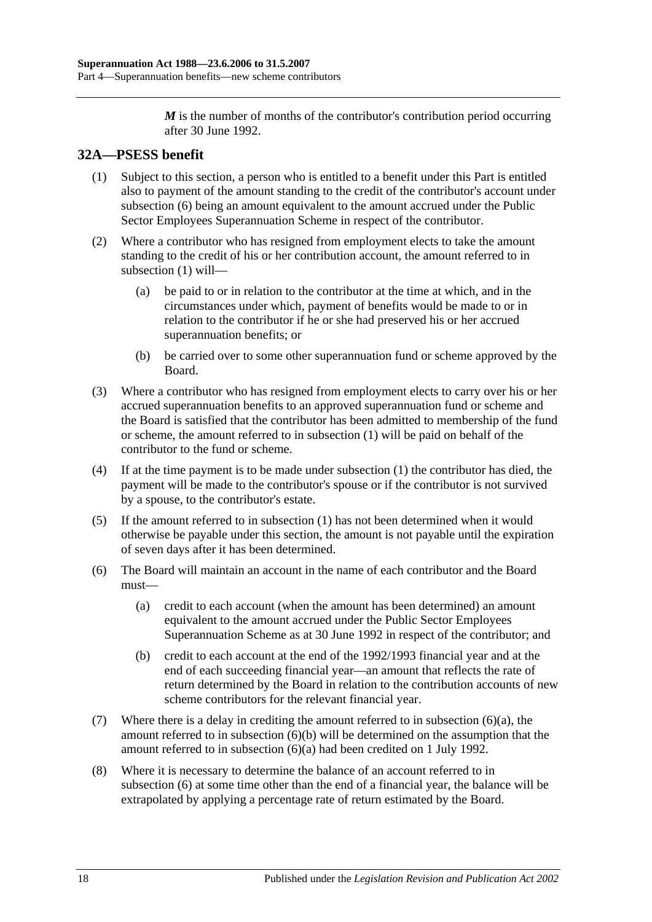*M* is the number of months of the contributor's contribution period occurring after 30 June 1992.

# <span id="page-47-1"></span>**32A—PSESS benefit**

- (1) Subject to this section, a person who is entitled to a benefit under this Part is entitled also to payment of the amount standing to the credit of the contributor's account under [subsection](#page-47-0) (6) being an amount equivalent to the amount accrued under the Public Sector Employees Superannuation Scheme in respect of the contributor.
- (2) Where a contributor who has resigned from employment elects to take the amount standing to the credit of his or her contribution account, the amount referred to in [subsection](#page-47-1) (1) will—
	- (a) be paid to or in relation to the contributor at the time at which, and in the circumstances under which, payment of benefits would be made to or in relation to the contributor if he or she had preserved his or her accrued superannuation benefits; or
	- (b) be carried over to some other superannuation fund or scheme approved by the Board.
- (3) Where a contributor who has resigned from employment elects to carry over his or her accrued superannuation benefits to an approved superannuation fund or scheme and the Board is satisfied that the contributor has been admitted to membership of the fund or scheme, the amount referred to in [subsection](#page-47-1) (1) will be paid on behalf of the contributor to the fund or scheme.
- (4) If at the time payment is to be made under [subsection](#page-47-1) (1) the contributor has died, the payment will be made to the contributor's spouse or if the contributor is not survived by a spouse, to the contributor's estate.
- (5) If the amount referred to in [subsection](#page-47-1) (1) has not been determined when it would otherwise be payable under this section, the amount is not payable until the expiration of seven days after it has been determined.
- <span id="page-47-2"></span><span id="page-47-0"></span>(6) The Board will maintain an account in the name of each contributor and the Board must—
	- (a) credit to each account (when the amount has been determined) an amount equivalent to the amount accrued under the Public Sector Employees Superannuation Scheme as at 30 June 1992 in respect of the contributor; and
	- (b) credit to each account at the end of the 1992/1993 financial year and at the end of each succeeding financial year—an amount that reflects the rate of return determined by the Board in relation to the contribution accounts of new scheme contributors for the relevant financial year.
- <span id="page-47-3"></span>(7) Where there is a delay in crediting the amount referred to in [subsection](#page-47-2) (6)(a), the amount referred to in [subsection](#page-47-3) (6)(b) will be determined on the assumption that the amount referred to in [subsection](#page-47-2) (6)(a) had been credited on 1 July 1992.
- (8) Where it is necessary to determine the balance of an account referred to in [subsection](#page-47-0) (6) at some time other than the end of a financial year, the balance will be extrapolated by applying a percentage rate of return estimated by the Board.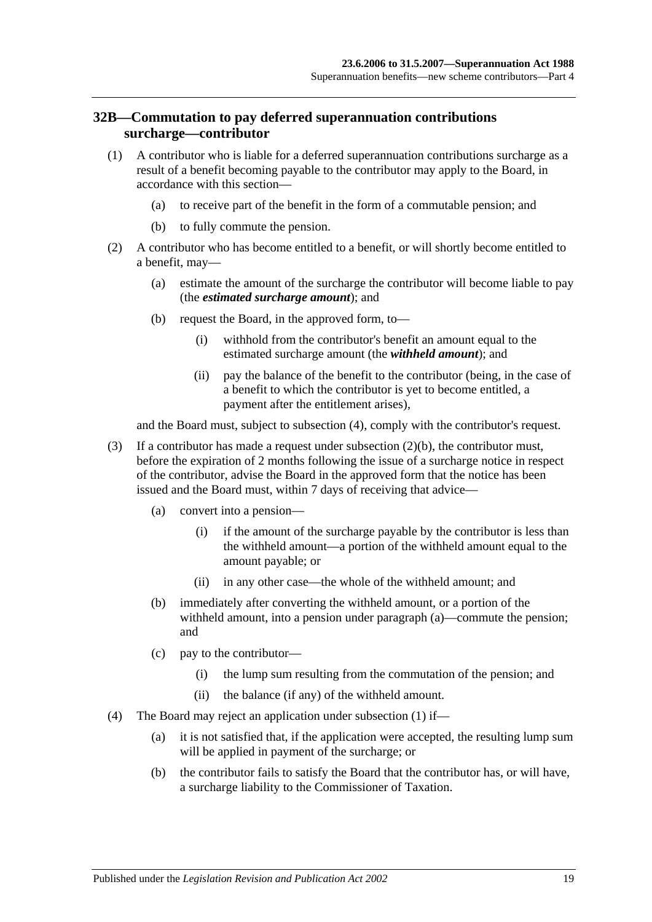## <span id="page-48-3"></span>**32B—Commutation to pay deferred superannuation contributions surcharge—contributor**

- <span id="page-48-2"></span>(1) A contributor who is liable for a deferred superannuation contributions surcharge as a result of a benefit becoming payable to the contributor may apply to the Board, in accordance with this section—
	- (a) to receive part of the benefit in the form of a commutable pension; and
	- (b) to fully commute the pension.
- <span id="page-48-1"></span>(2) A contributor who has become entitled to a benefit, or will shortly become entitled to a benefit, may—
	- (a) estimate the amount of the surcharge the contributor will become liable to pay (the *estimated surcharge amount*); and
	- (b) request the Board, in the approved form, to—
		- (i) withhold from the contributor's benefit an amount equal to the estimated surcharge amount (the *withheld amount*); and
		- (ii) pay the balance of the benefit to the contributor (being, in the case of a benefit to which the contributor is yet to become entitled, a payment after the entitlement arises),

and the Board must, subject to [subsection](#page-48-0) (4), comply with the contributor's request.

- (3) If a contributor has made a request under [subsection](#page-48-1) (2)(b), the contributor must, before the expiration of 2 months following the issue of a surcharge notice in respect of the contributor, advise the Board in the approved form that the notice has been issued and the Board must, within 7 days of receiving that advice—
	- (a) convert into a pension—
		- (i) if the amount of the surcharge payable by the contributor is less than the withheld amount—a portion of the withheld amount equal to the amount payable; or
		- (ii) in any other case—the whole of the withheld amount; and
	- (b) immediately after converting the withheld amount, or a portion of the withheld amount, into a pension under paragraph (a)—commute the pension; and
	- (c) pay to the contributor—
		- (i) the lump sum resulting from the commutation of the pension; and
		- (ii) the balance (if any) of the withheld amount.
- <span id="page-48-0"></span>(4) The Board may reject an application under [subsection](#page-48-2) (1) if—
	- (a) it is not satisfied that, if the application were accepted, the resulting lump sum will be applied in payment of the surcharge; or
	- (b) the contributor fails to satisfy the Board that the contributor has, or will have, a surcharge liability to the Commissioner of Taxation.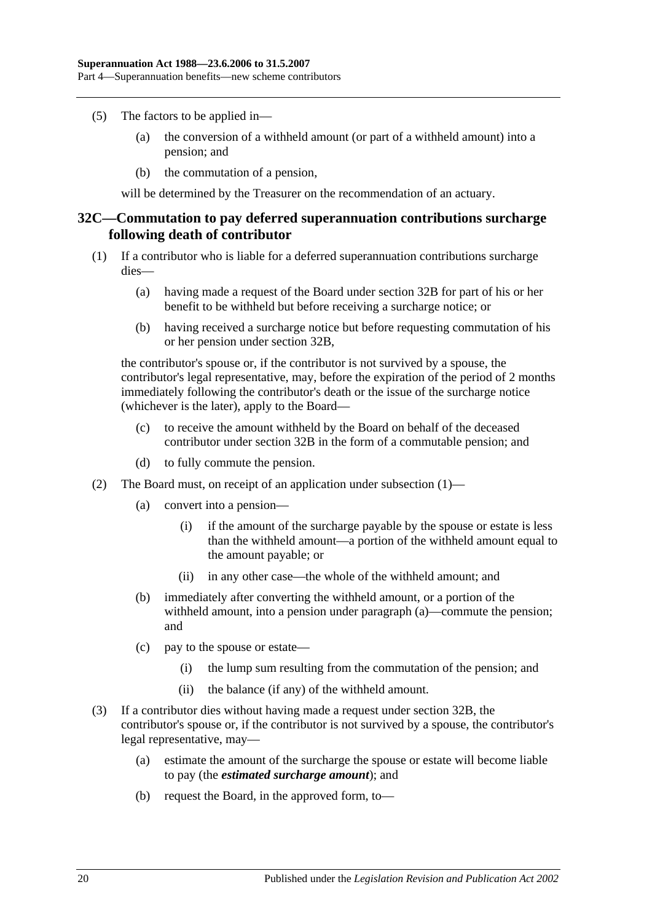- (5) The factors to be applied in—
	- (a) the conversion of a withheld amount (or part of a withheld amount) into a pension; and
	- (b) the commutation of a pension,

will be determined by the Treasurer on the recommendation of an actuary.

### <span id="page-49-2"></span>**32C—Commutation to pay deferred superannuation contributions surcharge following death of contributor**

- <span id="page-49-0"></span>(1) If a contributor who is liable for a deferred superannuation contributions surcharge dies—
	- (a) having made a request of the Board under [section](#page-48-3) 32B for part of his or her benefit to be withheld but before receiving a surcharge notice; or
	- (b) having received a surcharge notice but before requesting commutation of his or her pension under [section](#page-48-3) 32B,

the contributor's spouse or, if the contributor is not survived by a spouse, the contributor's legal representative, may, before the expiration of the period of 2 months immediately following the contributor's death or the issue of the surcharge notice (whichever is the later), apply to the Board—

- (c) to receive the amount withheld by the Board on behalf of the deceased contributor under [section](#page-48-3) 32B in the form of a commutable pension; and
- (d) to fully commute the pension.
- (2) The Board must, on receipt of an application under [subsection](#page-49-0) (1)—
	- (a) convert into a pension—
		- (i) if the amount of the surcharge payable by the spouse or estate is less than the withheld amount—a portion of the withheld amount equal to the amount payable; or
		- (ii) in any other case—the whole of the withheld amount; and
	- (b) immediately after converting the withheld amount, or a portion of the withheld amount, into a pension under paragraph (a)—commute the pension; and
	- (c) pay to the spouse or estate—
		- (i) the lump sum resulting from the commutation of the pension; and
		- (ii) the balance (if any) of the withheld amount.
- <span id="page-49-1"></span>(3) If a contributor dies without having made a request under [section](#page-48-3) 32B, the contributor's spouse or, if the contributor is not survived by a spouse, the contributor's legal representative, may—
	- (a) estimate the amount of the surcharge the spouse or estate will become liable to pay (the *estimated surcharge amount*); and
	- (b) request the Board, in the approved form, to—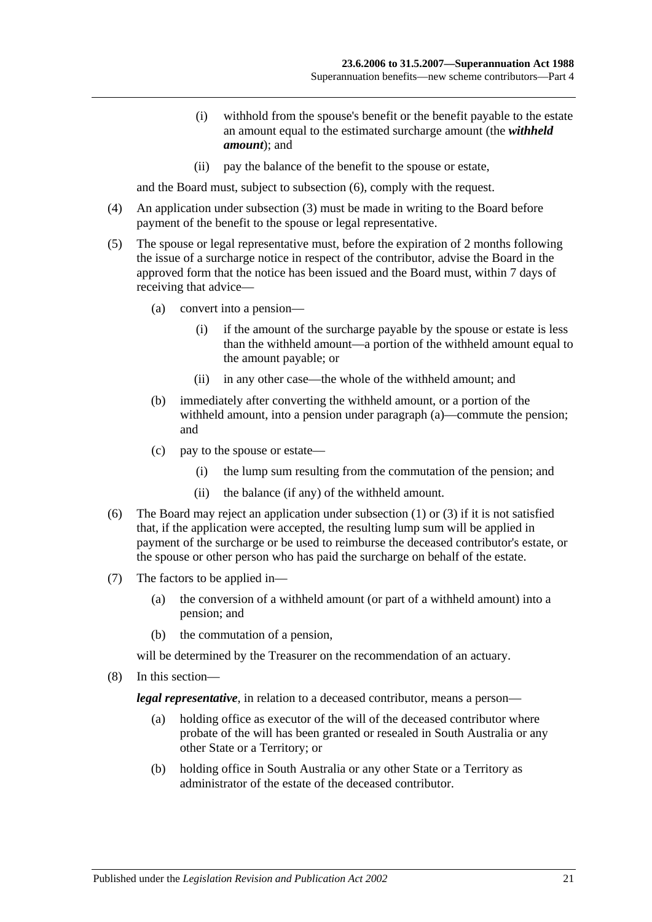- (i) withhold from the spouse's benefit or the benefit payable to the estate an amount equal to the estimated surcharge amount (the *withheld amount*); and
- (ii) pay the balance of the benefit to the spouse or estate,

and the Board must, subject to [subsection](#page-50-0) (6), comply with the request.

- (4) An application under [subsection](#page-49-1) (3) must be made in writing to the Board before payment of the benefit to the spouse or legal representative.
- (5) The spouse or legal representative must, before the expiration of 2 months following the issue of a surcharge notice in respect of the contributor, advise the Board in the approved form that the notice has been issued and the Board must, within 7 days of receiving that advice—
	- (a) convert into a pension—
		- (i) if the amount of the surcharge payable by the spouse or estate is less than the withheld amount—a portion of the withheld amount equal to the amount payable; or
		- (ii) in any other case—the whole of the withheld amount; and
	- (b) immediately after converting the withheld amount, or a portion of the withheld amount, into a pension under paragraph (a)—commute the pension; and
	- (c) pay to the spouse or estate—
		- (i) the lump sum resulting from the commutation of the pension; and
		- (ii) the balance (if any) of the withheld amount.
- <span id="page-50-0"></span>(6) The Board may reject an application under [subsection](#page-49-0) (1) or [\(3\)](#page-49-1) if it is not satisfied that, if the application were accepted, the resulting lump sum will be applied in payment of the surcharge or be used to reimburse the deceased contributor's estate, or the spouse or other person who has paid the surcharge on behalf of the estate.
- (7) The factors to be applied in—
	- (a) the conversion of a withheld amount (or part of a withheld amount) into a pension; and
	- (b) the commutation of a pension,

will be determined by the Treasurer on the recommendation of an actuary.

(8) In this section—

*legal representative*, in relation to a deceased contributor, means a person—

- (a) holding office as executor of the will of the deceased contributor where probate of the will has been granted or resealed in South Australia or any other State or a Territory; or
- (b) holding office in South Australia or any other State or a Territory as administrator of the estate of the deceased contributor.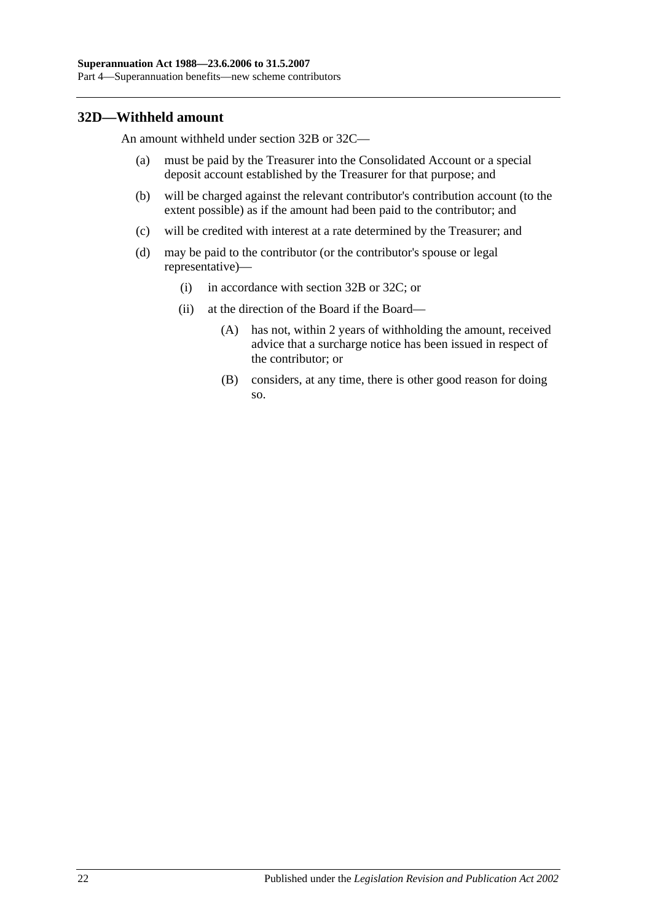## **32D—Withheld amount**

An amount withheld under [section](#page-48-3) 32B or [32C—](#page-49-2)

- (a) must be paid by the Treasurer into the Consolidated Account or a special deposit account established by the Treasurer for that purpose; and
- (b) will be charged against the relevant contributor's contribution account (to the extent possible) as if the amount had been paid to the contributor; and
- (c) will be credited with interest at a rate determined by the Treasurer; and
- (d) may be paid to the contributor (or the contributor's spouse or legal representative)—
	- (i) in accordance with [section](#page-48-3) 32B or [32C;](#page-49-2) or
	- (ii) at the direction of the Board if the Board—
		- (A) has not, within 2 years of withholding the amount, received advice that a surcharge notice has been issued in respect of the contributor; or
		- (B) considers, at any time, there is other good reason for doing so.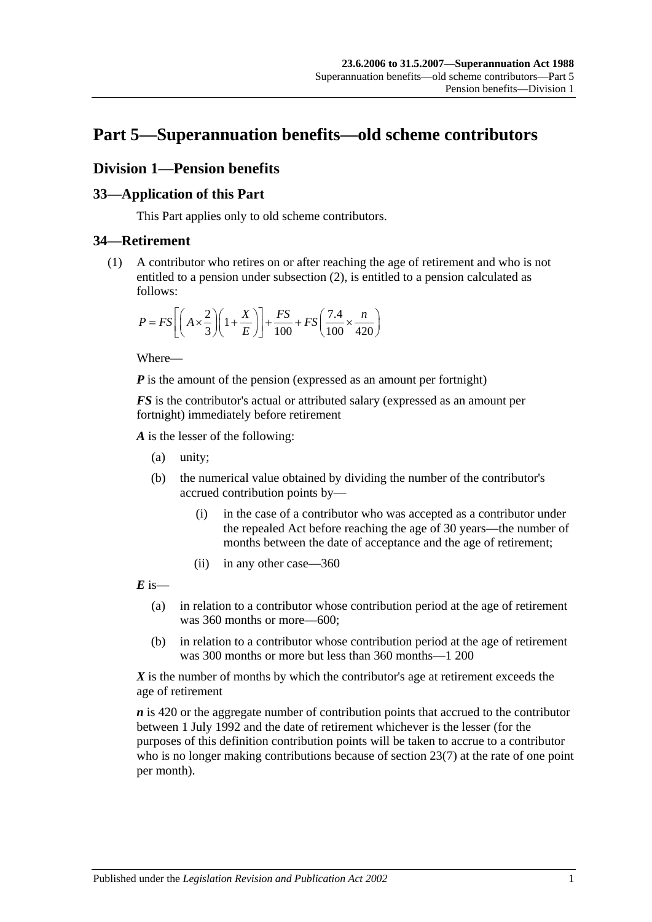# **Part 5—Superannuation benefits—old scheme contributors**

# **Division 1—Pension benefits**

# **33—Application of this Part**

This Part applies only to old scheme contributors.

# <span id="page-52-0"></span>**34—Retirement**

(1) A contributor who retires on or after reaching the age of retirement and who is not entitled to a pension under [subsection](#page-53-0) (2), is entitled to a pension calculated as follows:

$$
P = FS \left[ \left( A \times \frac{2}{3} \right) \left( 1 + \frac{X}{E} \right) \right] + \frac{FS}{100} + FS \left( \frac{7.4}{100} \times \frac{n}{420} \right)
$$

Where—

*P* is the amount of the pension (expressed as an amount per fortnight)

*FS* is the contributor's actual or attributed salary (expressed as an amount per fortnight) immediately before retirement

*A* is the lesser of the following:

- (a) unity;
- (b) the numerical value obtained by dividing the number of the contributor's accrued contribution points by—
	- (i) in the case of a contributor who was accepted as a contributor under the repealed Act before reaching the age of 30 years—the number of months between the date of acceptance and the age of retirement;
	- (ii) in any other case—360

 $\vec{E}$  is—

- (a) in relation to a contributor whose contribution period at the age of retirement was 360 months or more—600;
- (b) in relation to a contributor whose contribution period at the age of retirement was 300 months or more but less than 360 months—1 200

*X* is the number of months by which the contributor's age at retirement exceeds the age of retirement

*n* is 420 or the aggregate number of contribution points that accrued to the contributor between 1 July 1992 and the date of retirement whichever is the lesser (for the purposes of this definition contribution points will be taken to accrue to a contributor who is no longer making contributions because of [section](#page-28-0) 23(7) at the rate of one point per month).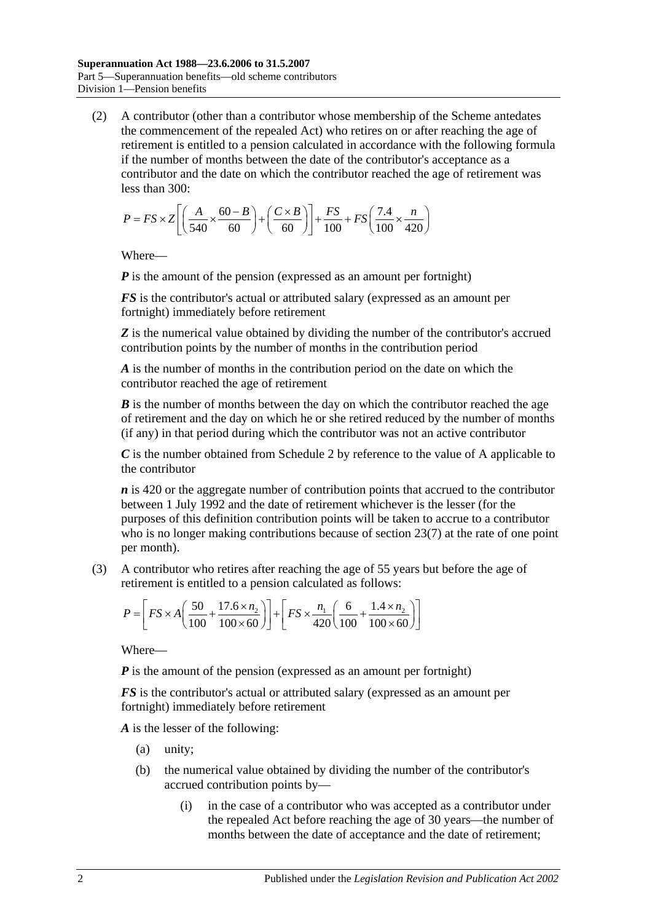<span id="page-53-0"></span>(2) A contributor (other than a contributor whose membership of the Scheme antedates the commencement of the repealed Act) who retires on or after reaching the age of retirement is entitled to a pension calculated in accordance with the following formula if the number of months between the date of the contributor's acceptance as a contributor and the date on which the contributor reached the age of retirement was less than 300:

$$
P = FS \times Z \left[ \left( \frac{A}{540} \times \frac{60 - B}{60} \right) + \left( \frac{C \times B}{60} \right) \right] + \frac{FS}{100} + FS \left( \frac{7.4}{100} \times \frac{n}{420} \right)
$$

Where—

*P* is the amount of the pension (expressed as an amount per fortnight)

*FS* is the contributor's actual or attributed salary (expressed as an amount per fortnight) immediately before retirement

**Z** is the numerical value obtained by dividing the number of the contributor's accrued contribution points by the number of months in the contribution period

*A* is the number of months in the contribution period on the date on which the contributor reached the age of retirement

*B* is the number of months between the day on which the contributor reached the age of retirement and the day on which he or she retired reduced by the number of months (if any) in that period during which the contributor was not an active contributor

*C* is the number obtained from [Schedule 2](#page-118-0) by reference to the value of A applicable to the contributor

*n* is 420 or the aggregate number of contribution points that accrued to the contributor between 1 July 1992 and the date of retirement whichever is the lesser (for the purposes of this definition contribution points will be taken to accrue to a contributor who is no longer making contributions because of [section](#page-28-0) 23(7) at the rate of one point per month).

(3) A contributor who retires after reaching the age of 55 years but before the age of retirement is entitled to a pension calculated as follows:

$$
P = \left[ FS \times A \left( \frac{50}{100} + \frac{17.6 \times n_2}{100 \times 60} \right) \right] + \left[ FS \times \frac{n_1}{420} \left( \frac{6}{100} + \frac{1.4 \times n_2}{100 \times 60} \right) \right]
$$

Where—

*P* is the amount of the pension (expressed as an amount per fortnight)

*FS* is the contributor's actual or attributed salary (expressed as an amount per fortnight) immediately before retirement

*A* is the lesser of the following:

- (a) unity;
- (b) the numerical value obtained by dividing the number of the contributor's accrued contribution points by—
	- (i) in the case of a contributor who was accepted as a contributor under the repealed Act before reaching the age of 30 years—the number of months between the date of acceptance and the date of retirement;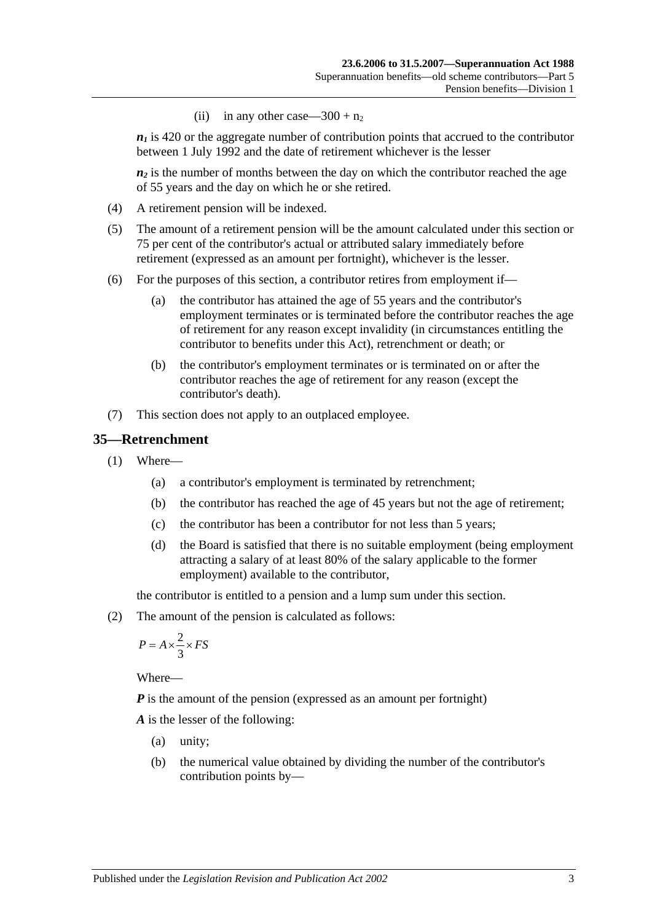(ii) in any other case— $300 + n_2$ 

 $n_1$  is 420 or the aggregate number of contribution points that accrued to the contributor between 1 July 1992 and the date of retirement whichever is the lesser

 $n_2$  is the number of months between the day on which the contributor reached the age of 55 years and the day on which he or she retired.

- (4) A retirement pension will be indexed.
- (5) The amount of a retirement pension will be the amount calculated under this section or 75 per cent of the contributor's actual or attributed salary immediately before retirement (expressed as an amount per fortnight), whichever is the lesser.
- (6) For the purposes of this section, a contributor retires from employment if—
	- (a) the contributor has attained the age of 55 years and the contributor's employment terminates or is terminated before the contributor reaches the age of retirement for any reason except invalidity (in circumstances entitling the contributor to benefits under this Act), retrenchment or death; or
	- (b) the contributor's employment terminates or is terminated on or after the contributor reaches the age of retirement for any reason (except the contributor's death).
- (7) This section does not apply to an outplaced employee.

### <span id="page-54-1"></span>**35—Retrenchment**

- (1) Where—
	- (a) a contributor's employment is terminated by retrenchment;
	- (b) the contributor has reached the age of 45 years but not the age of retirement;
	- (c) the contributor has been a contributor for not less than 5 years;
	- (d) the Board is satisfied that there is no suitable employment (being employment attracting a salary of at least 80% of the salary applicable to the former employment) available to the contributor,

the contributor is entitled to a pension and a lump sum under this section.

<span id="page-54-0"></span>(2) The amount of the pension is calculated as follows:

$$
P = A \times \frac{2}{3} \times FS
$$

Where—

*P* is the amount of the pension (expressed as an amount per fortnight)

*A* is the lesser of the following:

- (a) unity;
- (b) the numerical value obtained by dividing the number of the contributor's contribution points by—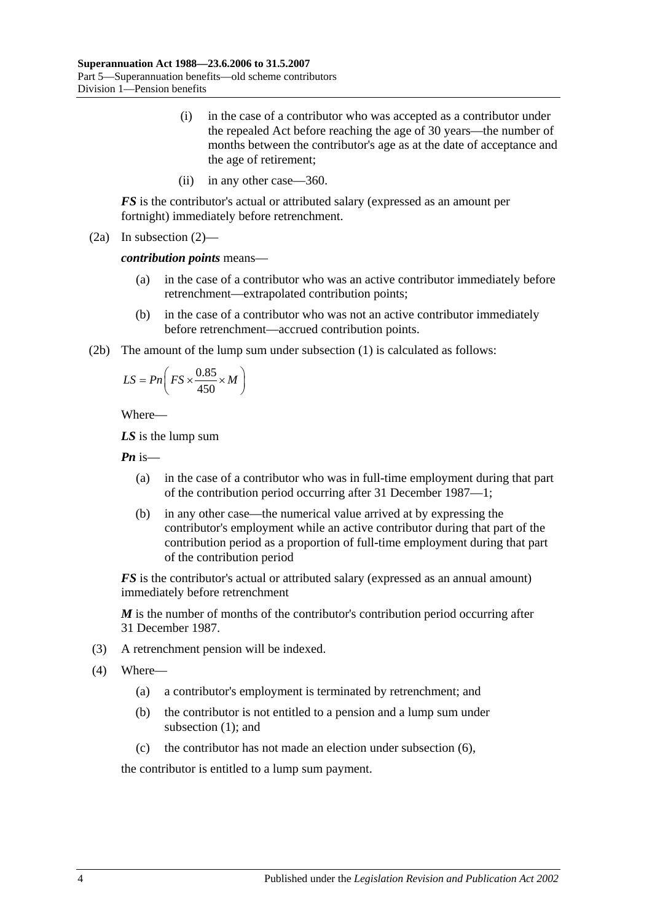- (i) in the case of a contributor who was accepted as a contributor under the repealed Act before reaching the age of 30 years—the number of months between the contributor's age as at the date of acceptance and the age of retirement;
- (ii) in any other case—360.

*FS* is the contributor's actual or attributed salary (expressed as an amount per fortnight) immediately before retrenchment.

(2a) In [subsection](#page-54-0) (2)—

*contribution points* means—

- (a) in the case of a contributor who was an active contributor immediately before retrenchment—extrapolated contribution points;
- (b) in the case of a contributor who was not an active contributor immediately before retrenchment—accrued contribution points.
- (2b) The amount of the lump sum under [subsection](#page-54-1) (1) is calculated as follows:

$$
LS = P n \left( FS \times \frac{0.85}{450} \times M \right)
$$

Where—

*LS* is the lump sum

*Pn* is—

- (a) in the case of a contributor who was in full-time employment during that part of the contribution period occurring after 31 December 1987—1;
- (b) in any other case—the numerical value arrived at by expressing the contributor's employment while an active contributor during that part of the contribution period as a proportion of full-time employment during that part of the contribution period

*FS* is the contributor's actual or attributed salary (expressed as an annual amount) immediately before retrenchment

*M* is the number of months of the contributor's contribution period occurring after 31 December 1987.

- (3) A retrenchment pension will be indexed.
- (4) Where—
	- (a) a contributor's employment is terminated by retrenchment; and
	- (b) the contributor is not entitled to a pension and a lump sum under [subsection](#page-54-1) (1); and
	- (c) the contributor has not made an election under [subsection](#page-56-0) (6),

the contributor is entitled to a lump sum payment.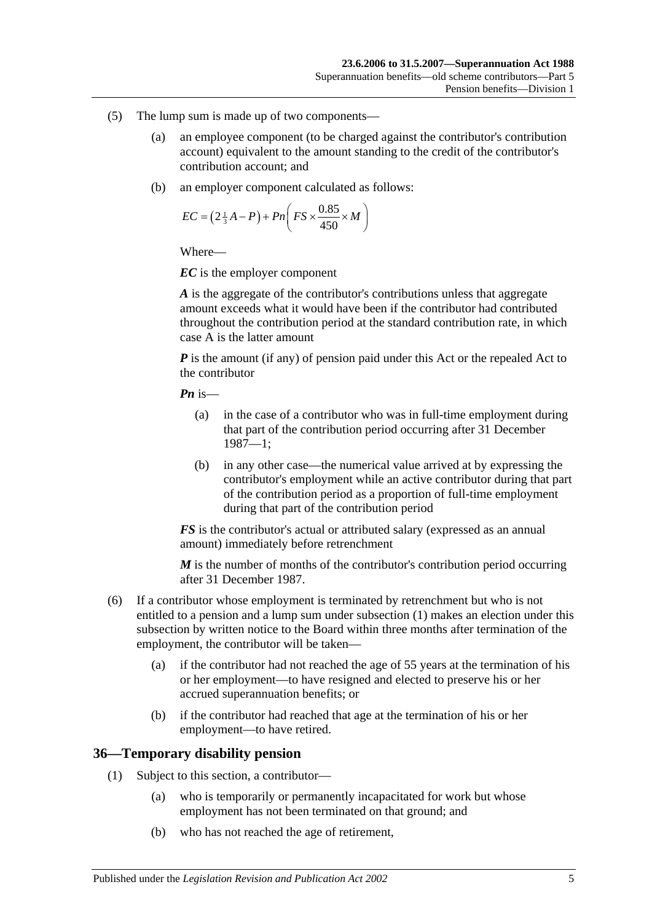- (5) The lump sum is made up of two components—
	- (a) an employee component (to be charged against the contributor's contribution account) equivalent to the amount standing to the credit of the contributor's contribution account; and
	- (b) an employer component calculated as follows:

$$
EC = \left(2\frac{1}{3}A - P\right) + Pn\left(FS \times \frac{0.85}{450} \times M\right)
$$

*EC* is the employer component

*A* is the aggregate of the contributor's contributions unless that aggregate amount exceeds what it would have been if the contributor had contributed throughout the contribution period at the standard contribution rate, in which case A is the latter amount

*P* is the amount (if any) of pension paid under this Act or the repealed Act to the contributor

*Pn* is—

- (a) in the case of a contributor who was in full-time employment during that part of the contribution period occurring after 31 December 1987—1;
- (b) in any other case—the numerical value arrived at by expressing the contributor's employment while an active contributor during that part of the contribution period as a proportion of full-time employment during that part of the contribution period

*FS* is the contributor's actual or attributed salary (expressed as an annual amount) immediately before retrenchment

*M* is the number of months of the contributor's contribution period occurring after 31 December 1987.

- <span id="page-56-0"></span>(6) If a contributor whose employment is terminated by retrenchment but who is not entitled to a pension and a lump sum under [subsection](#page-54-1) (1) makes an election under this subsection by written notice to the Board within three months after termination of the employment, the contributor will be taken—
	- (a) if the contributor had not reached the age of 55 years at the termination of his or her employment—to have resigned and elected to preserve his or her accrued superannuation benefits; or
	- (b) if the contributor had reached that age at the termination of his or her employment—to have retired.

## **36—Temporary disability pension**

- (1) Subject to this section, a contributor—
	- (a) who is temporarily or permanently incapacitated for work but whose employment has not been terminated on that ground; and
	- (b) who has not reached the age of retirement,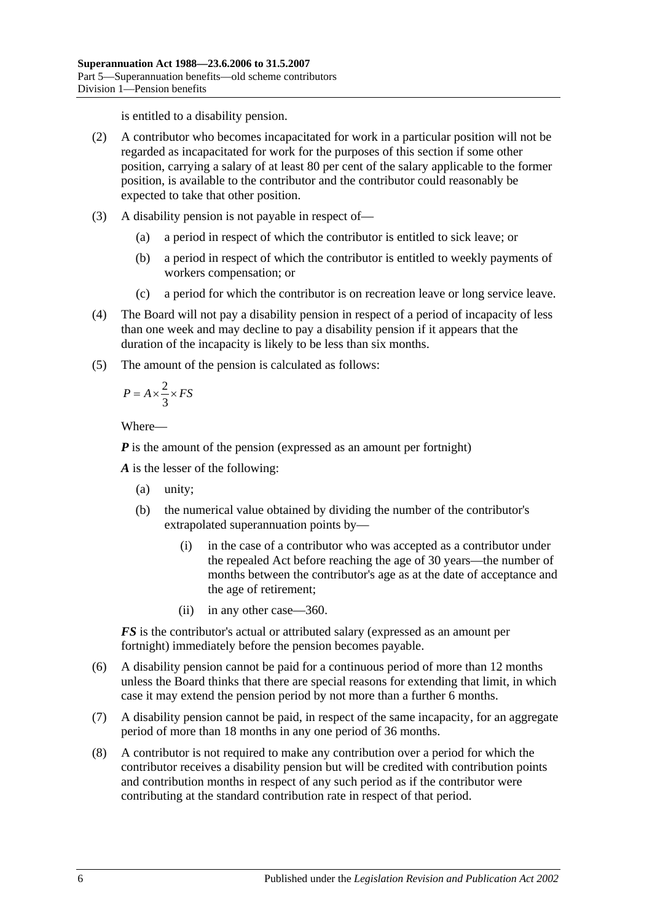is entitled to a disability pension.

- (2) A contributor who becomes incapacitated for work in a particular position will not be regarded as incapacitated for work for the purposes of this section if some other position, carrying a salary of at least 80 per cent of the salary applicable to the former position, is available to the contributor and the contributor could reasonably be expected to take that other position.
- (3) A disability pension is not payable in respect of—
	- (a) a period in respect of which the contributor is entitled to sick leave; or
	- (b) a period in respect of which the contributor is entitled to weekly payments of workers compensation; or
	- (c) a period for which the contributor is on recreation leave or long service leave.
- (4) The Board will not pay a disability pension in respect of a period of incapacity of less than one week and may decline to pay a disability pension if it appears that the duration of the incapacity is likely to be less than six months.
- (5) The amount of the pension is calculated as follows:

$$
P = A \times \frac{2}{3} \times FS
$$

Where—

*P* is the amount of the pension (expressed as an amount per fortnight)

*A* is the lesser of the following:

- (a) unity;
- (b) the numerical value obtained by dividing the number of the contributor's extrapolated superannuation points by—
	- (i) in the case of a contributor who was accepted as a contributor under the repealed Act before reaching the age of 30 years—the number of months between the contributor's age as at the date of acceptance and the age of retirement;
	- (ii) in any other case—360.

*FS* is the contributor's actual or attributed salary (expressed as an amount per fortnight) immediately before the pension becomes payable.

- (6) A disability pension cannot be paid for a continuous period of more than 12 months unless the Board thinks that there are special reasons for extending that limit, in which case it may extend the pension period by not more than a further 6 months.
- (7) A disability pension cannot be paid, in respect of the same incapacity, for an aggregate period of more than 18 months in any one period of 36 months.
- (8) A contributor is not required to make any contribution over a period for which the contributor receives a disability pension but will be credited with contribution points and contribution months in respect of any such period as if the contributor were contributing at the standard contribution rate in respect of that period.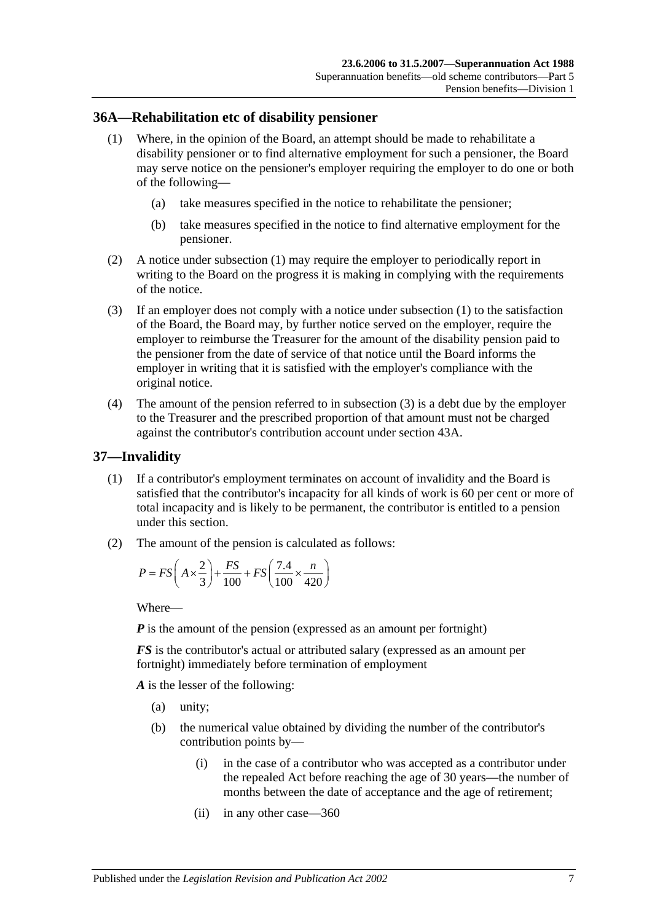### <span id="page-58-0"></span>**36A—Rehabilitation etc of disability pensioner**

- (1) Where, in the opinion of the Board, an attempt should be made to rehabilitate a disability pensioner or to find alternative employment for such a pensioner, the Board may serve notice on the pensioner's employer requiring the employer to do one or both of the following—
	- (a) take measures specified in the notice to rehabilitate the pensioner;
	- (b) take measures specified in the notice to find alternative employment for the pensioner.
- (2) A notice under [subsection](#page-58-0) (1) may require the employer to periodically report in writing to the Board on the progress it is making in complying with the requirements of the notice.
- <span id="page-58-1"></span>(3) If an employer does not comply with a notice under [subsection](#page-58-0) (1) to the satisfaction of the Board, the Board may, by further notice served on the employer, require the employer to reimburse the Treasurer for the amount of the disability pension paid to the pensioner from the date of service of that notice until the Board informs the employer in writing that it is satisfied with the employer's compliance with the original notice.
- (4) The amount of the pension referred to in [subsection](#page-58-1) (3) is a debt due by the employer to the Treasurer and the prescribed proportion of that amount must not be charged against the contributor's contribution account under [section](#page-78-0) 43A.

### <span id="page-58-3"></span>**37—Invalidity**

- (1) If a contributor's employment terminates on account of invalidity and the Board is satisfied that the contributor's incapacity for all kinds of work is 60 per cent or more of total incapacity and is likely to be permanent, the contributor is entitled to a pension under this section.
- <span id="page-58-2"></span>(2) The amount of the pension is calculated as follows:

$$
P = FS\left(A \times \frac{2}{3}\right) + \frac{FS}{100} + FS\left(\frac{7.4}{100} \times \frac{n}{420}\right)
$$

Where—

*P* is the amount of the pension (expressed as an amount per fortnight)

*FS* is the contributor's actual or attributed salary (expressed as an amount per fortnight) immediately before termination of employment

*A* is the lesser of the following:

- (a) unity;
- (b) the numerical value obtained by dividing the number of the contributor's contribution points by—
	- (i) in the case of a contributor who was accepted as a contributor under the repealed Act before reaching the age of 30 years—the number of months between the date of acceptance and the age of retirement;
	- (ii) in any other case—360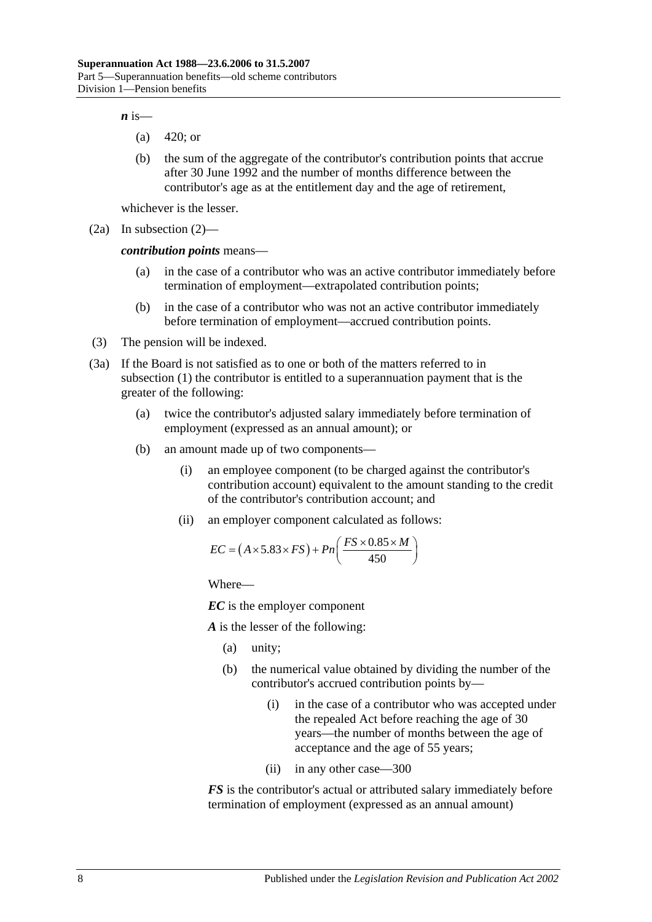$\boldsymbol{n}$  is—

- (a) 420; or
- (b) the sum of the aggregate of the contributor's contribution points that accrue after 30 June 1992 and the number of months difference between the contributor's age as at the entitlement day and the age of retirement,

whichever is the lesser.

(2a) In [subsection](#page-58-2) (2)—

*contribution points* means—

- (a) in the case of a contributor who was an active contributor immediately before termination of employment—extrapolated contribution points;
- (b) in the case of a contributor who was not an active contributor immediately before termination of employment—accrued contribution points.
- (3) The pension will be indexed.
- <span id="page-59-0"></span>(3a) If the Board is not satisfied as to one or both of the matters referred to in [subsection](#page-58-3) (1) the contributor is entitled to a superannuation payment that is the greater of the following:
	- (a) twice the contributor's adjusted salary immediately before termination of employment (expressed as an annual amount); or
	- (b) an amount made up of two components—
		- (i) an employee component (to be charged against the contributor's contribution account) equivalent to the amount standing to the credit of the contributor's contribution account; and
		- (ii) an employer component calculated as follows:

$$
EC = (A \times 5.83 \times FS) + Pn\left(\frac{FS \times 0.85 \times M}{450}\right)
$$

Where—

*EC* is the employer component

*A* is the lesser of the following:

- (a) unity;
- (b) the numerical value obtained by dividing the number of the contributor's accrued contribution points by—
	- (i) in the case of a contributor who was accepted under the repealed Act before reaching the age of 30 years—the number of months between the age of acceptance and the age of 55 years;
	- (ii) in any other case—300

*FS* is the contributor's actual or attributed salary immediately before termination of employment (expressed as an annual amount)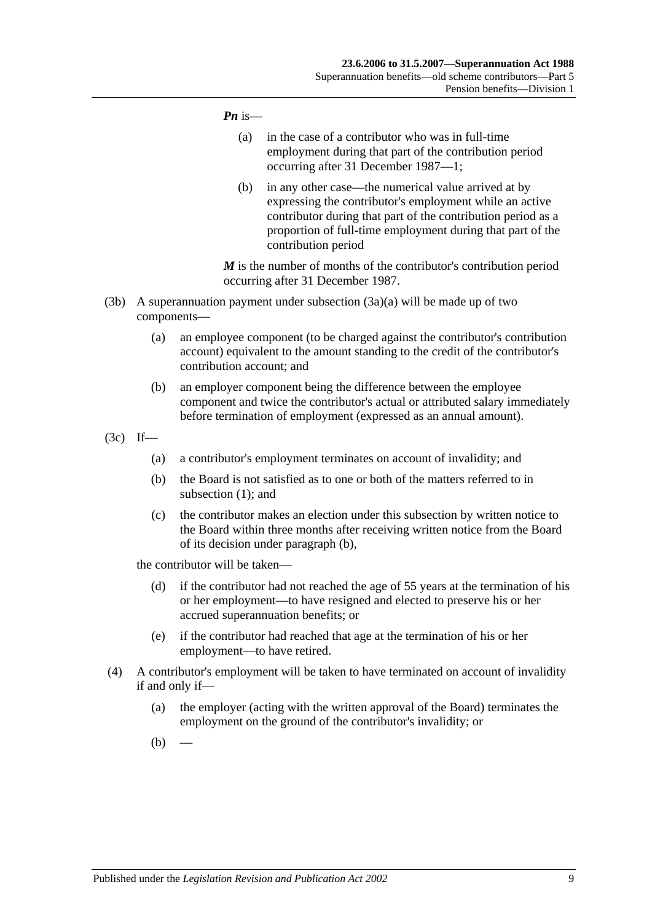#### *Pn* is—

- (a) in the case of a contributor who was in full-time employment during that part of the contribution period occurring after 31 December 1987—1;
- (b) in any other case—the numerical value arrived at by expressing the contributor's employment while an active contributor during that part of the contribution period as a proportion of full-time employment during that part of the contribution period

*M* is the number of months of the contributor's contribution period occurring after 31 December 1987.

- (3b) A superannuation payment under [subsection](#page-59-0)  $(3a)(a)$  will be made up of two components—
	- (a) an employee component (to be charged against the contributor's contribution account) equivalent to the amount standing to the credit of the contributor's contribution account; and
	- (b) an employer component being the difference between the employee component and twice the contributor's actual or attributed salary immediately before termination of employment (expressed as an annual amount).
- <span id="page-60-0"></span>(3c) If—
	- (a) a contributor's employment terminates on account of invalidity; and
	- (b) the Board is not satisfied as to one or both of the matters referred to in [subsection](#page-58-3) (1); and
	- (c) the contributor makes an election under this subsection by written notice to the Board within three months after receiving written notice from the Board of its decision under [paragraph](#page-60-0) (b),

the contributor will be taken—

- (d) if the contributor had not reached the age of 55 years at the termination of his or her employment—to have resigned and elected to preserve his or her accrued superannuation benefits; or
- (e) if the contributor had reached that age at the termination of his or her employment—to have retired.
- <span id="page-60-2"></span><span id="page-60-1"></span>(4) A contributor's employment will be taken to have terminated on account of invalidity if and only if—
	- (a) the employer (acting with the written approval of the Board) terminates the employment on the ground of the contributor's invalidity; or
	- $(b)$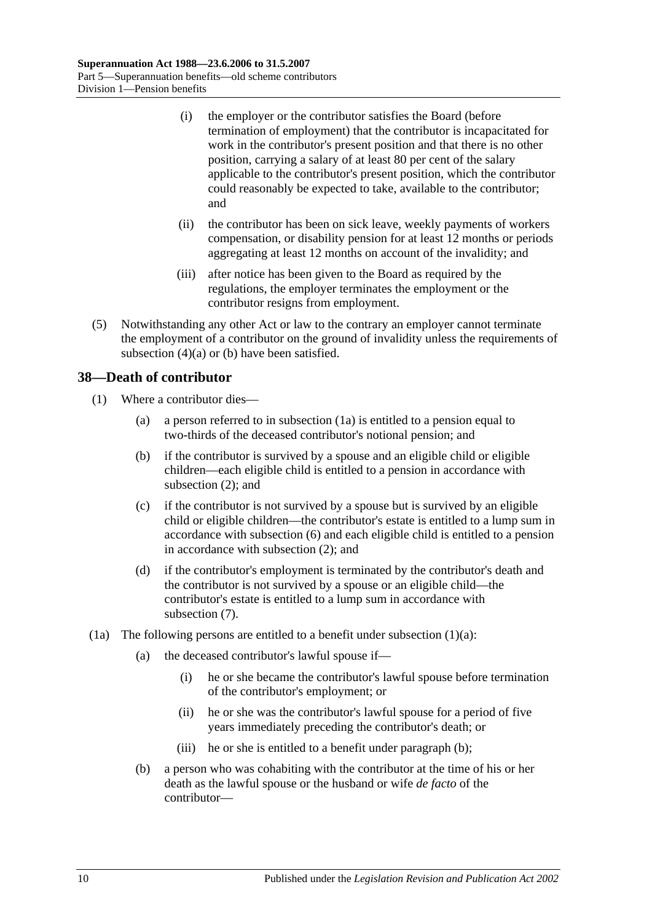- (i) the employer or the contributor satisfies the Board (before termination of employment) that the contributor is incapacitated for work in the contributor's present position and that there is no other position, carrying a salary of at least 80 per cent of the salary applicable to the contributor's present position, which the contributor could reasonably be expected to take, available to the contributor; and
- (ii) the contributor has been on sick leave, weekly payments of workers compensation, or disability pension for at least 12 months or periods aggregating at least 12 months on account of the invalidity; and
- (iii) after notice has been given to the Board as required by the regulations, the employer terminates the employment or the contributor resigns from employment.
- (5) Notwithstanding any other Act or law to the contrary an employer cannot terminate the employment of a contributor on the ground of invalidity unless the requirements of [subsection](#page-60-1)  $(4)(a)$  or  $(b)$  have been satisfied.

# **38—Death of contributor**

- <span id="page-61-1"></span>(1) Where a contributor dies—
	- (a) a person referred to in [subsection](#page-61-0) (1a) is entitled to a pension equal to two-thirds of the deceased contributor's notional pension; and
	- (b) if the contributor is survived by a spouse and an eligible child or eligible children—each eligible child is entitled to a pension in accordance with [subsection](#page-62-0) (2); and
	- (c) if the contributor is not survived by a spouse but is survived by an eligible child or eligible children—the contributor's estate is entitled to a lump sum in accordance with [subsection](#page-63-0) (6) and each eligible child is entitled to a pension in accordance with [subsection](#page-62-0) (2); and
	- (d) if the contributor's employment is terminated by the contributor's death and the contributor is not survived by a spouse or an eligible child—the contributor's estate is entitled to a lump sum in accordance with [subsection](#page-64-0) (7).
- <span id="page-61-2"></span><span id="page-61-0"></span>(1a) The following persons are entitled to a benefit under [subsection](#page-61-1)  $(1)(a)$ :
	- (a) the deceased contributor's lawful spouse if—
		- (i) he or she became the contributor's lawful spouse before termination of the contributor's employment; or
		- (ii) he or she was the contributor's lawful spouse for a period of five years immediately preceding the contributor's death; or
		- (iii) he or she is entitled to a benefit under [paragraph](#page-61-2) (b);
	- (b) a person who was cohabiting with the contributor at the time of his or her death as the lawful spouse or the husband or wife *de facto* of the contributor—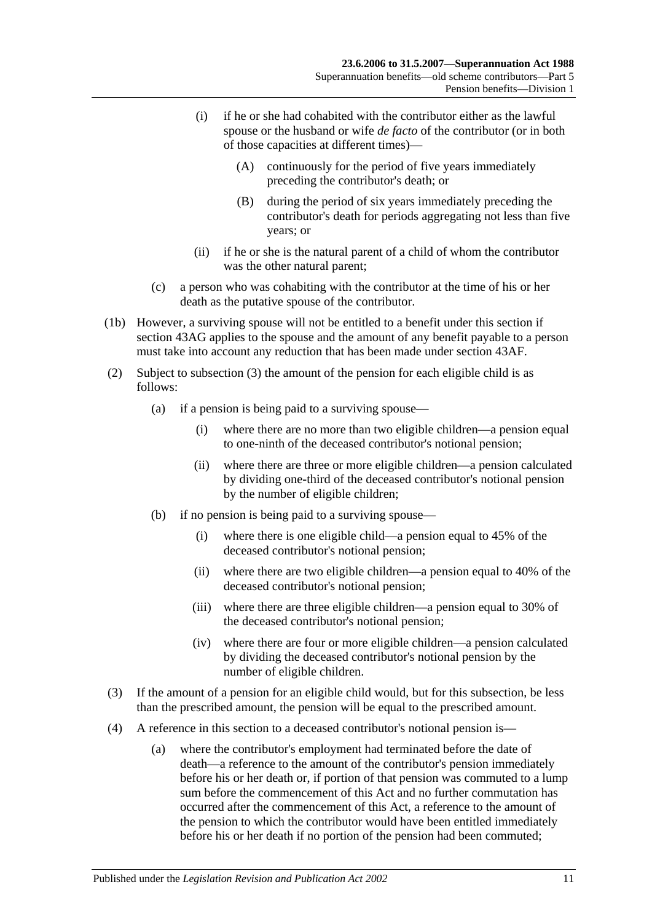- (i) if he or she had cohabited with the contributor either as the lawful spouse or the husband or wife *de facto* of the contributor (or in both of those capacities at different times)—
	- (A) continuously for the period of five years immediately preceding the contributor's death; or
	- (B) during the period of six years immediately preceding the contributor's death for periods aggregating not less than five years; or
- (ii) if he or she is the natural parent of a child of whom the contributor was the other natural parent;
- (c) a person who was cohabiting with the contributor at the time of his or her death as the putative spouse of the contributor.
- (1b) However, a surviving spouse will not be entitled to a benefit under this section if section 43AG applies to the spouse and the amount of any benefit payable to a person must take into account any reduction that has been made under [section](#page-81-0) 43AF.
- <span id="page-62-0"></span>(2) Subject to [subsection](#page-62-1) (3) the amount of the pension for each eligible child is as follows:
	- (a) if a pension is being paid to a surviving spouse—
		- (i) where there are no more than two eligible children—a pension equal to one-ninth of the deceased contributor's notional pension;
		- (ii) where there are three or more eligible children—a pension calculated by dividing one-third of the deceased contributor's notional pension by the number of eligible children;
	- (b) if no pension is being paid to a surviving spouse—
		- (i) where there is one eligible child—a pension equal to 45% of the deceased contributor's notional pension;
		- (ii) where there are two eligible children—a pension equal to 40% of the deceased contributor's notional pension;
		- (iii) where there are three eligible children—a pension equal to 30% of the deceased contributor's notional pension;
		- (iv) where there are four or more eligible children—a pension calculated by dividing the deceased contributor's notional pension by the number of eligible children.
- <span id="page-62-1"></span>(3) If the amount of a pension for an eligible child would, but for this subsection, be less than the prescribed amount, the pension will be equal to the prescribed amount.
- (4) A reference in this section to a deceased contributor's notional pension is—
	- (a) where the contributor's employment had terminated before the date of death—a reference to the amount of the contributor's pension immediately before his or her death or, if portion of that pension was commuted to a lump sum before the commencement of this Act and no further commutation has occurred after the commencement of this Act, a reference to the amount of the pension to which the contributor would have been entitled immediately before his or her death if no portion of the pension had been commuted;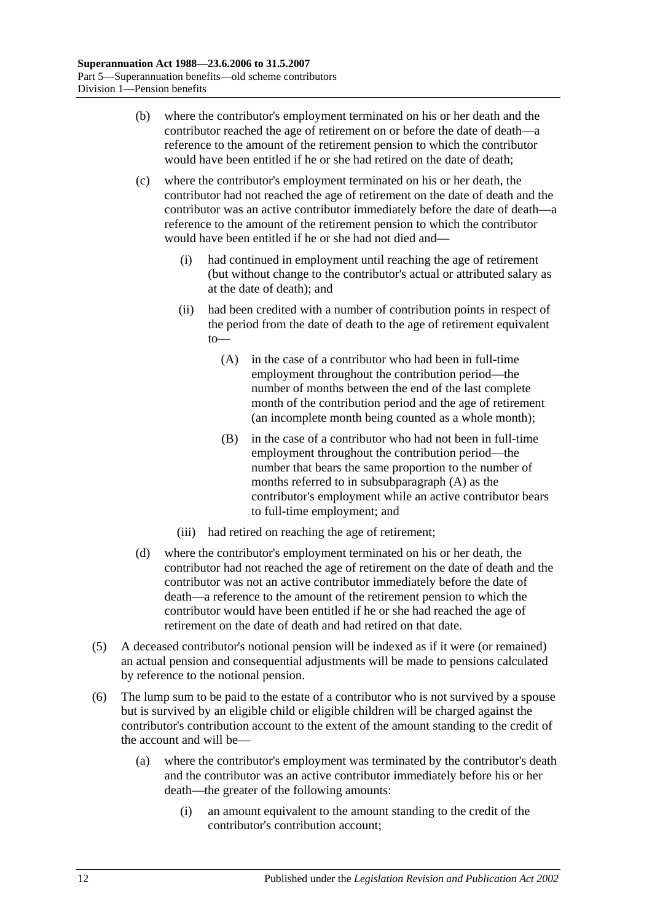- (b) where the contributor's employment terminated on his or her death and the contributor reached the age of retirement on or before the date of death—a reference to the amount of the retirement pension to which the contributor would have been entitled if he or she had retired on the date of death;
- <span id="page-63-1"></span>(c) where the contributor's employment terminated on his or her death, the contributor had not reached the age of retirement on the date of death and the contributor was an active contributor immediately before the date of death—a reference to the amount of the retirement pension to which the contributor would have been entitled if he or she had not died and—
	- (i) had continued in employment until reaching the age of retirement (but without change to the contributor's actual or attributed salary as at the date of death); and
	- (ii) had been credited with a number of contribution points in respect of the period from the date of death to the age of retirement equivalent to—
		- (A) in the case of a contributor who had been in full-time employment throughout the contribution period—the number of months between the end of the last complete month of the contribution period and the age of retirement (an incomplete month being counted as a whole month);
		- (B) in the case of a contributor who had not been in full-time employment throughout the contribution period—the number that bears the same proportion to the number of months referred to in [subsubparagraph](#page-63-1) (A) as the contributor's employment while an active contributor bears to full-time employment; and
	- (iii) had retired on reaching the age of retirement;
- (d) where the contributor's employment terminated on his or her death, the contributor had not reached the age of retirement on the date of death and the contributor was not an active contributor immediately before the date of death—a reference to the amount of the retirement pension to which the contributor would have been entitled if he or she had reached the age of retirement on the date of death and had retired on that date.
- (5) A deceased contributor's notional pension will be indexed as if it were (or remained) an actual pension and consequential adjustments will be made to pensions calculated by reference to the notional pension.
- <span id="page-63-0"></span>(6) The lump sum to be paid to the estate of a contributor who is not survived by a spouse but is survived by an eligible child or eligible children will be charged against the contributor's contribution account to the extent of the amount standing to the credit of the account and will be—
	- (a) where the contributor's employment was terminated by the contributor's death and the contributor was an active contributor immediately before his or her death—the greater of the following amounts:
		- (i) an amount equivalent to the amount standing to the credit of the contributor's contribution account;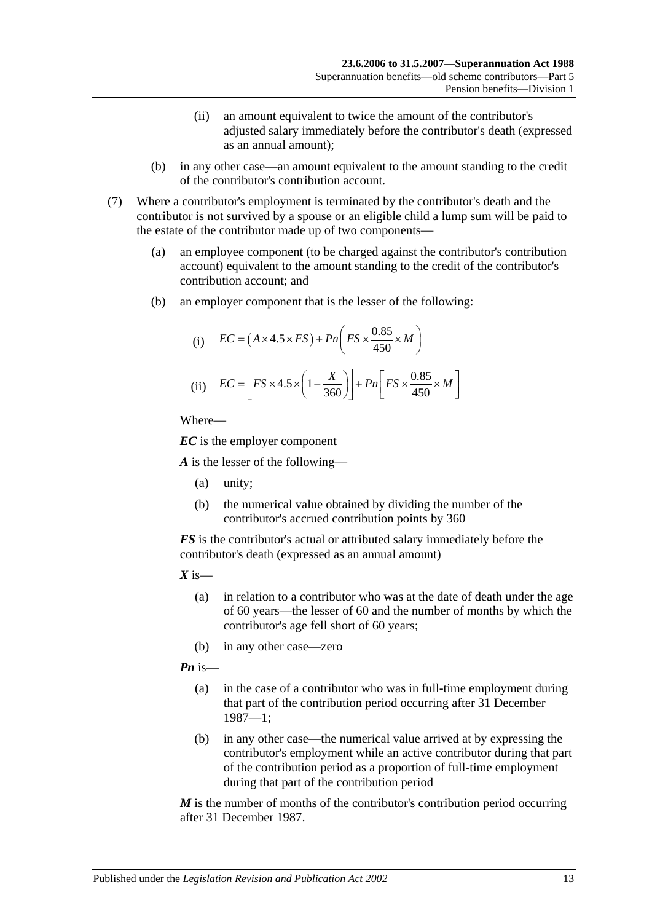- (ii) an amount equivalent to twice the amount of the contributor's adjusted salary immediately before the contributor's death (expressed as an annual amount);
- (b) in any other case—an amount equivalent to the amount standing to the credit of the contributor's contribution account.
- <span id="page-64-0"></span>(7) Where a contributor's employment is terminated by the contributor's death and the contributor is not survived by a spouse or an eligible child a lump sum will be paid to the estate of the contributor made up of two components—
	- (a) an employee component (to be charged against the contributor's contribution account) equivalent to the amount standing to the credit of the contributor's contribution account; and
	- (b) an employer component that is the lesser of the following:

(i) 
$$
EC = (A \times 4.5 \times FS) + Pn\left(FS \times \frac{0.85}{450} \times M\right)
$$
  
(ii) 
$$
EC = \left[FS \times 4.5 \times \left(1 - \frac{X}{360}\right)\right] + Pn\left[FS \times \frac{0.85}{450} \times M\right]
$$

*EC* is the employer component

*A* is the lesser of the following—

- (a) unity;
- (b) the numerical value obtained by dividing the number of the contributor's accrued contribution points by 360

*FS* is the contributor's actual or attributed salary immediately before the contributor's death (expressed as an annual amount)

 $X$  is—

- (a) in relation to a contributor who was at the date of death under the age of 60 years—the lesser of 60 and the number of months by which the contributor's age fell short of 60 years;
- (b) in any other case—zero

*Pn* is—

- (a) in the case of a contributor who was in full-time employment during that part of the contribution period occurring after 31 December 1987—1;
- (b) in any other case—the numerical value arrived at by expressing the contributor's employment while an active contributor during that part of the contribution period as a proportion of full-time employment during that part of the contribution period

*M* is the number of months of the contributor's contribution period occurring after 31 December 1987.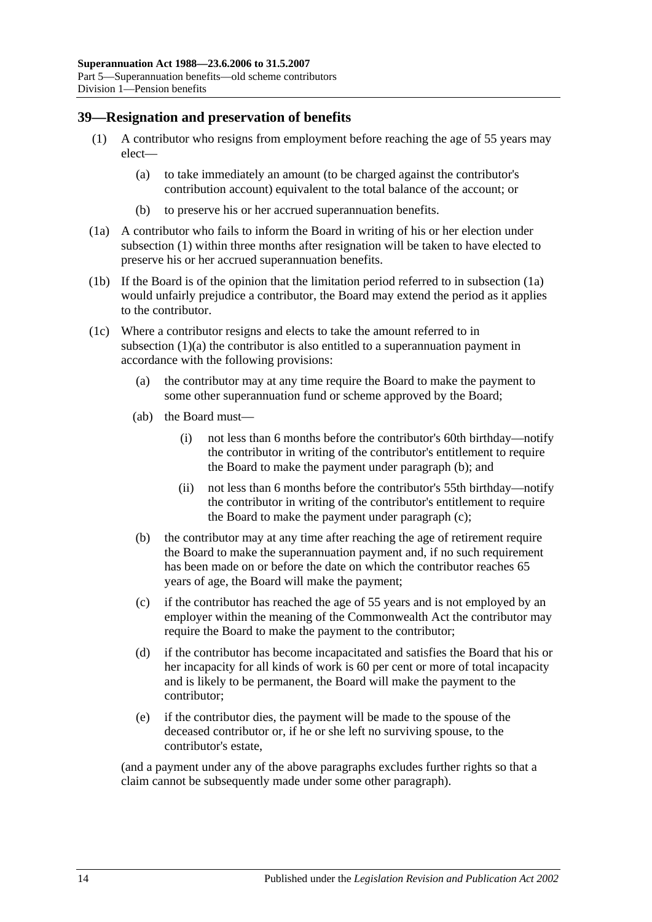### <span id="page-65-6"></span><span id="page-65-0"></span>**39—Resignation and preservation of benefits**

- <span id="page-65-2"></span>(1) A contributor who resigns from employment before reaching the age of 55 years may elect—
	- (a) to take immediately an amount (to be charged against the contributor's contribution account) equivalent to the total balance of the account; or
	- (b) to preserve his or her accrued superannuation benefits.
- <span id="page-65-1"></span>(1a) A contributor who fails to inform the Board in writing of his or her election under [subsection](#page-65-0) (1) within three months after resignation will be taken to have elected to preserve his or her accrued superannuation benefits.
- (1b) If the Board is of the opinion that the limitation period referred to in [subsection](#page-65-1) (1a) would unfairly prejudice a contributor, the Board may extend the period as it applies to the contributor.
- <span id="page-65-5"></span><span id="page-65-3"></span>(1c) Where a contributor resigns and elects to take the amount referred to in [subsection](#page-65-2) (1)(a) the contributor is also entitled to a superannuation payment in accordance with the following provisions:
	- (a) the contributor may at any time require the Board to make the payment to some other superannuation fund or scheme approved by the Board;
	- (ab) the Board must—
		- (i) not less than 6 months before the contributor's 60th birthday—notify the contributor in writing of the contributor's entitlement to require the Board to make the payment under [paragraph](#page-65-3) (b); and
		- (ii) not less than 6 months before the contributor's 55th birthday—notify the contributor in writing of the contributor's entitlement to require the Board to make the payment under [paragraph](#page-65-4) (c);
	- (b) the contributor may at any time after reaching the age of retirement require the Board to make the superannuation payment and, if no such requirement has been made on or before the date on which the contributor reaches 65 years of age, the Board will make the payment;
	- (c) if the contributor has reached the age of 55 years and is not employed by an employer within the meaning of the Commonwealth Act the contributor may require the Board to make the payment to the contributor;
	- (d) if the contributor has become incapacitated and satisfies the Board that his or her incapacity for all kinds of work is 60 per cent or more of total incapacity and is likely to be permanent, the Board will make the payment to the contributor;
	- (e) if the contributor dies, the payment will be made to the spouse of the deceased contributor or, if he or she left no surviving spouse, to the contributor's estate,

<span id="page-65-4"></span>(and a payment under any of the above paragraphs excludes further rights so that a claim cannot be subsequently made under some other paragraph).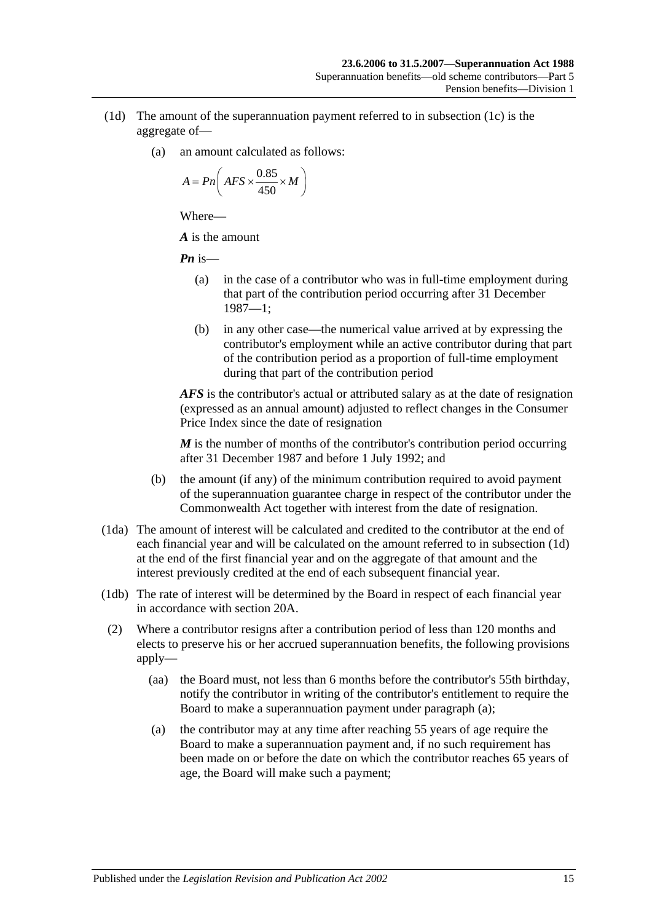- <span id="page-66-0"></span>(1d) The amount of the superannuation payment referred to in [subsection](#page-65-5) (1c) is the aggregate of—
	- (a) an amount calculated as follows:

$$
A = P n \left( AFS \times \frac{0.85}{450} \times M \right)
$$

*A* is the amount

*Pn* is—

- (a) in the case of a contributor who was in full-time employment during that part of the contribution period occurring after 31 December 1987—1;
- (b) in any other case—the numerical value arrived at by expressing the contributor's employment while an active contributor during that part of the contribution period as a proportion of full-time employment during that part of the contribution period

*AFS* is the contributor's actual or attributed salary as at the date of resignation (expressed as an annual amount) adjusted to reflect changes in the Consumer Price Index since the date of resignation

*M* is the number of months of the contributor's contribution period occurring after 31 December 1987 and before 1 July 1992; and

- (b) the amount (if any) of the minimum contribution required to avoid payment of the superannuation guarantee charge in respect of the contributor under the Commonwealth Act together with interest from the date of resignation.
- (1da) The amount of interest will be calculated and credited to the contributor at the end of each financial year and will be calculated on the amount referred to in [subsection](#page-66-0) (1d) at the end of the first financial year and on the aggregate of that amount and the interest previously credited at the end of each subsequent financial year.
- (1db) The rate of interest will be determined by the Board in respect of each financial year in accordance with [section](#page-21-0) 20A.
- <span id="page-66-2"></span><span id="page-66-1"></span>(2) Where a contributor resigns after a contribution period of less than 120 months and elects to preserve his or her accrued superannuation benefits, the following provisions apply—
	- (aa) the Board must, not less than 6 months before the contributor's 55th birthday, notify the contributor in writing of the contributor's entitlement to require the Board to make a superannuation payment under [paragraph](#page-66-1) (a);
	- (a) the contributor may at any time after reaching 55 years of age require the Board to make a superannuation payment and, if no such requirement has been made on or before the date on which the contributor reaches 65 years of age, the Board will make such a payment;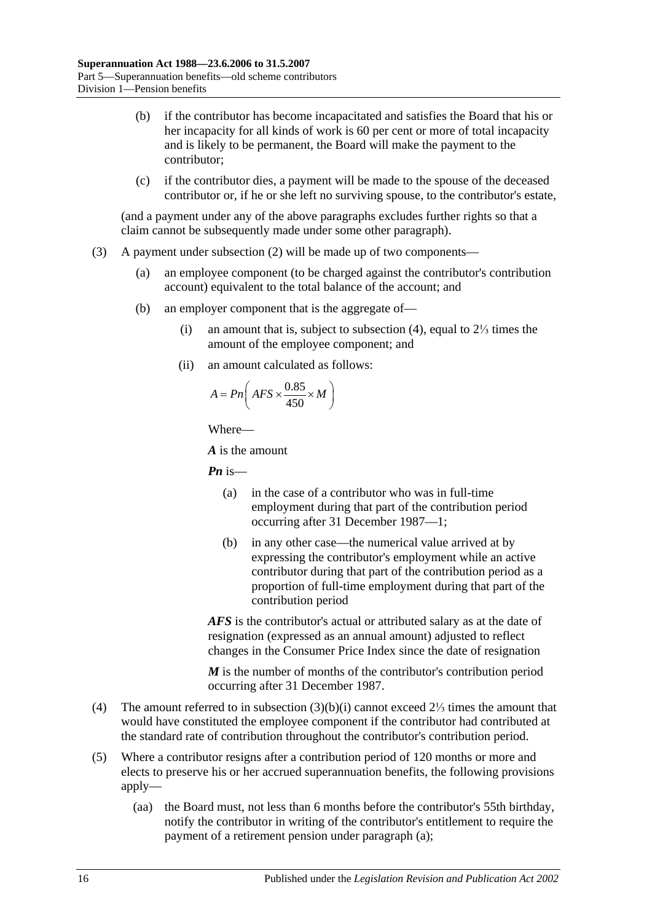- (b) if the contributor has become incapacitated and satisfies the Board that his or her incapacity for all kinds of work is 60 per cent or more of total incapacity and is likely to be permanent, the Board will make the payment to the contributor;
- (c) if the contributor dies, a payment will be made to the spouse of the deceased contributor or, if he or she left no surviving spouse, to the contributor's estate,

(and a payment under any of the above paragraphs excludes further rights so that a claim cannot be subsequently made under some other paragraph).

- <span id="page-67-1"></span>(3) A payment under [subsection](#page-66-2) (2) will be made up of two components—
	- (a) an employee component (to be charged against the contributor's contribution account) equivalent to the total balance of the account; and
	- (b) an employer component that is the aggregate of—
		- (i) an amount that is, subject to [subsection](#page-67-0) (4), equal to 2⅓ times the amount of the employee component; and
		- (ii) an amount calculated as follows:

$$
A = P_n \bigg( AFS \times \frac{0.85}{450} \times M \bigg)
$$

Where—

*A* is the amount

*Pn* is—

- (a) in the case of a contributor who was in full-time employment during that part of the contribution period occurring after 31 December 1987—1;
- (b) in any other case—the numerical value arrived at by expressing the contributor's employment while an active contributor during that part of the contribution period as a proportion of full-time employment during that part of the contribution period

*AFS* is the contributor's actual or attributed salary as at the date of resignation (expressed as an annual amount) adjusted to reflect changes in the Consumer Price Index since the date of resignation

*M* is the number of months of the contributor's contribution period occurring after 31 December 1987.

- <span id="page-67-0"></span>(4) The amount referred to in [subsection](#page-67-1) (3)(b)(i) cannot exceed 2⅓ times the amount that would have constituted the employee component if the contributor had contributed at the standard rate of contribution throughout the contributor's contribution period.
- <span id="page-67-2"></span>(5) Where a contributor resigns after a contribution period of 120 months or more and elects to preserve his or her accrued superannuation benefits, the following provisions apply—
	- (aa) the Board must, not less than 6 months before the contributor's 55th birthday, notify the contributor in writing of the contributor's entitlement to require the payment of a retirement pension under [paragraph](#page-68-0) (a);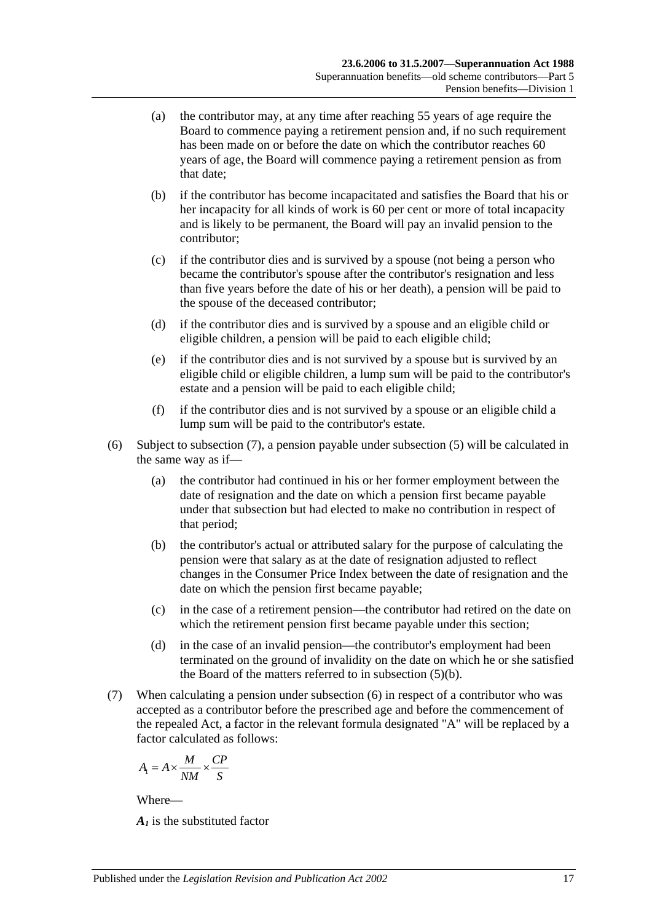- <span id="page-68-0"></span>(a) the contributor may, at any time after reaching 55 years of age require the Board to commence paying a retirement pension and, if no such requirement has been made on or before the date on which the contributor reaches 60 years of age, the Board will commence paying a retirement pension as from that date;
- <span id="page-68-2"></span>(b) if the contributor has become incapacitated and satisfies the Board that his or her incapacity for all kinds of work is 60 per cent or more of total incapacity and is likely to be permanent, the Board will pay an invalid pension to the contributor;
- (c) if the contributor dies and is survived by a spouse (not being a person who became the contributor's spouse after the contributor's resignation and less than five years before the date of his or her death), a pension will be paid to the spouse of the deceased contributor;
- (d) if the contributor dies and is survived by a spouse and an eligible child or eligible children, a pension will be paid to each eligible child;
- (e) if the contributor dies and is not survived by a spouse but is survived by an eligible child or eligible children, a lump sum will be paid to the contributor's estate and a pension will be paid to each eligible child;
- (f) if the contributor dies and is not survived by a spouse or an eligible child a lump sum will be paid to the contributor's estate.
- <span id="page-68-3"></span>(6) Subject to [subsection](#page-68-1) (7), a pension payable under [subsection](#page-67-2) (5) will be calculated in the same way as if—
	- (a) the contributor had continued in his or her former employment between the date of resignation and the date on which a pension first became payable under that subsection but had elected to make no contribution in respect of that period;
	- (b) the contributor's actual or attributed salary for the purpose of calculating the pension were that salary as at the date of resignation adjusted to reflect changes in the Consumer Price Index between the date of resignation and the date on which the pension first became payable;
	- (c) in the case of a retirement pension—the contributor had retired on the date on which the retirement pension first became payable under this section;
	- (d) in the case of an invalid pension—the contributor's employment had been terminated on the ground of invalidity on the date on which he or she satisfied the Board of the matters referred to in [subsection](#page-68-2) (5)(b).
- <span id="page-68-1"></span>(7) When calculating a pension under [subsection](#page-68-3) (6) in respect of a contributor who was accepted as a contributor before the prescribed age and before the commencement of the repealed Act, a factor in the relevant formula designated "A" will be replaced by a factor calculated as follows:

$$
A_1 = A \times \frac{M}{NM} \times \frac{CP}{S}
$$

*A1* is the substituted factor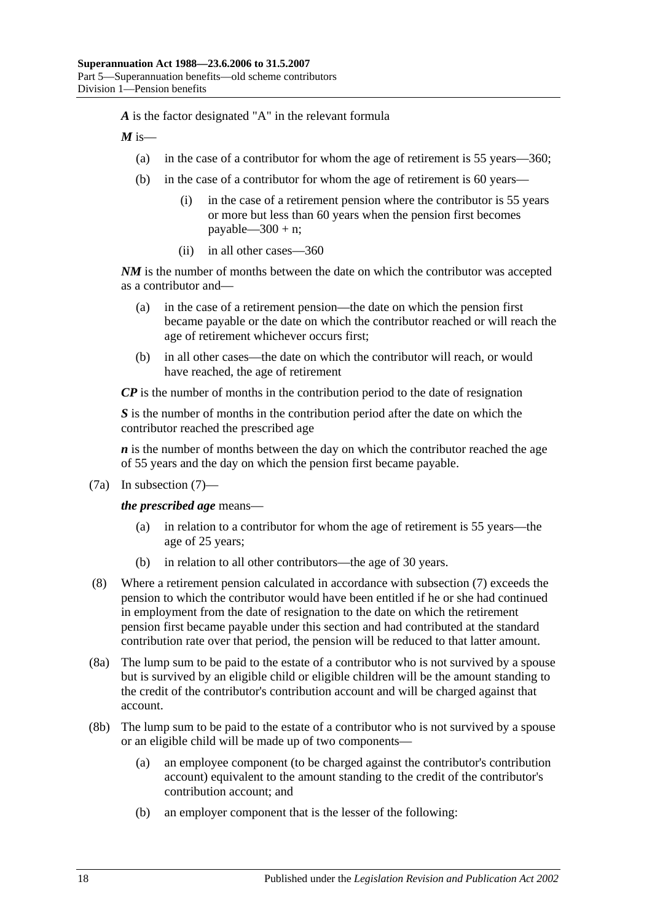*A* is the factor designated "A" in the relevant formula

 $M$  is—

- (a) in the case of a contributor for whom the age of retirement is 55 years—360;
- (b) in the case of a contributor for whom the age of retirement is 60 years—
	- (i) in the case of a retirement pension where the contributor is 55 years or more but less than 60 years when the pension first becomes payable— $300 + n$ ;
	- (ii) in all other cases—360

*NM* is the number of months between the date on which the contributor was accepted as a contributor and—

- (a) in the case of a retirement pension—the date on which the pension first became payable or the date on which the contributor reached or will reach the age of retirement whichever occurs first;
- (b) in all other cases—the date on which the contributor will reach, or would have reached, the age of retirement

*CP* is the number of months in the contribution period to the date of resignation

*S* is the number of months in the contribution period after the date on which the contributor reached the prescribed age

*n* is the number of months between the day on which the contributor reached the age of 55 years and the day on which the pension first became payable.

(7a) In [subsection](#page-68-1) (7)—

*the prescribed age* means—

- (a) in relation to a contributor for whom the age of retirement is 55 years—the age of 25 years;
- (b) in relation to all other contributors—the age of 30 years.
- (8) Where a retirement pension calculated in accordance with [subsection](#page-68-1) (7) exceeds the pension to which the contributor would have been entitled if he or she had continued in employment from the date of resignation to the date on which the retirement pension first became payable under this section and had contributed at the standard contribution rate over that period, the pension will be reduced to that latter amount.
- (8a) The lump sum to be paid to the estate of a contributor who is not survived by a spouse but is survived by an eligible child or eligible children will be the amount standing to the credit of the contributor's contribution account and will be charged against that account.
- (8b) The lump sum to be paid to the estate of a contributor who is not survived by a spouse or an eligible child will be made up of two components—
	- (a) an employee component (to be charged against the contributor's contribution account) equivalent to the amount standing to the credit of the contributor's contribution account; and
	- (b) an employer component that is the lesser of the following: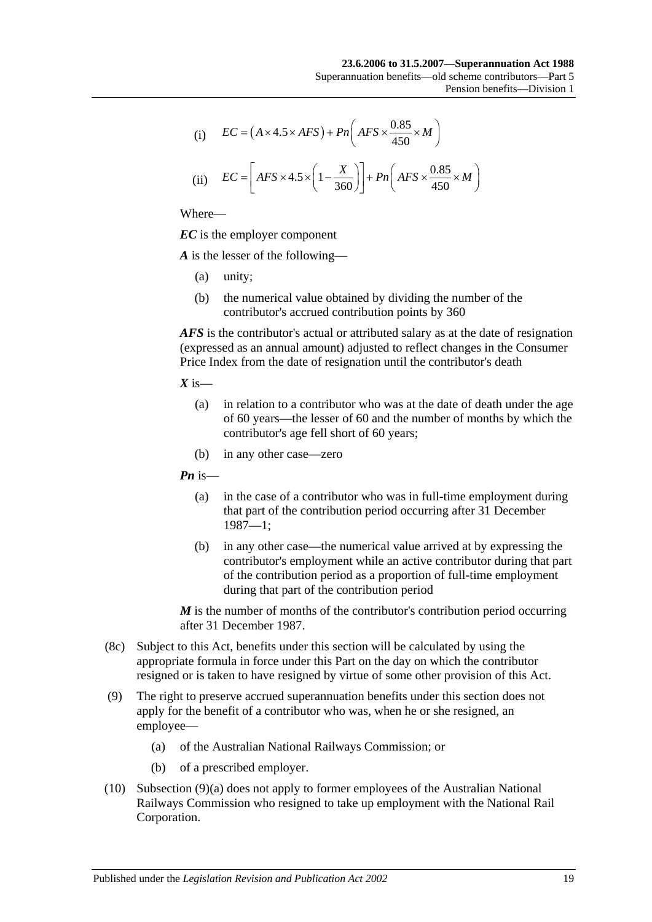(i) 
$$
EC = (A \times 4.5 \times AFS) + Pn\left(AFS \times \frac{0.85}{450} \times M\right)
$$

(ii) 
$$
EC = \left[ AFS \times 4.5 \times \left(1 - \frac{X}{360}\right) \right] + Pn\left( AFS \times \frac{0.85}{450} \times M\right)
$$

*EC* is the employer component

*A* is the lesser of the following—

- (a) unity;
- (b) the numerical value obtained by dividing the number of the contributor's accrued contribution points by 360

*AFS* is the contributor's actual or attributed salary as at the date of resignation (expressed as an annual amount) adjusted to reflect changes in the Consumer Price Index from the date of resignation until the contributor's death

 $X$  is—

- (a) in relation to a contributor who was at the date of death under the age of 60 years—the lesser of 60 and the number of months by which the contributor's age fell short of 60 years;
- (b) in any other case—zero

*Pn* is—

- (a) in the case of a contributor who was in full-time employment during that part of the contribution period occurring after 31 December 1987—1;
- (b) in any other case—the numerical value arrived at by expressing the contributor's employment while an active contributor during that part of the contribution period as a proportion of full-time employment during that part of the contribution period

*M* is the number of months of the contributor's contribution period occurring after 31 December 1987.

- (8c) Subject to this Act, benefits under this section will be calculated by using the appropriate formula in force under this Part on the day on which the contributor resigned or is taken to have resigned by virtue of some other provision of this Act.
- <span id="page-70-0"></span>(9) The right to preserve accrued superannuation benefits under this section does not apply for the benefit of a contributor who was, when he or she resigned, an employee—
	- (a) of the Australian National Railways Commission; or
	- (b) of a prescribed employer.
- (10) [Subsection](#page-70-0) (9)(a) does not apply to former employees of the Australian National Railways Commission who resigned to take up employment with the National Rail Corporation.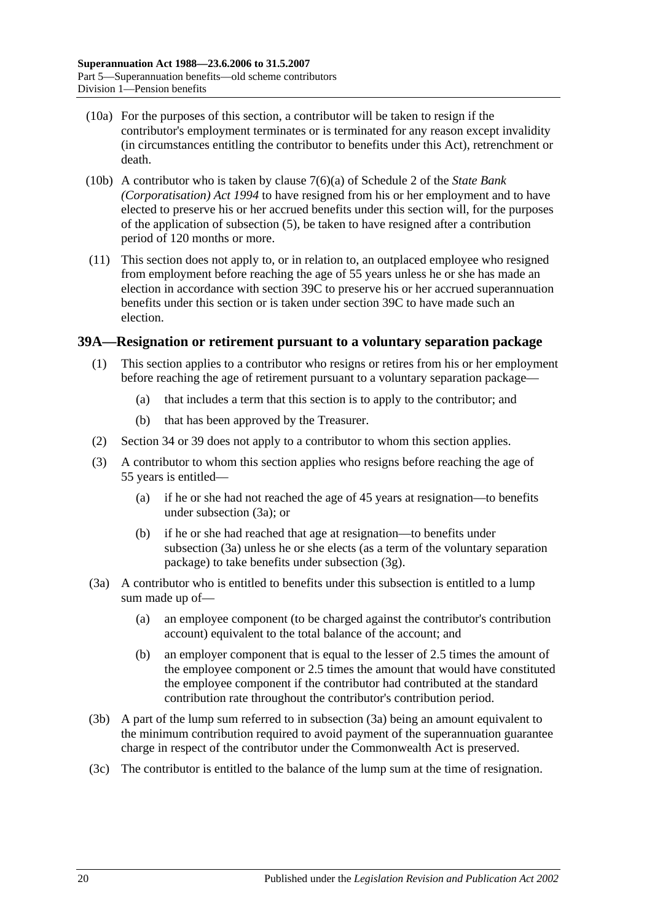- (10a) For the purposes of this section, a contributor will be taken to resign if the contributor's employment terminates or is terminated for any reason except invalidity (in circumstances entitling the contributor to benefits under this Act), retrenchment or death.
- (10b) A contributor who is taken by clause 7(6)(a) of Schedule 2 of the *[State Bank](http://www.legislation.sa.gov.au/index.aspx?action=legref&type=act&legtitle=State%20Bank%20(Corporatisation)%20Act%201994)  [\(Corporatisation\) Act](http://www.legislation.sa.gov.au/index.aspx?action=legref&type=act&legtitle=State%20Bank%20(Corporatisation)%20Act%201994) 1994* to have resigned from his or her employment and to have elected to preserve his or her accrued benefits under this section will, for the purposes of the application of [subsection](#page-67-2) (5), be taken to have resigned after a contribution period of 120 months or more.
- (11) This section does not apply to, or in relation to, an outplaced employee who resigned from employment before reaching the age of 55 years unless he or she has made an election in accordance with [section](#page-74-0) 39C to preserve his or her accrued superannuation benefits under this section or is taken under [section](#page-74-0) 39C to have made such an election.

### **39A—Resignation or retirement pursuant to a voluntary separation package**

- (1) This section applies to a contributor who resigns or retires from his or her employment before reaching the age of retirement pursuant to a voluntary separation package—
	- (a) that includes a term that this section is to apply to the contributor; and
	- (b) that has been approved by the Treasurer.
- (2) [Section](#page-52-0) 34 or [39](#page-65-6) does not apply to a contributor to whom this section applies.
- (3) A contributor to whom this section applies who resigns before reaching the age of 55 years is entitled—
	- (a) if he or she had not reached the age of 45 years at resignation—to benefits under [subsection](#page-71-0) (3a); or
	- (b) if he or she had reached that age at resignation—to benefits under [subsection](#page-71-0) (3a) unless he or she elects (as a term of the voluntary separation package) to take benefits under [subsection](#page-72-0) (3g).
- <span id="page-71-0"></span>(3a) A contributor who is entitled to benefits under this subsection is entitled to a lump sum made up of—
	- (a) an employee component (to be charged against the contributor's contribution account) equivalent to the total balance of the account; and
	- (b) an employer component that is equal to the lesser of 2.5 times the amount of the employee component or 2.5 times the amount that would have constituted the employee component if the contributor had contributed at the standard contribution rate throughout the contributor's contribution period.
- (3b) A part of the lump sum referred to in [subsection](#page-71-0) (3a) being an amount equivalent to the minimum contribution required to avoid payment of the superannuation guarantee charge in respect of the contributor under the Commonwealth Act is preserved.
- (3c) The contributor is entitled to the balance of the lump sum at the time of resignation.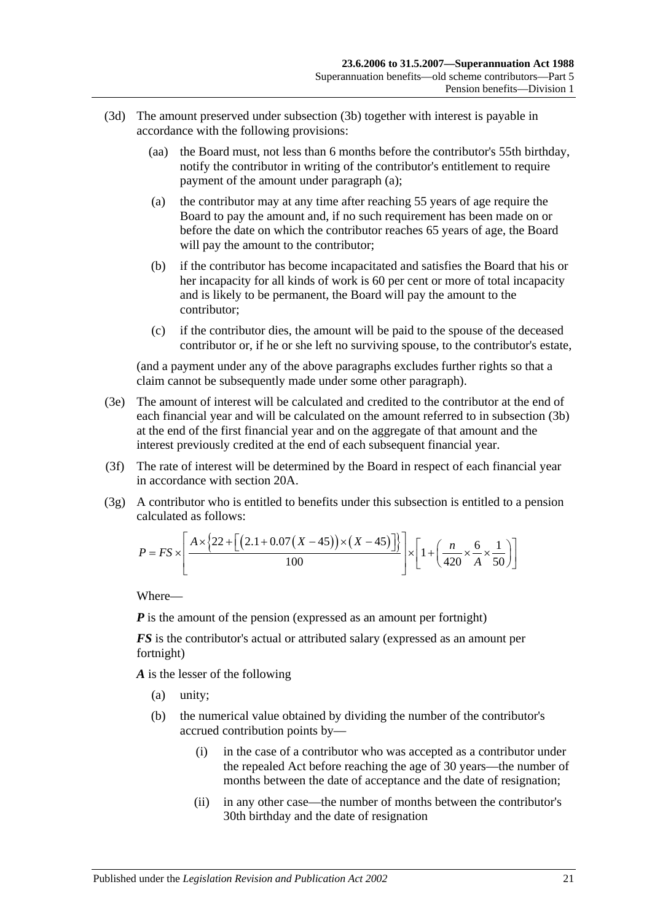- <span id="page-72-0"></span>(3d) The amount preserved under [subsection](#page-71-0) (3b) together with interest is payable in accordance with the following provisions:
	- (aa) the Board must, not less than 6 months before the contributor's 55th birthday, notify the contributor in writing of the contributor's entitlement to require payment of the amount under [paragraph](#page-72-0) (a);
	- (a) the contributor may at any time after reaching 55 years of age require the Board to pay the amount and, if no such requirement has been made on or before the date on which the contributor reaches 65 years of age, the Board will pay the amount to the contributor;
	- (b) if the contributor has become incapacitated and satisfies the Board that his or her incapacity for all kinds of work is 60 per cent or more of total incapacity and is likely to be permanent, the Board will pay the amount to the contributor;
	- (c) if the contributor dies, the amount will be paid to the spouse of the deceased contributor or, if he or she left no surviving spouse, to the contributor's estate,

(and a payment under any of the above paragraphs excludes further rights so that a claim cannot be subsequently made under some other paragraph).

- (3e) The amount of interest will be calculated and credited to the contributor at the end of each financial year and will be calculated on the amount referred to in [subsection](#page-71-0) (3b) at the end of the first financial year and on the aggregate of that amount and the interest previously credited at the end of each subsequent financial year.
- (3f) The rate of interest will be determined by the Board in respect of each financial year in accordance with [section](#page-21-0) 20A.
- (3g) A contributor who is entitled to benefits under this subsection is entitled to a pension calculated as follows:

$$
P = FS \times \left[ \frac{A \times \{22 + \left[ (2.1 + 0.07(X - 45)) \times (X - 45) \right] \} }{100} \right] \times \left[ 1 + \left( \frac{n}{420} \times \frac{6}{A} \times \frac{1}{50} \right) \right]
$$

Where—

*P* is the amount of the pension (expressed as an amount per fortnight)

*FS* is the contributor's actual or attributed salary (expressed as an amount per fortnight)

*A* is the lesser of the following

- (a) unity;
- (b) the numerical value obtained by dividing the number of the contributor's accrued contribution points by—
	- (i) in the case of a contributor who was accepted as a contributor under the repealed Act before reaching the age of 30 years—the number of months between the date of acceptance and the date of resignation;
	- (ii) in any other case—the number of months between the contributor's 30th birthday and the date of resignation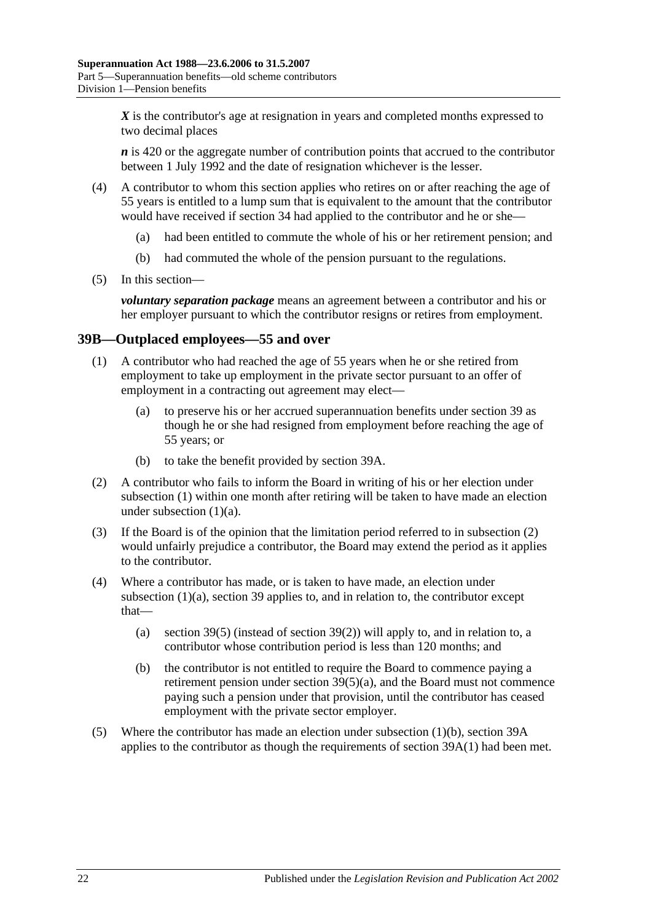X is the contributor's age at resignation in years and completed months expressed to two decimal places

*n* is 420 or the aggregate number of contribution points that accrued to the contributor between 1 July 1992 and the date of resignation whichever is the lesser.

- (4) A contributor to whom this section applies who retires on or after reaching the age of 55 years is entitled to a lump sum that is equivalent to the amount that the contributor would have received if [section](#page-52-0) 34 had applied to the contributor and he or she—
	- (a) had been entitled to commute the whole of his or her retirement pension; and
	- (b) had commuted the whole of the pension pursuant to the regulations.
- (5) In this section—

*voluntary separation package* means an agreement between a contributor and his or her employer pursuant to which the contributor resigns or retires from employment.

### <span id="page-73-0"></span>**39B—Outplaced employees—55 and over**

- <span id="page-73-1"></span>(1) A contributor who had reached the age of 55 years when he or she retired from employment to take up employment in the private sector pursuant to an offer of employment in a contracting out agreement may elect—
	- (a) to preserve his or her accrued superannuation benefits under [section](#page-65-0) 39 as though he or she had resigned from employment before reaching the age of 55 years; or
	- (b) to take the benefit provided by [section](#page-71-1) 39A.
- <span id="page-73-3"></span><span id="page-73-2"></span>(2) A contributor who fails to inform the Board in writing of his or her election under [subsection](#page-73-0) (1) within one month after retiring will be taken to have made an election under [subsection](#page-73-1)  $(1)(a)$ .
- (3) If the Board is of the opinion that the limitation period referred to in [subsection](#page-73-2) (2) would unfairly prejudice a contributor, the Board may extend the period as it applies to the contributor.
- (4) Where a contributor has made, or is taken to have made, an election under [subsection](#page-73-1) (1)(a), [section](#page-65-0) 39 applies to, and in relation to, the contributor except that
	- (a) [section](#page-67-0) 39(5) (instead of [section](#page-66-0) 39(2)) will apply to, and in relation to, a contributor whose contribution period is less than 120 months; and
	- (b) the contributor is not entitled to require the Board to commence paying a retirement pension under section [39\(5\)\(a\),](#page-68-0) and the Board must not commence paying such a pension under that provision, until the contributor has ceased employment with the private sector employer.
- (5) Where the contributor has made an election under [subsection](#page-73-3) (1)(b), [section](#page-71-1) 39A applies to the contributor as though the requirements of [section](#page-71-2) 39A(1) had been met.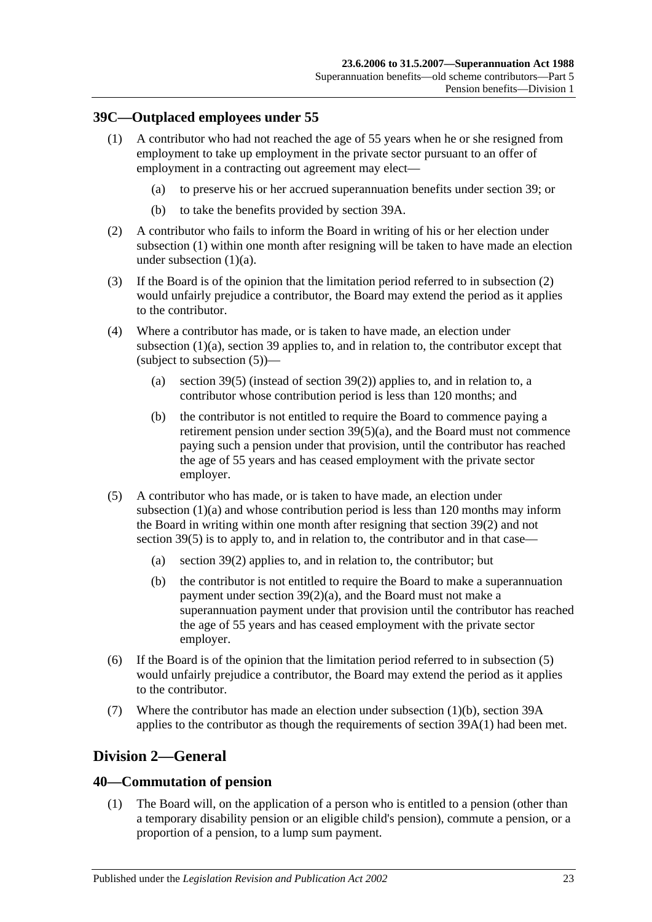# <span id="page-74-0"></span>**39C—Outplaced employees under 55**

- <span id="page-74-1"></span>(1) A contributor who had not reached the age of 55 years when he or she resigned from employment to take up employment in the private sector pursuant to an offer of employment in a contracting out agreement may elect—
	- (a) to preserve his or her accrued superannuation benefits under [section](#page-65-0) 39; or
	- (b) to take the benefits provided by [section](#page-71-1) 39A.
- <span id="page-74-4"></span><span id="page-74-2"></span>(2) A contributor who fails to inform the Board in writing of his or her election under [subsection](#page-74-0) (1) within one month after resigning will be taken to have made an election under [subsection](#page-74-1) (1)(a).
- (3) If the Board is of the opinion that the limitation period referred to in [subsection](#page-74-2) (2) would unfairly prejudice a contributor, the Board may extend the period as it applies to the contributor.
- (4) Where a contributor has made, or is taken to have made, an election under [subsection](#page-74-1) (1)(a), [section](#page-65-0) 39 applies to, and in relation to, the contributor except that (subject to [subsection](#page-74-3) (5))—
	- (a) [section](#page-67-0) 39(5) (instead of [section](#page-66-0) 39(2)) applies to, and in relation to, a contributor whose contribution period is less than 120 months; and
	- (b) the contributor is not entitled to require the Board to commence paying a retirement pension under section [39\(5\)\(a\),](#page-68-0) and the Board must not commence paying such a pension under that provision, until the contributor has reached the age of 55 years and has ceased employment with the private sector employer.
- <span id="page-74-3"></span>(5) A contributor who has made, or is taken to have made, an election under [subsection](#page-74-1) (1)(a) and whose contribution period is less than 120 months may inform the Board in writing within one month after resigning that [section](#page-66-0) 39(2) and not [section](#page-67-0) 39(5) is to apply to, and in relation to, the contributor and in that case—
	- (a) [section](#page-66-0) 39(2) applies to, and in relation to, the contributor; but
	- (b) the contributor is not entitled to require the Board to make a superannuation payment under section [39\(2\)\(a\),](#page-66-1) and the Board must not make a superannuation payment under that provision until the contributor has reached the age of 55 years and has ceased employment with the private sector employer.
- (6) If the Board is of the opinion that the limitation period referred to in [subsection](#page-74-3) (5) would unfairly prejudice a contributor, the Board may extend the period as it applies to the contributor.
- (7) Where the contributor has made an election under [subsection](#page-74-4) (1)(b), [section](#page-71-1) 39A applies to the contributor as though the requirements of [section](#page-71-2) 39A(1) had been met.

# **Division 2—General**

# <span id="page-74-5"></span>**40—Commutation of pension**

(1) The Board will, on the application of a person who is entitled to a pension (other than a temporary disability pension or an eligible child's pension), commute a pension, or a proportion of a pension, to a lump sum payment.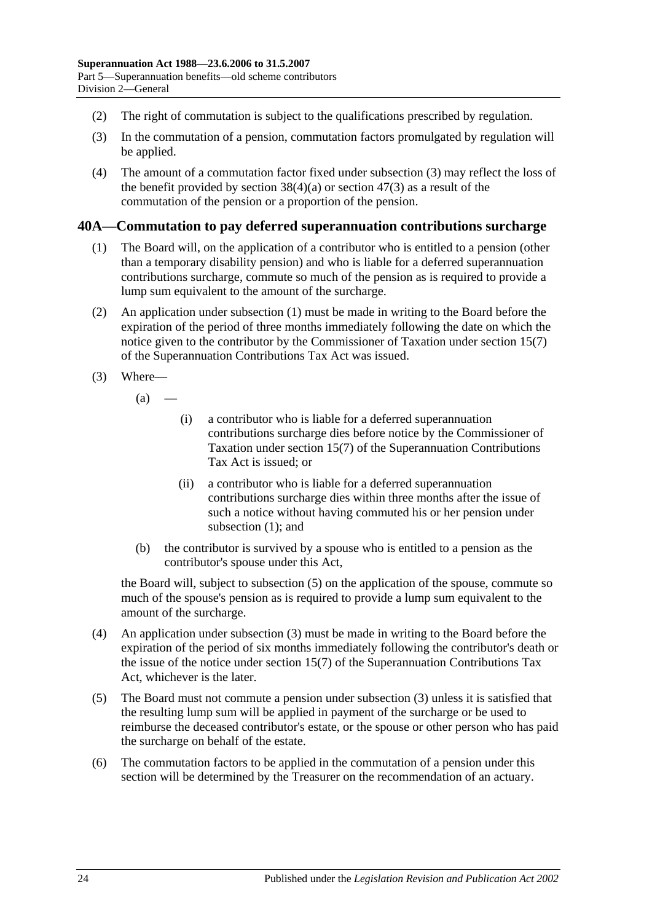- (2) The right of commutation is subject to the qualifications prescribed by regulation.
- <span id="page-75-0"></span>(3) In the commutation of a pension, commutation factors promulgated by regulation will be applied.
- (4) The amount of a commutation factor fixed under [subsection](#page-75-0) (3) may reflect the loss of the benefit provided by [section](#page-91-0)  $38(4)(a)$  or section  $47(3)$  as a result of the commutation of the pension or a proportion of the pension.

### <span id="page-75-1"></span>**40A—Commutation to pay deferred superannuation contributions surcharge**

- (1) The Board will, on the application of a contributor who is entitled to a pension (other than a temporary disability pension) and who is liable for a deferred superannuation contributions surcharge, commute so much of the pension as is required to provide a lump sum equivalent to the amount of the surcharge.
- (2) An application under [subsection](#page-75-1) (1) must be made in writing to the Board before the expiration of the period of three months immediately following the date on which the notice given to the contributor by the Commissioner of Taxation under section 15(7) of the Superannuation Contributions Tax Act was issued.
- <span id="page-75-3"></span>(3) Where—
	- $(a)$ 
		- (i) a contributor who is liable for a deferred superannuation contributions surcharge dies before notice by the Commissioner of Taxation under section 15(7) of the Superannuation Contributions Tax Act is issued; or
		- (ii) a contributor who is liable for a deferred superannuation contributions surcharge dies within three months after the issue of such a notice without having commuted his or her pension under [subsection](#page-75-1) (1); and
	- (b) the contributor is survived by a spouse who is entitled to a pension as the contributor's spouse under this Act,

the Board will, subject to [subsection](#page-75-2) (5) on the application of the spouse, commute so much of the spouse's pension as is required to provide a lump sum equivalent to the amount of the surcharge.

- (4) An application under [subsection](#page-75-3) (3) must be made in writing to the Board before the expiration of the period of six months immediately following the contributor's death or the issue of the notice under section 15(7) of the Superannuation Contributions Tax Act, whichever is the later.
- <span id="page-75-2"></span>(5) The Board must not commute a pension under [subsection](#page-75-3) (3) unless it is satisfied that the resulting lump sum will be applied in payment of the surcharge or be used to reimburse the deceased contributor's estate, or the spouse or other person who has paid the surcharge on behalf of the estate.
- (6) The commutation factors to be applied in the commutation of a pension under this section will be determined by the Treasurer on the recommendation of an actuary.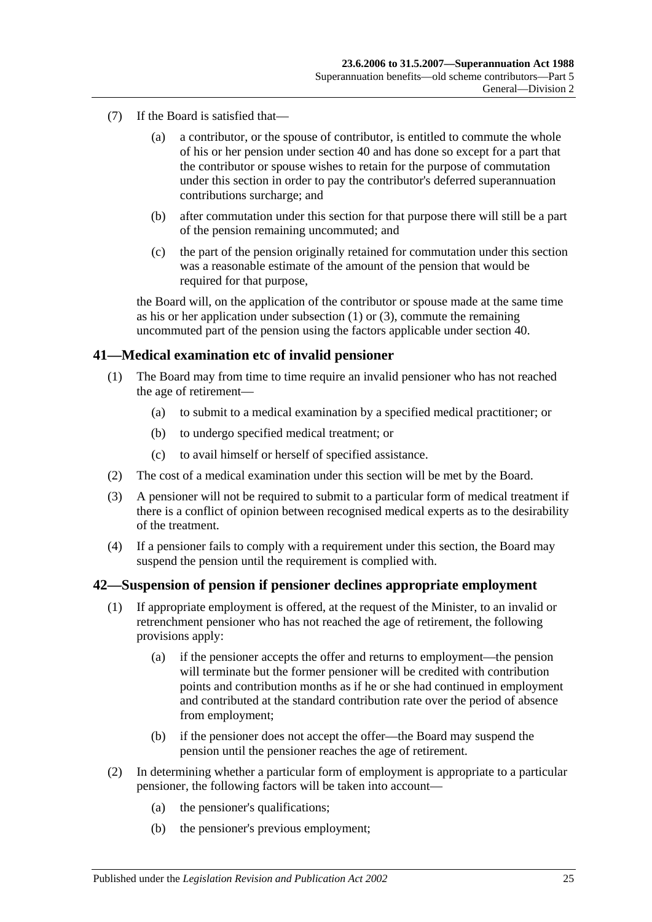- (7) If the Board is satisfied that—
	- (a) a contributor, or the spouse of contributor, is entitled to commute the whole of his or her pension under [section](#page-74-5) 40 and has done so except for a part that the contributor or spouse wishes to retain for the purpose of commutation under this section in order to pay the contributor's deferred superannuation contributions surcharge; and
	- (b) after commutation under this section for that purpose there will still be a part of the pension remaining uncommuted; and
	- (c) the part of the pension originally retained for commutation under this section was a reasonable estimate of the amount of the pension that would be required for that purpose,

the Board will, on the application of the contributor or spouse made at the same time as his or her application under [subsection](#page-75-1)  $(1)$  or  $(3)$ , commute the remaining uncommuted part of the pension using the factors applicable under [section](#page-74-5) 40.

### **41—Medical examination etc of invalid pensioner**

- (1) The Board may from time to time require an invalid pensioner who has not reached the age of retirement—
	- (a) to submit to a medical examination by a specified medical practitioner; or
	- (b) to undergo specified medical treatment; or
	- (c) to avail himself or herself of specified assistance.
- (2) The cost of a medical examination under this section will be met by the Board.
- (3) A pensioner will not be required to submit to a particular form of medical treatment if there is a conflict of opinion between recognised medical experts as to the desirability of the treatment.
- (4) If a pensioner fails to comply with a requirement under this section, the Board may suspend the pension until the requirement is complied with.

#### <span id="page-76-0"></span>**42—Suspension of pension if pensioner declines appropriate employment**

- (1) If appropriate employment is offered, at the request of the Minister, to an invalid or retrenchment pensioner who has not reached the age of retirement, the following provisions apply:
	- (a) if the pensioner accepts the offer and returns to employment—the pension will terminate but the former pensioner will be credited with contribution points and contribution months as if he or she had continued in employment and contributed at the standard contribution rate over the period of absence from employment;
	- (b) if the pensioner does not accept the offer—the Board may suspend the pension until the pensioner reaches the age of retirement.
- (2) In determining whether a particular form of employment is appropriate to a particular pensioner, the following factors will be taken into account—
	- (a) the pensioner's qualifications;
	- (b) the pensioner's previous employment;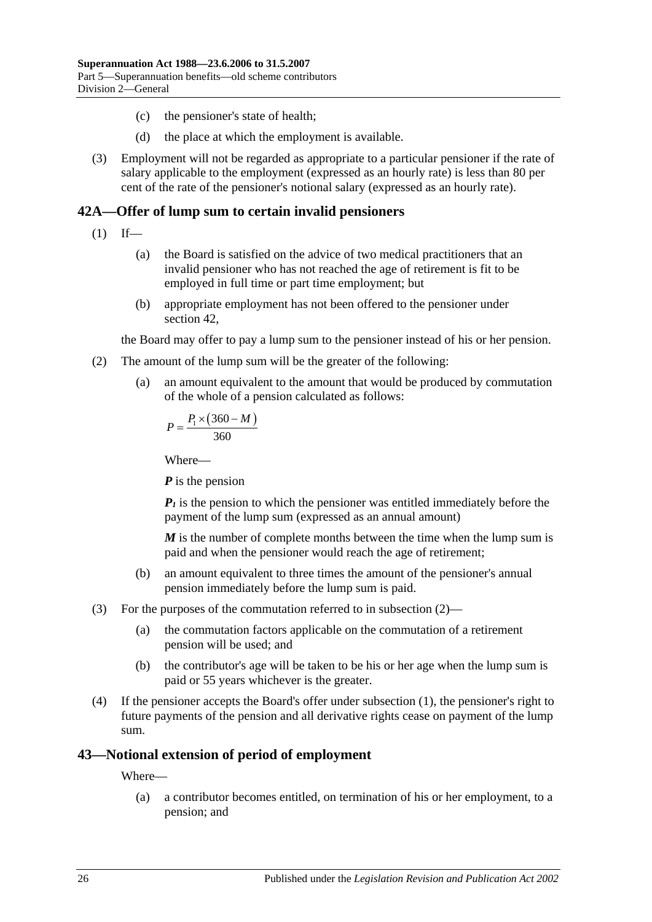- (c) the pensioner's state of health;
- (d) the place at which the employment is available.
- (3) Employment will not be regarded as appropriate to a particular pensioner if the rate of salary applicable to the employment (expressed as an hourly rate) is less than 80 per cent of the rate of the pensioner's notional salary (expressed as an hourly rate).

# <span id="page-77-1"></span>**42A—Offer of lump sum to certain invalid pensioners**

- $(1)$  If—
	- (a) the Board is satisfied on the advice of two medical practitioners that an invalid pensioner who has not reached the age of retirement is fit to be employed in full time or part time employment; but
	- (b) appropriate employment has not been offered to the pensioner under [section](#page-76-0) 42,

the Board may offer to pay a lump sum to the pensioner instead of his or her pension.

- <span id="page-77-0"></span>(2) The amount of the lump sum will be the greater of the following:
	- (a) an amount equivalent to the amount that would be produced by commutation of the whole of a pension calculated as follows:

$$
P = \frac{P_1 \times (360 - M)}{360}
$$

Where—

*P* is the pension

 $P_1$  is the pension to which the pensioner was entitled immediately before the payment of the lump sum (expressed as an annual amount)

*M* is the number of complete months between the time when the lump sum is paid and when the pensioner would reach the age of retirement;

- (b) an amount equivalent to three times the amount of the pensioner's annual pension immediately before the lump sum is paid.
- (3) For the purposes of the commutation referred to in [subsection](#page-77-0) (2)—
	- (a) the commutation factors applicable on the commutation of a retirement pension will be used; and
	- (b) the contributor's age will be taken to be his or her age when the lump sum is paid or 55 years whichever is the greater.
- (4) If the pensioner accepts the Board's offer under [subsection](#page-77-1) (1), the pensioner's right to future payments of the pension and all derivative rights cease on payment of the lump sum.

# **43—Notional extension of period of employment**

Where—

(a) a contributor becomes entitled, on termination of his or her employment, to a pension; and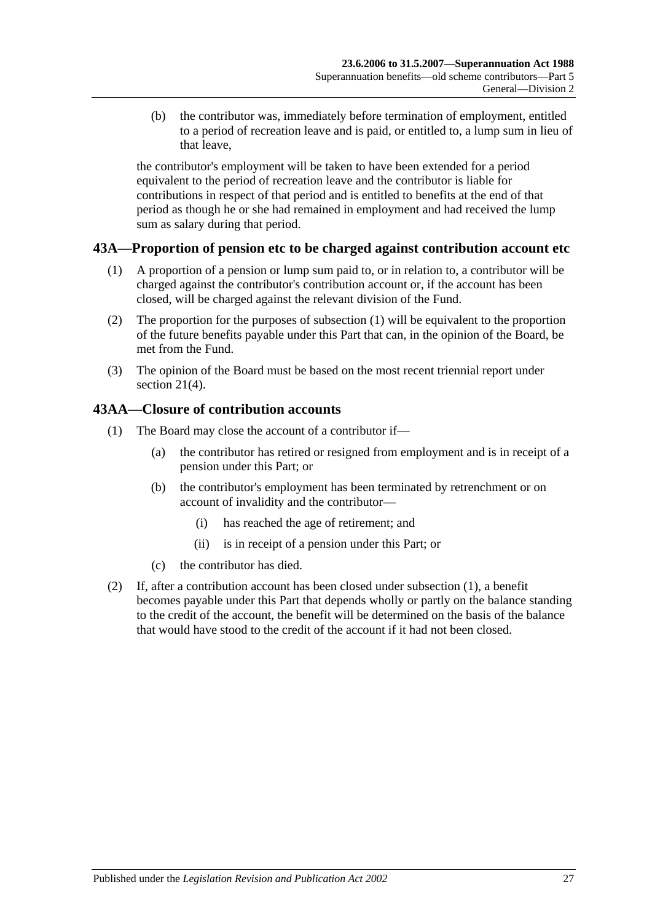(b) the contributor was, immediately before termination of employment, entitled to a period of recreation leave and is paid, or entitled to, a lump sum in lieu of that leave,

the contributor's employment will be taken to have been extended for a period equivalent to the period of recreation leave and the contributor is liable for contributions in respect of that period and is entitled to benefits at the end of that period as though he or she had remained in employment and had received the lump sum as salary during that period.

# <span id="page-78-0"></span>**43A—Proportion of pension etc to be charged against contribution account etc**

- (1) A proportion of a pension or lump sum paid to, or in relation to, a contributor will be charged against the contributor's contribution account or, if the account has been closed, will be charged against the relevant division of the Fund.
- (2) The proportion for the purposes of [subsection](#page-78-0) (1) will be equivalent to the proportion of the future benefits payable under this Part that can, in the opinion of the Board, be met from the Fund.
- (3) The opinion of the Board must be based on the most recent triennial report under [section](#page-23-0) 21(4).

# <span id="page-78-1"></span>**43AA—Closure of contribution accounts**

- (1) The Board may close the account of a contributor if—
	- (a) the contributor has retired or resigned from employment and is in receipt of a pension under this Part; or
	- (b) the contributor's employment has been terminated by retrenchment or on account of invalidity and the contributor—
		- (i) has reached the age of retirement; and
		- (ii) is in receipt of a pension under this Part; or
	- (c) the contributor has died.
- (2) If, after a contribution account has been closed under [subsection](#page-78-1) (1), a benefit becomes payable under this Part that depends wholly or partly on the balance standing to the credit of the account, the benefit will be determined on the basis of the balance that would have stood to the credit of the account if it had not been closed.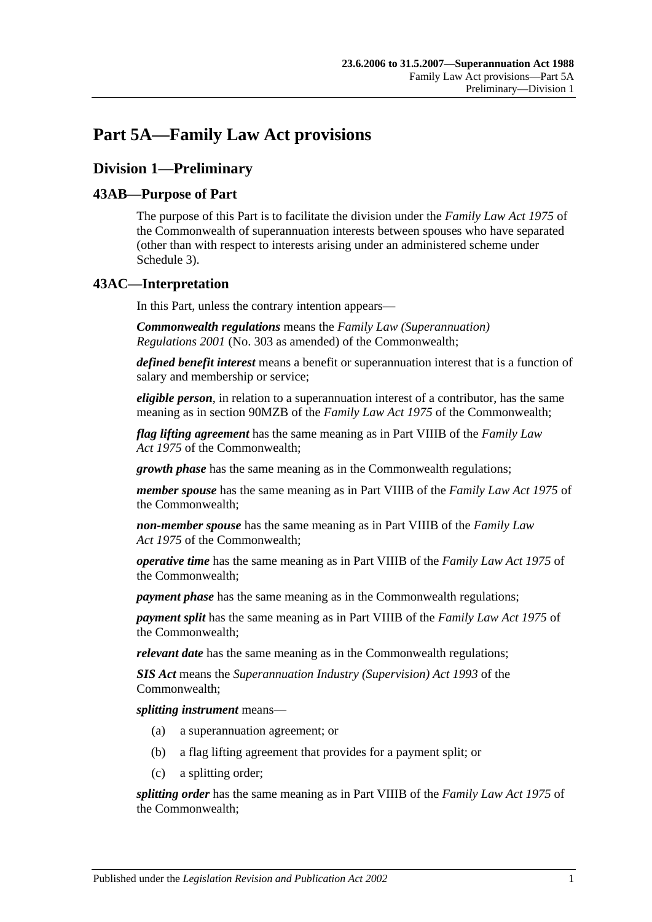# **Part 5A—Family Law Act provisions**

# **Division 1—Preliminary**

# **43AB—Purpose of Part**

The purpose of this Part is to facilitate the division under the *Family Law Act 1975* of the Commonwealth of superannuation interests between spouses who have separated (other than with respect to interests arising under an administered scheme under [Schedule 3\)](#page-122-0).

# **43AC—Interpretation**

In this Part, unless the contrary intention appears—

*Commonwealth regulations* means the *Family Law (Superannuation) Regulations 2001* (No. 303 as amended) of the Commonwealth;

*defined benefit interest* means a benefit or superannuation interest that is a function of salary and membership or service;

*eligible person*, in relation to a superannuation interest of a contributor, has the same meaning as in section 90MZB of the *Family Law Act 1975* of the Commonwealth;

*flag lifting agreement* has the same meaning as in Part VIIIB of the *Family Law Act 1975* of the Commonwealth;

*growth phase* has the same meaning as in the Commonwealth regulations;

*member spouse* has the same meaning as in Part VIIIB of the *Family Law Act 1975* of the Commonwealth;

*non-member spouse* has the same meaning as in Part VIIIB of the *Family Law Act 1975* of the Commonwealth;

*operative time* has the same meaning as in Part VIIIB of the *Family Law Act 1975* of the Commonwealth;

*payment phase* has the same meaning as in the Commonwealth regulations;

*payment split* has the same meaning as in Part VIIIB of the *Family Law Act 1975* of the Commonwealth;

*relevant date* has the same meaning as in the Commonwealth regulations;

*SIS Act* means the *Superannuation Industry (Supervision) Act 1993* of the Commonwealth;

*splitting instrument* means—

- (a) a superannuation agreement; or
- (b) a flag lifting agreement that provides for a payment split; or
- (c) a splitting order;

*splitting order* has the same meaning as in Part VIIIB of the *Family Law Act 1975* of the Commonwealth;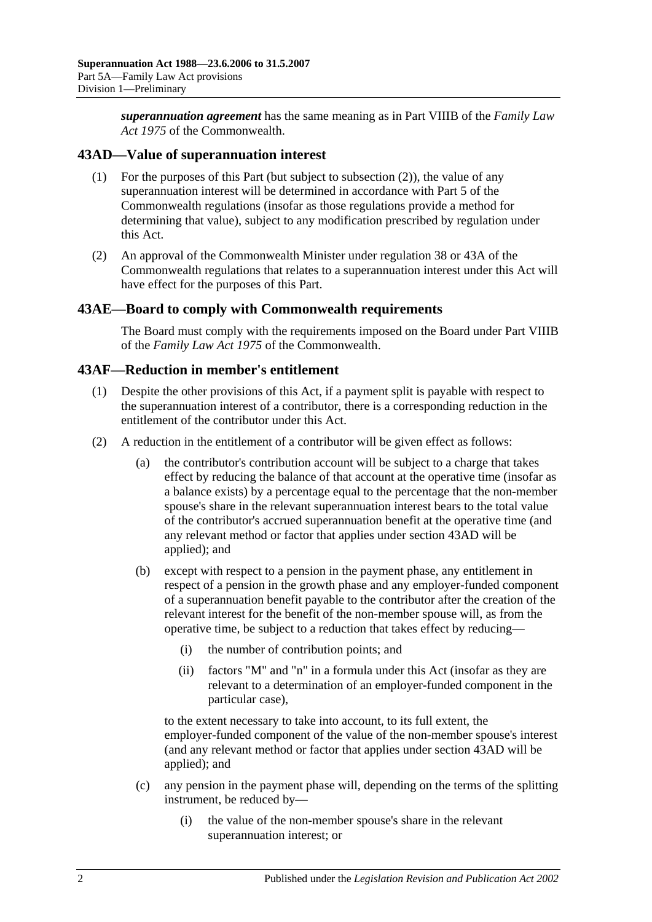*superannuation agreement* has the same meaning as in Part VIIIB of the *Family Law Act 1975* of the Commonwealth.

# <span id="page-81-1"></span>**43AD—Value of superannuation interest**

- (1) For the purposes of this Part (but subject to [subsection](#page-81-0) (2)), the value of any superannuation interest will be determined in accordance with Part 5 of the Commonwealth regulations (insofar as those regulations provide a method for determining that value), subject to any modification prescribed by regulation under this Act.
- <span id="page-81-0"></span>(2) An approval of the Commonwealth Minister under regulation 38 or 43A of the Commonwealth regulations that relates to a superannuation interest under this Act will have effect for the purposes of this Part.

# **43AE—Board to comply with Commonwealth requirements**

The Board must comply with the requirements imposed on the Board under Part VIIIB of the *Family Law Act 1975* of the Commonwealth.

# **43AF—Reduction in member's entitlement**

- (1) Despite the other provisions of this Act, if a payment split is payable with respect to the superannuation interest of a contributor, there is a corresponding reduction in the entitlement of the contributor under this Act.
- <span id="page-81-2"></span>(2) A reduction in the entitlement of a contributor will be given effect as follows:
	- (a) the contributor's contribution account will be subject to a charge that takes effect by reducing the balance of that account at the operative time (insofar as a balance exists) by a percentage equal to the percentage that the non-member spouse's share in the relevant superannuation interest bears to the total value of the contributor's accrued superannuation benefit at the operative time (and any relevant method or factor that applies under [section](#page-81-1) 43AD will be applied); and
	- (b) except with respect to a pension in the payment phase, any entitlement in respect of a pension in the growth phase and any employer-funded component of a superannuation benefit payable to the contributor after the creation of the relevant interest for the benefit of the non-member spouse will, as from the operative time, be subject to a reduction that takes effect by reducing—
		- (i) the number of contribution points; and
		- (ii) factors "M" and "n" in a formula under this Act (insofar as they are relevant to a determination of an employer-funded component in the particular case),

to the extent necessary to take into account, to its full extent, the employer-funded component of the value of the non-member spouse's interest (and any relevant method or factor that applies under [section](#page-81-1) 43AD will be applied); and

- (c) any pension in the payment phase will, depending on the terms of the splitting instrument, be reduced by—
	- (i) the value of the non-member spouse's share in the relevant superannuation interest; or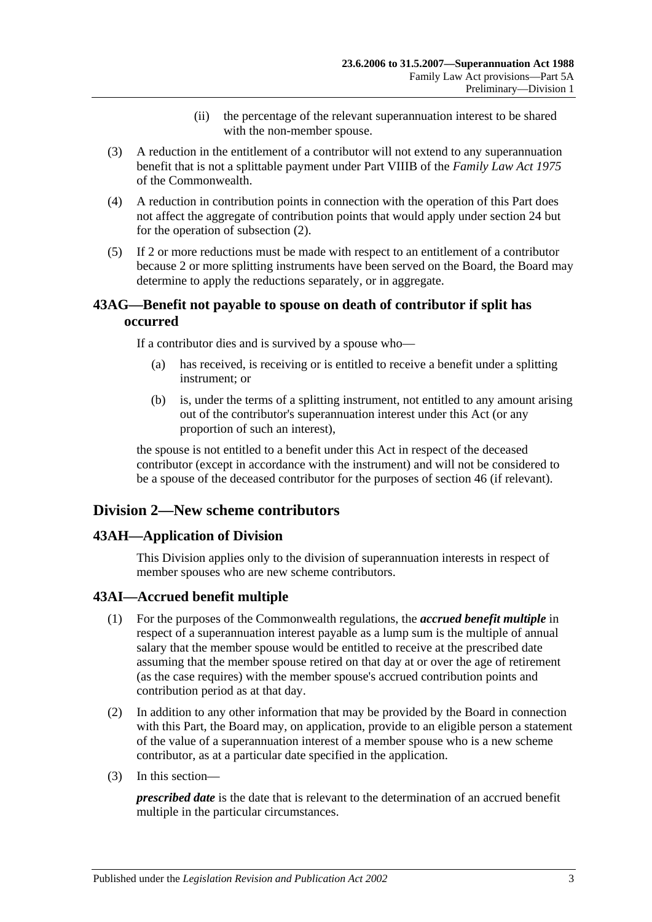- (ii) the percentage of the relevant superannuation interest to be shared with the non-member spouse.
- (3) A reduction in the entitlement of a contributor will not extend to any superannuation benefit that is not a splittable payment under Part VIIIB of the *Family Law Act 1975* of the Commonwealth.
- (4) A reduction in contribution points in connection with the operation of this Part does not affect the aggregate of contribution points that would apply under [section](#page-28-0) 24 but for the operation of [subsection](#page-81-2) (2).
- (5) If 2 or more reductions must be made with respect to an entitlement of a contributor because 2 or more splitting instruments have been served on the Board, the Board may determine to apply the reductions separately, or in aggregate.

# **43AG—Benefit not payable to spouse on death of contributor if split has occurred**

If a contributor dies and is survived by a spouse who—

- (a) has received, is receiving or is entitled to receive a benefit under a splitting instrument; or
- (b) is, under the terms of a splitting instrument, not entitled to any amount arising out of the contributor's superannuation interest under this Act (or any proportion of such an interest),

the spouse is not entitled to a benefit under this Act in respect of the deceased contributor (except in accordance with the instrument) and will not be considered to be a spouse of the deceased contributor for the purposes of [section](#page-90-0) 46 (if relevant).

# **Division 2—New scheme contributors**

# **43AH—Application of Division**

This Division applies only to the division of superannuation interests in respect of member spouses who are new scheme contributors.

# **43AI—Accrued benefit multiple**

- (1) For the purposes of the Commonwealth regulations, the *accrued benefit multiple* in respect of a superannuation interest payable as a lump sum is the multiple of annual salary that the member spouse would be entitled to receive at the prescribed date assuming that the member spouse retired on that day at or over the age of retirement (as the case requires) with the member spouse's accrued contribution points and contribution period as at that day.
- (2) In addition to any other information that may be provided by the Board in connection with this Part, the Board may, on application, provide to an eligible person a statement of the value of a superannuation interest of a member spouse who is a new scheme contributor, as at a particular date specified in the application.
- (3) In this section—

*prescribed date* is the date that is relevant to the determination of an accrued benefit multiple in the particular circumstances.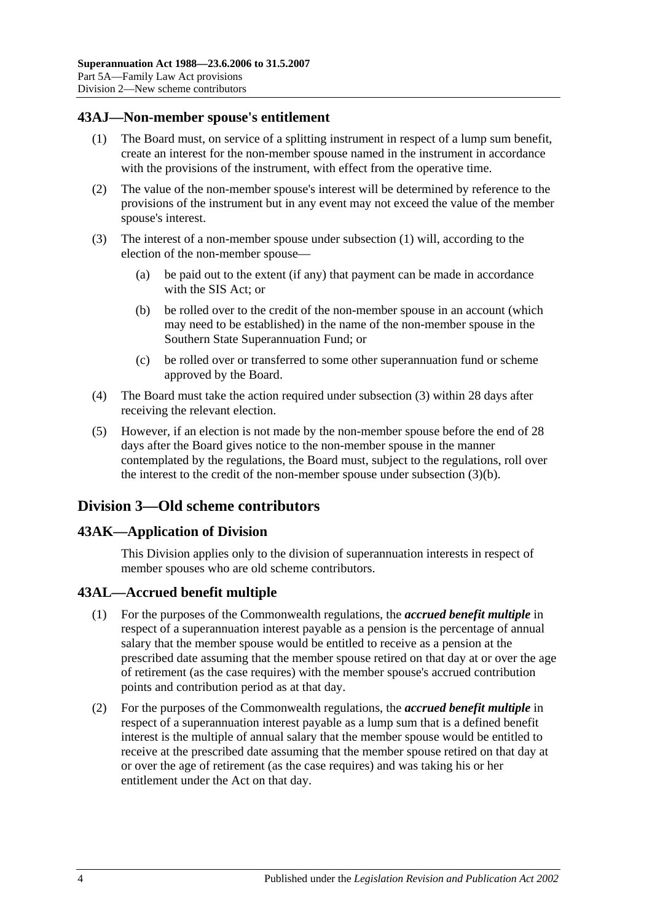# <span id="page-83-0"></span>**43AJ—Non-member spouse's entitlement**

- (1) The Board must, on service of a splitting instrument in respect of a lump sum benefit, create an interest for the non-member spouse named in the instrument in accordance with the provisions of the instrument, with effect from the operative time.
- (2) The value of the non-member spouse's interest will be determined by reference to the provisions of the instrument but in any event may not exceed the value of the member spouse's interest.
- <span id="page-83-2"></span><span id="page-83-1"></span>(3) The interest of a non-member spouse under [subsection](#page-83-0) (1) will, according to the election of the non-member spouse—
	- (a) be paid out to the extent (if any) that payment can be made in accordance with the SIS Act; or
	- (b) be rolled over to the credit of the non-member spouse in an account (which may need to be established) in the name of the non-member spouse in the Southern State Superannuation Fund; or
	- (c) be rolled over or transferred to some other superannuation fund or scheme approved by the Board.
- (4) The Board must take the action required under [subsection](#page-83-1) (3) within 28 days after receiving the relevant election.
- (5) However, if an election is not made by the non-member spouse before the end of 28 days after the Board gives notice to the non-member spouse in the manner contemplated by the regulations, the Board must, subject to the regulations, roll over the interest to the credit of the non-member spouse under [subsection](#page-83-2) (3)(b).

# **Division 3—Old scheme contributors**

# **43AK—Application of Division**

This Division applies only to the division of superannuation interests in respect of member spouses who are old scheme contributors.

#### **43AL—Accrued benefit multiple**

- (1) For the purposes of the Commonwealth regulations, the *accrued benefit multiple* in respect of a superannuation interest payable as a pension is the percentage of annual salary that the member spouse would be entitled to receive as a pension at the prescribed date assuming that the member spouse retired on that day at or over the age of retirement (as the case requires) with the member spouse's accrued contribution points and contribution period as at that day.
- (2) For the purposes of the Commonwealth regulations, the *accrued benefit multiple* in respect of a superannuation interest payable as a lump sum that is a defined benefit interest is the multiple of annual salary that the member spouse would be entitled to receive at the prescribed date assuming that the member spouse retired on that day at or over the age of retirement (as the case requires) and was taking his or her entitlement under the Act on that day.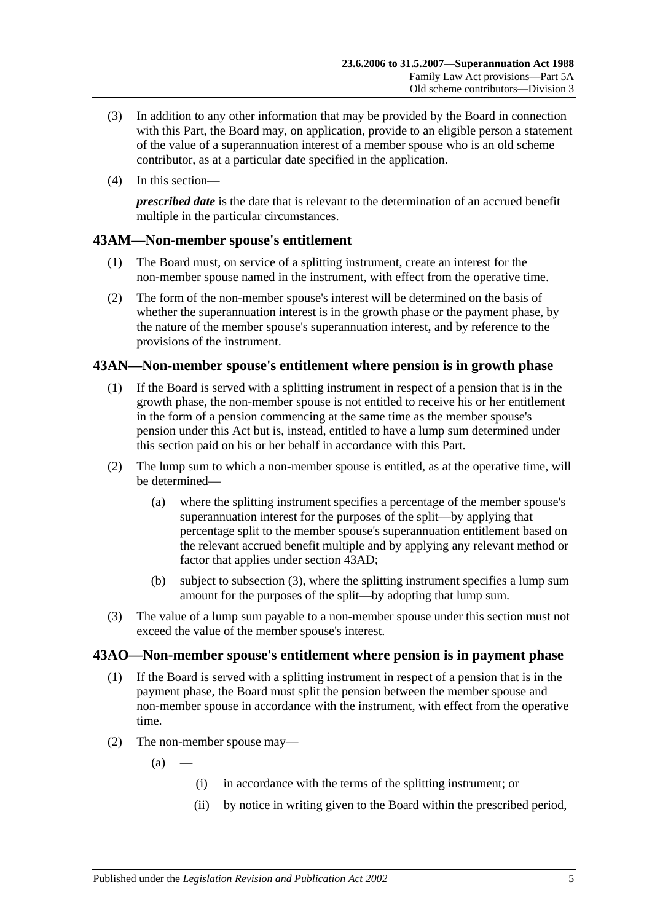- (3) In addition to any other information that may be provided by the Board in connection with this Part, the Board may, on application, provide to an eligible person a statement of the value of a superannuation interest of a member spouse who is an old scheme contributor, as at a particular date specified in the application.
- (4) In this section—

*prescribed date* is the date that is relevant to the determination of an accrued benefit multiple in the particular circumstances.

# **43AM—Non-member spouse's entitlement**

- (1) The Board must, on service of a splitting instrument, create an interest for the non-member spouse named in the instrument, with effect from the operative time.
- (2) The form of the non-member spouse's interest will be determined on the basis of whether the superannuation interest is in the growth phase or the payment phase, by the nature of the member spouse's superannuation interest, and by reference to the provisions of the instrument.

# **43AN—Non-member spouse's entitlement where pension is in growth phase**

- (1) If the Board is served with a splitting instrument in respect of a pension that is in the growth phase, the non-member spouse is not entitled to receive his or her entitlement in the form of a pension commencing at the same time as the member spouse's pension under this Act but is, instead, entitled to have a lump sum determined under this section paid on his or her behalf in accordance with this Part.
- (2) The lump sum to which a non-member spouse is entitled, as at the operative time, will be determined—
	- (a) where the splitting instrument specifies a percentage of the member spouse's superannuation interest for the purposes of the split—by applying that percentage split to the member spouse's superannuation entitlement based on the relevant accrued benefit multiple and by applying any relevant method or factor that applies under [section](#page-81-1) 43AD;
	- (b) subject to [subsection](#page-84-0) (3), where the splitting instrument specifies a lump sum amount for the purposes of the split—by adopting that lump sum.
- <span id="page-84-0"></span>(3) The value of a lump sum payable to a non-member spouse under this section must not exceed the value of the member spouse's interest.

# <span id="page-84-1"></span>**43AO—Non-member spouse's entitlement where pension is in payment phase**

- (1) If the Board is served with a splitting instrument in respect of a pension that is in the payment phase, the Board must split the pension between the member spouse and non-member spouse in accordance with the instrument, with effect from the operative time.
- (2) The non-member spouse may—

 $(a)$ 

- (i) in accordance with the terms of the splitting instrument; or
- (ii) by notice in writing given to the Board within the prescribed period,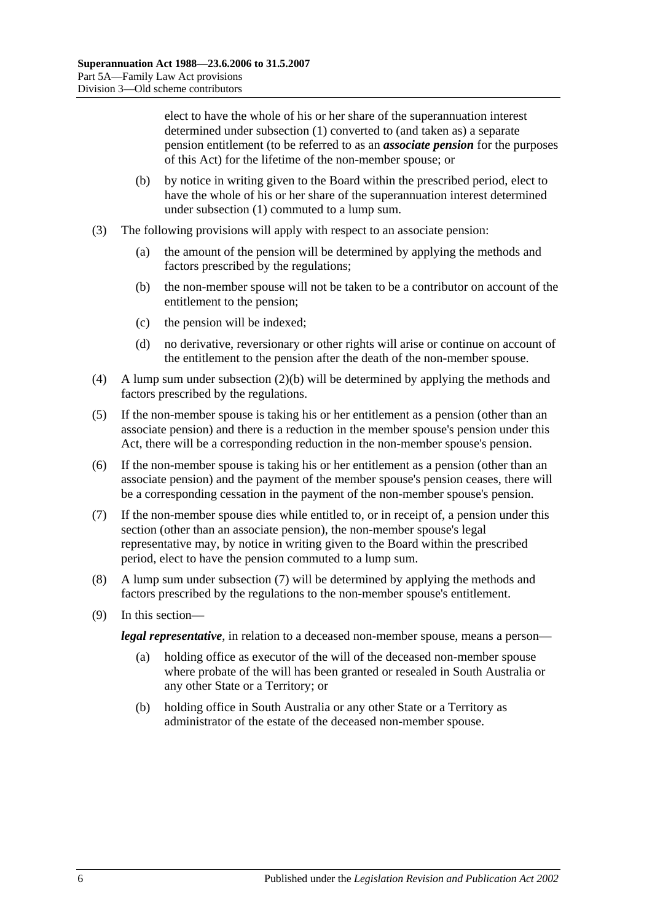elect to have the whole of his or her share of the superannuation interest determined under [subsection](#page-84-1) (1) converted to (and taken as) a separate pension entitlement (to be referred to as an *associate pension* for the purposes of this Act) for the lifetime of the non-member spouse; or

- <span id="page-85-0"></span>(b) by notice in writing given to the Board within the prescribed period, elect to have the whole of his or her share of the superannuation interest determined under [subsection](#page-84-1) (1) commuted to a lump sum.
- (3) The following provisions will apply with respect to an associate pension:
	- (a) the amount of the pension will be determined by applying the methods and factors prescribed by the regulations;
	- (b) the non-member spouse will not be taken to be a contributor on account of the entitlement to the pension;
	- (c) the pension will be indexed;
	- (d) no derivative, reversionary or other rights will arise or continue on account of the entitlement to the pension after the death of the non-member spouse.
- (4) A lump sum under [subsection](#page-85-0) (2)(b) will be determined by applying the methods and factors prescribed by the regulations.
- (5) If the non-member spouse is taking his or her entitlement as a pension (other than an associate pension) and there is a reduction in the member spouse's pension under this Act, there will be a corresponding reduction in the non-member spouse's pension.
- (6) If the non-member spouse is taking his or her entitlement as a pension (other than an associate pension) and the payment of the member spouse's pension ceases, there will be a corresponding cessation in the payment of the non-member spouse's pension.
- <span id="page-85-1"></span>(7) If the non-member spouse dies while entitled to, or in receipt of, a pension under this section (other than an associate pension), the non-member spouse's legal representative may, by notice in writing given to the Board within the prescribed period, elect to have the pension commuted to a lump sum.
- (8) A lump sum under [subsection](#page-85-1) (7) will be determined by applying the methods and factors prescribed by the regulations to the non-member spouse's entitlement.
- (9) In this section—

*legal representative*, in relation to a deceased non-member spouse, means a person—

- (a) holding office as executor of the will of the deceased non-member spouse where probate of the will has been granted or resealed in South Australia or any other State or a Territory; or
- (b) holding office in South Australia or any other State or a Territory as administrator of the estate of the deceased non-member spouse.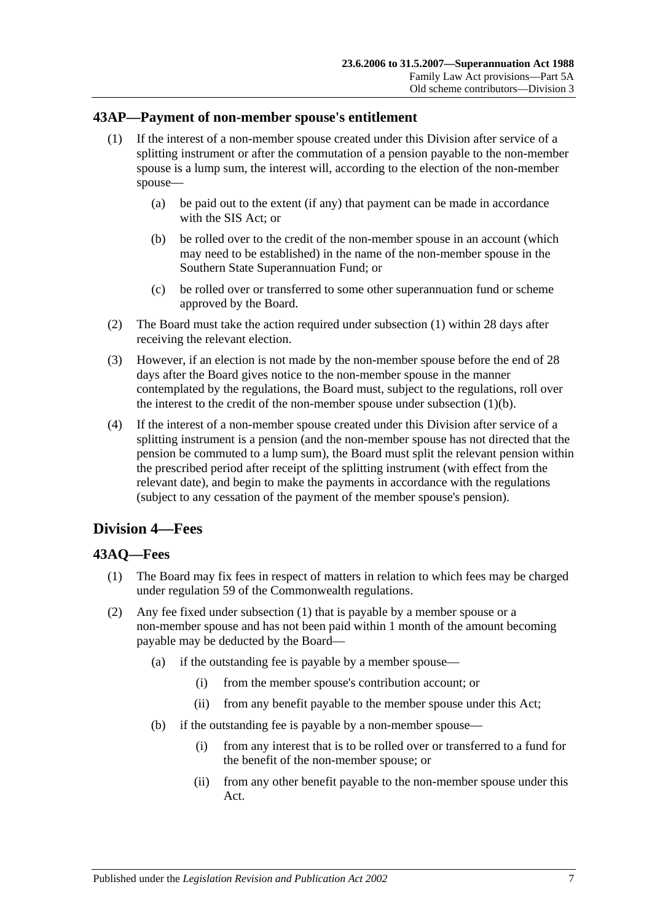# <span id="page-86-0"></span>**43AP—Payment of non-member spouse's entitlement**

- (1) If the interest of a non-member spouse created under this Division after service of a splitting instrument or after the commutation of a pension payable to the non-member spouse is a lump sum, the interest will, according to the election of the non-member spouse—
	- (a) be paid out to the extent (if any) that payment can be made in accordance with the SIS Act; or
	- (b) be rolled over to the credit of the non-member spouse in an account (which may need to be established) in the name of the non-member spouse in the Southern State Superannuation Fund; or
	- (c) be rolled over or transferred to some other superannuation fund or scheme approved by the Board.
- <span id="page-86-1"></span>(2) The Board must take the action required under [subsection](#page-86-0) (1) within 28 days after receiving the relevant election.
- (3) However, if an election is not made by the non-member spouse before the end of 28 days after the Board gives notice to the non-member spouse in the manner contemplated by the regulations, the Board must, subject to the regulations, roll over the interest to the credit of the non-member spouse under [subsection](#page-86-1)  $(1)(b)$ .
- (4) If the interest of a non-member spouse created under this Division after service of a splitting instrument is a pension (and the non-member spouse has not directed that the pension be commuted to a lump sum), the Board must split the relevant pension within the prescribed period after receipt of the splitting instrument (with effect from the relevant date), and begin to make the payments in accordance with the regulations (subject to any cessation of the payment of the member spouse's pension).

# **Division 4—Fees**

# <span id="page-86-2"></span>**43AQ—Fees**

- (1) The Board may fix fees in respect of matters in relation to which fees may be charged under regulation 59 of the Commonwealth regulations.
- (2) Any fee fixed under [subsection](#page-86-2) (1) that is payable by a member spouse or a non-member spouse and has not been paid within 1 month of the amount becoming payable may be deducted by the Board—
	- (a) if the outstanding fee is payable by a member spouse—
		- (i) from the member spouse's contribution account; or
		- (ii) from any benefit payable to the member spouse under this Act;
	- (b) if the outstanding fee is payable by a non-member spouse—
		- (i) from any interest that is to be rolled over or transferred to a fund for the benefit of the non-member spouse; or
		- (ii) from any other benefit payable to the non-member spouse under this Act.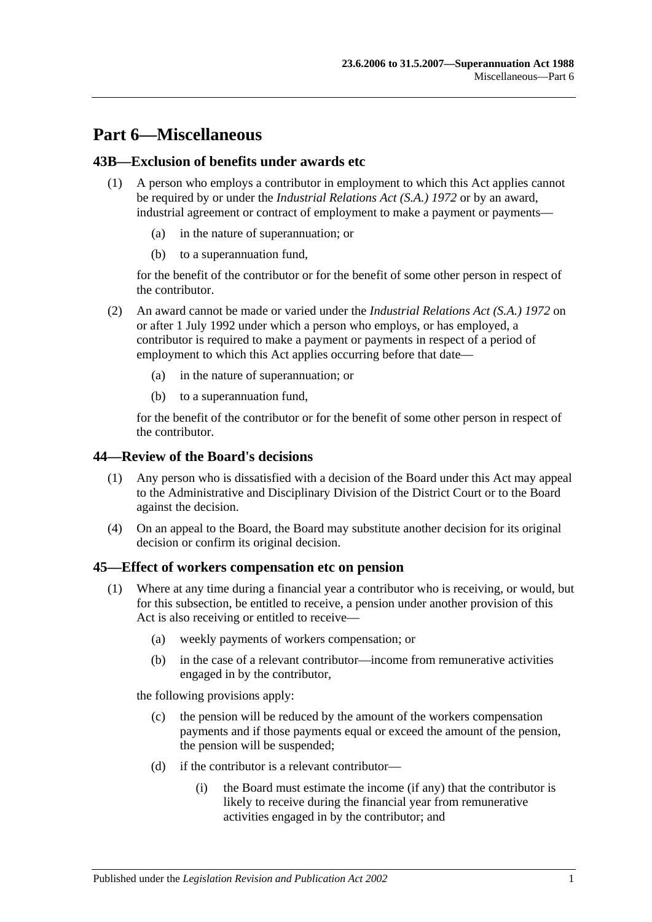# **Part 6—Miscellaneous**

# **43B—Exclusion of benefits under awards etc**

- (1) A person who employs a contributor in employment to which this Act applies cannot be required by or under the *[Industrial Relations Act \(S.A.\)](http://www.legislation.sa.gov.au/index.aspx?action=legref&type=act&legtitle=Industrial%20Relations%20Act%20(S.A.)%201972) 1972* or by an award, industrial agreement or contract of employment to make a payment or payments
	- in the nature of superannuation; or
	- (b) to a superannuation fund,

for the benefit of the contributor or for the benefit of some other person in respect of the contributor.

- (2) An award cannot be made or varied under the *[Industrial Relations Act \(S.A.\)](http://www.legislation.sa.gov.au/index.aspx?action=legref&type=act&legtitle=Industrial%20Relations%20Act%20(S.A.)%201972) 1972* on or after 1 July 1992 under which a person who employs, or has employed, a contributor is required to make a payment or payments in respect of a period of employment to which this Act applies occurring before that date—
	- (a) in the nature of superannuation; or
	- (b) to a superannuation fund,

for the benefit of the contributor or for the benefit of some other person in respect of the contributor.

#### **44—Review of the Board's decisions**

- (1) Any person who is dissatisfied with a decision of the Board under this Act may appeal to the Administrative and Disciplinary Division of the District Court or to the Board against the decision.
- (4) On an appeal to the Board, the Board may substitute another decision for its original decision or confirm its original decision.

#### <span id="page-88-1"></span>**45—Effect of workers compensation etc on pension**

- <span id="page-88-0"></span>(1) Where at any time during a financial year a contributor who is receiving, or would, but for this subsection, be entitled to receive, a pension under another provision of this Act is also receiving or entitled to receive—
	- (a) weekly payments of workers compensation; or
	- (b) in the case of a relevant contributor—income from remunerative activities engaged in by the contributor,

the following provisions apply:

- (c) the pension will be reduced by the amount of the workers compensation payments and if those payments equal or exceed the amount of the pension, the pension will be suspended;
- (d) if the contributor is a relevant contributor—
	- (i) the Board must estimate the income (if any) that the contributor is likely to receive during the financial year from remunerative activities engaged in by the contributor; and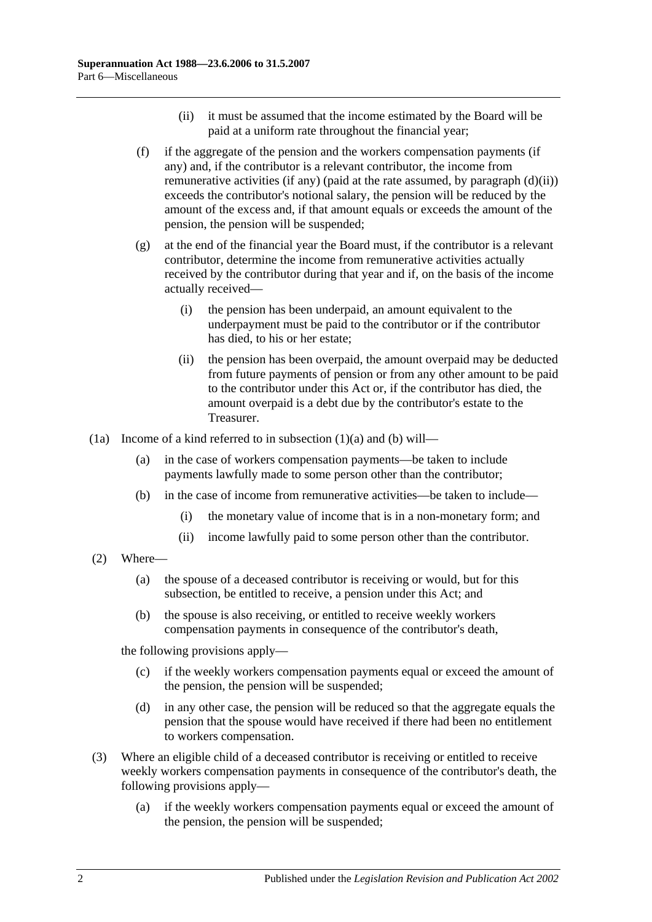- (ii) it must be assumed that the income estimated by the Board will be paid at a uniform rate throughout the financial year;
- <span id="page-89-2"></span><span id="page-89-0"></span>(f) if the aggregate of the pension and the workers compensation payments (if any) and, if the contributor is a relevant contributor, the income from remunerative activities (if any) (paid at the rate assumed, by [paragraph](#page-89-0)  $(d)(ii)$ ) exceeds the contributor's notional salary, the pension will be reduced by the amount of the excess and, if that amount equals or exceeds the amount of the pension, the pension will be suspended;
- (g) at the end of the financial year the Board must, if the contributor is a relevant contributor, determine the income from remunerative activities actually received by the contributor during that year and if, on the basis of the income actually received—
	- (i) the pension has been underpaid, an amount equivalent to the underpayment must be paid to the contributor or if the contributor has died, to his or her estate;
	- (ii) the pension has been overpaid, the amount overpaid may be deducted from future payments of pension or from any other amount to be paid to the contributor under this Act or, if the contributor has died, the amount overpaid is a debt due by the contributor's estate to the Treasurer.
- <span id="page-89-1"></span>(1a) Income of a kind referred to in [subsection](#page-88-0) (1)(a) and [\(b\)](#page-89-1) will—
	- (a) in the case of workers compensation payments—be taken to include payments lawfully made to some person other than the contributor;
	- (b) in the case of income from remunerative activities—be taken to include—
		- (i) the monetary value of income that is in a non-monetary form; and
		- (ii) income lawfully paid to some person other than the contributor.
- (2) Where—
	- (a) the spouse of a deceased contributor is receiving or would, but for this subsection, be entitled to receive, a pension under this Act; and
	- (b) the spouse is also receiving, or entitled to receive weekly workers compensation payments in consequence of the contributor's death,

the following provisions apply—

- (c) if the weekly workers compensation payments equal or exceed the amount of the pension, the pension will be suspended;
- (d) in any other case, the pension will be reduced so that the aggregate equals the pension that the spouse would have received if there had been no entitlement to workers compensation.
- (3) Where an eligible child of a deceased contributor is receiving or entitled to receive weekly workers compensation payments in consequence of the contributor's death, the following provisions apply—
	- (a) if the weekly workers compensation payments equal or exceed the amount of the pension, the pension will be suspended;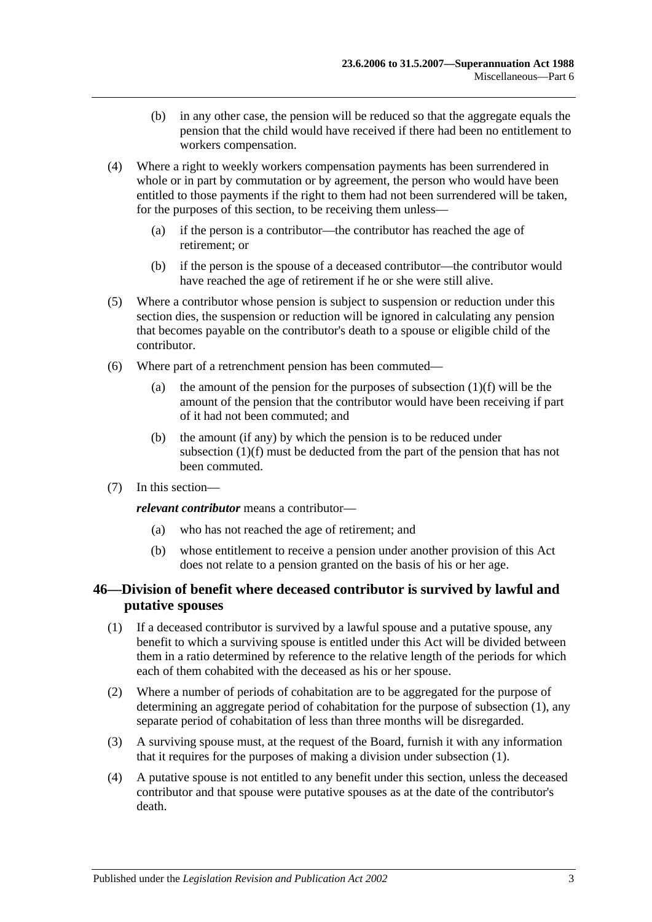- (b) in any other case, the pension will be reduced so that the aggregate equals the pension that the child would have received if there had been no entitlement to workers compensation.
- (4) Where a right to weekly workers compensation payments has been surrendered in whole or in part by commutation or by agreement, the person who would have been entitled to those payments if the right to them had not been surrendered will be taken, for the purposes of this section, to be receiving them unless—
	- (a) if the person is a contributor—the contributor has reached the age of retirement; or
	- (b) if the person is the spouse of a deceased contributor—the contributor would have reached the age of retirement if he or she were still alive.
- (5) Where a contributor whose pension is subject to suspension or reduction under this section dies, the suspension or reduction will be ignored in calculating any pension that becomes payable on the contributor's death to a spouse or eligible child of the contributor.
- (6) Where part of a retrenchment pension has been commuted
	- (a) the amount of the pension for the purposes of [subsection](#page-89-2)  $(1)(f)$  will be the amount of the pension that the contributor would have been receiving if part of it had not been commuted; and
	- (b) the amount (if any) by which the pension is to be reduced under [subsection](#page-89-2) (1)(f) must be deducted from the part of the pension that has not been commuted.
- (7) In this section—

*relevant contributor* means a contributor—

- (a) who has not reached the age of retirement; and
- (b) whose entitlement to receive a pension under another provision of this Act does not relate to a pension granted on the basis of his or her age.

# <span id="page-90-0"></span>**46—Division of benefit where deceased contributor is survived by lawful and putative spouses**

- <span id="page-90-1"></span>(1) If a deceased contributor is survived by a lawful spouse and a putative spouse, any benefit to which a surviving spouse is entitled under this Act will be divided between them in a ratio determined by reference to the relative length of the periods for which each of them cohabited with the deceased as his or her spouse.
- (2) Where a number of periods of cohabitation are to be aggregated for the purpose of determining an aggregate period of cohabitation for the purpose of [subsection](#page-90-1) (1), any separate period of cohabitation of less than three months will be disregarded.
- (3) A surviving spouse must, at the request of the Board, furnish it with any information that it requires for the purposes of making a division under [subsection](#page-90-1) (1).
- (4) A putative spouse is not entitled to any benefit under this section, unless the deceased contributor and that spouse were putative spouses as at the date of the contributor's death.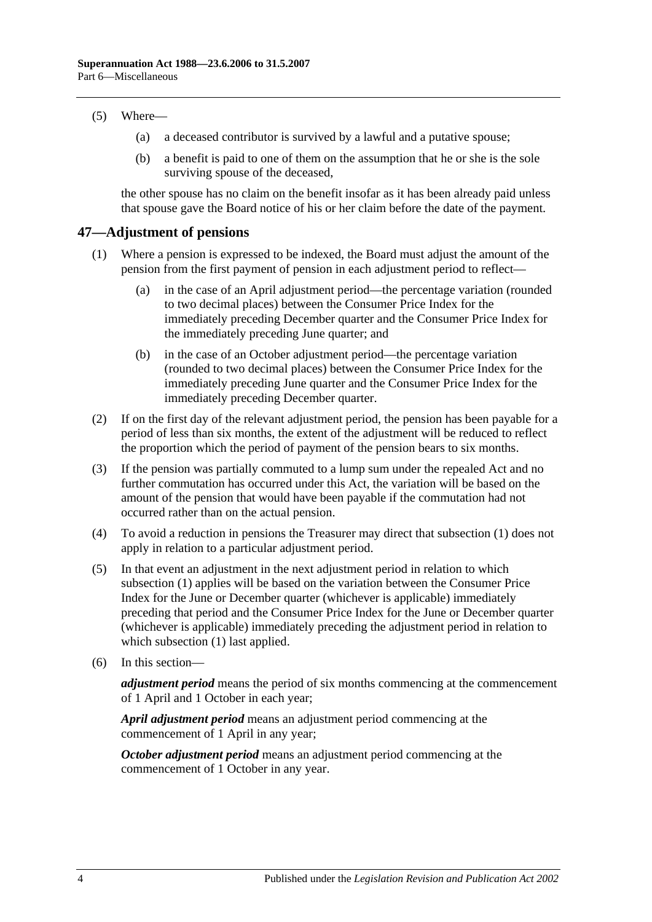#### (5) Where—

- (a) a deceased contributor is survived by a lawful and a putative spouse;
- (b) a benefit is paid to one of them on the assumption that he or she is the sole surviving spouse of the deceased,

the other spouse has no claim on the benefit insofar as it has been already paid unless that spouse gave the Board notice of his or her claim before the date of the payment.

#### <span id="page-91-1"></span>**47—Adjustment of pensions**

- (1) Where a pension is expressed to be indexed, the Board must adjust the amount of the pension from the first payment of pension in each adjustment period to reflect—
	- (a) in the case of an April adjustment period—the percentage variation (rounded to two decimal places) between the Consumer Price Index for the immediately preceding December quarter and the Consumer Price Index for the immediately preceding June quarter; and
	- (b) in the case of an October adjustment period—the percentage variation (rounded to two decimal places) between the Consumer Price Index for the immediately preceding June quarter and the Consumer Price Index for the immediately preceding December quarter.
- (2) If on the first day of the relevant adjustment period, the pension has been payable for a period of less than six months, the extent of the adjustment will be reduced to reflect the proportion which the period of payment of the pension bears to six months.
- <span id="page-91-0"></span>(3) If the pension was partially commuted to a lump sum under the repealed Act and no further commutation has occurred under this Act, the variation will be based on the amount of the pension that would have been payable if the commutation had not occurred rather than on the actual pension.
- (4) To avoid a reduction in pensions the Treasurer may direct that [subsection](#page-91-1) (1) does not apply in relation to a particular adjustment period.
- (5) In that event an adjustment in the next adjustment period in relation to which [subsection](#page-91-1) (1) applies will be based on the variation between the Consumer Price Index for the June or December quarter (whichever is applicable) immediately preceding that period and the Consumer Price Index for the June or December quarter (whichever is applicable) immediately preceding the adjustment period in relation to which [subsection](#page-91-1) (1) last applied.
- (6) In this section—

*adjustment period* means the period of six months commencing at the commencement of 1 April and 1 October in each year;

*April adjustment period* means an adjustment period commencing at the commencement of 1 April in any year;

*October adjustment period* means an adjustment period commencing at the commencement of 1 October in any year.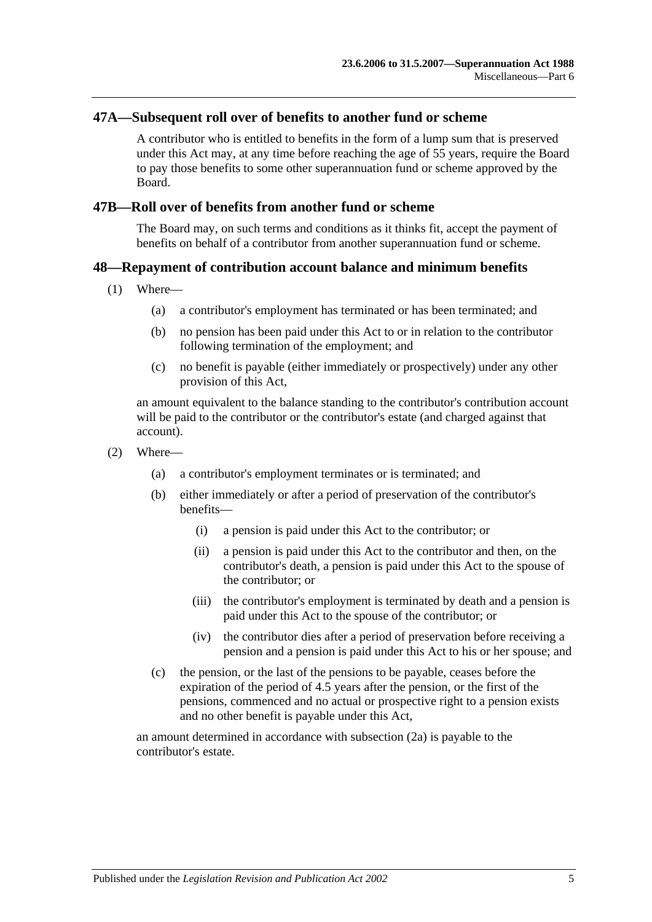#### **47A—Subsequent roll over of benefits to another fund or scheme**

A contributor who is entitled to benefits in the form of a lump sum that is preserved under this Act may, at any time before reaching the age of 55 years, require the Board to pay those benefits to some other superannuation fund or scheme approved by the Board.

#### **47B—Roll over of benefits from another fund or scheme**

The Board may, on such terms and conditions as it thinks fit, accept the payment of benefits on behalf of a contributor from another superannuation fund or scheme.

### **48—Repayment of contribution account balance and minimum benefits**

- (1) Where—
	- (a) a contributor's employment has terminated or has been terminated; and
	- (b) no pension has been paid under this Act to or in relation to the contributor following termination of the employment; and
	- (c) no benefit is payable (either immediately or prospectively) under any other provision of this Act,

an amount equivalent to the balance standing to the contributor's contribution account will be paid to the contributor or the contributor's estate (and charged against that account).

- <span id="page-92-0"></span>(2) Where—
	- (a) a contributor's employment terminates or is terminated; and
	- (b) either immediately or after a period of preservation of the contributor's benefits—
		- (i) a pension is paid under this Act to the contributor; or
		- (ii) a pension is paid under this Act to the contributor and then, on the contributor's death, a pension is paid under this Act to the spouse of the contributor; or
		- (iii) the contributor's employment is terminated by death and a pension is paid under this Act to the spouse of the contributor; or
		- (iv) the contributor dies after a period of preservation before receiving a pension and a pension is paid under this Act to his or her spouse; and
	- (c) the pension, or the last of the pensions to be payable, ceases before the expiration of the period of 4.5 years after the pension, or the first of the pensions, commenced and no actual or prospective right to a pension exists and no other benefit is payable under this Act,

<span id="page-92-1"></span>an amount determined in accordance with [subsection](#page-93-0) (2a) is payable to the contributor's estate.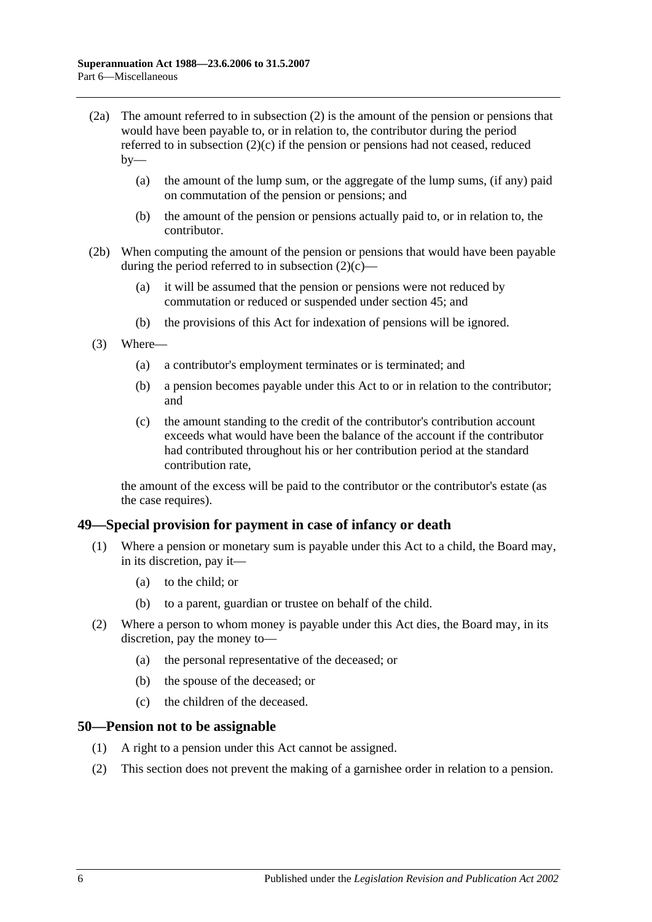- <span id="page-93-0"></span>(2a) The amount referred to in [subsection](#page-92-0) (2) is the amount of the pension or pensions that would have been payable to, or in relation to, the contributor during the period referred to in [subsection](#page-92-1) (2)(c) if the pension or pensions had not ceased, reduced  $bv$ —
	- (a) the amount of the lump sum, or the aggregate of the lump sums, (if any) paid on commutation of the pension or pensions; and
	- (b) the amount of the pension or pensions actually paid to, or in relation to, the contributor.
- (2b) When computing the amount of the pension or pensions that would have been payable during the period referred to in [subsection](#page-92-1)  $(2)(c)$ —
	- (a) it will be assumed that the pension or pensions were not reduced by commutation or reduced or suspended under [section](#page-88-1) 45; and
	- (b) the provisions of this Act for indexation of pensions will be ignored.
- (3) Where—
	- (a) a contributor's employment terminates or is terminated; and
	- (b) a pension becomes payable under this Act to or in relation to the contributor; and
	- (c) the amount standing to the credit of the contributor's contribution account exceeds what would have been the balance of the account if the contributor had contributed throughout his or her contribution period at the standard contribution rate,

the amount of the excess will be paid to the contributor or the contributor's estate (as the case requires).

#### **49—Special provision for payment in case of infancy or death**

- (1) Where a pension or monetary sum is payable under this Act to a child, the Board may, in its discretion, pay it—
	- (a) to the child; or
	- (b) to a parent, guardian or trustee on behalf of the child.
- (2) Where a person to whom money is payable under this Act dies, the Board may, in its discretion, pay the money to—
	- (a) the personal representative of the deceased; or
	- (b) the spouse of the deceased; or
	- (c) the children of the deceased.

#### **50—Pension not to be assignable**

- (1) A right to a pension under this Act cannot be assigned.
- (2) This section does not prevent the making of a garnishee order in relation to a pension.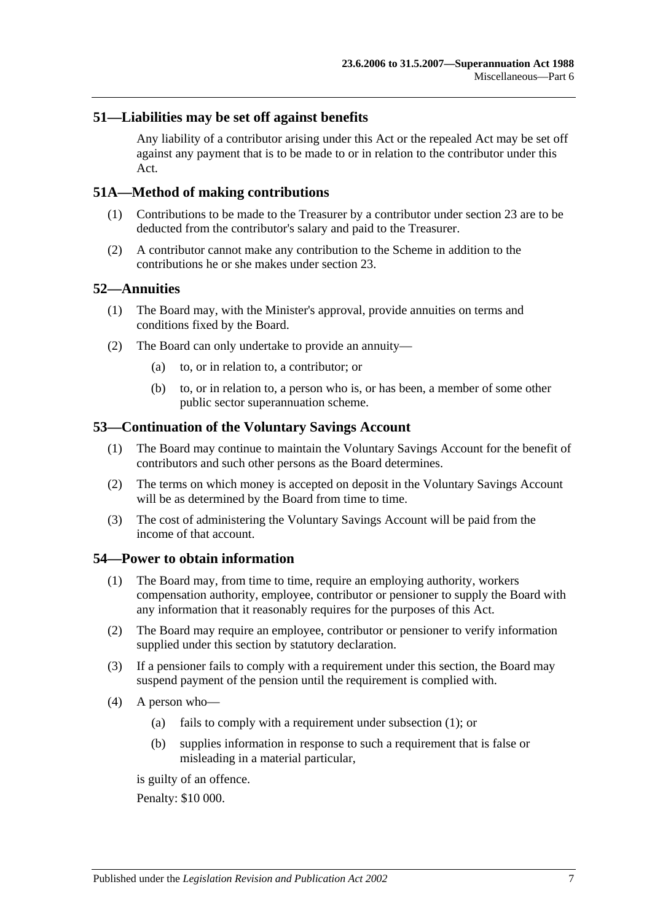## **51—Liabilities may be set off against benefits**

Any liability of a contributor arising under this Act or the repealed Act may be set off against any payment that is to be made to or in relation to the contributor under this Act.

### **51A—Method of making contributions**

- (1) Contributions to be made to the Treasurer by a contributor under [section](#page-26-0) 23 are to be deducted from the contributor's salary and paid to the Treasurer.
- (2) A contributor cannot make any contribution to the Scheme in addition to the contributions he or she makes under [section](#page-26-0) 23.

#### **52—Annuities**

- (1) The Board may, with the Minister's approval, provide annuities on terms and conditions fixed by the Board.
- (2) The Board can only undertake to provide an annuity—
	- (a) to, or in relation to, a contributor; or
	- (b) to, or in relation to, a person who is, or has been, a member of some other public sector superannuation scheme.

### **53—Continuation of the Voluntary Savings Account**

- (1) The Board may continue to maintain the Voluntary Savings Account for the benefit of contributors and such other persons as the Board determines.
- (2) The terms on which money is accepted on deposit in the Voluntary Savings Account will be as determined by the Board from time to time.
- (3) The cost of administering the Voluntary Savings Account will be paid from the income of that account.

#### <span id="page-94-0"></span>**54—Power to obtain information**

- (1) The Board may, from time to time, require an employing authority, workers compensation authority, employee, contributor or pensioner to supply the Board with any information that it reasonably requires for the purposes of this Act.
- (2) The Board may require an employee, contributor or pensioner to verify information supplied under this section by statutory declaration.
- (3) If a pensioner fails to comply with a requirement under this section, the Board may suspend payment of the pension until the requirement is complied with.
- <span id="page-94-1"></span>(4) A person who—
	- (a) fails to comply with a requirement under [subsection](#page-94-0) (1); or
	- (b) supplies information in response to such a requirement that is false or misleading in a material particular,

is guilty of an offence.

Penalty: \$10 000.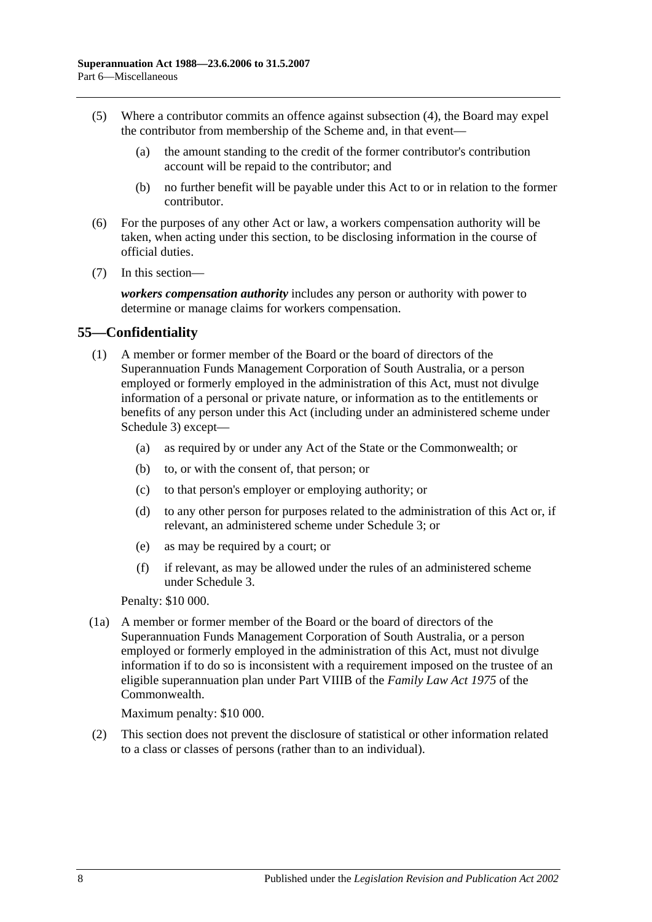- (5) Where a contributor commits an offence against [subsection](#page-94-1) (4), the Board may expel the contributor from membership of the Scheme and, in that event—
	- (a) the amount standing to the credit of the former contributor's contribution account will be repaid to the contributor; and
	- (b) no further benefit will be payable under this Act to or in relation to the former contributor.
- (6) For the purposes of any other Act or law, a workers compensation authority will be taken, when acting under this section, to be disclosing information in the course of official duties.
- (7) In this section—

*workers compensation authority* includes any person or authority with power to determine or manage claims for workers compensation.

# **55—Confidentiality**

- (1) A member or former member of the Board or the board of directors of the Superannuation Funds Management Corporation of South Australia, or a person employed or formerly employed in the administration of this Act, must not divulge information of a personal or private nature, or information as to the entitlements or benefits of any person under this Act (including under an administered scheme under [Schedule 3\)](#page-122-0) except—
	- (a) as required by or under any Act of the State or the Commonwealth; or
	- (b) to, or with the consent of, that person; or
	- (c) to that person's employer or employing authority; or
	- (d) to any other person for purposes related to the administration of this Act or, if relevant, an administered scheme under [Schedule 3;](#page-122-0) or
	- (e) as may be required by a court; or
	- (f) if relevant, as may be allowed under the rules of an administered scheme under [Schedule 3.](#page-122-0)

Penalty: \$10 000.

(1a) A member or former member of the Board or the board of directors of the Superannuation Funds Management Corporation of South Australia, or a person employed or formerly employed in the administration of this Act, must not divulge information if to do so is inconsistent with a requirement imposed on the trustee of an eligible superannuation plan under Part VIIIB of the *Family Law Act 1975* of the Commonwealth.

Maximum penalty: \$10 000.

(2) This section does not prevent the disclosure of statistical or other information related to a class or classes of persons (rather than to an individual).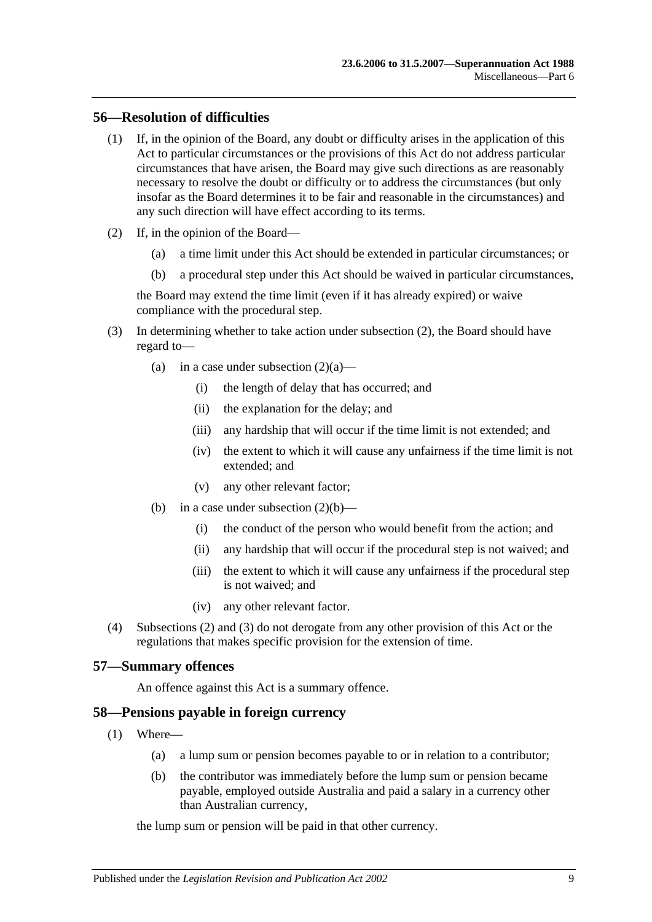# **56—Resolution of difficulties**

- (1) If, in the opinion of the Board, any doubt or difficulty arises in the application of this Act to particular circumstances or the provisions of this Act do not address particular circumstances that have arisen, the Board may give such directions as are reasonably necessary to resolve the doubt or difficulty or to address the circumstances (but only insofar as the Board determines it to be fair and reasonable in the circumstances) and any such direction will have effect according to its terms.
- <span id="page-96-2"></span><span id="page-96-1"></span><span id="page-96-0"></span>(2) If, in the opinion of the Board—
	- (a) a time limit under this Act should be extended in particular circumstances; or
	- (b) a procedural step under this Act should be waived in particular circumstances,

the Board may extend the time limit (even if it has already expired) or waive compliance with the procedural step.

- <span id="page-96-3"></span>(3) In determining whether to take action under [subsection](#page-96-0) (2), the Board should have regard to
	- (a) in a case under [subsection](#page-96-1)  $(2)(a)$ 
		- (i) the length of delay that has occurred; and
		- (ii) the explanation for the delay; and
		- (iii) any hardship that will occur if the time limit is not extended; and
		- (iv) the extent to which it will cause any unfairness if the time limit is not extended; and
		- (v) any other relevant factor;
	- (b) in a case under [subsection](#page-96-2)  $(2)(b)$ 
		- (i) the conduct of the person who would benefit from the action; and
		- (ii) any hardship that will occur if the procedural step is not waived; and
		- (iii) the extent to which it will cause any unfairness if the procedural step is not waived; and
		- (iv) any other relevant factor.
- (4) [Subsections](#page-96-0) (2) and [\(3\)](#page-96-3) do not derogate from any other provision of this Act or the regulations that makes specific provision for the extension of time.

# **57—Summary offences**

An offence against this Act is a summary offence.

# **58—Pensions payable in foreign currency**

- (1) Where—
	- (a) a lump sum or pension becomes payable to or in relation to a contributor;
	- (b) the contributor was immediately before the lump sum or pension became payable, employed outside Australia and paid a salary in a currency other than Australian currency,

the lump sum or pension will be paid in that other currency.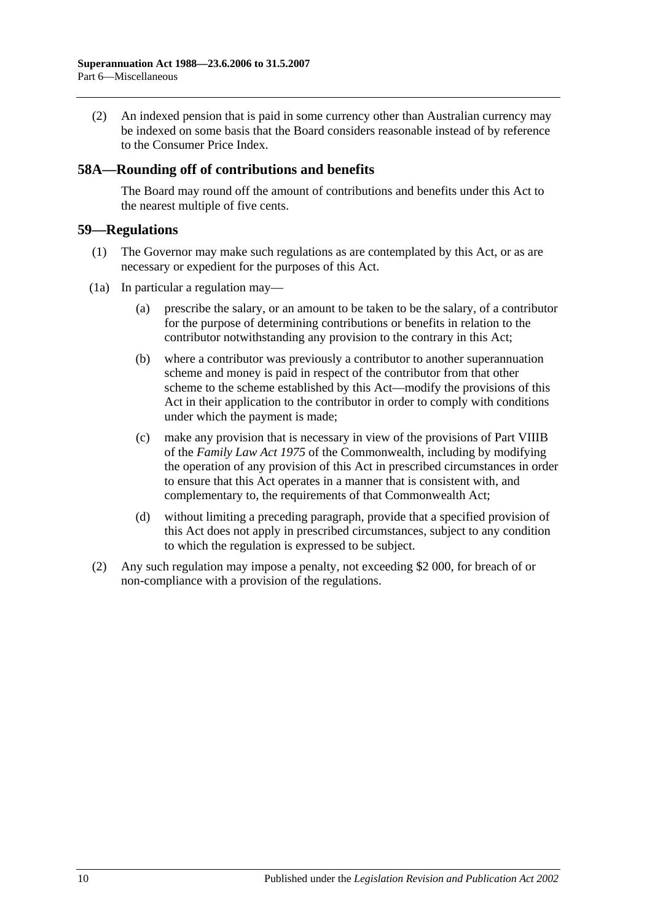(2) An indexed pension that is paid in some currency other than Australian currency may be indexed on some basis that the Board considers reasonable instead of by reference to the Consumer Price Index.

# **58A—Rounding off of contributions and benefits**

The Board may round off the amount of contributions and benefits under this Act to the nearest multiple of five cents.

#### **59—Regulations**

- (1) The Governor may make such regulations as are contemplated by this Act, or as are necessary or expedient for the purposes of this Act.
- (1a) In particular a regulation may—
	- (a) prescribe the salary, or an amount to be taken to be the salary, of a contributor for the purpose of determining contributions or benefits in relation to the contributor notwithstanding any provision to the contrary in this Act;
	- (b) where a contributor was previously a contributor to another superannuation scheme and money is paid in respect of the contributor from that other scheme to the scheme established by this Act—modify the provisions of this Act in their application to the contributor in order to comply with conditions under which the payment is made;
	- (c) make any provision that is necessary in view of the provisions of Part VIIIB of the *Family Law Act 1975* of the Commonwealth, including by modifying the operation of any provision of this Act in prescribed circumstances in order to ensure that this Act operates in a manner that is consistent with, and complementary to, the requirements of that Commonwealth Act;
	- (d) without limiting a preceding paragraph, provide that a specified provision of this Act does not apply in prescribed circumstances, subject to any condition to which the regulation is expressed to be subject.
- (2) Any such regulation may impose a penalty, not exceeding \$2 000, for breach of or non-compliance with a provision of the regulations.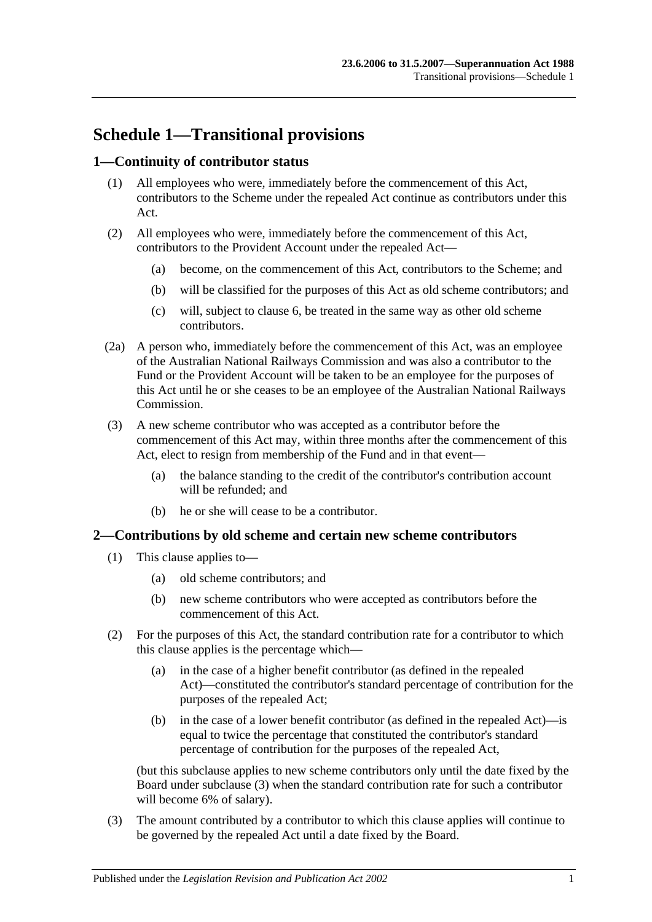# **Schedule 1—Transitional provisions**

# **1—Continuity of contributor status**

- (1) All employees who were, immediately before the commencement of this Act, contributors to the Scheme under the repealed Act continue as contributors under this Act.
- (2) All employees who were, immediately before the commencement of this Act, contributors to the Provident Account under the repealed Act—
	- (a) become, on the commencement of this Act, contributors to the Scheme; and
	- (b) will be classified for the purposes of this Act as old scheme contributors; and
	- (c) will, subject to [clause](#page-101-0) 6, be treated in the same way as other old scheme contributors.
- (2a) A person who, immediately before the commencement of this Act, was an employee of the Australian National Railways Commission and was also a contributor to the Fund or the Provident Account will be taken to be an employee for the purposes of this Act until he or she ceases to be an employee of the Australian National Railways Commission.
- (3) A new scheme contributor who was accepted as a contributor before the commencement of this Act may, within three months after the commencement of this Act, elect to resign from membership of the Fund and in that event—
	- (a) the balance standing to the credit of the contributor's contribution account will be refunded; and
	- (b) he or she will cease to be a contributor.

#### **2—Contributions by old scheme and certain new scheme contributors**

- (1) This clause applies to—
	- (a) old scheme contributors; and
	- (b) new scheme contributors who were accepted as contributors before the commencement of this Act.
- (2) For the purposes of this Act, the standard contribution rate for a contributor to which this clause applies is the percentage which—
	- (a) in the case of a higher benefit contributor (as defined in the repealed Act)—constituted the contributor's standard percentage of contribution for the purposes of the repealed Act;
	- (b) in the case of a lower benefit contributor (as defined in the repealed Act)—is equal to twice the percentage that constituted the contributor's standard percentage of contribution for the purposes of the repealed Act,

(but this subclause applies to new scheme contributors only until the date fixed by the Board under [subclause](#page-98-0) (3) when the standard contribution rate for such a contributor will become 6% of salary).

<span id="page-98-0"></span>(3) The amount contributed by a contributor to which this clause applies will continue to be governed by the repealed Act until a date fixed by the Board.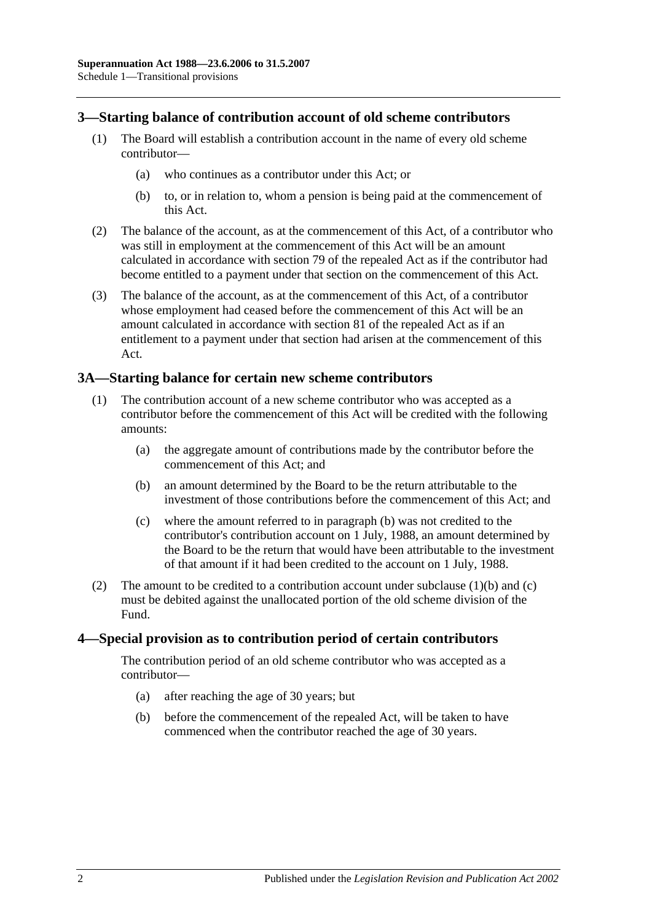## **3—Starting balance of contribution account of old scheme contributors**

- (1) The Board will establish a contribution account in the name of every old scheme contributor—
	- (a) who continues as a contributor under this Act; or
	- (b) to, or in relation to, whom a pension is being paid at the commencement of this Act.
- (2) The balance of the account, as at the commencement of this Act, of a contributor who was still in employment at the commencement of this Act will be an amount calculated in accordance with section 79 of the repealed Act as if the contributor had become entitled to a payment under that section on the commencement of this Act.
- (3) The balance of the account, as at the commencement of this Act, of a contributor whose employment had ceased before the commencement of this Act will be an amount calculated in accordance with section 81 of the repealed Act as if an entitlement to a payment under that section had arisen at the commencement of this Act.

### **3A—Starting balance for certain new scheme contributors**

- <span id="page-99-0"></span>(1) The contribution account of a new scheme contributor who was accepted as a contributor before the commencement of this Act will be credited with the following amounts:
	- (a) the aggregate amount of contributions made by the contributor before the commencement of this Act; and
	- (b) an amount determined by the Board to be the return attributable to the investment of those contributions before the commencement of this Act; and
	- (c) where the amount referred to in [paragraph](#page-99-0) (b) was not credited to the contributor's contribution account on 1 July, 1988, an amount determined by the Board to be the return that would have been attributable to the investment of that amount if it had been credited to the account on 1 July, 1988.
- <span id="page-99-1"></span>(2) The amount to be credited to a contribution account under [subclause](#page-99-0)  $(1)(b)$  and  $(c)$ must be debited against the unallocated portion of the old scheme division of the Fund.

#### **4—Special provision as to contribution period of certain contributors**

The contribution period of an old scheme contributor who was accepted as a contributor—

- (a) after reaching the age of 30 years; but
- (b) before the commencement of the repealed Act, will be taken to have commenced when the contributor reached the age of 30 years.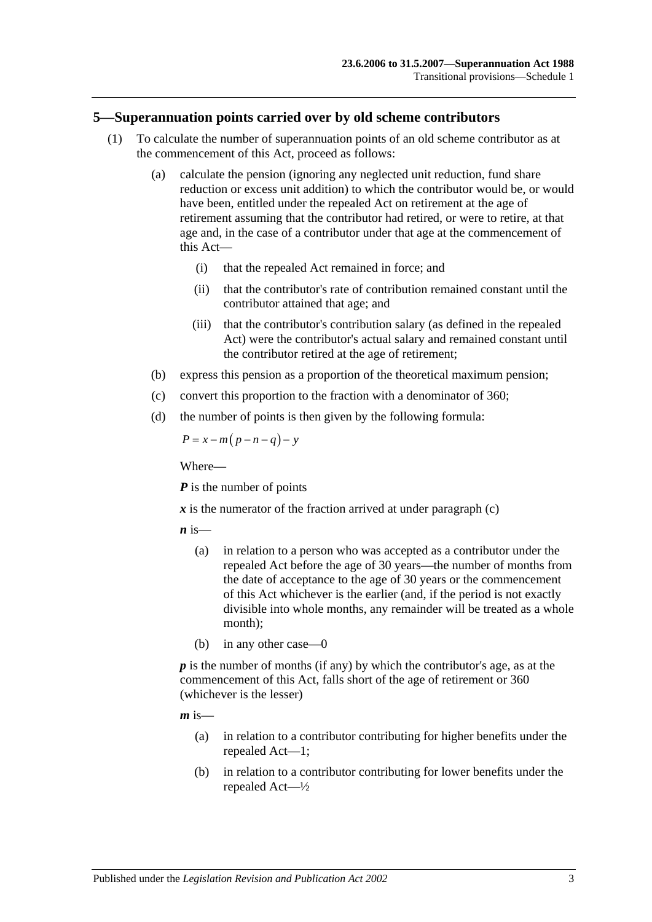#### **5—Superannuation points carried over by old scheme contributors**

- (1) To calculate the number of superannuation points of an old scheme contributor as at the commencement of this Act, proceed as follows:
	- (a) calculate the pension (ignoring any neglected unit reduction, fund share reduction or excess unit addition) to which the contributor would be, or would have been, entitled under the repealed Act on retirement at the age of retirement assuming that the contributor had retired, or were to retire, at that age and, in the case of a contributor under that age at the commencement of this Act—
		- (i) that the repealed Act remained in force; and
		- (ii) that the contributor's rate of contribution remained constant until the contributor attained that age; and
		- (iii) that the contributor's contribution salary (as defined in the repealed Act) were the contributor's actual salary and remained constant until the contributor retired at the age of retirement;
	- (b) express this pension as a proportion of the theoretical maximum pension;
	- (c) convert this proportion to the fraction with a denominator of 360;
	- (d) the number of points is then given by the following formula:

<span id="page-100-0"></span>
$$
P = x - m(p - n - q) - y
$$

Where—

*P* is the number of points

 $x$  is the numerator of the fraction arrived at under [paragraph](#page-100-0)  $(c)$ 

 $\boldsymbol{n}$  is—

- (a) in relation to a person who was accepted as a contributor under the repealed Act before the age of 30 years—the number of months from the date of acceptance to the age of 30 years or the commencement of this Act whichever is the earlier (and, if the period is not exactly divisible into whole months, any remainder will be treated as a whole month);
- (b) in any other case—0

*p* is the number of months (if any) by which the contributor's age, as at the commencement of this Act, falls short of the age of retirement or 360 (whichever is the lesser)

 $m$  is—

- (a) in relation to a contributor contributing for higher benefits under the repealed Act—1;
- (b) in relation to a contributor contributing for lower benefits under the repealed Act—½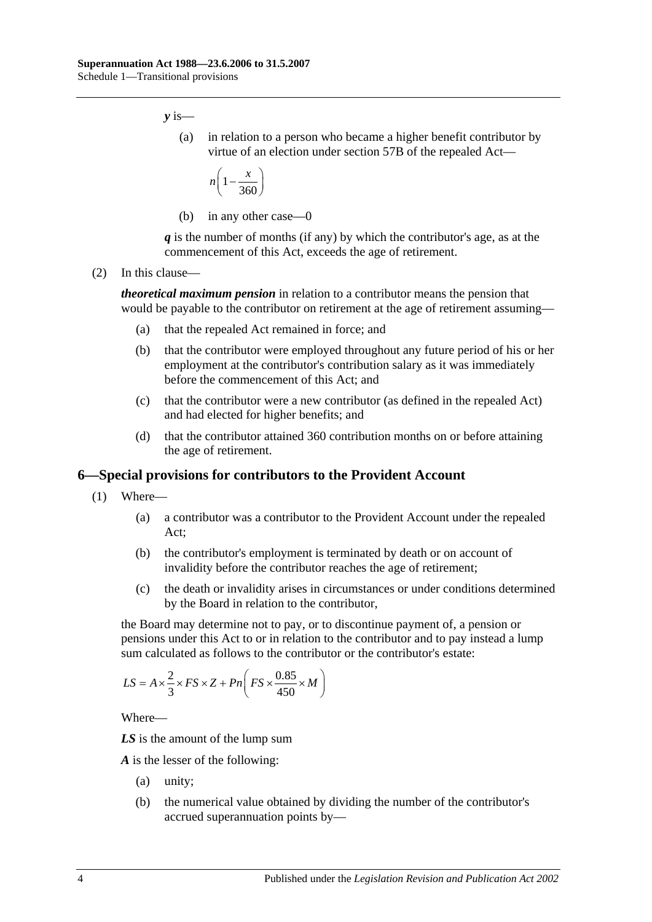*y* is—

(a) in relation to a person who became a higher benefit contributor by virtue of an election under section 57B of the repealed Act—

$$
n\left(1-\frac{x}{360}\right)
$$

(b) in any other case—0

*q* is the number of months (if any) by which the contributor's age, as at the commencement of this Act, exceeds the age of retirement.

(2) In this clause—

*theoretical maximum pension* in relation to a contributor means the pension that would be payable to the contributor on retirement at the age of retirement assuming—

- (a) that the repealed Act remained in force; and
- (b) that the contributor were employed throughout any future period of his or her employment at the contributor's contribution salary as it was immediately before the commencement of this Act; and
- (c) that the contributor were a new contributor (as defined in the repealed Act) and had elected for higher benefits; and
- (d) that the contributor attained 360 contribution months on or before attaining the age of retirement.

#### <span id="page-101-0"></span>**6—Special provisions for contributors to the Provident Account**

- (1) Where—
	- (a) a contributor was a contributor to the Provident Account under the repealed Act;
	- (b) the contributor's employment is terminated by death or on account of invalidity before the contributor reaches the age of retirement;
	- (c) the death or invalidity arises in circumstances or under conditions determined by the Board in relation to the contributor,

<span id="page-101-1"></span>the Board may determine not to pay, or to discontinue payment of, a pension or pensions under this Act to or in relation to the contributor and to pay instead a lump sum calculated as follows to the contributor or the contributor's estate:

$$
LS = A \times \frac{2}{3} \times FS \times Z + Pn \left( FS \times \frac{0.85}{450} \times M \right)
$$

Where—

*LS* is the amount of the lump sum

*A* is the lesser of the following:

- (a) unity;
- (b) the numerical value obtained by dividing the number of the contributor's accrued superannuation points by—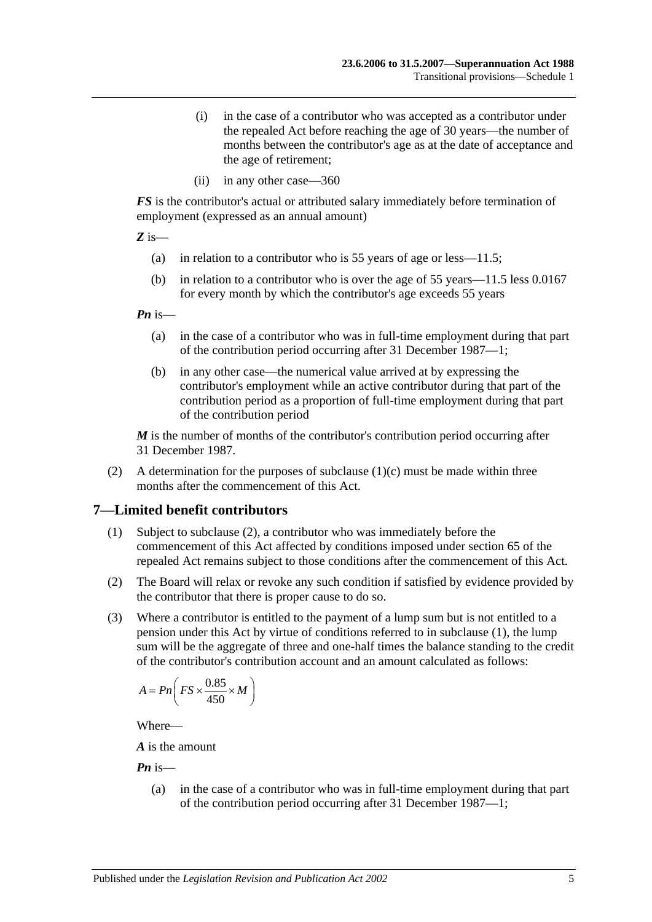- (i) in the case of a contributor who was accepted as a contributor under the repealed Act before reaching the age of 30 years—the number of months between the contributor's age as at the date of acceptance and the age of retirement;
- (ii) in any other case—360

*FS* is the contributor's actual or attributed salary immediately before termination of employment (expressed as an annual amount)

*Z* is—

- (a) in relation to a contributor who is 55 years of age or less—11.5;
- (b) in relation to a contributor who is over the age of 55 years—11.5 less 0.0167 for every month by which the contributor's age exceeds 55 years

*Pn* is—

- (a) in the case of a contributor who was in full-time employment during that part of the contribution period occurring after 31 December 1987—1;
- (b) in any other case—the numerical value arrived at by expressing the contributor's employment while an active contributor during that part of the contribution period as a proportion of full-time employment during that part of the contribution period

*M* is the number of months of the contributor's contribution period occurring after 31 December 1987.

(2) A determination for the purposes of [subclause](#page-101-1)  $(1)(c)$  must be made within three months after the commencement of this Act.

# <span id="page-102-1"></span>**7—Limited benefit contributors**

- (1) Subject to [subclause](#page-102-0) (2), a contributor who was immediately before the commencement of this Act affected by conditions imposed under section 65 of the repealed Act remains subject to those conditions after the commencement of this Act.
- <span id="page-102-0"></span>(2) The Board will relax or revoke any such condition if satisfied by evidence provided by the contributor that there is proper cause to do so.
- (3) Where a contributor is entitled to the payment of a lump sum but is not entitled to a pension under this Act by virtue of conditions referred to in [subclause](#page-102-1) (1), the lump sum will be the aggregate of three and one-half times the balance standing to the credit of the contributor's contribution account and an amount calculated as follows:

$$
A = P n \left( FS \times \frac{0.85}{450} \times M \right)
$$

Where—

*A* is the amount

*Pn* is—

(a) in the case of a contributor who was in full-time employment during that part of the contribution period occurring after 31 December 1987—1;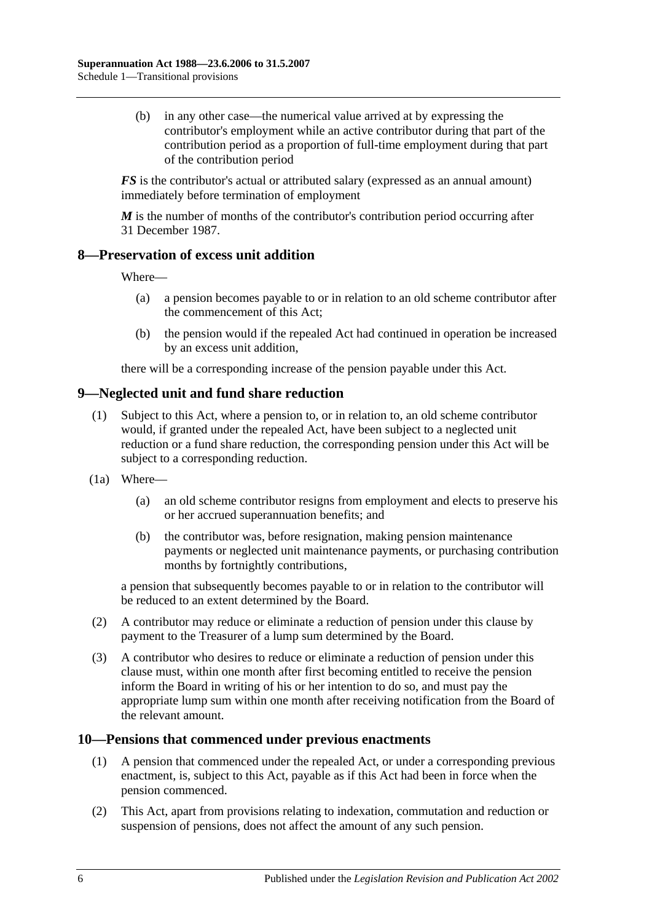(b) in any other case—the numerical value arrived at by expressing the contributor's employment while an active contributor during that part of the contribution period as a proportion of full-time employment during that part of the contribution period

*FS* is the contributor's actual or attributed salary (expressed as an annual amount) immediately before termination of employment

*M* is the number of months of the contributor's contribution period occurring after 31 December 1987.

### **8—Preservation of excess unit addition**

Where—

- (a) a pension becomes payable to or in relation to an old scheme contributor after the commencement of this Act;
- (b) the pension would if the repealed Act had continued in operation be increased by an excess unit addition,

there will be a corresponding increase of the pension payable under this Act.

# **9—Neglected unit and fund share reduction**

- (1) Subject to this Act, where a pension to, or in relation to, an old scheme contributor would, if granted under the repealed Act, have been subject to a neglected unit reduction or a fund share reduction, the corresponding pension under this Act will be subject to a corresponding reduction.
- (1a) Where—
	- (a) an old scheme contributor resigns from employment and elects to preserve his or her accrued superannuation benefits; and
	- (b) the contributor was, before resignation, making pension maintenance payments or neglected unit maintenance payments, or purchasing contribution months by fortnightly contributions,

a pension that subsequently becomes payable to or in relation to the contributor will be reduced to an extent determined by the Board.

- (2) A contributor may reduce or eliminate a reduction of pension under this clause by payment to the Treasurer of a lump sum determined by the Board.
- (3) A contributor who desires to reduce or eliminate a reduction of pension under this clause must, within one month after first becoming entitled to receive the pension inform the Board in writing of his or her intention to do so, and must pay the appropriate lump sum within one month after receiving notification from the Board of the relevant amount.

#### **10—Pensions that commenced under previous enactments**

- (1) A pension that commenced under the repealed Act, or under a corresponding previous enactment, is, subject to this Act, payable as if this Act had been in force when the pension commenced.
- (2) This Act, apart from provisions relating to indexation, commutation and reduction or suspension of pensions, does not affect the amount of any such pension.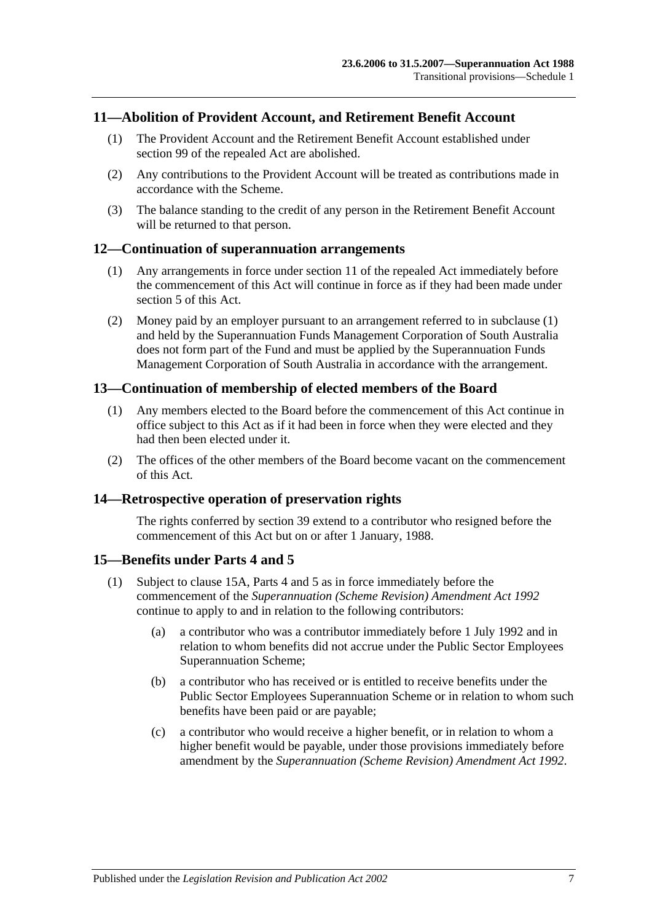### **11—Abolition of Provident Account, and Retirement Benefit Account**

- (1) The Provident Account and the Retirement Benefit Account established under section 99 of the repealed Act are abolished.
- (2) Any contributions to the Provident Account will be treated as contributions made in accordance with the Scheme.
- (3) The balance standing to the credit of any person in the Retirement Benefit Account will be returned to that person.

#### <span id="page-104-0"></span>**12—Continuation of superannuation arrangements**

- (1) Any arrangements in force under section 11 of the repealed Act immediately before the commencement of this Act will continue in force as if they had been made under [section](#page-14-0) 5 of this Act.
- (2) Money paid by an employer pursuant to an arrangement referred to in [subclause](#page-104-0) (1) and held by the Superannuation Funds Management Corporation of South Australia does not form part of the Fund and must be applied by the Superannuation Funds Management Corporation of South Australia in accordance with the arrangement.

#### **13—Continuation of membership of elected members of the Board**

- (1) Any members elected to the Board before the commencement of this Act continue in office subject to this Act as if it had been in force when they were elected and they had then been elected under it.
- (2) The offices of the other members of the Board become vacant on the commencement of this Act.

#### **14—Retrospective operation of preservation rights**

The rights conferred by [section](#page-65-0) 39 extend to a contributor who resigned before the commencement of this Act but on or after 1 January, 1988.

#### <span id="page-104-2"></span>**15—Benefits under [Parts 4](#page-30-0) and [5](#page-52-1)**

- <span id="page-104-1"></span>(1) Subject to [clause](#page-105-0) 15A, [Parts 4](#page-30-0) and [5](#page-52-1) as in force immediately before the commencement of the *[Superannuation \(Scheme Revision\) Amendment Act](http://www.legislation.sa.gov.au/index.aspx?action=legref&type=act&legtitle=Superannuation%20(Scheme%20Revision)%20Amendment%20Act%201992) 1992* continue to apply to and in relation to the following contributors:
	- (a) a contributor who was a contributor immediately before 1 July 1992 and in relation to whom benefits did not accrue under the Public Sector Employees Superannuation Scheme;
	- (b) a contributor who has received or is entitled to receive benefits under the Public Sector Employees Superannuation Scheme or in relation to whom such benefits have been paid or are payable;
	- (c) a contributor who would receive a higher benefit, or in relation to whom a higher benefit would be payable, under those provisions immediately before amendment by the *[Superannuation \(Scheme Revision\) Amendment Act](http://www.legislation.sa.gov.au/index.aspx?action=legref&type=act&legtitle=Superannuation%20(Scheme%20Revision)%20Amendment%20Act%201992) 1992*.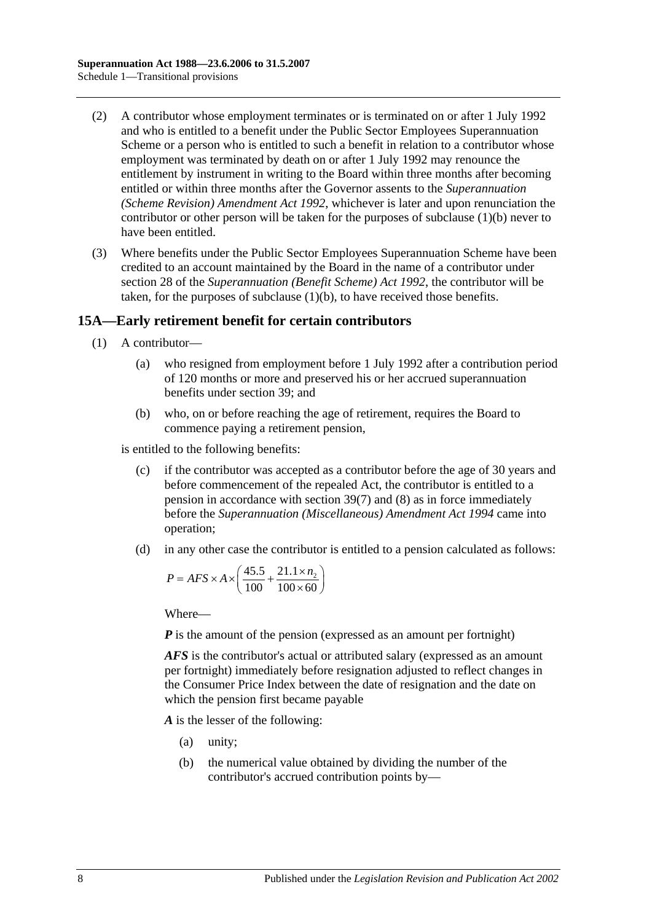- (2) A contributor whose employment terminates or is terminated on or after 1 July 1992 and who is entitled to a benefit under the Public Sector Employees Superannuation Scheme or a person who is entitled to such a benefit in relation to a contributor whose employment was terminated by death on or after 1 July 1992 may renounce the entitlement by instrument in writing to the Board within three months after becoming entitled or within three months after the Governor assents to the *[Superannuation](http://www.legislation.sa.gov.au/index.aspx?action=legref&type=act&legtitle=Superannuation%20(Scheme%20Revision)%20Amendment%20Act%201992)  [\(Scheme Revision\) Amendment Act](http://www.legislation.sa.gov.au/index.aspx?action=legref&type=act&legtitle=Superannuation%20(Scheme%20Revision)%20Amendment%20Act%201992) 1992*, whichever is later and upon renunciation the contributor or other person will be taken for the purposes of [subclause](#page-104-1) (1)(b) never to have been entitled.
- (3) Where benefits under the Public Sector Employees Superannuation Scheme have been credited to an account maintained by the Board in the name of a contributor under section 28 of the *[Superannuation \(Benefit Scheme\) Act](http://www.legislation.sa.gov.au/index.aspx?action=legref&type=act&legtitle=Superannuation%20(Benefit%20Scheme)%20Act%201992) 1992*, the contributor will be taken, for the purposes of [subclause](#page-104-1) (1)(b), to have received those benefits.

# <span id="page-105-0"></span>**15A—Early retirement benefit for certain contributors**

- (1) A contributor—
	- (a) who resigned from employment before 1 July 1992 after a contribution period of 120 months or more and preserved his or her accrued superannuation benefits under [section](#page-65-0) 39; and
	- (b) who, on or before reaching the age of retirement, requires the Board to commence paying a retirement pension,

<span id="page-105-1"></span>is entitled to the following benefits:

- (c) if the contributor was accepted as a contributor before the age of 30 years and before commencement of the repealed Act, the contributor is entitled to a pension in accordance with [section](#page-68-1) 39(7) and [\(8\)](#page-69-0) as in force immediately before the *[Superannuation \(Miscellaneous\) Amendment Act](http://www.legislation.sa.gov.au/index.aspx?action=legref&type=act&legtitle=Superannuation%20(Miscellaneous)%20Amendment%20Act%201994) 1994* came into operation;
- <span id="page-105-2"></span>(d) in any other case the contributor is entitled to a pension calculated as follows:

$$
P = AFS \times A \times \left(\frac{45.5}{100} + \frac{21.1 \times n_2}{100 \times 60}\right)
$$

Where—

*P* is the amount of the pension (expressed as an amount per fortnight)

*AFS* is the contributor's actual or attributed salary (expressed as an amount per fortnight) immediately before resignation adjusted to reflect changes in the Consumer Price Index between the date of resignation and the date on which the pension first became payable

*A* is the lesser of the following:

- (a) unity;
- (b) the numerical value obtained by dividing the number of the contributor's accrued contribution points by—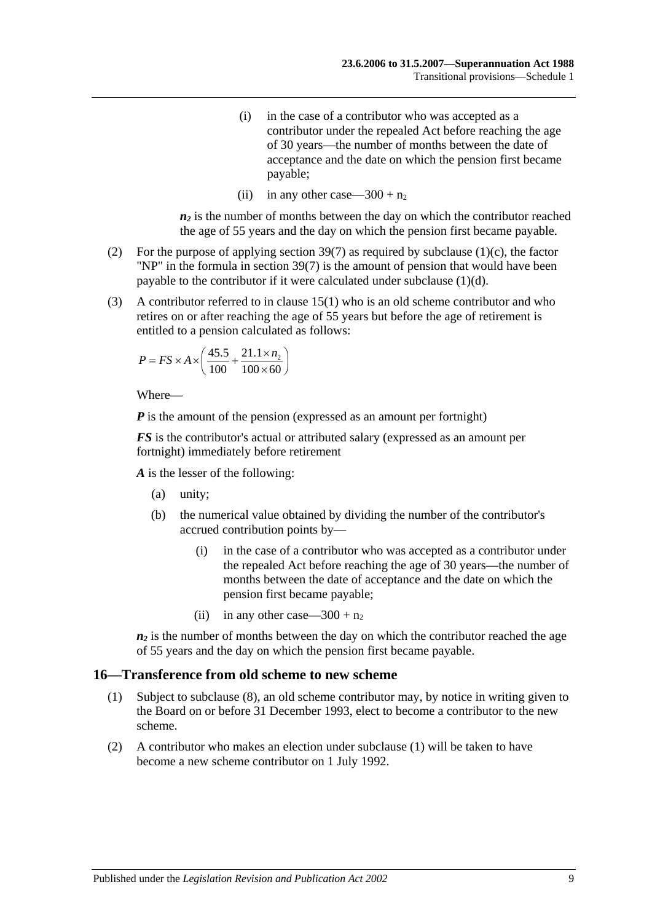- (i) in the case of a contributor who was accepted as a contributor under the repealed Act before reaching the age of 30 years—the number of months between the date of acceptance and the date on which the pension first became payable;
- (ii) in any other case—300 +  $n_2$

 $n_2$  is the number of months between the day on which the contributor reached the age of 55 years and the day on which the pension first became payable.

- (2) For the purpose of applying [section](#page-68-1) 39(7) as required by [subclause](#page-105-1) (1)(c), the factor "NP" in the formula in [section](#page-68-1) 39(7) is the amount of pension that would have been payable to the contributor if it were calculated under [subclause](#page-105-2) (1)(d).
- (3) A contributor referred to in [clause](#page-104-2) 15(1) who is an old scheme contributor and who retires on or after reaching the age of 55 years but before the age of retirement is entitled to a pension calculated as follows:

$$
P = FS \times A \times \left(\frac{45.5}{100} + \frac{21.1 \times n_2}{100 \times 60}\right)
$$

Where—

*P* is the amount of the pension (expressed as an amount per fortnight)

*FS* is the contributor's actual or attributed salary (expressed as an amount per fortnight) immediately before retirement

*A* is the lesser of the following:

- (a) unity;
- (b) the numerical value obtained by dividing the number of the contributor's accrued contribution points by—
	- (i) in the case of a contributor who was accepted as a contributor under the repealed Act before reaching the age of 30 years—the number of months between the date of acceptance and the date on which the pension first became payable;
	- (ii) in any other case—300 +  $n_2$

 $n_2$  is the number of months between the day on which the contributor reached the age of 55 years and the day on which the pension first became payable.

#### <span id="page-106-0"></span>**16—Transference from old scheme to new scheme**

- (1) Subject to [subclause](#page-107-0) (8), an old scheme contributor may, by notice in writing given to the Board on or before 31 December 1993, elect to become a contributor to the new scheme.
- (2) A contributor who makes an election under [subclause](#page-106-0) (1) will be taken to have become a new scheme contributor on 1 July 1992.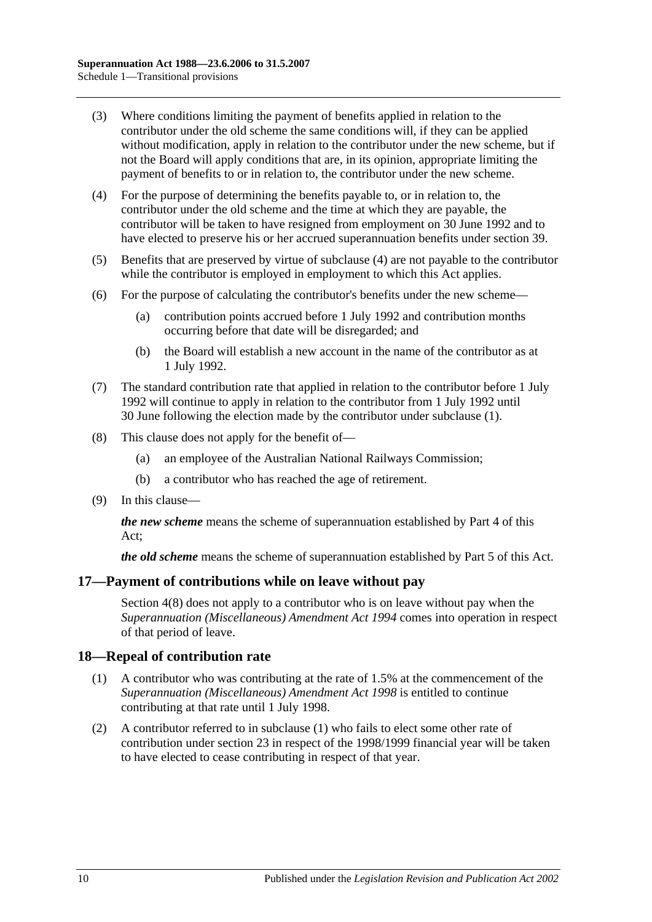- (3) Where conditions limiting the payment of benefits applied in relation to the contributor under the old scheme the same conditions will, if they can be applied without modification, apply in relation to the contributor under the new scheme, but if not the Board will apply conditions that are, in its opinion, appropriate limiting the payment of benefits to or in relation to, the contributor under the new scheme.
- <span id="page-107-1"></span>(4) For the purpose of determining the benefits payable to, or in relation to, the contributor under the old scheme and the time at which they are payable, the contributor will be taken to have resigned from employment on 30 June 1992 and to have elected to preserve his or her accrued superannuation benefits under [section](#page-65-0) 39.
- (5) Benefits that are preserved by virtue of [subclause](#page-107-1) (4) are not payable to the contributor while the contributor is employed in employment to which this Act applies.
- (6) For the purpose of calculating the contributor's benefits under the new scheme—
	- (a) contribution points accrued before 1 July 1992 and contribution months occurring before that date will be disregarded; and
	- (b) the Board will establish a new account in the name of the contributor as at 1 July 1992.
- (7) The standard contribution rate that applied in relation to the contributor before 1 July 1992 will continue to apply in relation to the contributor from 1 July 1992 until 30 June following the election made by the contributor under [subclause](#page-106-0) (1).
- <span id="page-107-0"></span>(8) This clause does not apply for the benefit of—
	- (a) an employee of the Australian National Railways Commission;
	- (b) a contributor who has reached the age of retirement.
- (9) In this clause—

*the new scheme* means the scheme of superannuation established by [Part 4](#page-30-0) of this Act;

*the old scheme* means the scheme of superannuation established by [Part 5](#page-52-1) of this Act.

#### **17—Payment of contributions while on leave without pay**

[Section](#page-13-0) 4(8) does not apply to a contributor who is on leave without pay when the *[Superannuation \(Miscellaneous\) Amendment Act](http://www.legislation.sa.gov.au/index.aspx?action=legref&type=act&legtitle=Superannuation%20(Miscellaneous)%20Amendment%20Act%201994) 1994* comes into operation in respect of that period of leave.

#### <span id="page-107-2"></span>**18—Repeal of contribution rate**

- (1) A contributor who was contributing at the rate of 1.5% at the commencement of the *[Superannuation \(Miscellaneous\) Amendment Act](http://www.legislation.sa.gov.au/index.aspx?action=legref&type=act&legtitle=Superannuation%20(Miscellaneous)%20Amendment%20Act%201998) 1998* is entitled to continue contributing at that rate until 1 July 1998.
- (2) A contributor referred to in [subclause](#page-107-2) (1) who fails to elect some other rate of contribution under [section](#page-26-0) 23 in respect of the 1998/1999 financial year will be taken to have elected to cease contributing in respect of that year.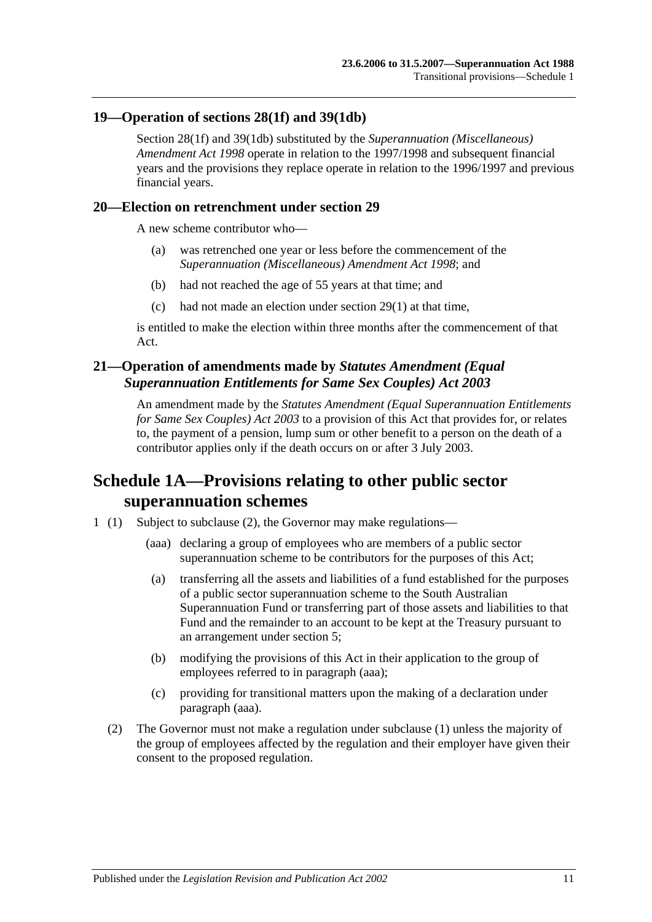## **19—Operation of [sections](#page-32-0) 28(1f) and [39\(1db\)](#page-66-0)**

[Section](#page-32-0) 28(1f) and [39\(1db\)](#page-66-0) substituted by the *[Superannuation \(Miscellaneous\)](http://www.legislation.sa.gov.au/index.aspx?action=legref&type=act&legtitle=Superannuation%20(Miscellaneous)%20Amendment%20Act%201998)  [Amendment Act](http://www.legislation.sa.gov.au/index.aspx?action=legref&type=act&legtitle=Superannuation%20(Miscellaneous)%20Amendment%20Act%201998) 1998* operate in relation to the 1997/1998 and subsequent financial years and the provisions they replace operate in relation to the 1996/1997 and previous financial years.

### **20—Election on retrenchment under [section](#page-36-0) 29**

A new scheme contributor who—

- (a) was retrenched one year or less before the commencement of the *[Superannuation \(Miscellaneous\) Amendment Act](http://www.legislation.sa.gov.au/index.aspx?action=legref&type=act&legtitle=Superannuation%20(Miscellaneous)%20Amendment%20Act%201998) 1998*; and
- (b) had not reached the age of 55 years at that time; and
- (c) had not made an election under [section](#page-36-1) 29(1) at that time,

is entitled to make the election within three months after the commencement of that Act.

## **21—Operation of amendments made by** *Statutes Amendment (Equal Superannuation Entitlements for Same Sex Couples) Act 2003*

An amendment made by the *[Statutes Amendment \(Equal Superannuation Entitlements](http://www.legislation.sa.gov.au/index.aspx?action=legref&type=act&legtitle=Statutes%20Amendment%20(Equal%20Superannuation%20Entitlements%20for%20Same%20Sex%20Couples)%20Act%202003)  [for Same Sex Couples\) Act 2003](http://www.legislation.sa.gov.au/index.aspx?action=legref&type=act&legtitle=Statutes%20Amendment%20(Equal%20Superannuation%20Entitlements%20for%20Same%20Sex%20Couples)%20Act%202003)* to a provision of this Act that provides for, or relates to, the payment of a pension, lump sum or other benefit to a person on the death of a contributor applies only if the death occurs on or after 3 July 2003.

# **Schedule 1A—Provisions relating to other public sector superannuation schemes**

- <span id="page-108-0"></span>1 (1) Subject to subclause (2), the Governor may make regulations—
	- (aaa) declaring a group of employees who are members of a public sector superannuation scheme to be contributors for the purposes of this Act;
	- (a) transferring all the assets and liabilities of a fund established for the purposes of a public sector superannuation scheme to the South Australian Superannuation Fund or transferring part of those assets and liabilities to that Fund and the remainder to an account to be kept at the Treasury pursuant to an arrangement under [section](#page-14-0) 5;
	- (b) modifying the provisions of this Act in their application to the group of employees referred to in [paragraph](#page-108-0) (aaa);
	- (c) providing for transitional matters upon the making of a declaration under [paragraph](#page-108-0) (aaa).
	- (2) The Governor must not make a regulation under subclause (1) unless the majority of the group of employees affected by the regulation and their employer have given their consent to the proposed regulation.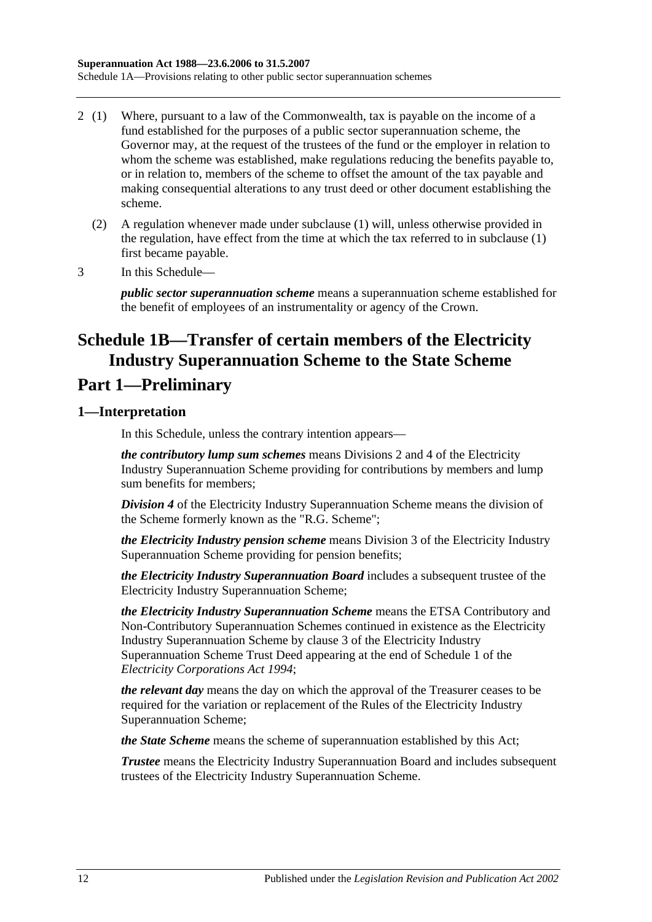- 2 (1) Where, pursuant to a law of the Commonwealth, tax is payable on the income of a fund established for the purposes of a public sector superannuation scheme, the Governor may, at the request of the trustees of the fund or the employer in relation to whom the scheme was established, make regulations reducing the benefits payable to, or in relation to, members of the scheme to offset the amount of the tax payable and making consequential alterations to any trust deed or other document establishing the scheme.
	- (2) A regulation whenever made under subclause (1) will, unless otherwise provided in the regulation, have effect from the time at which the tax referred to in subclause (1) first became payable.
- 3 In this Schedule—

*public sector superannuation scheme* means a superannuation scheme established for the benefit of employees of an instrumentality or agency of the Crown.

# **Schedule 1B—Transfer of certain members of the Electricity Industry Superannuation Scheme to the State Scheme**

# **Part 1—Preliminary**

## **1—Interpretation**

In this Schedule, unless the contrary intention appears—

*the contributory lump sum schemes* means Divisions 2 and 4 of the Electricity Industry Superannuation Scheme providing for contributions by members and lump sum benefits for members;

*Division 4* of the Electricity Industry Superannuation Scheme means the division of the Scheme formerly known as the "R.G. Scheme";

*the Electricity Industry pension scheme* means Division 3 of the Electricity Industry Superannuation Scheme providing for pension benefits;

*the Electricity Industry Superannuation Board* includes a subsequent trustee of the Electricity Industry Superannuation Scheme;

*the Electricity Industry Superannuation Scheme* means the ETSA Contributory and Non-Contributory Superannuation Schemes continued in existence as the Electricity Industry Superannuation Scheme by clause 3 of the Electricity Industry Superannuation Scheme Trust Deed appearing at the end of Schedule 1 of the *[Electricity Corporations Act](http://www.legislation.sa.gov.au/index.aspx?action=legref&type=act&legtitle=Electricity%20Corporations%20Act%201994) 1994*;

*the relevant day* means the day on which the approval of the Treasurer ceases to be required for the variation or replacement of the Rules of the Electricity Industry Superannuation Scheme;

*the State Scheme* means the scheme of superannuation established by this Act;

*Trustee* means the Electricity Industry Superannuation Board and includes subsequent trustees of the Electricity Industry Superannuation Scheme.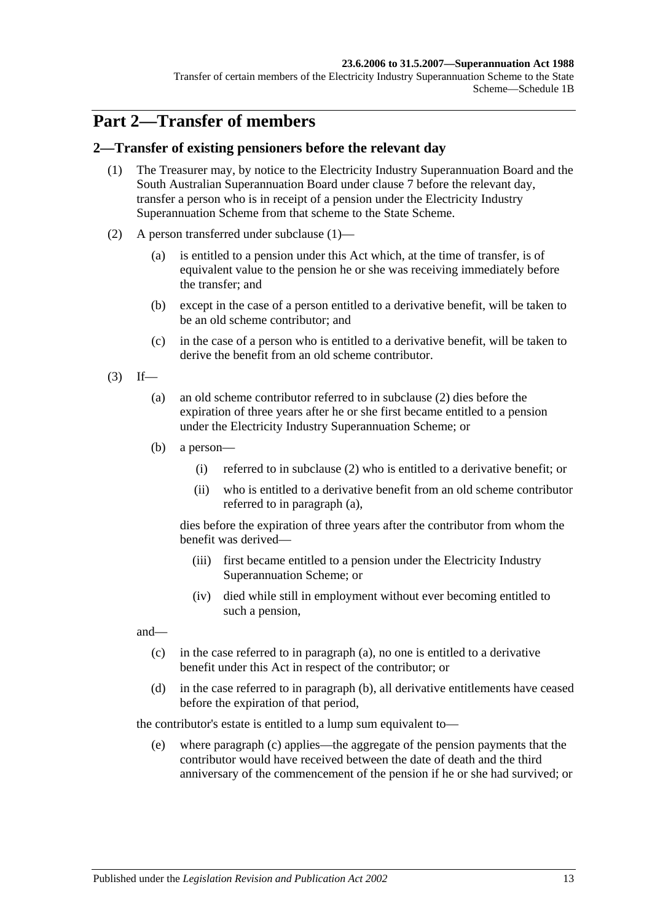### **23.6.2006 to 31.5.2007—Superannuation Act 1988**

Transfer of certain members of the Electricity Industry Superannuation Scheme to the State Scheme—Schedule 1B

# **Part 2—Transfer of members**

### <span id="page-110-0"></span>**2—Transfer of existing pensioners before the relevant day**

- (1) The Treasurer may, by notice to the Electricity Industry Superannuation Board and the South Australian Superannuation Board under [clause](#page-117-0) 7 before the relevant day, transfer a person who is in receipt of a pension under the Electricity Industry Superannuation Scheme from that scheme to the State Scheme.
- <span id="page-110-1"></span>(2) A person transferred under [subclause](#page-110-0) (1)—
	- (a) is entitled to a pension under this Act which, at the time of transfer, is of equivalent value to the pension he or she was receiving immediately before the transfer; and
	- (b) except in the case of a person entitled to a derivative benefit, will be taken to be an old scheme contributor; and
	- (c) in the case of a person who is entitled to a derivative benefit, will be taken to derive the benefit from an old scheme contributor.
- <span id="page-110-3"></span><span id="page-110-2"></span> $(3)$  If—
	- (a) an old scheme contributor referred to in [subclause](#page-110-1) (2) dies before the expiration of three years after he or she first became entitled to a pension under the Electricity Industry Superannuation Scheme; or
	- (b) a person—
		- (i) referred to in [subclause](#page-110-1) (2) who is entitled to a derivative benefit; or
		- (ii) who is entitled to a derivative benefit from an old scheme contributor referred to in [paragraph](#page-110-2) (a),

dies before the expiration of three years after the contributor from whom the benefit was derived—

- (iii) first became entitled to a pension under the Electricity Industry Superannuation Scheme; or
- (iv) died while still in employment without ever becoming entitled to such a pension,

<span id="page-110-4"></span>and—

- (c) in the case referred to in [paragraph](#page-110-2) (a), no one is entitled to a derivative benefit under this Act in respect of the contributor; or
- <span id="page-110-5"></span>(d) in the case referred to in [paragraph](#page-110-3) (b), all derivative entitlements have ceased before the expiration of that period,

the contributor's estate is entitled to a lump sum equivalent to—

(e) where [paragraph](#page-110-4) (c) applies—the aggregate of the pension payments that the contributor would have received between the date of death and the third anniversary of the commencement of the pension if he or she had survived; or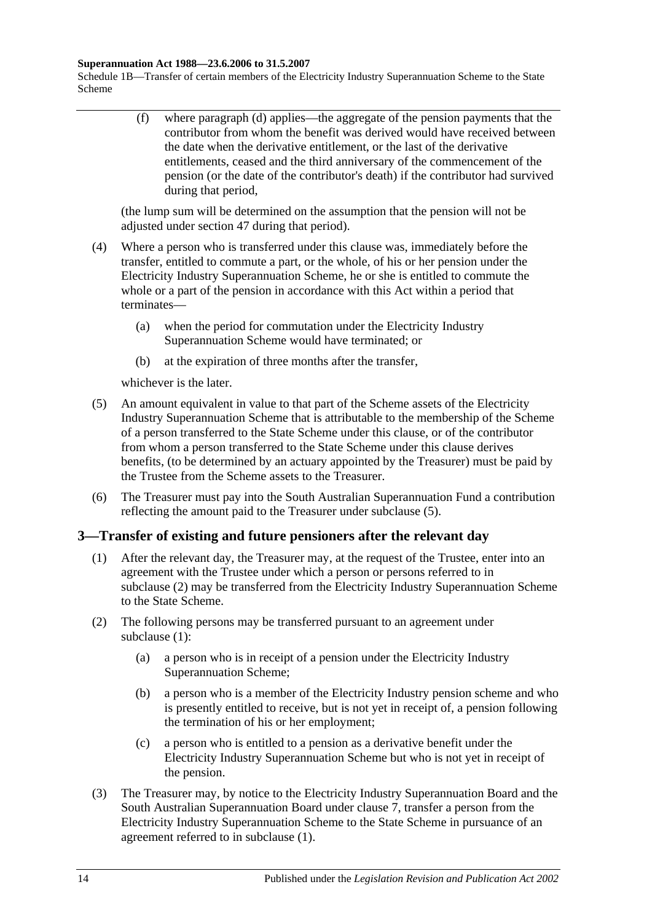### **Superannuation Act 1988—23.6.2006 to 31.5.2007**

Schedule 1B—Transfer of certain members of the Electricity Industry Superannuation Scheme to the State Scheme

> (f) where [paragraph](#page-110-5) (d) applies—the aggregate of the pension payments that the contributor from whom the benefit was derived would have received between the date when the derivative entitlement, or the last of the derivative entitlements, ceased and the third anniversary of the commencement of the pension (or the date of the contributor's death) if the contributor had survived during that period,

(the lump sum will be determined on the assumption that the pension will not be adjusted under [section](#page-91-0) 47 during that period).

- (4) Where a person who is transferred under this clause was, immediately before the transfer, entitled to commute a part, or the whole, of his or her pension under the Electricity Industry Superannuation Scheme, he or she is entitled to commute the whole or a part of the pension in accordance with this Act within a period that terminates—
	- (a) when the period for commutation under the Electricity Industry Superannuation Scheme would have terminated; or
	- (b) at the expiration of three months after the transfer,

whichever is the later.

- <span id="page-111-0"></span>(5) An amount equivalent in value to that part of the Scheme assets of the Electricity Industry Superannuation Scheme that is attributable to the membership of the Scheme of a person transferred to the State Scheme under this clause, or of the contributor from whom a person transferred to the State Scheme under this clause derives benefits, (to be determined by an actuary appointed by the Treasurer) must be paid by the Trustee from the Scheme assets to the Treasurer.
- (6) The Treasurer must pay into the South Australian Superannuation Fund a contribution reflecting the amount paid to the Treasurer under [subclause](#page-111-0) (5).

### <span id="page-111-2"></span>**3—Transfer of existing and future pensioners after the relevant day**

- (1) After the relevant day, the Treasurer may, at the request of the Trustee, enter into an agreement with the Trustee under which a person or persons referred to in [subclause](#page-111-1) (2) may be transferred from the Electricity Industry Superannuation Scheme to the State Scheme.
- <span id="page-111-4"></span><span id="page-111-1"></span>(2) The following persons may be transferred pursuant to an agreement under [subclause](#page-111-2) (1):
	- (a) a person who is in receipt of a pension under the Electricity Industry Superannuation Scheme;
	- (b) a person who is a member of the Electricity Industry pension scheme and who is presently entitled to receive, but is not yet in receipt of, a pension following the termination of his or her employment;
	- (c) a person who is entitled to a pension as a derivative benefit under the Electricity Industry Superannuation Scheme but who is not yet in receipt of the pension.
- <span id="page-111-5"></span><span id="page-111-3"></span>(3) The Treasurer may, by notice to the Electricity Industry Superannuation Board and the South Australian Superannuation Board under [clause](#page-117-0) 7, transfer a person from the Electricity Industry Superannuation Scheme to the State Scheme in pursuance of an agreement referred to in [subclause](#page-111-2) (1).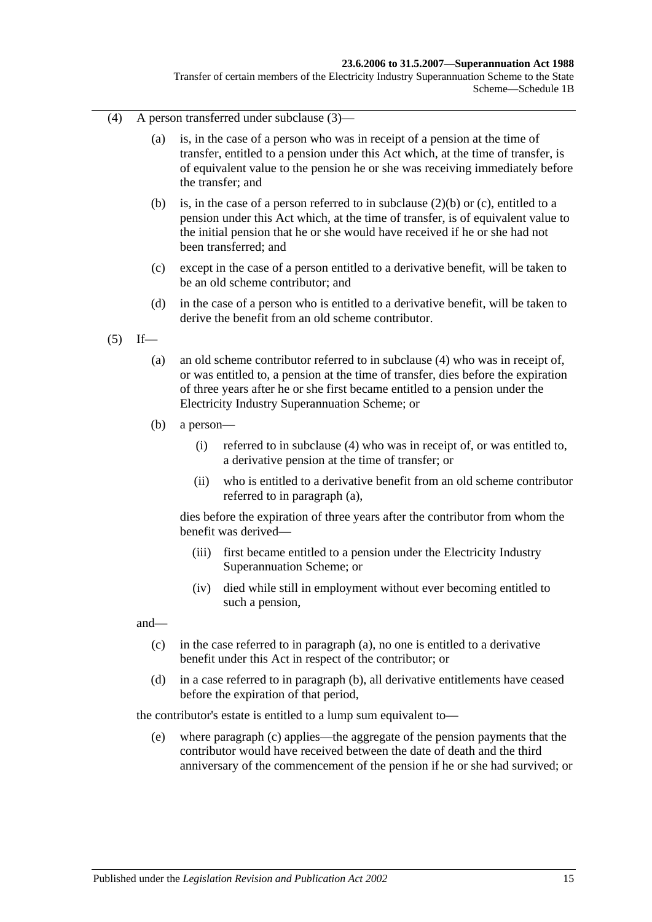#### **23.6.2006 to 31.5.2007—Superannuation Act 1988**

Transfer of certain members of the Electricity Industry Superannuation Scheme to the State Scheme—Schedule 1B

- <span id="page-112-0"></span>(4) A person transferred under [subclause](#page-111-3) (3)—
	- (a) is, in the case of a person who was in receipt of a pension at the time of transfer, entitled to a pension under this Act which, at the time of transfer, is of equivalent value to the pension he or she was receiving immediately before the transfer; and
	- (b) is, in the case of a person referred to in [subclause](#page-111-4) (2)(b) or [\(c\),](#page-111-5) entitled to a pension under this Act which, at the time of transfer, is of equivalent value to the initial pension that he or she would have received if he or she had not been transferred; and
	- (c) except in the case of a person entitled to a derivative benefit, will be taken to be an old scheme contributor; and
	- (d) in the case of a person who is entitled to a derivative benefit, will be taken to derive the benefit from an old scheme contributor.
- <span id="page-112-2"></span><span id="page-112-1"></span> $(5)$  If—
	- (a) an old scheme contributor referred to in [subclause](#page-112-0) (4) who was in receipt of, or was entitled to, a pension at the time of transfer, dies before the expiration of three years after he or she first became entitled to a pension under the Electricity Industry Superannuation Scheme; or
	- (b) a person—
		- (i) referred to in [subclause](#page-112-0) (4) who was in receipt of, or was entitled to, a derivative pension at the time of transfer; or
		- (ii) who is entitled to a derivative benefit from an old scheme contributor referred to in [paragraph](#page-112-1) (a),

dies before the expiration of three years after the contributor from whom the benefit was derived—

- (iii) first became entitled to a pension under the Electricity Industry Superannuation Scheme; or
- (iv) died while still in employment without ever becoming entitled to such a pension,

<span id="page-112-3"></span>and—

- (c) in the case referred to in [paragraph](#page-112-1) (a), no one is entitled to a derivative benefit under this Act in respect of the contributor; or
- <span id="page-112-4"></span>(d) in a case referred to in [paragraph](#page-112-2) (b), all derivative entitlements have ceased before the expiration of that period,

the contributor's estate is entitled to a lump sum equivalent to—

(e) where [paragraph](#page-112-3) (c) applies—the aggregate of the pension payments that the contributor would have received between the date of death and the third anniversary of the commencement of the pension if he or she had survived; or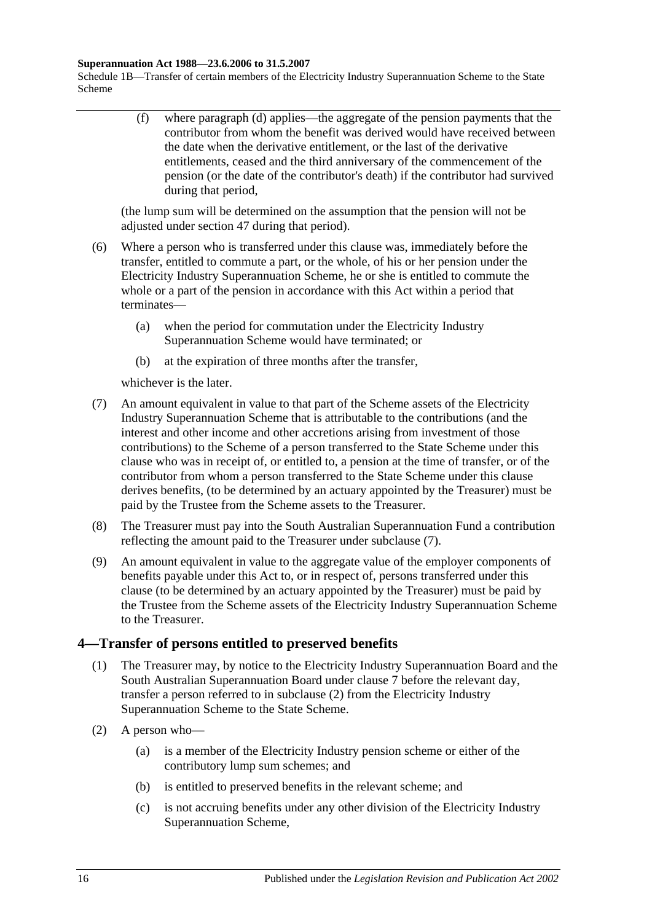#### **Superannuation Act 1988—23.6.2006 to 31.5.2007**

Schedule 1B—Transfer of certain members of the Electricity Industry Superannuation Scheme to the State Scheme

> (f) where [paragraph](#page-112-4) (d) applies—the aggregate of the pension payments that the contributor from whom the benefit was derived would have received between the date when the derivative entitlement, or the last of the derivative entitlements, ceased and the third anniversary of the commencement of the pension (or the date of the contributor's death) if the contributor had survived during that period,

(the lump sum will be determined on the assumption that the pension will not be adjusted under [section](#page-91-0) 47 during that period).

- (6) Where a person who is transferred under this clause was, immediately before the transfer, entitled to commute a part, or the whole, of his or her pension under the Electricity Industry Superannuation Scheme, he or she is entitled to commute the whole or a part of the pension in accordance with this Act within a period that terminates—
	- (a) when the period for commutation under the Electricity Industry Superannuation Scheme would have terminated; or
	- (b) at the expiration of three months after the transfer,

whichever is the later.

- <span id="page-113-0"></span>(7) An amount equivalent in value to that part of the Scheme assets of the Electricity Industry Superannuation Scheme that is attributable to the contributions (and the interest and other income and other accretions arising from investment of those contributions) to the Scheme of a person transferred to the State Scheme under this clause who was in receipt of, or entitled to, a pension at the time of transfer, or of the contributor from whom a person transferred to the State Scheme under this clause derives benefits, (to be determined by an actuary appointed by the Treasurer) must be paid by the Trustee from the Scheme assets to the Treasurer.
- (8) The Treasurer must pay into the South Australian Superannuation Fund a contribution reflecting the amount paid to the Treasurer under [subclause](#page-113-0) (7).
- (9) An amount equivalent in value to the aggregate value of the employer components of benefits payable under this Act to, or in respect of, persons transferred under this clause (to be determined by an actuary appointed by the Treasurer) must be paid by the Trustee from the Scheme assets of the Electricity Industry Superannuation Scheme to the Treasurer.

## <span id="page-113-2"></span>**4—Transfer of persons entitled to preserved benefits**

- (1) The Treasurer may, by notice to the Electricity Industry Superannuation Board and the South Australian Superannuation Board under [clause](#page-117-0) 7 before the relevant day, transfer a person referred to in [subclause](#page-113-1) (2) from the Electricity Industry Superannuation Scheme to the State Scheme.
- <span id="page-113-1"></span>(2) A person who—
	- (a) is a member of the Electricity Industry pension scheme or either of the contributory lump sum schemes; and
	- (b) is entitled to preserved benefits in the relevant scheme; and
	- (c) is not accruing benefits under any other division of the Electricity Industry Superannuation Scheme,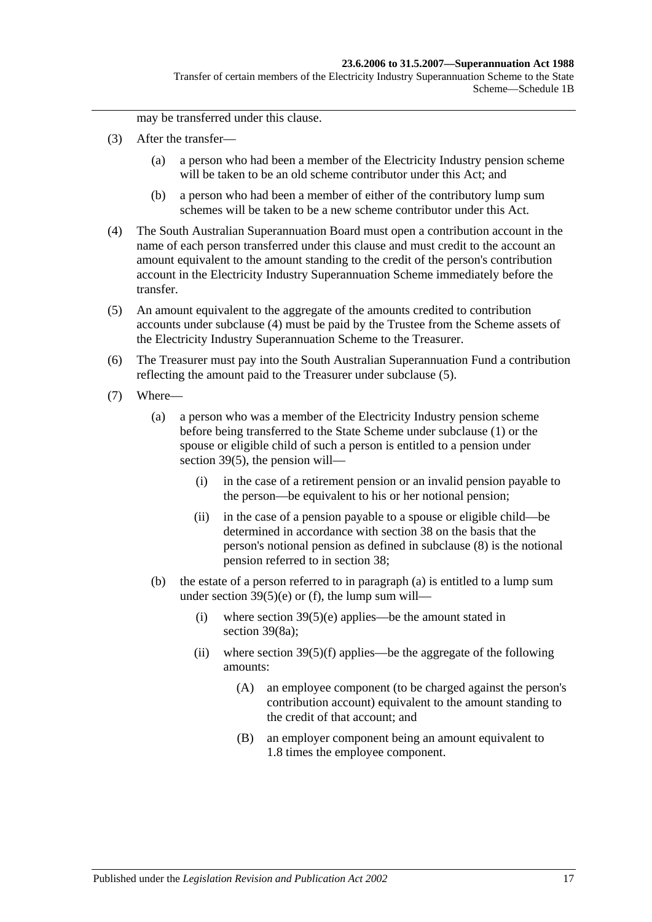may be transferred under this clause.

- (3) After the transfer—
	- (a) a person who had been a member of the Electricity Industry pension scheme will be taken to be an old scheme contributor under this Act; and
	- (b) a person who had been a member of either of the contributory lump sum schemes will be taken to be a new scheme contributor under this Act.
- <span id="page-114-0"></span>(4) The South Australian Superannuation Board must open a contribution account in the name of each person transferred under this clause and must credit to the account an amount equivalent to the amount standing to the credit of the person's contribution account in the Electricity Industry Superannuation Scheme immediately before the transfer.
- <span id="page-114-1"></span>(5) An amount equivalent to the aggregate of the amounts credited to contribution accounts under [subclause](#page-114-0) (4) must be paid by the Trustee from the Scheme assets of the Electricity Industry Superannuation Scheme to the Treasurer.
- (6) The Treasurer must pay into the South Australian Superannuation Fund a contribution reflecting the amount paid to the Treasurer under [subclause](#page-114-1) (5).
- <span id="page-114-3"></span><span id="page-114-2"></span>(7) Where—
	- (a) a person who was a member of the Electricity Industry pension scheme before being transferred to the State Scheme under [subclause](#page-113-2) (1) or the spouse or eligible child of such a person is entitled to a pension under [section](#page-67-0) 39(5), the pension will—
		- (i) in the case of a retirement pension or an invalid pension payable to the person—be equivalent to his or her notional pension;
		- (ii) in the case of a pension payable to a spouse or eligible child—be determined in accordance with [section](#page-61-0) 38 on the basis that the person's notional pension as defined in [subclause](#page-115-0) (8) is the notional pension referred to in [section](#page-61-0) 38;
	- (b) the estate of a person referred to in [paragraph](#page-114-2) (a) is entitled to a lump sum under section  $39(5)(e)$  or [\(f\),](#page-68-1) the lump sum will—
		- (i) where section  $39(5)(e)$  applies—be the amount stated in [section](#page-69-0) 39(8a);
		- (ii) where section  $39(5)(f)$  applies—be the aggregate of the following amounts:
			- (A) an employee component (to be charged against the person's contribution account) equivalent to the amount standing to the credit of that account; and
			- (B) an employer component being an amount equivalent to 1.8 times the employee component.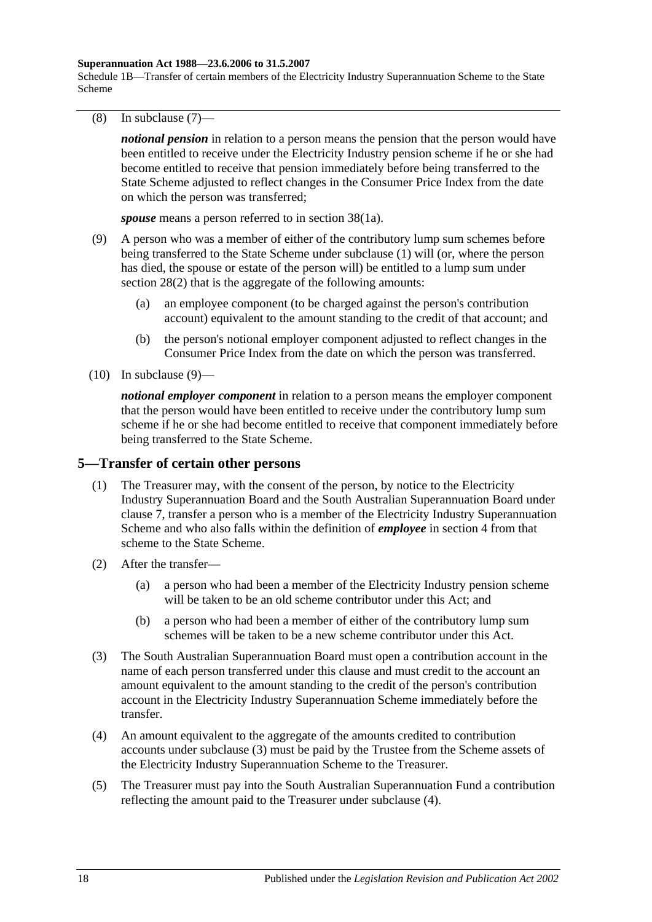#### **Superannuation Act 1988—23.6.2006 to 31.5.2007**

Schedule 1B—Transfer of certain members of the Electricity Industry Superannuation Scheme to the State Scheme

<span id="page-115-0"></span>(8) In [subclause](#page-114-3) (7)—

*notional pension* in relation to a person means the pension that the person would have been entitled to receive under the Electricity Industry pension scheme if he or she had become entitled to receive that pension immediately before being transferred to the State Scheme adjusted to reflect changes in the Consumer Price Index from the date on which the person was transferred;

*spouse* means a person referred to in [section](#page-61-1) 38(1a).

- <span id="page-115-1"></span>(9) A person who was a member of either of the contributory lump sum schemes before being transferred to the State Scheme under [subclause](#page-113-2) (1) will (or, where the person has died, the spouse or estate of the person will) be entitled to a lump sum under [section](#page-32-1) 28(2) that is the aggregate of the following amounts:
	- (a) an employee component (to be charged against the person's contribution account) equivalent to the amount standing to the credit of that account; and
	- (b) the person's notional employer component adjusted to reflect changes in the Consumer Price Index from the date on which the person was transferred.
- $(10)$  In [subclause](#page-115-1)  $(9)$ —

*notional employer component* in relation to a person means the employer component that the person would have been entitled to receive under the contributory lump sum scheme if he or she had become entitled to receive that component immediately before being transferred to the State Scheme.

### <span id="page-115-4"></span>**5—Transfer of certain other persons**

- (1) The Treasurer may, with the consent of the person, by notice to the Electricity Industry Superannuation Board and the South Australian Superannuation Board under [clause](#page-117-0) 7, transfer a person who is a member of the Electricity Industry Superannuation Scheme and who also falls within the definition of *employee* in [section](#page-6-0) 4 from that scheme to the State Scheme.
- (2) After the transfer—
	- (a) a person who had been a member of the Electricity Industry pension scheme will be taken to be an old scheme contributor under this Act; and
	- (b) a person who had been a member of either of the contributory lump sum schemes will be taken to be a new scheme contributor under this Act.
- <span id="page-115-2"></span>(3) The South Australian Superannuation Board must open a contribution account in the name of each person transferred under this clause and must credit to the account an amount equivalent to the amount standing to the credit of the person's contribution account in the Electricity Industry Superannuation Scheme immediately before the transfer.
- <span id="page-115-3"></span>(4) An amount equivalent to the aggregate of the amounts credited to contribution accounts under [subclause](#page-115-2) (3) must be paid by the Trustee from the Scheme assets of the Electricity Industry Superannuation Scheme to the Treasurer.
- (5) The Treasurer must pay into the South Australian Superannuation Fund a contribution reflecting the amount paid to the Treasurer under [subclause](#page-115-3) (4).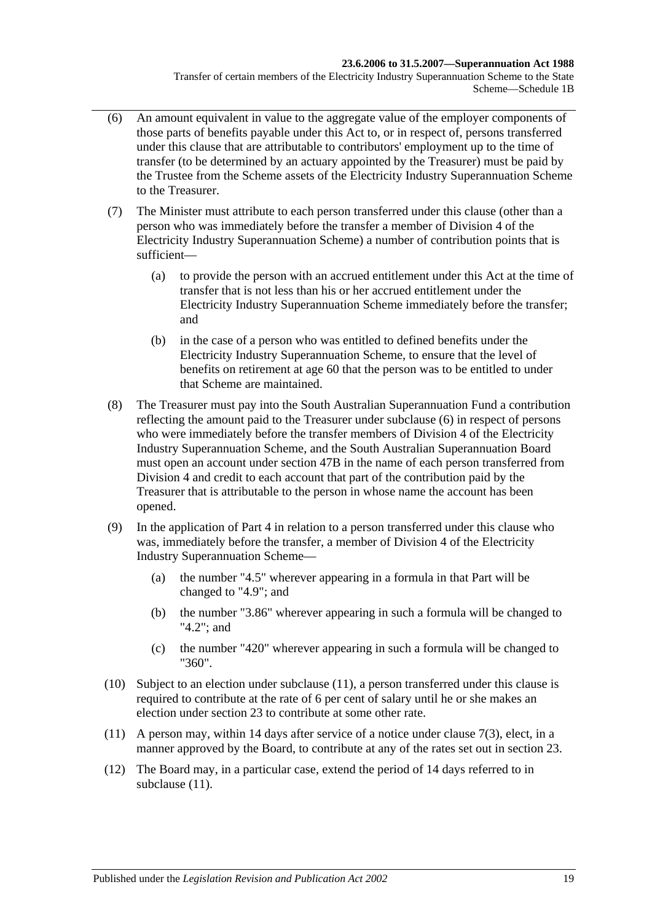- <span id="page-116-0"></span>(6) An amount equivalent in value to the aggregate value of the employer components of those parts of benefits payable under this Act to, or in respect of, persons transferred under this clause that are attributable to contributors' employment up to the time of transfer (to be determined by an actuary appointed by the Treasurer) must be paid by the Trustee from the Scheme assets of the Electricity Industry Superannuation Scheme to the Treasurer.
- (7) The Minister must attribute to each person transferred under this clause (other than a person who was immediately before the transfer a member of Division 4 of the Electricity Industry Superannuation Scheme) a number of contribution points that is sufficient—
	- (a) to provide the person with an accrued entitlement under this Act at the time of transfer that is not less than his or her accrued entitlement under the Electricity Industry Superannuation Scheme immediately before the transfer; and
	- (b) in the case of a person who was entitled to defined benefits under the Electricity Industry Superannuation Scheme, to ensure that the level of benefits on retirement at age 60 that the person was to be entitled to under that Scheme are maintained.
- (8) The Treasurer must pay into the South Australian Superannuation Fund a contribution reflecting the amount paid to the Treasurer under [subclause](#page-116-0) (6) in respect of persons who were immediately before the transfer members of Division 4 of the Electricity Industry Superannuation Scheme, and the South Australian Superannuation Board must open an account under [section](#page-92-0) 47B in the name of each person transferred from Division 4 and credit to each account that part of the contribution paid by the Treasurer that is attributable to the person in whose name the account has been opened.
- (9) In the application of [Part 4](#page-30-0) in relation to a person transferred under this clause who was, immediately before the transfer, a member of Division 4 of the Electricity Industry Superannuation Scheme—
	- (a) the number "4.5" wherever appearing in a formula in that Part will be changed to "4.9"; and
	- (b) the number "3.86" wherever appearing in such a formula will be changed to "4.2"; and
	- (c) the number "420" wherever appearing in such a formula will be changed to "360".
- (10) Subject to an election under [subclause](#page-116-1) (11), a person transferred under this clause is required to contribute at the rate of 6 per cent of salary until he or she makes an election under [section](#page-26-0) 23 to contribute at some other rate.
- <span id="page-116-1"></span>(11) A person may, within 14 days after service of a notice under [clause](#page-117-1) 7(3), elect, in a manner approved by the Board, to contribute at any of the rates set out in [section](#page-26-0) 23.
- (12) The Board may, in a particular case, extend the period of 14 days referred to in [subclause](#page-116-1)  $(11)$ .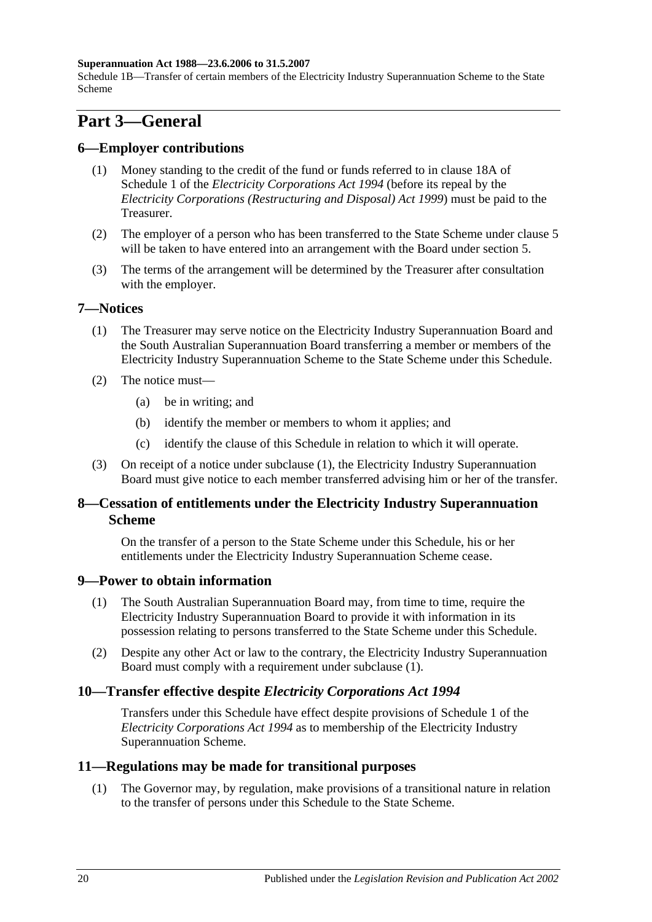### **Superannuation Act 1988—23.6.2006 to 31.5.2007**

Schedule 1B—Transfer of certain members of the Electricity Industry Superannuation Scheme to the State Scheme

# **Part 3—General**

## **6—Employer contributions**

- (1) Money standing to the credit of the fund or funds referred to in clause 18A of Schedule 1 of the *[Electricity Corporations Act](http://www.legislation.sa.gov.au/index.aspx?action=legref&type=act&legtitle=Electricity%20Corporations%20Act%201994) 1994* (before its repeal by the *[Electricity Corporations \(Restructuring and Disposal\) Act](http://www.legislation.sa.gov.au/index.aspx?action=legref&type=act&legtitle=Electricity%20Corporations%20(Restructuring%20and%20Disposal)%20Act%201999) 1999*) must be paid to the Treasurer.
- (2) The employer of a person who has been transferred to the State Scheme under [clause](#page-115-4) 5 will be taken to have entered into an arrangement with the Board under [section](#page-14-0) 5.
- (3) The terms of the arrangement will be determined by the Treasurer after consultation with the employer.

### <span id="page-117-2"></span><span id="page-117-0"></span>**7—Notices**

- (1) The Treasurer may serve notice on the Electricity Industry Superannuation Board and the South Australian Superannuation Board transferring a member or members of the Electricity Industry Superannuation Scheme to the State Scheme under this Schedule.
- (2) The notice must—
	- (a) be in writing; and
	- (b) identify the member or members to whom it applies; and
	- (c) identify the clause of this Schedule in relation to which it will operate.
- <span id="page-117-1"></span>(3) On receipt of a notice under [subclause](#page-117-2) (1), the Electricity Industry Superannuation Board must give notice to each member transferred advising him or her of the transfer.

## **8—Cessation of entitlements under the Electricity Industry Superannuation Scheme**

On the transfer of a person to the State Scheme under this Schedule, his or her entitlements under the Electricity Industry Superannuation Scheme cease.

## <span id="page-117-3"></span>**9—Power to obtain information**

- (1) The South Australian Superannuation Board may, from time to time, require the Electricity Industry Superannuation Board to provide it with information in its possession relating to persons transferred to the State Scheme under this Schedule.
- (2) Despite any other Act or law to the contrary, the Electricity Industry Superannuation Board must comply with a requirement under [subclause](#page-117-3) (1).

## **10—Transfer effective despite** *Electricity Corporations Act 1994*

Transfers under this Schedule have effect despite provisions of Schedule 1 of the *[Electricity Corporations Act](http://www.legislation.sa.gov.au/index.aspx?action=legref&type=act&legtitle=Electricity%20Corporations%20Act%201994) 1994* as to membership of the Electricity Industry Superannuation Scheme.

### **11—Regulations may be made for transitional purposes**

(1) The Governor may, by regulation, make provisions of a transitional nature in relation to the transfer of persons under this Schedule to the State Scheme.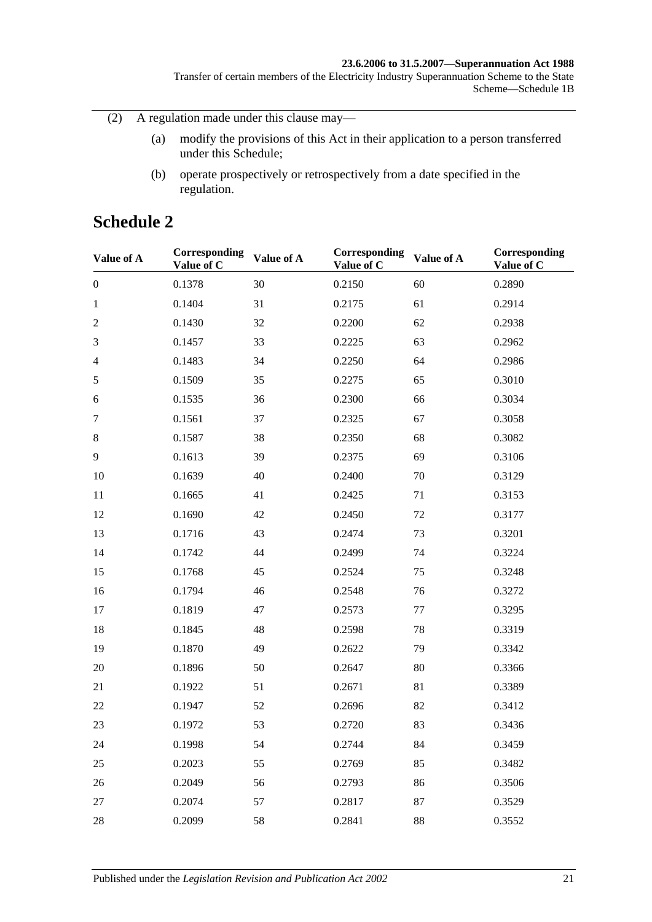### **23.6.2006 to 31.5.2007—Superannuation Act 1988**

Transfer of certain members of the Electricity Industry Superannuation Scheme to the State Scheme—Schedule 1B

(2) A regulation made under this clause may—

- (a) modify the provisions of this Act in their application to a person transferred under this Schedule;
- (b) operate prospectively or retrospectively from a date specified in the regulation.

# **Schedule 2**

| Value of A       | Corresponding<br>Value of C | Value of A | Corresponding<br>Value of C | Value of A | Corresponding<br>Value of C |
|------------------|-----------------------------|------------|-----------------------------|------------|-----------------------------|
| $\boldsymbol{0}$ | 0.1378                      | 30         | 0.2150                      | 60         | 0.2890                      |
| $\mathbf{1}$     | 0.1404                      | 31         | 0.2175                      | 61         | 0.2914                      |
| $\mathfrak{2}$   | 0.1430                      | 32         | 0.2200                      | 62         | 0.2938                      |
| 3                | 0.1457                      | 33         | 0.2225                      | 63         | 0.2962                      |
| $\overline{4}$   | 0.1483                      | 34         | 0.2250                      | 64         | 0.2986                      |
| $\sqrt{5}$       | 0.1509                      | 35         | 0.2275                      | 65         | 0.3010                      |
| 6                | 0.1535                      | 36         | 0.2300                      | 66         | 0.3034                      |
| $\tau$           | 0.1561                      | 37         | 0.2325                      | 67         | 0.3058                      |
| $8\,$            | 0.1587                      | 38         | 0.2350                      | 68         | 0.3082                      |
| 9                | 0.1613                      | 39         | 0.2375                      | 69         | 0.3106                      |
| 10               | 0.1639                      | 40         | 0.2400                      | 70         | 0.3129                      |
| 11               | 0.1665                      | 41         | 0.2425                      | 71         | 0.3153                      |
| 12               | 0.1690                      | 42         | 0.2450                      | 72         | 0.3177                      |
| 13               | 0.1716                      | 43         | 0.2474                      | 73         | 0.3201                      |
| 14               | 0.1742                      | 44         | 0.2499                      | 74         | 0.3224                      |
| 15               | 0.1768                      | 45         | 0.2524                      | 75         | 0.3248                      |
| 16               | 0.1794                      | 46         | 0.2548                      | 76         | 0.3272                      |
| 17               | 0.1819                      | 47         | 0.2573                      | 77         | 0.3295                      |
| 18               | 0.1845                      | 48         | 0.2598                      | 78         | 0.3319                      |
| 19               | 0.1870                      | 49         | 0.2622                      | 79         | 0.3342                      |
| 20               | 0.1896                      | 50         | 0.2647                      | 80         | 0.3366                      |
| 21               | 0.1922                      | 51         | 0.2671                      | 81         | 0.3389                      |
| 22               | 0.1947                      | 52         | 0.2696                      | 82         | 0.3412                      |
| 23               | 0.1972                      | 53         | 0.2720                      | 83         | 0.3436                      |
| 24               | 0.1998                      | 54         | 0.2744                      | 84         | 0.3459                      |
| 25               | 0.2023                      | 55         | 0.2769                      | 85         | 0.3482                      |
| 26               | 0.2049                      | 56         | 0.2793                      | 86         | 0.3506                      |
| 27               | 0.2074                      | 57         | 0.2817                      | 87         | 0.3529                      |
| 28               | 0.2099                      | 58         | 0.2841                      | 88         | 0.3552                      |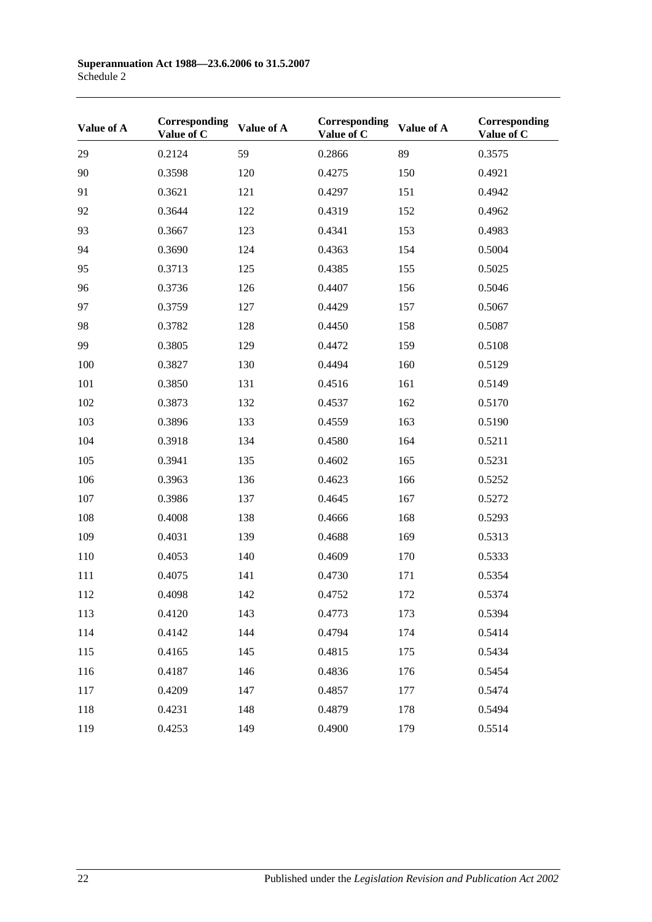| Value of A | Corresponding<br>Value of C | Value of A | Corresponding<br>Value of C | Value of A | Corresponding<br>Value of C |
|------------|-----------------------------|------------|-----------------------------|------------|-----------------------------|
| 29         | 0.2124                      | 59         | 0.2866                      | 89         | 0.3575                      |
| 90         | 0.3598                      | 120        | 0.4275                      | 150        | 0.4921                      |
| 91         | 0.3621                      | 121        | 0.4297                      | 151        | 0.4942                      |
| 92         | 0.3644                      | 122        | 0.4319                      | 152        | 0.4962                      |
| 93         | 0.3667                      | 123        | 0.4341                      | 153        | 0.4983                      |
| 94         | 0.3690                      | 124        | 0.4363                      | 154        | 0.5004                      |
| 95         | 0.3713                      | 125        | 0.4385                      | 155        | 0.5025                      |
| 96         | 0.3736                      | 126        | 0.4407                      | 156        | 0.5046                      |
| 97         | 0.3759                      | 127        | 0.4429                      | 157        | 0.5067                      |
| 98         | 0.3782                      | 128        | 0.4450                      | 158        | 0.5087                      |
| 99         | 0.3805                      | 129        | 0.4472                      | 159        | 0.5108                      |
| 100        | 0.3827                      | 130        | 0.4494                      | 160        | 0.5129                      |
| 101        | 0.3850                      | 131        | 0.4516                      | 161        | 0.5149                      |
| 102        | 0.3873                      | 132        | 0.4537                      | 162        | 0.5170                      |
| 103        | 0.3896                      | 133        | 0.4559                      | 163        | 0.5190                      |
| 104        | 0.3918                      | 134        | 0.4580                      | 164        | 0.5211                      |
| 105        | 0.3941                      | 135        | 0.4602                      | 165        | 0.5231                      |
| 106        | 0.3963                      | 136        | 0.4623                      | 166        | 0.5252                      |
| 107        | 0.3986                      | 137        | 0.4645                      | 167        | 0.5272                      |
| 108        | 0.4008                      | 138        | 0.4666                      | 168        | 0.5293                      |
| 109        | 0.4031                      | 139        | 0.4688                      | 169        | 0.5313                      |
| 110        | 0.4053                      | 140        | 0.4609                      | 170        | 0.5333                      |
| 111        | 0.4075                      | 141        | 0.4730                      | 171        | 0.5354                      |
| 112        | 0.4098                      | 142        | 0.4752                      | 172        | 0.5374                      |
| 113        | 0.4120                      | 143        | 0.4773                      | 173        | 0.5394                      |
| 114        | 0.4142                      | 144        | 0.4794                      | 174        | 0.5414                      |
| 115        | 0.4165                      | 145        | 0.4815                      | 175        | 0.5434                      |
| 116        | 0.4187                      | 146        | 0.4836                      | 176        | 0.5454                      |
| 117        | 0.4209                      | 147        | 0.4857                      | 177        | 0.5474                      |
| 118        | 0.4231                      | 148        | 0.4879                      | 178        | 0.5494                      |
| 119        | 0.4253                      | 149        | 0.4900                      | 179        | 0.5514                      |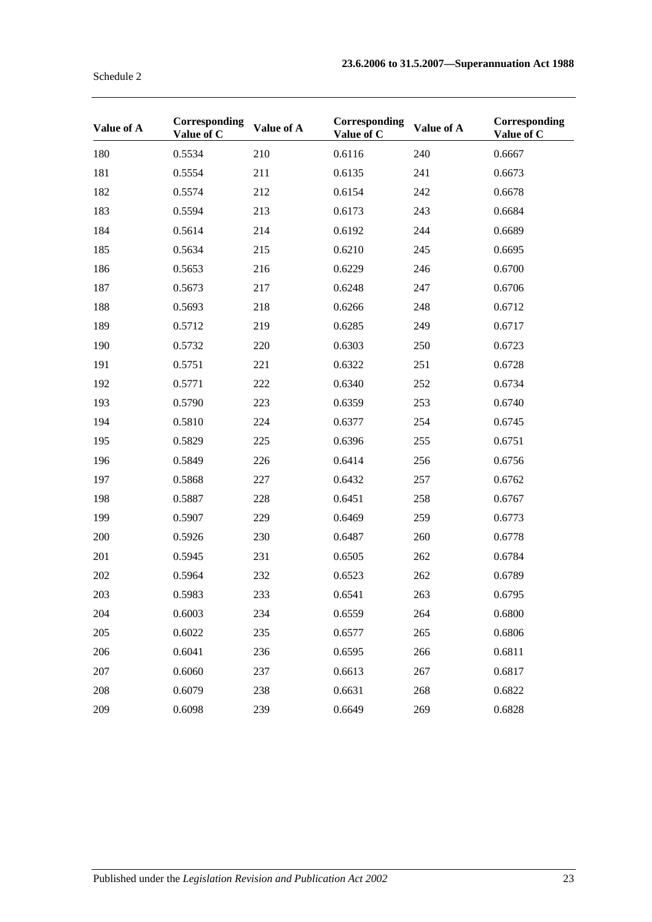| Value of A | Corresponding<br>Value of C | Value of A | Corresponding<br>Value of C | Value of A | Corresponding<br>Value of C |
|------------|-----------------------------|------------|-----------------------------|------------|-----------------------------|
| 180        | 0.5534                      | 210        | 0.6116                      | 240        | 0.6667                      |
| 181        | 0.5554                      | 211        | 0.6135                      | 241        | 0.6673                      |
| 182        | 0.5574                      | 212        | 0.6154                      | 242        | 0.6678                      |
| 183        | 0.5594                      | 213        | 0.6173                      | 243        | 0.6684                      |
| 184        | 0.5614                      | 214        | 0.6192                      | 244        | 0.6689                      |
| 185        | 0.5634                      | 215        | 0.6210                      | 245        | 0.6695                      |
| 186        | 0.5653                      | 216        | 0.6229                      | 246        | 0.6700                      |
| 187        | 0.5673                      | 217        | 0.6248                      | 247        | 0.6706                      |
| 188        | 0.5693                      | 218        | 0.6266                      | 248        | 0.6712                      |
| 189        | 0.5712                      | 219        | 0.6285                      | 249        | 0.6717                      |
| 190        | 0.5732                      | 220        | 0.6303                      | 250        | 0.6723                      |
| 191        | 0.5751                      | 221        | 0.6322                      | 251        | 0.6728                      |
| 192        | 0.5771                      | 222        | 0.6340                      | 252        | 0.6734                      |
| 193        | 0.5790                      | 223        | 0.6359                      | 253        | 0.6740                      |
| 194        | 0.5810                      | 224        | 0.6377                      | 254        | 0.6745                      |
| 195        | 0.5829                      | 225        | 0.6396                      | 255        | 0.6751                      |
| 196        | 0.5849                      | 226        | 0.6414                      | 256        | 0.6756                      |
| 197        | 0.5868                      | 227        | 0.6432                      | 257        | 0.6762                      |
| 198        | 0.5887                      | 228        | 0.6451                      | 258        | 0.6767                      |
| 199        | 0.5907                      | 229        | 0.6469                      | 259        | 0.6773                      |
| 200        | 0.5926                      | 230        | 0.6487                      | 260        | 0.6778                      |
| 201        | 0.5945                      | 231        | 0.6505                      | 262        | 0.6784                      |
| 202        | 0.5964                      | 232        | 0.6523                      | 262        | 0.6789                      |
| 203        | 0.5983                      | 233        | 0.6541                      | 263        | 0.6795                      |
| 204        | 0.6003                      | 234        | 0.6559                      | 264        | 0.6800                      |
| 205        | 0.6022                      | 235        | 0.6577                      | 265        | 0.6806                      |
| 206        | 0.6041                      | 236        | 0.6595                      | 266        | 0.6811                      |
| 207        | 0.6060                      | 237        | 0.6613                      | 267        | 0.6817                      |
| 208        | 0.6079                      | 238        | 0.6631                      | 268        | 0.6822                      |
| 209        | 0.6098                      | 239        | 0.6649                      | 269        | 0.6828                      |

Schedule 2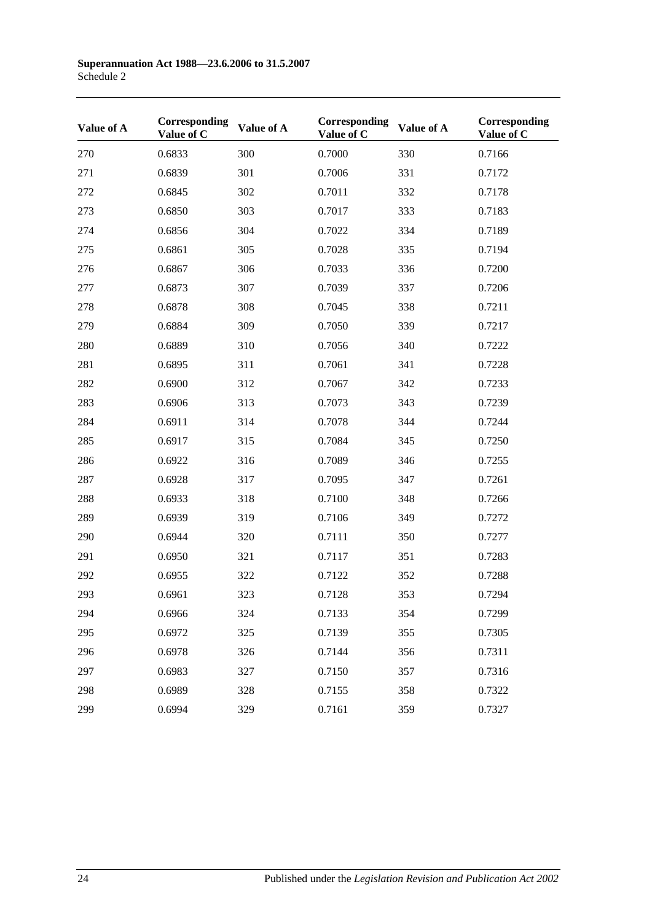| Value of A | Corresponding<br>Value of C | Value of A | Corresponding<br>Value of C | Value of A | Corresponding<br>Value of C |
|------------|-----------------------------|------------|-----------------------------|------------|-----------------------------|
| 270        | 0.6833                      | 300        | 0.7000                      | 330        | 0.7166                      |
| 271        | 0.6839                      | 301        | 0.7006                      | 331        | 0.7172                      |
| 272        | 0.6845                      | 302        | 0.7011                      | 332        | 0.7178                      |
| 273        | 0.6850                      | 303        | 0.7017                      | 333        | 0.7183                      |
| 274        | 0.6856                      | 304        | 0.7022                      | 334        | 0.7189                      |
| 275        | 0.6861                      | 305        | 0.7028                      | 335        | 0.7194                      |
| 276        | 0.6867                      | 306        | 0.7033                      | 336        | 0.7200                      |
| 277        | 0.6873                      | 307        | 0.7039                      | 337        | 0.7206                      |
| 278        | 0.6878                      | 308        | 0.7045                      | 338        | 0.7211                      |
| 279        | 0.6884                      | 309        | 0.7050                      | 339        | 0.7217                      |
| 280        | 0.6889                      | 310        | 0.7056                      | 340        | 0.7222                      |
| 281        | 0.6895                      | 311        | 0.7061                      | 341        | 0.7228                      |
| 282        | 0.6900                      | 312        | 0.7067                      | 342        | 0.7233                      |
| 283        | 0.6906                      | 313        | 0.7073                      | 343        | 0.7239                      |
| 284        | 0.6911                      | 314        | 0.7078                      | 344        | 0.7244                      |
| 285        | 0.6917                      | 315        | 0.7084                      | 345        | 0.7250                      |
| 286        | 0.6922                      | 316        | 0.7089                      | 346        | 0.7255                      |
| 287        | 0.6928                      | 317        | 0.7095                      | 347        | 0.7261                      |
| 288        | 0.6933                      | 318        | 0.7100                      | 348        | 0.7266                      |
| 289        | 0.6939                      | 319        | 0.7106                      | 349        | 0.7272                      |
| 290        | 0.6944                      | 320        | 0.7111                      | 350        | 0.7277                      |
| 291        | 0.6950                      | 321        | 0.7117                      | 351        | 0.7283                      |
| 292        | 0.6955                      | 322        | 0.7122                      | 352        | 0.7288                      |
| 293        | 0.6961                      | 323        | 0.7128                      | 353        | 0.7294                      |
| 294        | 0.6966                      | 324        | 0.7133                      | 354        | 0.7299                      |
| 295        | 0.6972                      | 325        | 0.7139                      | 355        | 0.7305                      |
| 296        | 0.6978                      | 326        | 0.7144                      | 356        | 0.7311                      |
| 297        | 0.6983                      | 327        | 0.7150                      | 357        | 0.7316                      |
| 298        | 0.6989                      | 328        | 0.7155                      | 358        | 0.7322                      |
| 299        | 0.6994                      | 329        | 0.7161                      | 359        | 0.7327                      |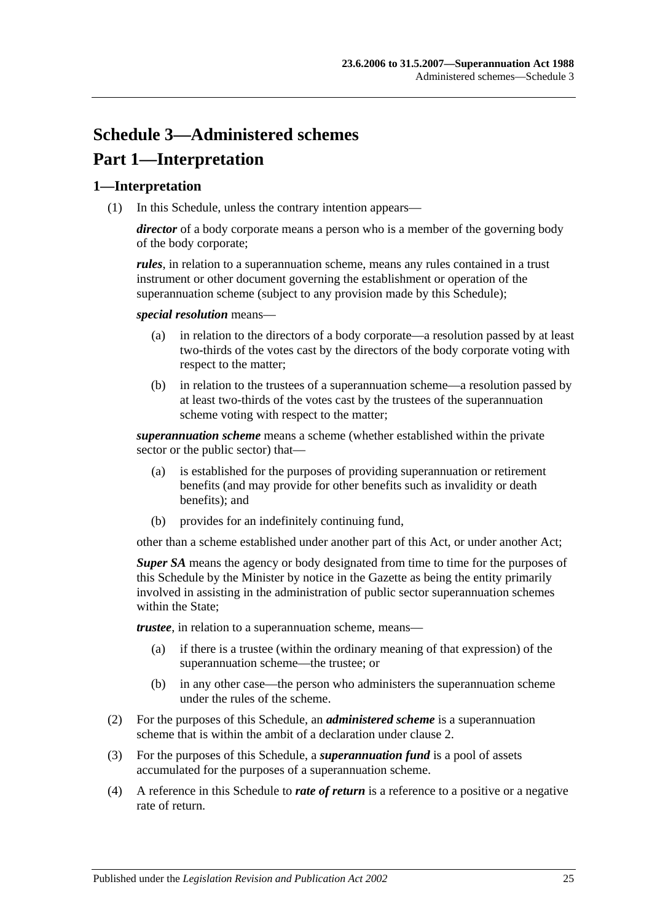# **Schedule 3—Administered schemes Part 1—Interpretation**

## **1—Interpretation**

(1) In this Schedule, unless the contrary intention appears—

*director* of a body corporate means a person who is a member of the governing body of the body corporate;

*rules*, in relation to a superannuation scheme, means any rules contained in a trust instrument or other document governing the establishment or operation of the superannuation scheme (subject to any provision made by this Schedule);

*special resolution* means—

- (a) in relation to the directors of a body corporate—a resolution passed by at least two-thirds of the votes cast by the directors of the body corporate voting with respect to the matter;
- (b) in relation to the trustees of a superannuation scheme—a resolution passed by at least two-thirds of the votes cast by the trustees of the superannuation scheme voting with respect to the matter;

*superannuation scheme* means a scheme (whether established within the private sector or the public sector) that—

- (a) is established for the purposes of providing superannuation or retirement benefits (and may provide for other benefits such as invalidity or death benefits); and
- (b) provides for an indefinitely continuing fund,

other than a scheme established under another part of this Act, or under another Act;

*Super SA* means the agency or body designated from time to time for the purposes of this Schedule by the Minister by notice in the Gazette as being the entity primarily involved in assisting in the administration of public sector superannuation schemes within the State:

*trustee*, in relation to a superannuation scheme, means—

- (a) if there is a trustee (within the ordinary meaning of that expression) of the superannuation scheme—the trustee; or
- (b) in any other case—the person who administers the superannuation scheme under the rules of the scheme.
- (2) For the purposes of this Schedule, an *administered scheme* is a superannuation scheme that is within the ambit of a declaration under [clause](#page-123-0) 2.
- (3) For the purposes of this Schedule, a *superannuation fund* is a pool of assets accumulated for the purposes of a superannuation scheme.
- (4) A reference in this Schedule to *rate of return* is a reference to a positive or a negative rate of return.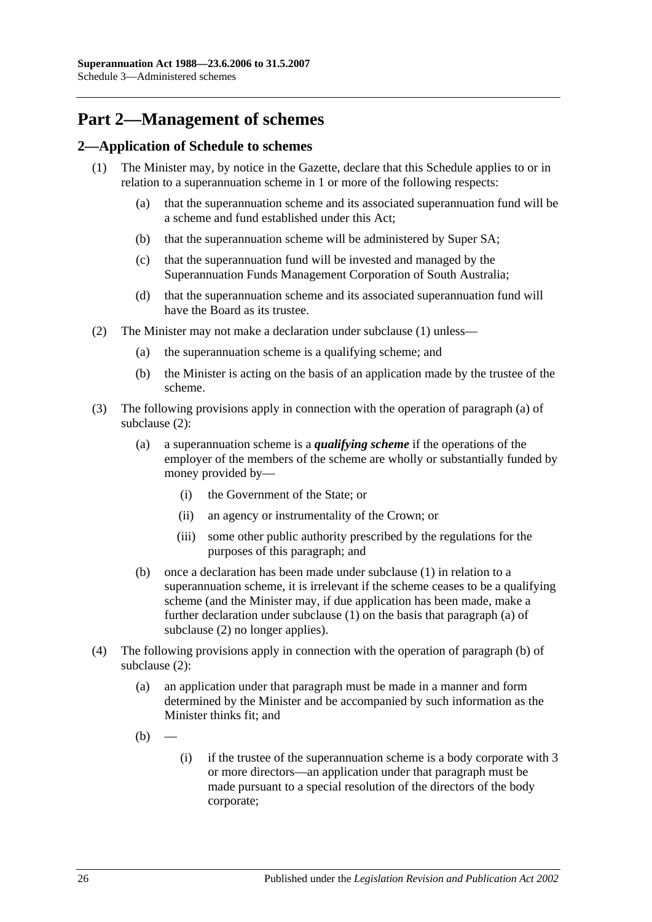# **Part 2—Management of schemes**

## <span id="page-123-1"></span><span id="page-123-0"></span>**2—Application of Schedule to schemes**

- <span id="page-123-6"></span><span id="page-123-5"></span>(1) The Minister may, by notice in the Gazette, declare that this Schedule applies to or in relation to a superannuation scheme in 1 or more of the following respects:
	- (a) that the superannuation scheme and its associated superannuation fund will be a scheme and fund established under this Act;
	- (b) that the superannuation scheme will be administered by Super SA;
	- (c) that the superannuation fund will be invested and managed by the Superannuation Funds Management Corporation of South Australia;
	- (d) that the superannuation scheme and its associated superannuation fund will have the Board as its trustee.
- <span id="page-123-8"></span><span id="page-123-7"></span><span id="page-123-4"></span><span id="page-123-3"></span><span id="page-123-2"></span>(2) The Minister may not make a declaration under [subclause](#page-123-1) (1) unless—
	- (a) the superannuation scheme is a qualifying scheme; and
	- (b) the Minister is acting on the basis of an application made by the trustee of the scheme.
- (3) The following provisions apply in connection with the operation of [paragraph](#page-123-2) (a) of [subclause](#page-123-3) (2):
	- (a) a superannuation scheme is a *qualifying scheme* if the operations of the employer of the members of the scheme are wholly or substantially funded by money provided by—
		- (i) the Government of the State; or
		- (ii) an agency or instrumentality of the Crown; or
		- (iii) some other public authority prescribed by the regulations for the purposes of this paragraph; and
	- (b) once a declaration has been made under [subclause](#page-123-1) (1) in relation to a superannuation scheme, it is irrelevant if the scheme ceases to be a qualifying scheme (and the Minister may, if due application has been made, make a further declaration under [subclause](#page-123-1) (1) on the basis that [paragraph](#page-123-2) (a) of [subclause](#page-123-3) (2) no longer applies).
- (4) The following provisions apply in connection with the operation of [paragraph](#page-123-4) (b) of [subclause](#page-123-3) (2):
	- (a) an application under that paragraph must be made in a manner and form determined by the Minister and be accompanied by such information as the Minister thinks fit; and
	- $(b)$
- (i) if the trustee of the superannuation scheme is a body corporate with 3 or more directors—an application under that paragraph must be made pursuant to a special resolution of the directors of the body corporate;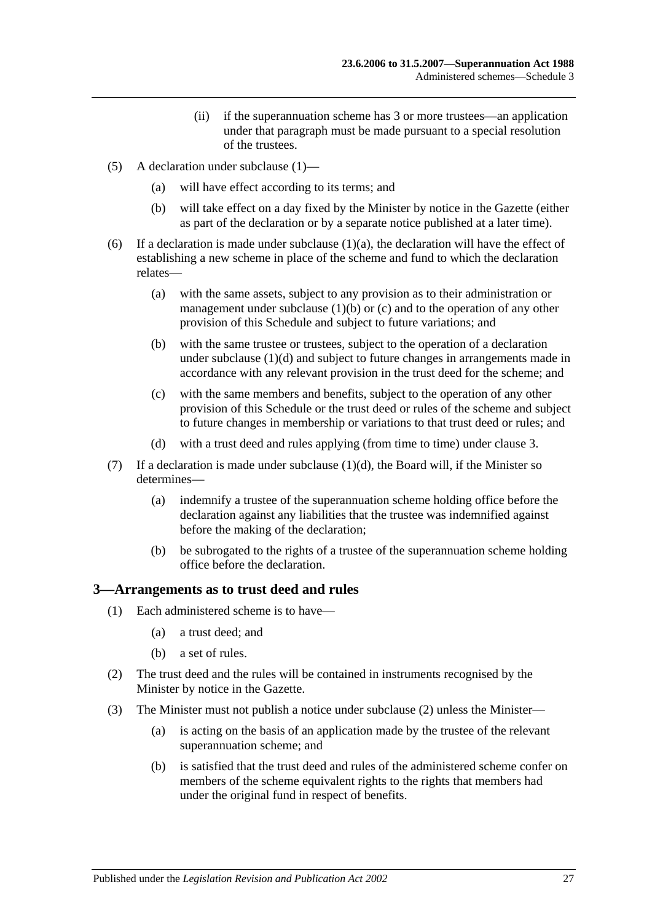- (ii) if the superannuation scheme has 3 or more trustees—an application under that paragraph must be made pursuant to a special resolution of the trustees.
- (5) A declaration under [subclause](#page-123-1) (1)—
	- (a) will have effect according to its terms; and
	- (b) will take effect on a day fixed by the Minister by notice in the Gazette (either as part of the declaration or by a separate notice published at a later time).
- (6) If a declaration is made under [subclause](#page-123-5)  $(1)(a)$ , the declaration will have the effect of establishing a new scheme in place of the scheme and fund to which the declaration relates—
	- (a) with the same assets, subject to any provision as to their administration or management under [subclause](#page-123-6)  $(1)(b)$  or  $(c)$  and to the operation of any other provision of this Schedule and subject to future variations; and
	- (b) with the same trustee or trustees, subject to the operation of a declaration under [subclause](#page-123-8) (1)(d) and subject to future changes in arrangements made in accordance with any relevant provision in the trust deed for the scheme; and
	- (c) with the same members and benefits, subject to the operation of any other provision of this Schedule or the trust deed or rules of the scheme and subject to future changes in membership or variations to that trust deed or rules; and
	- (d) with a trust deed and rules applying (from time to time) under [clause](#page-124-0) 3.
- (7) If a declaration is made under [subclause](#page-123-8)  $(1)(d)$ , the Board will, if the Minister so determines—
	- (a) indemnify a trustee of the superannuation scheme holding office before the declaration against any liabilities that the trustee was indemnified against before the making of the declaration;
	- (b) be subrogated to the rights of a trustee of the superannuation scheme holding office before the declaration.

### <span id="page-124-0"></span>**3—Arrangements as to trust deed and rules**

- (1) Each administered scheme is to have—
	- (a) a trust deed; and
	- (b) a set of rules.
- <span id="page-124-1"></span>(2) The trust deed and the rules will be contained in instruments recognised by the Minister by notice in the Gazette.
- <span id="page-124-2"></span>(3) The Minister must not publish a notice under [subclause](#page-124-1) (2) unless the Minister—
	- (a) is acting on the basis of an application made by the trustee of the relevant superannuation scheme; and
	- (b) is satisfied that the trust deed and rules of the administered scheme confer on members of the scheme equivalent rights to the rights that members had under the original fund in respect of benefits.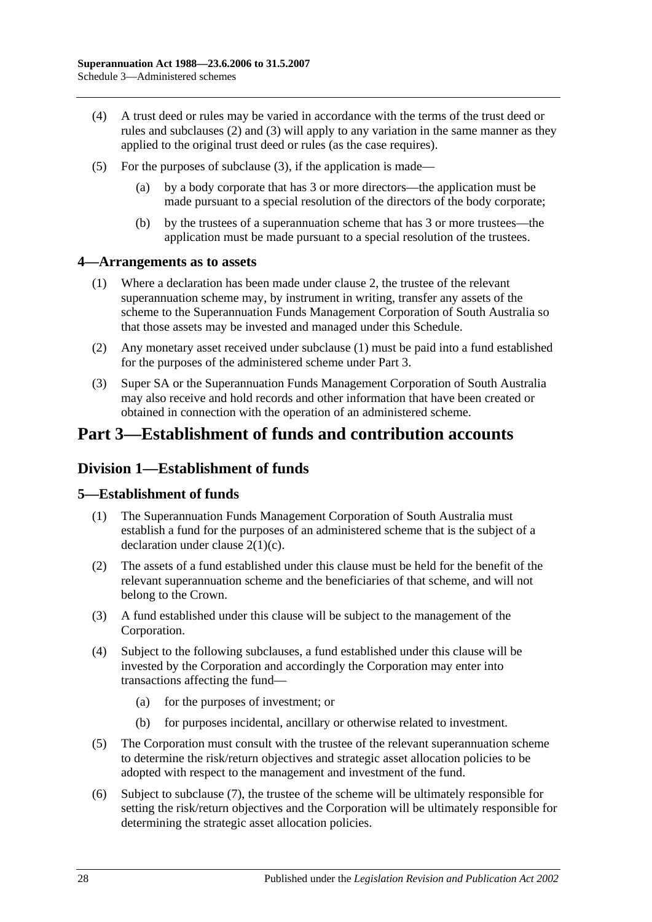- (4) A trust deed or rules may be varied in accordance with the terms of the trust deed or rules and [subclauses](#page-124-1) (2) and [\(3\)](#page-124-2) will apply to any variation in the same manner as they applied to the original trust deed or rules (as the case requires).
- (5) For the purposes of [subclause](#page-124-2) (3), if the application is made—
	- (a) by a body corporate that has 3 or more directors—the application must be made pursuant to a special resolution of the directors of the body corporate;
	- (b) by the trustees of a superannuation scheme that has 3 or more trustees—the application must be made pursuant to a special resolution of the trustees.

## <span id="page-125-0"></span>**4—Arrangements as to assets**

- (1) Where a declaration has been made under [clause](#page-123-0) 2, the trustee of the relevant superannuation scheme may, by instrument in writing, transfer any assets of the scheme to the Superannuation Funds Management Corporation of South Australia so that those assets may be invested and managed under this Schedule.
- (2) Any monetary asset received under [subclause](#page-125-0) (1) must be paid into a fund established for the purposes of the administered scheme under Part 3.
- (3) Super SA or the Superannuation Funds Management Corporation of South Australia may also receive and hold records and other information that have been created or obtained in connection with the operation of an administered scheme.

# **Part 3—Establishment of funds and contribution accounts**

## **Division 1—Establishment of funds**

## **5—Establishment of funds**

- (1) The Superannuation Funds Management Corporation of South Australia must establish a fund for the purposes of an administered scheme that is the subject of a declaration under clause [2\(1\)\(c\).](#page-123-7)
- (2) The assets of a fund established under this clause must be held for the benefit of the relevant superannuation scheme and the beneficiaries of that scheme, and will not belong to the Crown.
- (3) A fund established under this clause will be subject to the management of the Corporation.
- (4) Subject to the following subclauses, a fund established under this clause will be invested by the Corporation and accordingly the Corporation may enter into transactions affecting the fund—
	- (a) for the purposes of investment; or
	- (b) for purposes incidental, ancillary or otherwise related to investment.
- (5) The Corporation must consult with the trustee of the relevant superannuation scheme to determine the risk/return objectives and strategic asset allocation policies to be adopted with respect to the management and investment of the fund.
- (6) Subject to [subclause](#page-126-0) (7), the trustee of the scheme will be ultimately responsible for setting the risk/return objectives and the Corporation will be ultimately responsible for determining the strategic asset allocation policies.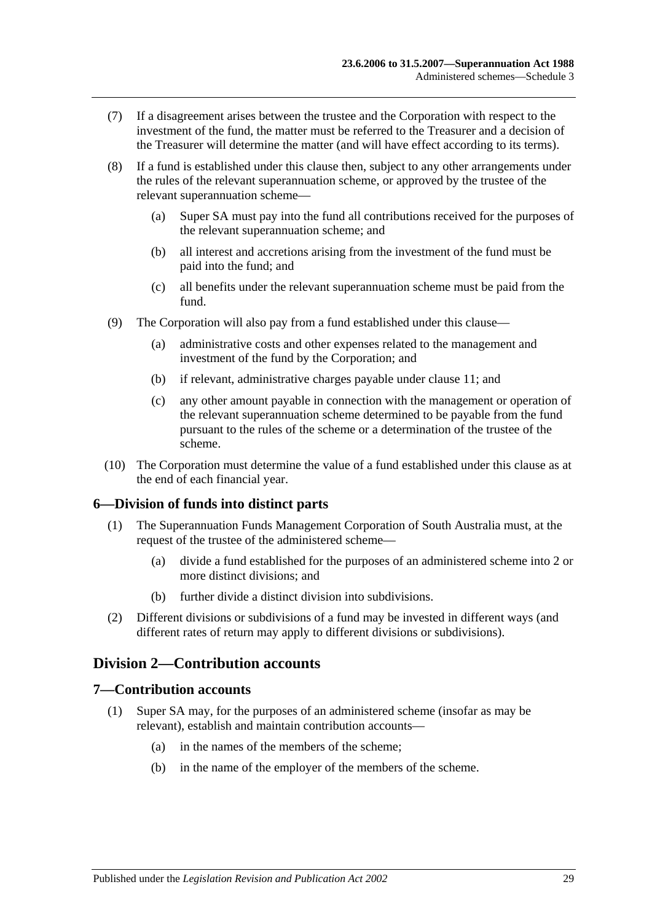- <span id="page-126-0"></span>(7) If a disagreement arises between the trustee and the Corporation with respect to the investment of the fund, the matter must be referred to the Treasurer and a decision of the Treasurer will determine the matter (and will have effect according to its terms).
- (8) If a fund is established under this clause then, subject to any other arrangements under the rules of the relevant superannuation scheme, or approved by the trustee of the relevant superannuation scheme—
	- (a) Super SA must pay into the fund all contributions received for the purposes of the relevant superannuation scheme; and
	- (b) all interest and accretions arising from the investment of the fund must be paid into the fund; and
	- (c) all benefits under the relevant superannuation scheme must be paid from the fund.
- (9) The Corporation will also pay from a fund established under this clause—
	- (a) administrative costs and other expenses related to the management and investment of the fund by the Corporation; and
	- (b) if relevant, administrative charges payable under [clause](#page-128-0) 11; and
	- (c) any other amount payable in connection with the management or operation of the relevant superannuation scheme determined to be payable from the fund pursuant to the rules of the scheme or a determination of the trustee of the scheme.
- (10) The Corporation must determine the value of a fund established under this clause as at the end of each financial year.

## **6—Division of funds into distinct parts**

- (1) The Superannuation Funds Management Corporation of South Australia must, at the request of the trustee of the administered scheme—
	- (a) divide a fund established for the purposes of an administered scheme into 2 or more distinct divisions; and
	- (b) further divide a distinct division into subdivisions.
- (2) Different divisions or subdivisions of a fund may be invested in different ways (and different rates of return may apply to different divisions or subdivisions).

## **Division 2—Contribution accounts**

### **7—Contribution accounts**

- (1) Super SA may, for the purposes of an administered scheme (insofar as may be relevant), establish and maintain contribution accounts—
	- (a) in the names of the members of the scheme;
	- (b) in the name of the employer of the members of the scheme.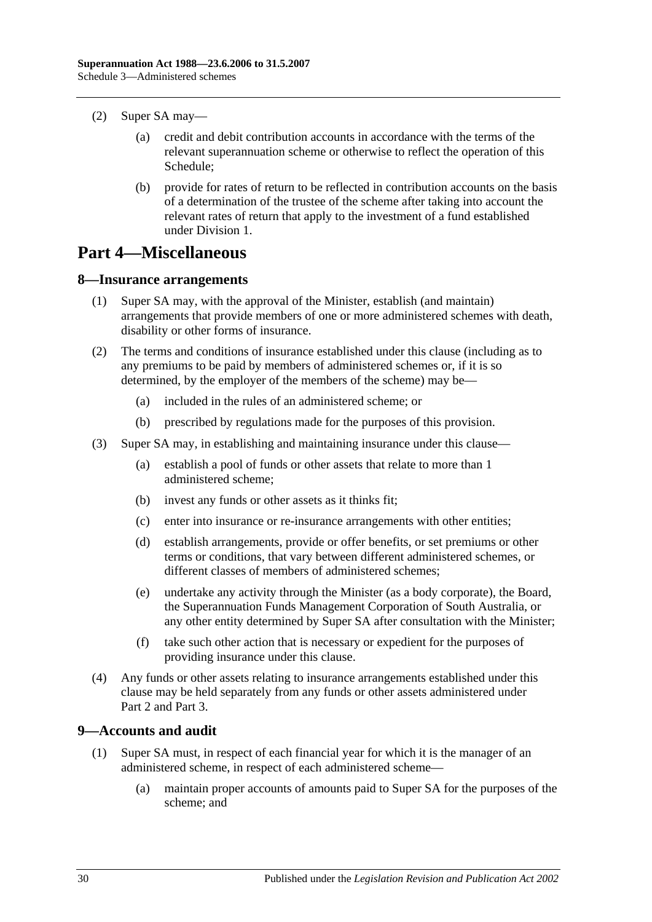- (2) Super SA may—
	- (a) credit and debit contribution accounts in accordance with the terms of the relevant superannuation scheme or otherwise to reflect the operation of this Schedule;
	- (b) provide for rates of return to be reflected in contribution accounts on the basis of a determination of the trustee of the scheme after taking into account the relevant rates of return that apply to the investment of a fund established under Division 1.

# **Part 4—Miscellaneous**

### **8—Insurance arrangements**

- (1) Super SA may, with the approval of the Minister, establish (and maintain) arrangements that provide members of one or more administered schemes with death, disability or other forms of insurance.
- (2) The terms and conditions of insurance established under this clause (including as to any premiums to be paid by members of administered schemes or, if it is so determined, by the employer of the members of the scheme) may be—
	- (a) included in the rules of an administered scheme; or
	- (b) prescribed by regulations made for the purposes of this provision.
- (3) Super SA may, in establishing and maintaining insurance under this clause—
	- (a) establish a pool of funds or other assets that relate to more than 1 administered scheme;
	- (b) invest any funds or other assets as it thinks fit;
	- (c) enter into insurance or re-insurance arrangements with other entities;
	- (d) establish arrangements, provide or offer benefits, or set premiums or other terms or conditions, that vary between different administered schemes, or different classes of members of administered schemes;
	- (e) undertake any activity through the Minister (as a body corporate), the Board, the Superannuation Funds Management Corporation of South Australia, or any other entity determined by Super SA after consultation with the Minister;
	- (f) take such other action that is necessary or expedient for the purposes of providing insurance under this clause.
- (4) Any funds or other assets relating to insurance arrangements established under this clause may be held separately from any funds or other assets administered under Part 2 and Part 3.

## <span id="page-127-0"></span>**9—Accounts and audit**

- (1) Super SA must, in respect of each financial year for which it is the manager of an administered scheme, in respect of each administered scheme—
	- (a) maintain proper accounts of amounts paid to Super SA for the purposes of the scheme; and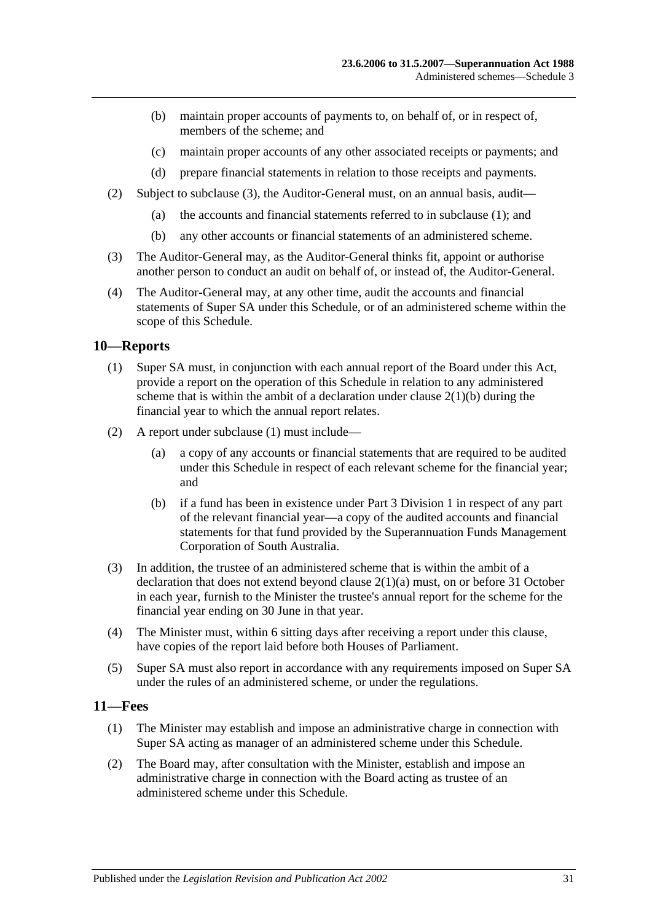- (b) maintain proper accounts of payments to, on behalf of, or in respect of, members of the scheme; and
- (c) maintain proper accounts of any other associated receipts or payments; and
- (d) prepare financial statements in relation to those receipts and payments.
- (2) Subject to [subclause](#page-128-1) (3), the Auditor-General must, on an annual basis, audit—
	- (a) the accounts and financial statements referred to in [subclause](#page-127-0) (1); and
	- (b) any other accounts or financial statements of an administered scheme.
- <span id="page-128-1"></span>(3) The Auditor-General may, as the Auditor-General thinks fit, appoint or authorise another person to conduct an audit on behalf of, or instead of, the Auditor-General.
- (4) The Auditor-General may, at any other time, audit the accounts and financial statements of Super SA under this Schedule, or of an administered scheme within the scope of this Schedule.

## <span id="page-128-2"></span>**10—Reports**

- (1) Super SA must, in conjunction with each annual report of the Board under this Act, provide a report on the operation of this Schedule in relation to any administered scheme that is within the ambit of a declaration under clause  $2(1)(b)$  during the financial year to which the annual report relates.
- (2) A report under [subclause](#page-128-2) (1) must include—
	- (a) a copy of any accounts or financial statements that are required to be audited under this Schedule in respect of each relevant scheme for the financial year; and
	- (b) if a fund has been in existence under Part 3 Division 1 in respect of any part of the relevant financial year—a copy of the audited accounts and financial statements for that fund provided by the Superannuation Funds Management Corporation of South Australia.
- (3) In addition, the trustee of an administered scheme that is within the ambit of a declaration that does not extend beyond clause [2\(1\)\(a\)](#page-123-5) must, on or before 31 October in each year, furnish to the Minister the trustee's annual report for the scheme for the financial year ending on 30 June in that year.
- (4) The Minister must, within 6 sitting days after receiving a report under this clause, have copies of the report laid before both Houses of Parliament.
- (5) Super SA must also report in accordance with any requirements imposed on Super SA under the rules of an administered scheme, or under the regulations.

## <span id="page-128-3"></span><span id="page-128-0"></span>**11—Fees**

- (1) The Minister may establish and impose an administrative charge in connection with Super SA acting as manager of an administered scheme under this Schedule.
- <span id="page-128-4"></span>(2) The Board may, after consultation with the Minister, establish and impose an administrative charge in connection with the Board acting as trustee of an administered scheme under this Schedule.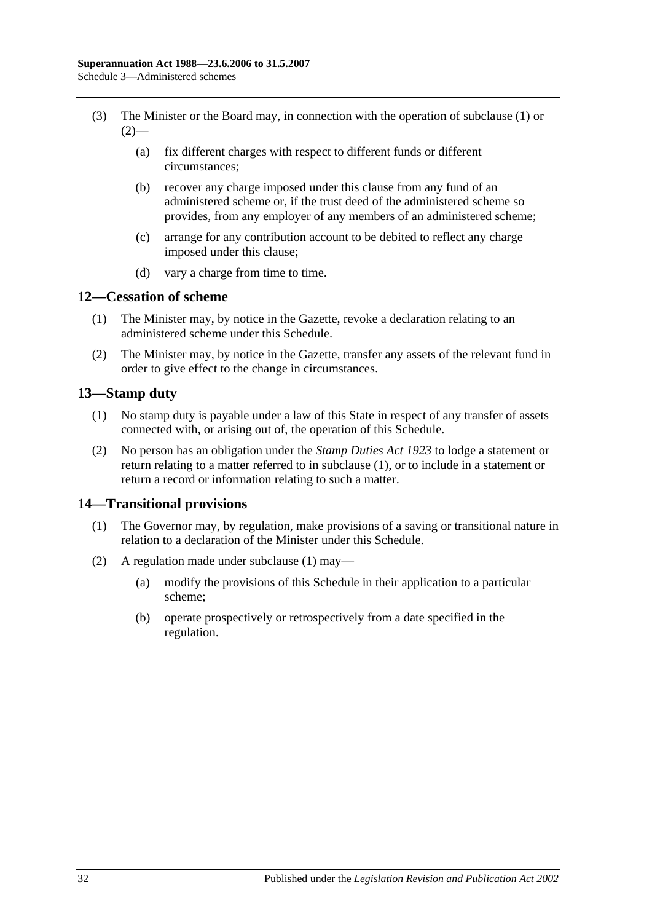- (3) The Minister or the Board may, in connection with the operation of [subclause](#page-128-3) (1) or  $(2)$ —
	- (a) fix different charges with respect to different funds or different circumstances;
	- (b) recover any charge imposed under this clause from any fund of an administered scheme or, if the trust deed of the administered scheme so provides, from any employer of any members of an administered scheme;
	- (c) arrange for any contribution account to be debited to reflect any charge imposed under this clause;
	- (d) vary a charge from time to time.

## **12—Cessation of scheme**

- (1) The Minister may, by notice in the Gazette, revoke a declaration relating to an administered scheme under this Schedule.
- (2) The Minister may, by notice in the Gazette, transfer any assets of the relevant fund in order to give effect to the change in circumstances.

## <span id="page-129-0"></span>**13—Stamp duty**

- (1) No stamp duty is payable under a law of this State in respect of any transfer of assets connected with, or arising out of, the operation of this Schedule.
- (2) No person has an obligation under the *[Stamp Duties Act](http://www.legislation.sa.gov.au/index.aspx?action=legref&type=act&legtitle=Stamp%20Duties%20Act%201923) 1923* to lodge a statement or return relating to a matter referred to in [subclause](#page-129-0) (1), or to include in a statement or return a record or information relating to such a matter.

## <span id="page-129-1"></span>**14—Transitional provisions**

- (1) The Governor may, by regulation, make provisions of a saving or transitional nature in relation to a declaration of the Minister under this Schedule.
- (2) A regulation made under [subclause](#page-129-1) (1) may—
	- (a) modify the provisions of this Schedule in their application to a particular scheme;
	- (b) operate prospectively or retrospectively from a date specified in the regulation.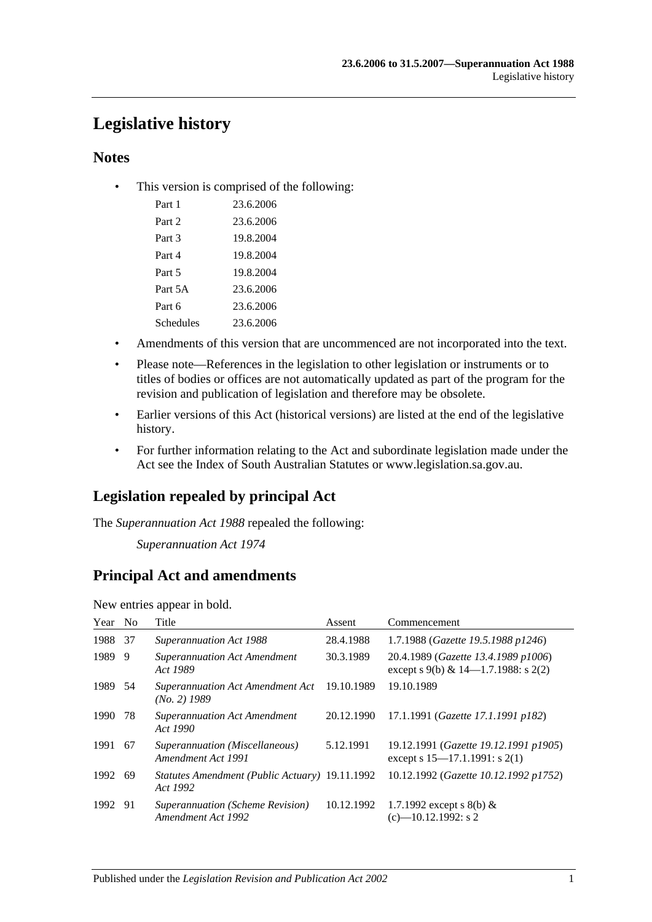# **Legislative history**

## **Notes**

• This version is comprised of the following:

| Part 1    | 23.6.2006 |
|-----------|-----------|
| Part 2    | 23.6.2006 |
| Part 3    | 19.8.2004 |
| Part 4    | 19.8.2004 |
| Part 5    | 19.8.2004 |
| Part 5A   | 23.6.2006 |
| Part 6    | 23.6.2006 |
| Schedules | 23.6.2006 |

- Amendments of this version that are uncommenced are not incorporated into the text.
- Please note—References in the legislation to other legislation or instruments or to titles of bodies or offices are not automatically updated as part of the program for the revision and publication of legislation and therefore may be obsolete.
- Earlier versions of this Act (historical versions) are listed at the end of the legislative history.
- For further information relating to the Act and subordinate legislation made under the Act see the Index of South Australian Statutes or www.legislation.sa.gov.au.

## **Legislation repealed by principal Act**

The *Superannuation Act 1988* repealed the following:

*Superannuation Act 1974*

## **Principal Act and amendments**

New entries appear in bold.

| Year No |     | Title                                                      | Assent     | Commencement                                                                  |
|---------|-----|------------------------------------------------------------|------------|-------------------------------------------------------------------------------|
| 1988    | -37 | <b>Superannuation Act 1988</b>                             | 28.4.1988  | 1.7.1988 (Gazette 19.5.1988 p1246)                                            |
| 1989    | 9   | <b>Superannuation Act Amendment</b><br>Act 1989            | 30.3.1989  | 20.4.1989 (Gazette 13.4.1989 p1006)<br>except s 9(b) & $14$ —1.7.1988: s 2(2) |
| 1989 54 |     | <b>Superannuation Act Amendment Act</b><br>$(No. 2)$ 1989  | 19.10.1989 | 19.10.1989                                                                    |
| 1990    | 78  | <b>Superannuation Act Amendment</b><br>Act 1990            | 20.12.1990 | 17.1.1991 (Gazette 17.1.1991 p182)                                            |
| 1991    | -67 | Superannuation (Miscellaneous)<br>Amendment Act 1991       | 5.12.1991  | 19.12.1991 (Gazette 19.12.1991 p1905)<br>except s 15–17.1.1991: s 2(1)        |
| 1992    | -69 | Statutes Amendment (Public Actuary) 19.11.1992<br>Act 1992 |            | 10.12.1992 (Gazette 10.12.1992 p1752)                                         |
| 1992 91 |     | Superannuation (Scheme Revision)<br>Amendment Act 1992     | 10.12.1992 | 1.7.1992 except s 8(b) $&$<br>$(c)$ -10.12.1992: s 2                          |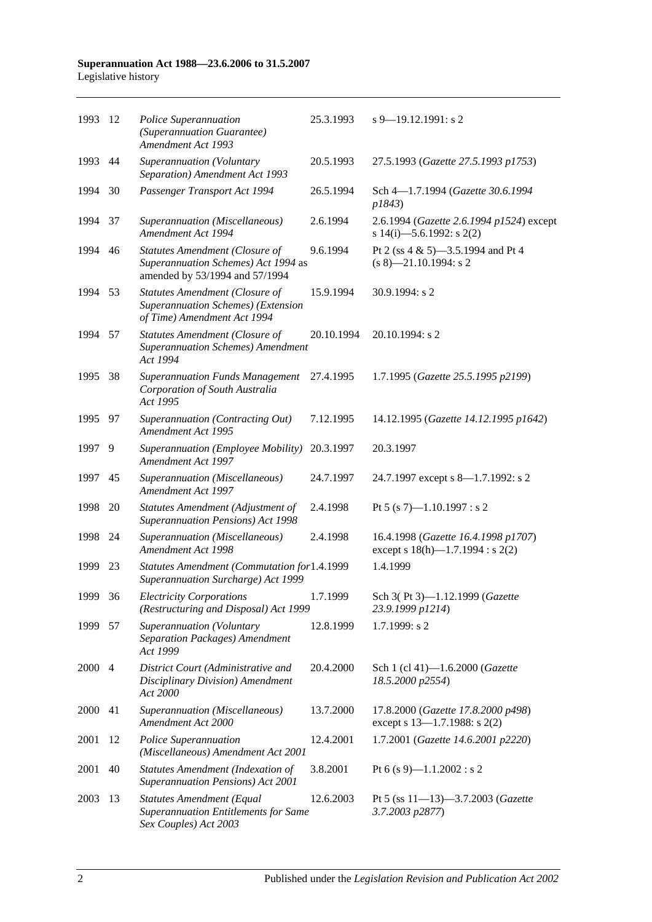| 1993   | 12   | Police Superannuation<br>(Superannuation Guarantee)<br>Amendment Act 1993                                      | 25.3.1993  | $s$ 9–19.12.1991: s 2                                                        |
|--------|------|----------------------------------------------------------------------------------------------------------------|------------|------------------------------------------------------------------------------|
| 1993   | 44   | Superannuation (Voluntary<br>Separation) Amendment Act 1993                                                    | 20.5.1993  | 27.5.1993 (Gazette 27.5.1993 p1753)                                          |
| 1994   | 30   | Passenger Transport Act 1994                                                                                   | 26.5.1994  | Sch 4-1.7.1994 (Gazette 30.6.1994<br>p1843)                                  |
| 1994   | 37   | Superannuation (Miscellaneous)<br>Amendment Act 1994                                                           | 2.6.1994   | 2.6.1994 (Gazette 2.6.1994 p1524) except<br>s 14(i)-5.6.1992: s 2(2)         |
| 1994   | 46   | <b>Statutes Amendment (Closure of</b><br>Superannuation Schemes) Act 1994 as<br>amended by 53/1994 and 57/1994 | 9.6.1994   | Pt 2 (ss 4 & 5)-3.5.1994 and Pt 4<br>$(s 8)$ —21.10.1994: s 2                |
| 1994   | 53   | <b>Statutes Amendment (Closure of</b><br>Superannuation Schemes) (Extension<br>of Time) Amendment Act 1994     | 15.9.1994  | 30.9.1994: s 2                                                               |
| 1994   | 57   | <b>Statutes Amendment (Closure of</b><br><b>Superannuation Schemes) Amendment</b><br>Act 1994                  | 20.10.1994 | 20.10.1994: s 2                                                              |
| 1995   | 38   | <b>Superannuation Funds Management</b><br>Corporation of South Australia<br>Act 1995                           | 27.4.1995  | 1.7.1995 (Gazette 25.5.1995 p2199)                                           |
| 1995   | - 97 | Superannuation (Contracting Out)<br>Amendment Act 1995                                                         | 7.12.1995  | 14.12.1995 (Gazette 14.12.1995 p1642)                                        |
| 1997   | 9    | Superannuation (Employee Mobility)<br>Amendment Act 1997                                                       | 20.3.1997  | 20.3.1997                                                                    |
| 1997   | 45   | Superannuation (Miscellaneous)<br>Amendment Act 1997                                                           | 24.7.1997  | 24.7.1997 except s 8—1.7.1992: s 2                                           |
| 1998   | 20   | Statutes Amendment (Adjustment of<br>Superannuation Pensions) Act 1998                                         | 2.4.1998   | Pt 5 (s 7)-1.10.1997 : s 2                                                   |
| 1998   | 24   | Superannuation (Miscellaneous)<br>Amendment Act 1998                                                           | 2.4.1998   | 16.4.1998 (Gazette 16.4.1998 p1707)<br>except s $18(h)$ —1.7.1994 : s $2(2)$ |
| 1999   | 23   | Statutes Amendment (Commutation for1.4.1999<br>Superannuation Surcharge) Act 1999                              |            | 1.4.1999                                                                     |
| 1999   | 36   | <b>Electricity Corporations</b><br>(Restructuring and Disposal) Act 1999                                       | 1.7.1999   | Sch 3(Pt 3)-1.12.1999 (Gazette<br>23.9.1999 p1214)                           |
| 1999   | 57   | Superannuation (Voluntary<br>Separation Packages) Amendment<br>Act 1999                                        | 12.8.1999  | $1.7.1999$ : s 2                                                             |
| 2000 4 |      | District Court (Administrative and<br>Disciplinary Division) Amendment<br>Act 2000                             | 20.4.2000  | Sch 1 (cl 41)-1.6.2000 (Gazette<br>18.5.2000 p2554)                          |
| 2000   | 41   | Superannuation (Miscellaneous)<br>Amendment Act 2000                                                           | 13.7.2000  | 17.8.2000 (Gazette 17.8.2000 p498)<br>except s 13-1.7.1988: s 2(2)           |
| 2001   | 12   | Police Superannuation<br>(Miscellaneous) Amendment Act 2001                                                    | 12.4.2001  | 1.7.2001 (Gazette 14.6.2001 p2220)                                           |
| 2001   | 40   | Statutes Amendment (Indexation of<br>Superannuation Pensions) Act 2001                                         | 3.8.2001   | Pt 6 (s 9)-1.1.2002 : s 2                                                    |
| 2003   | 13   | <b>Statutes Amendment (Equal</b><br><b>Superannuation Entitlements for Same</b><br>Sex Couples) Act 2003       | 12.6.2003  | Pt 5 (ss 11-13)-3.7.2003 (Gazette<br>3.7.2003 p2877)                         |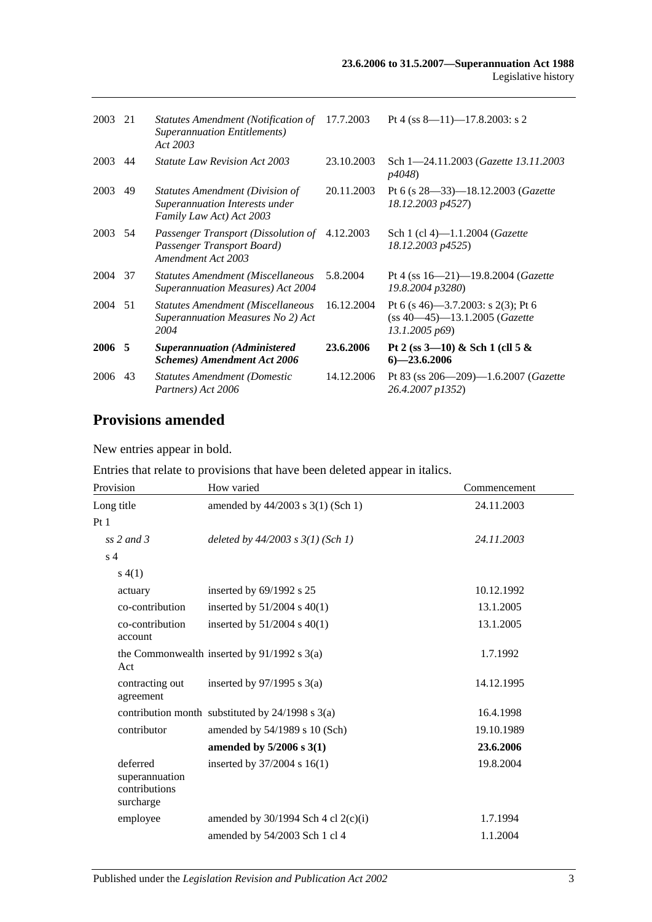| 2003    | 21 | Statutes Amendment (Notification of 17.7.2003<br><b>Superannuation Entitlements</b> )<br>Act 2003 |            | Pt 4 (ss $8-11$ )-17.8.2003: s 2                                                          |
|---------|----|---------------------------------------------------------------------------------------------------|------------|-------------------------------------------------------------------------------------------|
| 2003    | 44 | <i>Statute Law Revision Act 2003</i>                                                              | 23.10.2003 | Sch 1-24.11.2003 (Gazette 13.11.2003)<br><i>p4048</i> )                                   |
| 2003    | 49 | Statutes Amendment (Division of<br>Superannuation Interests under<br>Family Law Act) Act 2003     | 20.11.2003 | Pt 6 (s $28 - 33$ ) - 18.12.2003 ( <i>Gazette</i><br>18.12.2003 p4527)                    |
| 2003 54 |    | Passenger Transport (Dissolution of<br>Passenger Transport Board)<br>Amendment Act 2003           | 4.12.2003  | Sch 1 (cl 4)-1.1.2004 ( <i>Gazette</i><br>18.12.2003 p4525)                               |
| 2004 37 |    | <b>Statutes Amendment (Miscellaneous</b><br><b>Superannuation Measures) Act 2004</b>              | 5.8.2004   | Pt 4 (ss $16 - 21$ ) -19.8.2004 ( <i>Gazette</i><br>19.8.2004 p3280)                      |
| 2004 51 |    | <b>Statutes Amendment (Miscellaneous</b><br>Superannuation Measures No 2) Act<br>2004             | 16.12.2004 | Pt 6 (s 46)—3.7.2003: s 2(3); Pt 6<br>$(ss 40-45) - 13.1.2005$ (Gazette<br>13.1.2005 p69) |
| 2006 5  |    | <b>Superannuation</b> (Administered<br><b>Schemes</b> ) Amendment Act 2006                        | 23.6.2006  | Pt 2 (ss $3-10$ ) & Sch 1 (cll 5 &<br>$6 - 23.6.2006$                                     |
| 2006    | 43 | <b>Statutes Amendment (Domestic</b><br>Partners) Act 2006                                         | 14.12.2006 | Pt 83 (ss $206 - 209$ ) -1.6.2007 ( <i>Gazette</i><br>26.4.2007 p1352)                    |

# **Provisions amended**

New entries appear in bold.

Entries that relate to provisions that have been deleted appear in italics.

| Provision                                                | How varied                                           | Commencement |
|----------------------------------------------------------|------------------------------------------------------|--------------|
| Long title                                               | amended by 44/2003 s 3(1) (Sch 1)                    | 24.11.2003   |
| Pt <sub>1</sub>                                          |                                                      |              |
| ss $2$ and $3$                                           | deleted by $44/2003$ s $3(1)$ (Sch 1)                | 24.11.2003   |
| s <sub>4</sub>                                           |                                                      |              |
| s(4(1))                                                  |                                                      |              |
| actuary                                                  | inserted by $69/1992$ s $25$                         | 10.12.1992   |
| co-contribution                                          | inserted by $51/2004$ s $40(1)$                      | 13.1.2005    |
| co-contribution<br>account                               | inserted by $51/2004$ s $40(1)$                      | 13.1.2005    |
| Act                                                      | the Commonwealth inserted by $91/1992$ s $3(a)$      | 1.7.1992     |
| contracting out<br>agreement                             | inserted by $97/1995$ s 3(a)                         | 14.12.1995   |
|                                                          | contribution month substituted by $24/1998$ s $3(a)$ | 16.4.1998    |
| contributor                                              | amended by 54/1989 s 10 (Sch)                        | 19.10.1989   |
|                                                          | amended by $5/2006$ s $3(1)$                         | 23.6.2006    |
| deferred<br>superannuation<br>contributions<br>surcharge | inserted by $37/2004$ s 16(1)                        | 19.8.2004    |
| employee                                                 | amended by $30/1994$ Sch 4 cl 2(c)(i)                | 1.7.1994     |
|                                                          | amended by 54/2003 Sch 1 cl 4                        | 1.1.2004     |
|                                                          |                                                      |              |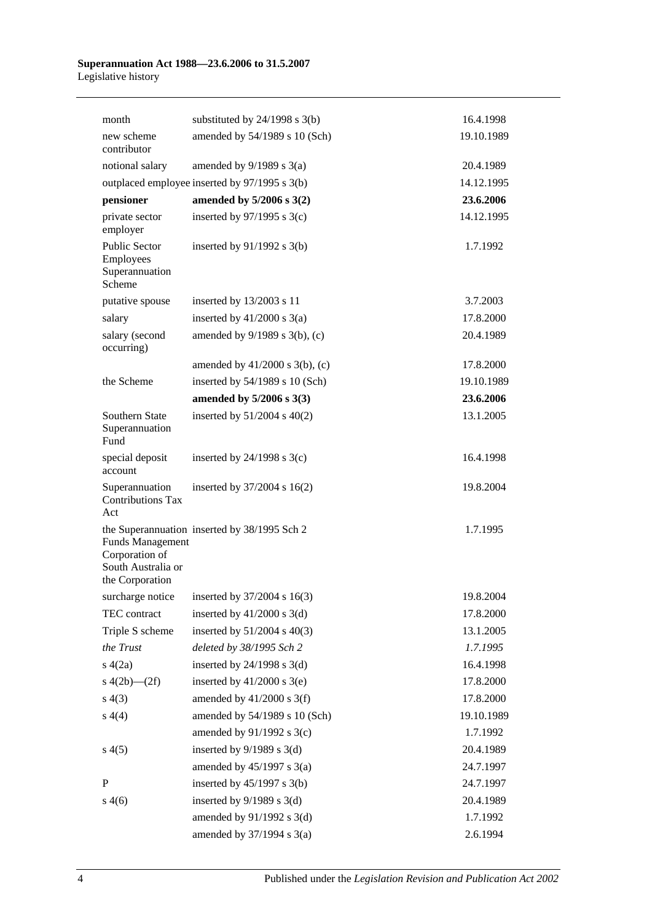| month                                                                              | substituted by $24/1998$ s $3(b)$              | 16.4.1998  |
|------------------------------------------------------------------------------------|------------------------------------------------|------------|
| new scheme<br>contributor                                                          | amended by 54/1989 s 10 (Sch)                  | 19.10.1989 |
| notional salary                                                                    | amended by $9/1989$ s $3(a)$                   | 20.4.1989  |
|                                                                                    | outplaced employee inserted by 97/1995 s 3(b)  | 14.12.1995 |
| pensioner                                                                          | amended by 5/2006 s 3(2)                       | 23.6.2006  |
| private sector<br>employer                                                         | inserted by $97/1995$ s 3(c)                   | 14.12.1995 |
| Public Sector<br>Employees<br>Superannuation<br>Scheme                             | inserted by $91/1992$ s $3(b)$                 | 1.7.1992   |
| putative spouse                                                                    | inserted by 13/2003 s 11                       | 3.7.2003   |
| salary                                                                             | inserted by $41/2000$ s $3(a)$                 | 17.8.2000  |
| salary (second<br>occurring)                                                       | amended by $9/1989$ s $3(b)$ , (c)             | 20.4.1989  |
|                                                                                    | amended by $41/2000$ s $3(b)$ , (c)            | 17.8.2000  |
| the Scheme                                                                         | inserted by $54/1989$ s 10 (Sch)               | 19.10.1989 |
|                                                                                    | amended by $5/2006$ s $3(3)$                   | 23.6.2006  |
| Southern State<br>Superannuation<br>Fund                                           | inserted by $51/2004$ s $40(2)$                | 13.1.2005  |
| special deposit<br>account                                                         | inserted by $24/1998$ s $3(c)$                 | 16.4.1998  |
| Superannuation<br><b>Contributions Tax</b><br>Act                                  | inserted by $37/2004$ s $16(2)$                | 19.8.2004  |
| <b>Funds Management</b><br>Corporation of<br>South Australia or<br>the Corporation | the Superannuation inserted by 38/1995 Sch 2   | 1.7.1995   |
|                                                                                    | surcharge notice inserted by $37/2004$ s 16(3) | 19.8.2004  |
| TEC contract                                                                       | inserted by $41/2000$ s 3(d)                   | 17.8.2000  |
| Triple S scheme                                                                    | inserted by $51/2004$ s $40(3)$                | 13.1.2005  |
| the Trust                                                                          | deleted by 38/1995 Sch 2                       | 1.7.1995   |
| s(4(2a))                                                                           | inserted by $24/1998$ s $3(d)$                 | 16.4.1998  |
| s $4(2b)$ - $(2f)$                                                                 | inserted by $41/2000$ s 3(e)                   | 17.8.2000  |
| s(4(3))                                                                            | amended by $41/2000$ s 3(f)                    | 17.8.2000  |
| s(4(4)                                                                             | amended by 54/1989 s 10 (Sch)                  | 19.10.1989 |
|                                                                                    | amended by $91/1992$ s 3(c)                    | 1.7.1992   |
| s(4(5)                                                                             | inserted by $9/1989$ s $3(d)$                  | 20.4.1989  |
|                                                                                    | amended by $45/1997$ s $3(a)$                  | 24.7.1997  |
| P                                                                                  | inserted by $45/1997$ s 3(b)                   | 24.7.1997  |
| s(4(6)                                                                             | inserted by $9/1989$ s $3(d)$                  | 20.4.1989  |
|                                                                                    | amended by $91/1992$ s 3(d)                    | 1.7.1992   |
|                                                                                    | amended by 37/1994 s 3(a)                      | 2.6.1994   |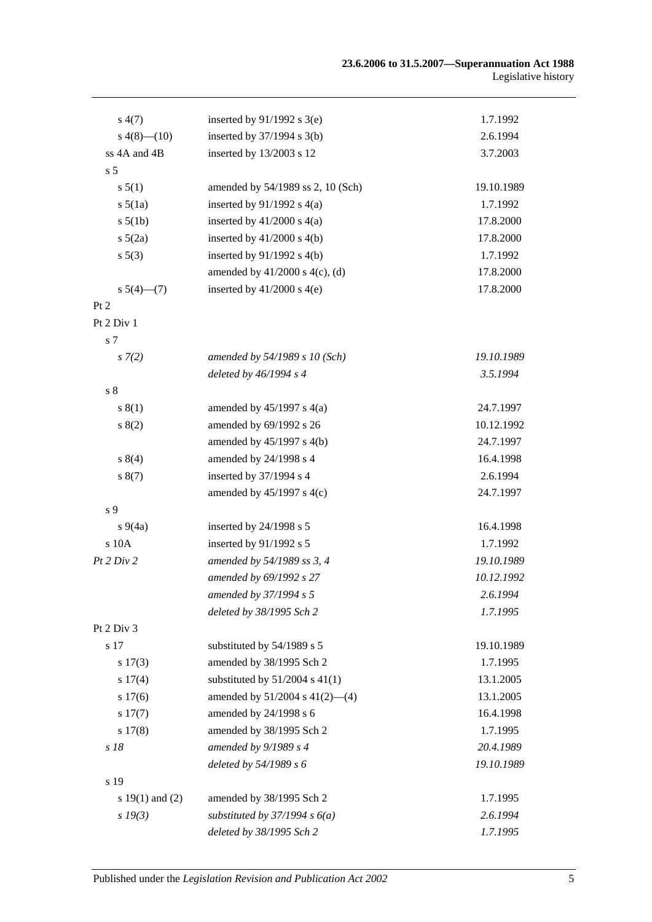| s(4(7))             | inserted by $91/1992$ s 3(e)        | 1.7.1992   |
|---------------------|-------------------------------------|------------|
| $s\ 4(8)$ (10)      | inserted by $37/1994$ s 3(b)        | 2.6.1994   |
| ss 4A and 4B        | inserted by 13/2003 s 12            | 3.7.2003   |
| s <sub>5</sub>      |                                     |            |
| s 5(1)              | amended by 54/1989 ss 2, 10 (Sch)   | 19.10.1989 |
| $s\ 5(1a)$          | inserted by $91/1992$ s $4(a)$      | 1.7.1992   |
| s 5(1b)             | inserted by $41/2000$ s $4(a)$      | 17.8.2000  |
| $s\ 5(2a)$          | inserted by $41/2000$ s $4(b)$      | 17.8.2000  |
| s 5(3)              | inserted by $91/1992$ s $4(b)$      | 1.7.1992   |
|                     | amended by $41/2000$ s $4(c)$ , (d) | 17.8.2000  |
| s $5(4)$ — $(7)$    | inserted by $41/2000$ s $4(e)$      | 17.8.2000  |
| Pt 2                |                                     |            |
| Pt 2 Div 1          |                                     |            |
| s 7                 |                                     |            |
| $s \, 7(2)$         | amended by 54/1989 s 10 (Sch)       | 19.10.1989 |
|                     | deleted by 46/1994 s 4              | 3.5.1994   |
| s <sub>8</sub>      |                                     |            |
| s(1)                | amended by $45/1997$ s $4(a)$       | 24.7.1997  |
| s(2)                | amended by 69/1992 s 26             | 10.12.1992 |
|                     | amended by 45/1997 s 4(b)           | 24.7.1997  |
| s 8(4)              | amended by 24/1998 s 4              | 16.4.1998  |
| s(7)                | inserted by 37/1994 s 4             | 2.6.1994   |
|                     | amended by $45/1997$ s $4(c)$       | 24.7.1997  |
| s 9                 |                                     |            |
| $s\,9(4a)$          | inserted by 24/1998 s 5             | 16.4.1998  |
| s 10A               | inserted by 91/1992 s 5             | 1.7.1992   |
| Pt 2 Div 2          | amended by 54/1989 ss 3, 4          | 19.10.1989 |
|                     | amended by 69/1992 s 27             | 10.12.1992 |
|                     | amended by 37/1994 s 5              | 2.6.1994   |
|                     | deleted by 38/1995 Sch 2            | 1.7.1995   |
| Pt 2 Div 3          |                                     |            |
| s 17                | substituted by 54/1989 s 5          | 19.10.1989 |
| s 17(3)             | amended by 38/1995 Sch 2            | 1.7.1995   |
| s 17(4)             | substituted by $51/2004$ s $41(1)$  | 13.1.2005  |
| s 17(6)             | amended by $51/2004$ s $41(2)$ —(4) | 13.1.2005  |
| s 17(7)             | amended by 24/1998 s 6              | 16.4.1998  |
| s 17(8)             | amended by 38/1995 Sch 2            | 1.7.1995   |
| s 18                | amended by 9/1989 s 4               | 20.4.1989  |
|                     | deleted by 54/1989 s 6              | 19.10.1989 |
| s 19                |                                     |            |
| s $19(1)$ and $(2)$ | amended by 38/1995 Sch 2            | 1.7.1995   |
| $s\,19(3)$          | substituted by $37/1994 s 6(a)$     | 2.6.1994   |
|                     | deleted by 38/1995 Sch 2            | 1.7.1995   |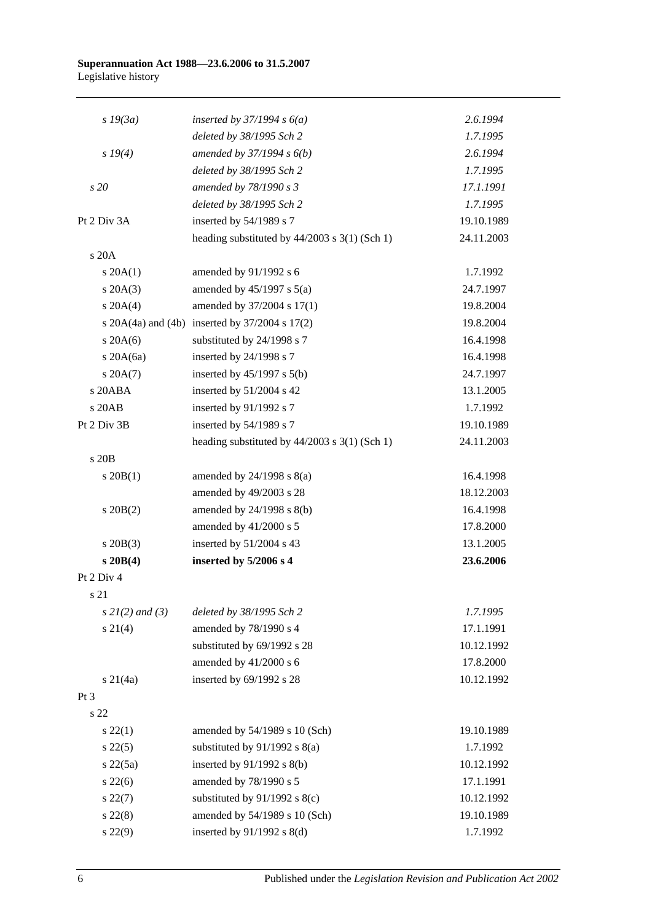| $s$ 19 $(3a)$        | inserted by $37/1994 s 6(a)$                           | 2.6.1994   |
|----------------------|--------------------------------------------------------|------------|
|                      | deleted by 38/1995 Sch 2                               | 1.7.1995   |
| $s\,19(4)$           | amended by $37/1994 s 6(b)$                            | 2.6.1994   |
|                      | deleted by 38/1995 Sch 2                               | 1.7.1995   |
| s20                  | amended by 78/1990 s 3                                 | 17.1.1991  |
|                      | deleted by 38/1995 Sch 2                               | 1.7.1995   |
| Pt 2 Div 3A          | inserted by 54/1989 s 7                                | 19.10.1989 |
|                      | heading substituted by $44/2003$ s 3(1) (Sch 1)        | 24.11.2003 |
| s 20A                |                                                        |            |
| $s \, 20A(1)$        | amended by 91/1992 s 6                                 | 1.7.1992   |
| $s \, 20A(3)$        | amended by $45/1997$ s $5(a)$                          | 24.7.1997  |
| $s \ 20A(4)$         | amended by 37/2004 s 17(1)                             | 19.8.2004  |
|                      | s $20A(4a)$ and $(4b)$ inserted by $37/2004$ s $17(2)$ | 19.8.2004  |
| $s$ 20A(6)           | substituted by 24/1998 s 7                             | 16.4.1998  |
| s $20A(6a)$          | inserted by 24/1998 s 7                                | 16.4.1998  |
| $s \, 20A(7)$        | inserted by $45/1997$ s $5(b)$                         | 24.7.1997  |
| s 20ABA              | inserted by $51/2004$ s 42                             | 13.1.2005  |
| s 20AB               | inserted by 91/1992 s 7                                | 1.7.1992   |
| Pt 2 Div 3B          | inserted by 54/1989 s 7                                | 19.10.1989 |
|                      | heading substituted by 44/2003 s 3(1) (Sch 1)          | 24.11.2003 |
| s 20B                |                                                        |            |
| $s \, 20B(1)$        | amended by $24/1998$ s $8(a)$                          | 16.4.1998  |
|                      | amended by 49/2003 s 28                                | 18.12.2003 |
| $s \ 20B(2)$         | amended by 24/1998 s 8(b)                              | 16.4.1998  |
|                      | amended by 41/2000 s 5                                 | 17.8.2000  |
| $s \ 20B(3)$         | inserted by 51/2004 s 43                               | 13.1.2005  |
| $s$ 20 $B(4)$        | inserted by 5/2006 s 4                                 | 23.6.2006  |
| Pt 2 Div 4           |                                                        |            |
| s 21                 |                                                        |            |
| $s \, 2l(2)$ and (3) | deleted by 38/1995 Sch 2                               | 1.7.1995   |
| $s \ 21(4)$          | amended by 78/1990 s 4                                 | 17.1.1991  |
|                      | substituted by 69/1992 s 28                            | 10.12.1992 |
|                      | amended by $41/2000$ s 6                               | 17.8.2000  |
| $s \, 21(4a)$        | inserted by 69/1992 s 28                               | 10.12.1992 |
| Pt 3                 |                                                        |            |
| s 22                 |                                                        |            |
| $s\,22(1)$           | amended by 54/1989 s 10 (Sch)                          | 19.10.1989 |
| $s\,22(5)$           | substituted by $91/1992$ s $8(a)$                      | 1.7.1992   |
| $s\ 22(5a)$          | inserted by $91/1992$ s $8(b)$                         | 10.12.1992 |
| $s\,22(6)$           | amended by 78/1990 s 5                                 | 17.1.1991  |
| $s\,22(7)$           | substituted by $91/1992$ s $8(c)$                      | 10.12.1992 |
| $s\ 22(8)$           | amended by 54/1989 s 10 (Sch)                          | 19.10.1989 |
| s 22(9)              | inserted by $91/1992$ s $8(d)$                         | 1.7.1992   |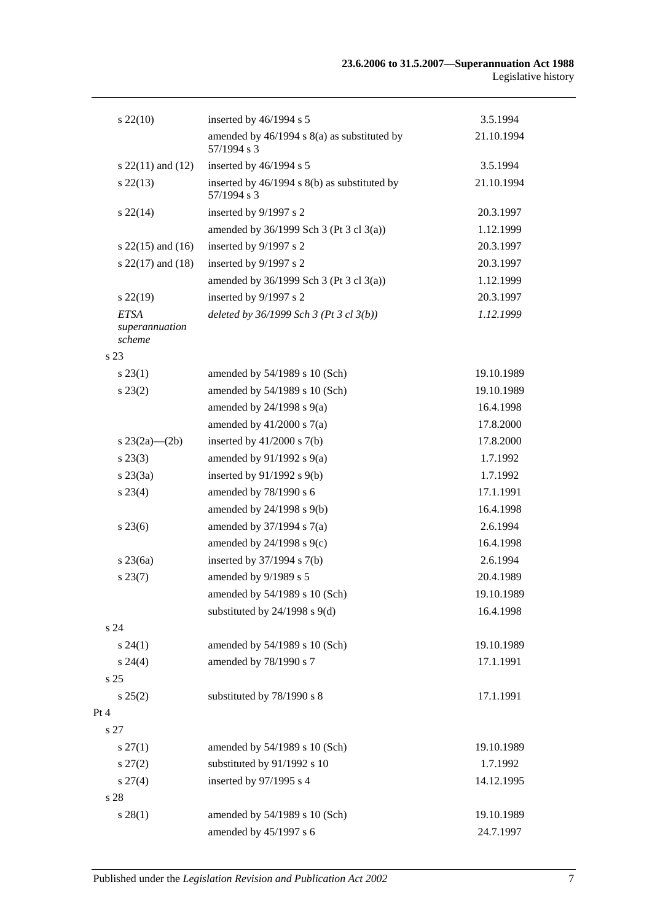| $s\,22(10)$                             | inserted by 46/1994 s 5                                     | 3.5.1994   |
|-----------------------------------------|-------------------------------------------------------------|------------|
|                                         | amended by 46/1994 s 8(a) as substituted by<br>57/1994 s 3  | 21.10.1994 |
| s $22(11)$ and $(12)$                   | inserted by 46/1994 s 5                                     | 3.5.1994   |
| $s\,22(13)$                             | inserted by 46/1994 s 8(b) as substituted by<br>57/1994 s 3 | 21.10.1994 |
| $s\,22(14)$                             | inserted by 9/1997 s 2                                      | 20.3.1997  |
|                                         | amended by $36/1999$ Sch 3 (Pt 3 cl 3(a))                   | 1.12.1999  |
| s $22(15)$ and $(16)$                   | inserted by 9/1997 s 2                                      | 20.3.1997  |
| s $22(17)$ and $(18)$                   | inserted by 9/1997 s 2                                      | 20.3.1997  |
|                                         | amended by 36/1999 Sch 3 (Pt 3 cl 3(a))                     | 1.12.1999  |
| $s\,22(19)$                             | inserted by 9/1997 s 2                                      | 20.3.1997  |
| <b>ETSA</b><br>superannuation<br>scheme | deleted by $36/1999$ Sch 3 (Pt 3 cl 3(b))                   | 1.12.1999  |
| s 23                                    |                                                             |            |
| $s\,23(1)$                              | amended by 54/1989 s 10 (Sch)                               | 19.10.1989 |
| $s\,23(2)$                              | amended by 54/1989 s 10 (Sch)                               | 19.10.1989 |
|                                         | amended by $24/1998$ s $9(a)$                               | 16.4.1998  |
|                                         | amended by $41/2000$ s $7(a)$                               | 17.8.2000  |
| s $23(2a)$ — $(2b)$                     | inserted by $41/2000$ s $7(b)$                              | 17.8.2000  |
| $s\,23(3)$                              | amended by $91/1992$ s $9(a)$                               | 1.7.1992   |
| $s\,23(3a)$                             | inserted by $91/1992$ s $9(b)$                              | 1.7.1992   |
| $s\,23(4)$                              | amended by 78/1990 s 6                                      | 17.1.1991  |
|                                         | amended by 24/1998 s 9(b)                                   | 16.4.1998  |
| $s\,23(6)$                              | amended by $37/1994$ s $7(a)$                               | 2.6.1994   |
|                                         | amended by 24/1998 s 9(c)                                   | 16.4.1998  |
| $s\,23(6a)$                             | inserted by $37/1994$ s $7(b)$                              | 2.6.1994   |
| $s\,23(7)$                              | amended by 9/1989 s 5                                       | 20.4.1989  |
|                                         | amended by 54/1989 s 10 (Sch)                               | 19.10.1989 |
|                                         | substituted by $24/1998$ s $9(d)$                           | 16.4.1998  |
| s 24                                    |                                                             |            |
| s 24(1)                                 | amended by 54/1989 s 10 (Sch)                               | 19.10.1989 |
| $s\,24(4)$                              | amended by 78/1990 s 7                                      | 17.1.1991  |
| s 25                                    |                                                             |            |
| $s\,25(2)$                              | substituted by 78/1990 s 8                                  | 17.1.1991  |
| Pt 4                                    |                                                             |            |
| s 27                                    |                                                             |            |
| $s \, 27(1)$                            | amended by 54/1989 s 10 (Sch)                               | 19.10.1989 |
| $s\,27(2)$                              | substituted by 91/1992 s 10                                 | 1.7.1992   |
| $s \, 27(4)$                            | inserted by 97/1995 s 4                                     | 14.12.1995 |
| $\sqrt{s}$ 28                           |                                                             |            |
| s 28(1)                                 | amended by 54/1989 s 10 (Sch)                               | 19.10.1989 |
|                                         | amended by 45/1997 s 6                                      | 24.7.1997  |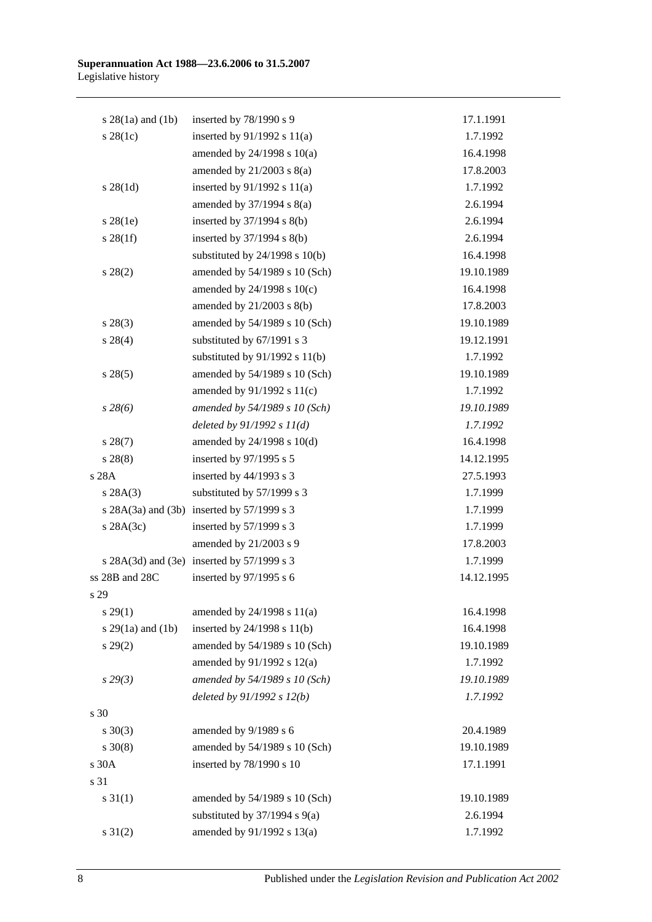| s $28(1a)$ and $(1b)$ | inserted by 78/1990 s 9                    | 17.1.1991  |
|-----------------------|--------------------------------------------|------------|
| $s$ 28(1c)            | inserted by $91/1992$ s $11(a)$            | 1.7.1992   |
|                       | amended by $24/1998$ s $10(a)$             | 16.4.1998  |
|                       | amended by $21/2003$ s $8(a)$              | 17.8.2003  |
| $s \; 28(1d)$         | inserted by $91/1992$ s $11(a)$            | 1.7.1992   |
|                       | amended by $37/1994$ s $8(a)$              | 2.6.1994   |
| $s$ 28(1e)            | inserted by $37/1994$ s $8(b)$             | 2.6.1994   |
| $s \, 28(1f)$         | inserted by $37/1994$ s $8(b)$             | 2.6.1994   |
|                       | substituted by $24/1998$ s $10(b)$         | 16.4.1998  |
| $s\,28(2)$            | amended by 54/1989 s 10 (Sch)              | 19.10.1989 |
|                       | amended by $24/1998$ s $10(c)$             | 16.4.1998  |
|                       | amended by 21/2003 s 8(b)                  | 17.8.2003  |
| $s\,28(3)$            | amended by 54/1989 s 10 (Sch)              | 19.10.1989 |
| $s\,28(4)$            | substituted by 67/1991 s 3                 | 19.12.1991 |
|                       | substituted by $91/1992$ s $11(b)$         | 1.7.1992   |
| s 28(5)               | amended by 54/1989 s 10 (Sch)              | 19.10.1989 |
|                       | amended by $91/1992$ s $11(c)$             | 1.7.1992   |
| $s\,28(6)$            | amended by 54/1989 s 10 (Sch)              | 19.10.1989 |
|                       | deleted by $91/1992 s 11(d)$               | 1.7.1992   |
| $s\,28(7)$            | amended by $24/1998$ s $10(d)$             | 16.4.1998  |
| s 28(8)               | inserted by 97/1995 s 5                    | 14.12.1995 |
| s 28A                 | inserted by 44/1993 s 3                    | 27.5.1993  |
| s 28A(3)              | substituted by 57/1999 s 3                 | 1.7.1999   |
|                       | s 28A(3a) and (3b) inserted by 57/1999 s 3 | 1.7.1999   |
| $s$ 28A(3c)           | inserted by 57/1999 s 3                    | 1.7.1999   |
|                       | amended by 21/2003 s 9                     | 17.8.2003  |
|                       | s 28A(3d) and (3e) inserted by 57/1999 s 3 | 1.7.1999   |
| ss 28B and 28C        | inserted by 97/1995 s 6                    | 14.12.1995 |
| s 29                  |                                            |            |
| s 29(1)               | amended by $24/1998$ s $11(a)$             | 16.4.1998  |
| s 29(1a) and (1b)     | inserted by $24/1998$ s $11(b)$            | 16.4.1998  |
| $s\,29(2)$            | amended by 54/1989 s 10 (Sch)              | 19.10.1989 |
|                       | amended by 91/1992 s 12(a)                 | 1.7.1992   |
| s29(3)                | amended by 54/1989 s 10 (Sch)              | 19.10.1989 |
|                       | deleted by $91/1992 s 12(b)$               | 1.7.1992   |
| s 30                  |                                            |            |
| $s \ 30(3)$           | amended by 9/1989 s 6                      | 20.4.1989  |
| $s \ 30(8)$           | amended by 54/1989 s 10 (Sch)              | 19.10.1989 |
| s 30A                 | inserted by 78/1990 s 10                   | 17.1.1991  |
| s 31                  |                                            |            |
| $s \, 31(1)$          | amended by 54/1989 s 10 (Sch)              | 19.10.1989 |
|                       | substituted by $37/1994$ s $9(a)$          | 2.6.1994   |
| $s \ 31(2)$           | amended by 91/1992 s 13(a)                 | 1.7.1992   |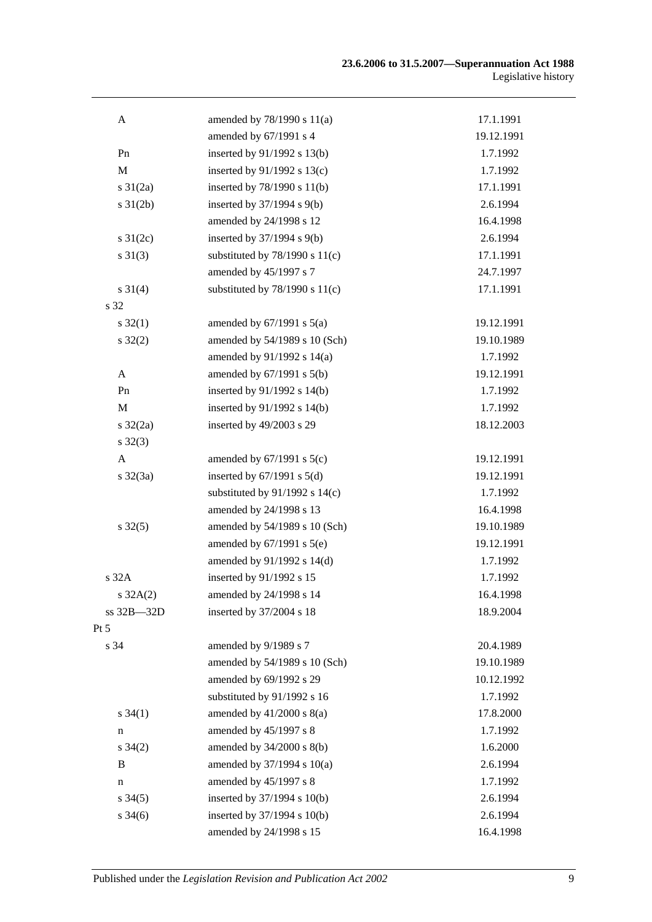| A                   | amended by 78/1990 s 11(a)         | 17.1.1991  |
|---------------------|------------------------------------|------------|
|                     | amended by 67/1991 s 4             | 19.12.1991 |
| Pn                  | inserted by 91/1992 s 13(b)        | 1.7.1992   |
| $\mathbf M$         | inserted by $91/1992$ s $13(c)$    | 1.7.1992   |
| $s \frac{31}{2a}$   | inserted by 78/1990 s 11(b)        | 17.1.1991  |
| $s \, 31(2b)$       | inserted by $37/1994$ s $9(b)$     | 2.6.1994   |
|                     | amended by 24/1998 s 12            | 16.4.1998  |
| s $31(2c)$          | inserted by 37/1994 s 9(b)         | 2.6.1994   |
| $s \ 31(3)$         | substituted by $78/1990$ s $11(c)$ | 17.1.1991  |
|                     | amended by 45/1997 s 7             | 24.7.1997  |
| $s \, 31(4)$        | substituted by $78/1990$ s $11(c)$ | 17.1.1991  |
| s 32                |                                    |            |
| $s \, 32(1)$        | amended by $67/1991$ s $5(a)$      | 19.12.1991 |
| $s \, 32(2)$        | amended by 54/1989 s 10 (Sch)      | 19.10.1989 |
|                     | amended by 91/1992 s 14(a)         | 1.7.1992   |
| $\mathbf{A}$        | amended by $67/1991$ s $5(b)$      | 19.12.1991 |
| Pn                  | inserted by 91/1992 s 14(b)        | 1.7.1992   |
| $\mathbf{M}$        | inserted by 91/1992 s 14(b)        | 1.7.1992   |
| $s \frac{32}{2a}$   | inserted by 49/2003 s 29           | 18.12.2003 |
| $s \, 32(3)$        |                                    |            |
| $\mathbf{A}$        | amended by $67/1991$ s $5(c)$      | 19.12.1991 |
| $s \frac{32}{3a}$   | inserted by $67/1991$ s $5(d)$     | 19.12.1991 |
|                     | substituted by $91/1992$ s $14(c)$ | 1.7.1992   |
|                     | amended by 24/1998 s 13            | 16.4.1998  |
| $s \, 32(5)$        | amended by 54/1989 s 10 (Sch)      | 19.10.1989 |
|                     | amended by $67/1991$ s $5(e)$      | 19.12.1991 |
|                     | amended by 91/1992 s 14(d)         | 1.7.1992   |
| s 32A               | inserted by 91/1992 s 15           | 1.7.1992   |
| $s \, 32A(2)$       | amended by 24/1998 s 14            | 16.4.1998  |
| ss 32B-32D          | inserted by 37/2004 s 18           | 18.9.2004  |
| Pt 5                |                                    |            |
| s 34                | amended by 9/1989 s 7              | 20.4.1989  |
|                     | amended by 54/1989 s 10 (Sch)      | 19.10.1989 |
|                     | amended by 69/1992 s 29            | 10.12.1992 |
|                     | substituted by 91/1992 s 16        | 1.7.1992   |
| $s \, 34(1)$        | amended by $41/2000$ s $8(a)$      | 17.8.2000  |
| n                   | amended by 45/1997 s 8             | 1.7.1992   |
| $s \, 34(2)$        | amended by 34/2000 s 8(b)          | 1.6.2000   |
| B                   | amended by 37/1994 s 10(a)         | 2.6.1994   |
| $\mathbf n$         | amended by 45/1997 s 8             | 1.7.1992   |
| $s \, 34(5)$        | inserted by 37/1994 s 10(b)        | 2.6.1994   |
| $s \frac{34(6)}{2}$ | inserted by 37/1994 s 10(b)        | 2.6.1994   |
|                     | amended by 24/1998 s 15            | 16.4.1998  |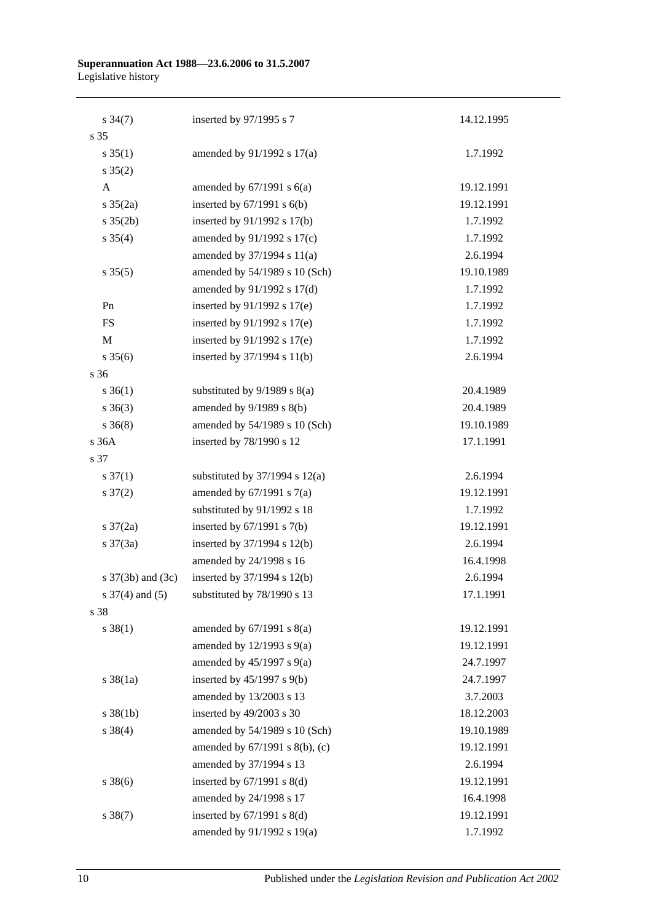| $s \frac{34(7)}{2}$   | inserted by 97/1995 s 7            | 14.12.1995 |
|-----------------------|------------------------------------|------------|
| s 35                  |                                    |            |
| $s \, 35(1)$          | amended by 91/1992 s 17(a)         | 1.7.1992   |
| $s \, 35(2)$          |                                    |            |
| $\mathbf{A}$          | amended by $67/1991$ s $6(a)$      | 19.12.1991 |
| $s \; 35(2a)$         | inserted by $67/1991$ s $6(b)$     | 19.12.1991 |
| $s \; 35(2b)$         | inserted by 91/1992 s 17(b)        | 1.7.1992   |
| $s \; 35(4)$          | amended by 91/1992 s 17(c)         | 1.7.1992   |
|                       | amended by 37/1994 s 11(a)         | 2.6.1994   |
| $s \, 35(5)$          | amended by 54/1989 s 10 (Sch)      | 19.10.1989 |
|                       | amended by 91/1992 s 17(d)         | 1.7.1992   |
| Pn                    | inserted by 91/1992 s 17(e)        | 1.7.1992   |
| FS                    | inserted by 91/1992 s 17(e)        | 1.7.1992   |
| $\mathbf M$           | inserted by $91/1992$ s $17(e)$    | 1.7.1992   |
| $s \, 35(6)$          | inserted by $37/1994$ s $11(b)$    | 2.6.1994   |
| s 36                  |                                    |            |
| $s \; 36(1)$          | substituted by $9/1989$ s $8(a)$   | 20.4.1989  |
| $s \; 36(3)$          | amended by $9/1989$ s $8(b)$       | 20.4.1989  |
| $s \; 36(8)$          | amended by 54/1989 s 10 (Sch)      | 19.10.1989 |
| s 36A                 | inserted by 78/1990 s 12           | 17.1.1991  |
| s 37                  |                                    |            |
| $s \frac{37(1)}{2}$   | substituted by $37/1994$ s $12(a)$ | 2.6.1994   |
| $s \frac{37(2)}{2}$   | amended by $67/1991$ s $7(a)$      | 19.12.1991 |
|                       | substituted by 91/1992 s 18        | 1.7.1992   |
| $s \frac{37}{2a}$     | inserted by $67/1991$ s $7(b)$     | 19.12.1991 |
| $s \frac{37(3a)}{2}$  | inserted by $37/1994$ s $12(b)$    | 2.6.1994   |
|                       | amended by 24/1998 s 16            | 16.4.1998  |
| s $37(3b)$ and $(3c)$ | inserted by $37/1994$ s $12(b)$    | 2.6.1994   |
| s $37(4)$ and $(5)$   | substituted by 78/1990 s 13        | 17.1.1991  |
| s 38                  |                                    |            |
| $s \, 38(1)$          | amended by $67/1991$ s $8(a)$      | 19.12.1991 |
|                       | amended by $12/1993$ s $9(a)$      | 19.12.1991 |
|                       | amended by $45/1997$ s $9(a)$      | 24.7.1997  |
| $s \frac{38}{1a}$     | inserted by 45/1997 s 9(b)         | 24.7.1997  |
|                       | amended by 13/2003 s 13            | 3.7.2003   |
| $s \, 38(1b)$         | inserted by 49/2003 s 30           | 18.12.2003 |
| $s \ 38(4)$           | amended by 54/1989 s 10 (Sch)      | 19.10.1989 |
|                       | amended by 67/1991 s 8(b), (c)     | 19.12.1991 |
|                       | amended by 37/1994 s 13            | 2.6.1994   |
| $s \, 38(6)$          | inserted by $67/1991$ s $8(d)$     | 19.12.1991 |
|                       | amended by 24/1998 s 17            | 16.4.1998  |
| $s \, 38(7)$          | inserted by $67/1991$ s $8(d)$     | 19.12.1991 |
|                       | amended by 91/1992 s 19(a)         | 1.7.1992   |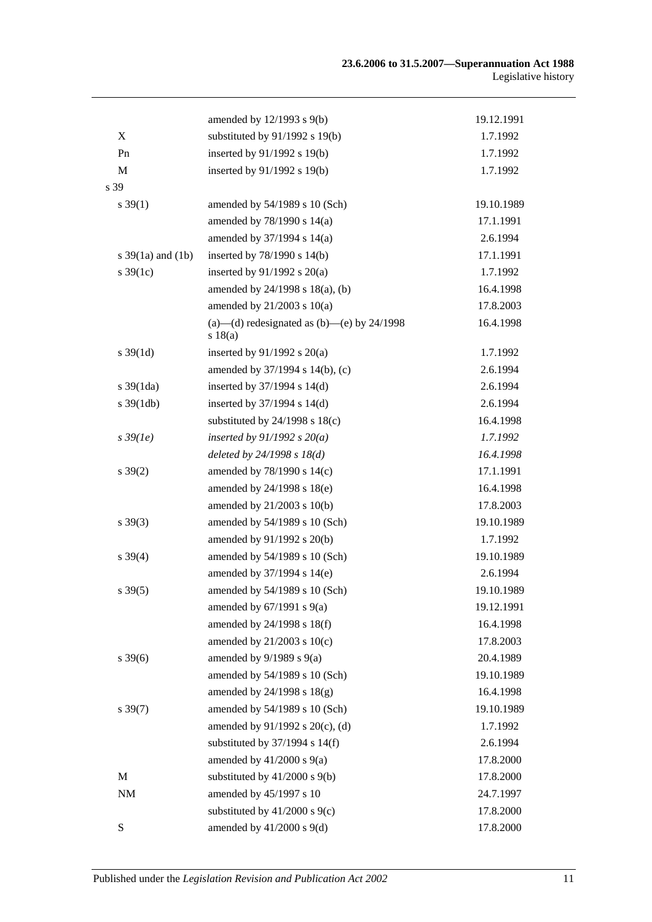|                       | amended by 12/1993 s 9(b)                               | 19.12.1991 |
|-----------------------|---------------------------------------------------------|------------|
| X                     | substituted by 91/1992 s 19(b)                          | 1.7.1992   |
| Pn                    | inserted by 91/1992 s 19(b)                             | 1.7.1992   |
| $\mathbf{M}$          | inserted by 91/1992 s 19(b)                             | 1.7.1992   |
| s 39                  |                                                         |            |
| $s \, 39(1)$          | amended by 54/1989 s 10 (Sch)                           | 19.10.1989 |
|                       | amended by 78/1990 s 14(a)                              | 17.1.1991  |
|                       | amended by 37/1994 s 14(a)                              | 2.6.1994   |
| s $39(1a)$ and $(1b)$ | inserted by $78/1990$ s $14(b)$                         | 17.1.1991  |
| $s \frac{39(1c)}{2}$  | inserted by $91/1992$ s $20(a)$                         | 1.7.1992   |
|                       | amended by 24/1998 s 18(a), (b)                         | 16.4.1998  |
|                       | amended by $21/2003$ s $10(a)$                          | 17.8.2003  |
|                       | (a)—(d) redesignated as (b)—(e) by $24/1998$<br>s 18(a) | 16.4.1998  |
| $s \, 39(1d)$         | inserted by $91/1992$ s $20(a)$                         | 1.7.1992   |
|                       | amended by 37/1994 s 14(b), (c)                         | 2.6.1994   |
| $s \frac{39(1da)}{2}$ | inserted by $37/1994$ s $14(d)$                         | 2.6.1994   |
| $s \frac{39(1db)}{2}$ | inserted by 37/1994 s 14(d)                             | 2.6.1994   |
|                       | substituted by $24/1998$ s $18(c)$                      | 16.4.1998  |
| $s\,39(1e)$           | inserted by $91/1992 s 20(a)$                           | 1.7.1992   |
|                       | deleted by $24/1998 s 18(d)$                            | 16.4.1998  |
| $s \, 39(2)$          | amended by 78/1990 s 14(c)                              | 17.1.1991  |
|                       | amended by 24/1998 s 18(e)                              | 16.4.1998  |
|                       | amended by 21/2003 s 10(b)                              | 17.8.2003  |
| $s \, 39(3)$          | amended by 54/1989 s 10 (Sch)                           | 19.10.1989 |
|                       | amended by 91/1992 s 20(b)                              | 1.7.1992   |
| $s \, 39(4)$          | amended by 54/1989 s 10 (Sch)                           | 19.10.1989 |
|                       | amended by 37/1994 s 14(e)                              | 2.6.1994   |
| $s \, 39(5)$          | amended by 54/1989 s 10 (Sch)                           | 19.10.1989 |
|                       | amended by $67/1991$ s $9(a)$                           | 19.12.1991 |
|                       | amended by 24/1998 s 18(f)                              | 16.4.1998  |
|                       | amended by $21/2003$ s $10(c)$                          | 17.8.2003  |
| $s \, 39(6)$          | amended by $9/1989$ s $9(a)$                            | 20.4.1989  |
|                       | amended by 54/1989 s 10 (Sch)                           | 19.10.1989 |
|                       | amended by 24/1998 s 18(g)                              | 16.4.1998  |
| $s \, 39(7)$          | amended by 54/1989 s 10 (Sch)                           | 19.10.1989 |
|                       | amended by 91/1992 s 20(c), (d)                         | 1.7.1992   |
|                       | substituted by $37/1994$ s $14(f)$                      | 2.6.1994   |
|                       | amended by $41/2000$ s $9(a)$                           | 17.8.2000  |
| M                     | substituted by $41/2000$ s $9(b)$                       | 17.8.2000  |
| $\rm{NM}$             | amended by 45/1997 s 10                                 | 24.7.1997  |
|                       | substituted by $41/2000$ s $9(c)$                       | 17.8.2000  |
| S                     | amended by $41/2000$ s $9(d)$                           | 17.8.2000  |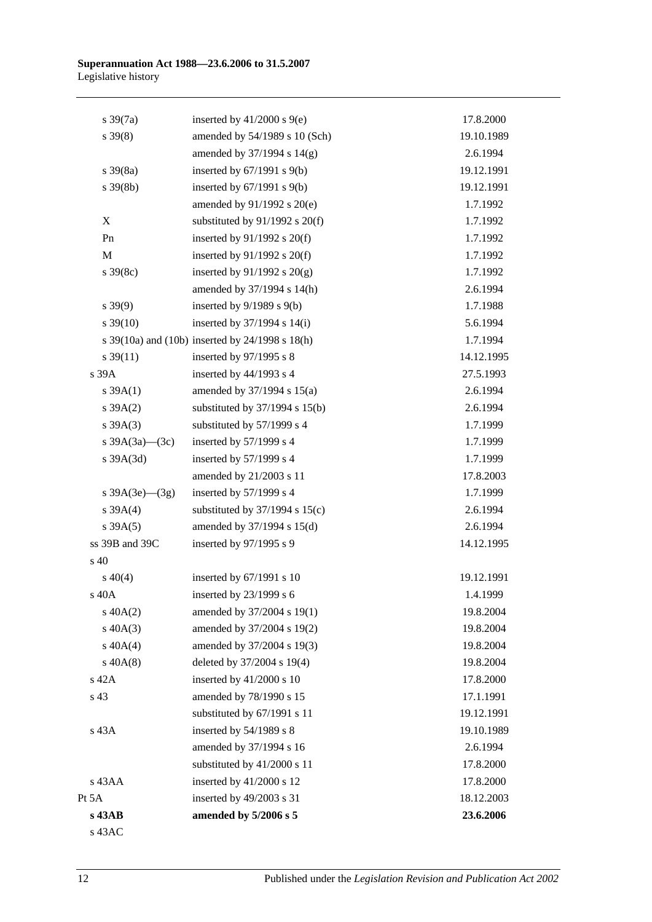| $s \frac{39(7a)}{2}$ | inserted by $41/2000$ s $9(e)$                  | 17.8.2000  |
|----------------------|-------------------------------------------------|------------|
| $s \, 39(8)$         | amended by 54/1989 s 10 (Sch)                   | 19.10.1989 |
|                      | amended by 37/1994 s 14(g)                      | 2.6.1994   |
| $s \frac{39(8a)}{2}$ | inserted by $67/1991$ s $9(b)$                  | 19.12.1991 |
| $s \, 39(8b)$        | inserted by $67/1991$ s $9(b)$                  | 19.12.1991 |
|                      | amended by 91/1992 s 20(e)                      | 1.7.1992   |
| X                    | substituted by $91/1992$ s $20(f)$              | 1.7.1992   |
| Pn                   | inserted by $91/1992$ s $20(f)$                 | 1.7.1992   |
| $\mathbf M$          | inserted by $91/1992$ s $20(f)$                 | 1.7.1992   |
| $s \, 39(8c)$        | inserted by $91/1992$ s $20(g)$                 | 1.7.1992   |
|                      | amended by 37/1994 s 14(h)                      | 2.6.1994   |
| $s\,39(9)$           | inserted by $9/1989$ s $9(b)$                   | 1.7.1988   |
| $s \, 39(10)$        | inserted by $37/1994$ s $14(i)$                 | 5.6.1994   |
|                      | s 39(10a) and (10b) inserted by 24/1998 s 18(h) | 1.7.1994   |
| $s \frac{39(11)}{2}$ | inserted by 97/1995 s 8                         | 14.12.1995 |
| s 39A                | inserted by 44/1993 s 4                         | 27.5.1993  |
| $s \, 39A(1)$        | amended by 37/1994 s 15(a)                      | 2.6.1994   |
| $s \, 39A(2)$        | substituted by $37/1994$ s $15(b)$              | 2.6.1994   |
| $s \, 39A(3)$        | substituted by 57/1999 s 4                      | 1.7.1999   |
| s 39A(3a)–(3c)       | inserted by $57/1999$ s 4                       | 1.7.1999   |
| $s$ 39A $(3d)$       | inserted by 57/1999 s 4                         | 1.7.1999   |
|                      | amended by 21/2003 s 11                         | 17.8.2003  |
| s $39A(3e)$ (3g)     | inserted by $57/1999$ s 4                       | 1.7.1999   |
| $s \, 39A(4)$        | substituted by $37/1994$ s $15(c)$              | 2.6.1994   |
| $s \, 39A(5)$        | amended by 37/1994 s 15(d)                      | 2.6.1994   |
| ss 39B and 39C       | inserted by 97/1995 s 9                         | 14.12.1995 |
| s 40                 |                                                 |            |
| $s\ 40(4)$           | inserted by 67/1991 s 10                        | 19.12.1991 |
| s 40A                | inserted by $23/1999$ s 6                       | 1.4.1999   |
| $s\ 40A(2)$          | amended by 37/2004 s 19(1)                      | 19.8.2004  |
| $s\ 40A(3)$          | amended by 37/2004 s 19(2)                      | 19.8.2004  |
| $s\ 40A(4)$          | amended by 37/2004 s 19(3)                      | 19.8.2004  |
| $s\ 40A(8)$          | deleted by 37/2004 s 19(4)                      | 19.8.2004  |
| s 42A                | inserted by 41/2000 s 10                        | 17.8.2000  |
| s 43                 | amended by 78/1990 s 15                         | 17.1.1991  |
|                      | substituted by 67/1991 s 11                     | 19.12.1991 |
| s 43A                | inserted by $54/1989$ s 8                       | 19.10.1989 |
|                      | amended by 37/1994 s 16                         | 2.6.1994   |
|                      | substituted by 41/2000 s 11                     | 17.8.2000  |
| s 43AA               | inserted by 41/2000 s 12                        | 17.8.2000  |
| Pt 5A                | inserted by 49/2003 s 31                        | 18.12.2003 |
| s 43AB               | amended by 5/2006 s 5                           | 23.6.2006  |
| s 43AC               |                                                 |            |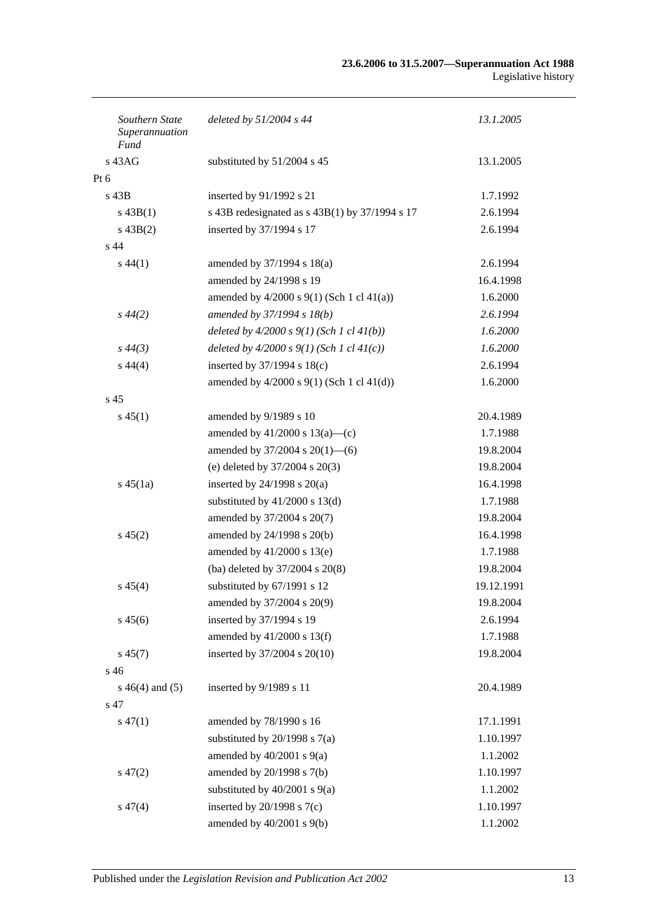| Southern State<br>Superannuation<br>Fund | deleted by $51/2004$ s 44                        | 13.1.2005  |
|------------------------------------------|--------------------------------------------------|------------|
| $s$ 43AG                                 | substituted by 51/2004 s 45                      | 13.1.2005  |
| $Pt\ 6$                                  |                                                  |            |
| $s$ 43B                                  | inserted by 91/1992 s 21                         | 1.7.1992   |
| $s\,43B(1)$                              | s 43B redesignated as $s$ 43B(1) by 37/1994 s 17 | 2.6.1994   |
| $s\,43B(2)$                              | inserted by 37/1994 s 17                         | 2.6.1994   |
| s <sub>44</sub>                          |                                                  |            |
| $s\,44(1)$                               | amended by 37/1994 s 18(a)                       | 2.6.1994   |
|                                          | amended by 24/1998 s 19                          | 16.4.1998  |
|                                          | amended by $4/2000$ s $9(1)$ (Sch 1 cl $41(a)$ ) | 1.6.2000   |
| $s\,44(2)$                               | amended by 37/1994 s 18(b)                       | 2.6.1994   |
|                                          | deleted by $4/2000 s 9(1)$ (Sch 1 cl $41(b)$ )   | 1.6.2000   |
| $s\,44(3)$                               | deleted by $4/2000 s 9(1)$ (Sch 1 cl $41(c)$ )   | 1.6.2000   |
| $s\,44(4)$                               | inserted by $37/1994$ s $18(c)$                  | 2.6.1994   |
|                                          | amended by $4/2000$ s $9(1)$ (Sch 1 cl $41(d)$ ) | 1.6.2000   |
| s <sub>45</sub>                          |                                                  |            |
| $s\,45(1)$                               | amended by 9/1989 s 10                           | 20.4.1989  |
|                                          | amended by $41/2000$ s $13(a)$ —(c)              | 1.7.1988   |
|                                          | amended by $37/2004$ s $20(1)$ —(6)              | 19.8.2004  |
|                                          | (e) deleted by 37/2004 s 20(3)                   | 19.8.2004  |
| $s\,45(1a)$                              | inserted by $24/1998$ s $20(a)$                  | 16.4.1998  |
|                                          | substituted by $41/2000$ s $13(d)$               | 1.7.1988   |
|                                          | amended by 37/2004 s 20(7)                       | 19.8.2004  |
| $s\,45(2)$                               | amended by 24/1998 s 20(b)                       | 16.4.1998  |
|                                          | amended by $41/2000$ s $13(e)$                   | 1.7.1988   |
|                                          | (ba) deleted by 37/2004 s 20(8)                  | 19.8.2004  |
| $s\,45(4)$                               | substituted by 67/1991 s 12                      | 19.12.1991 |
|                                          | amended by 37/2004 s 20(9)                       | 19.8.2004  |
| $s\,45(6)$                               | inserted by 37/1994 s 19                         | 2.6.1994   |
|                                          | amended by 41/2000 s 13(f)                       | 1.7.1988   |
| $s\,45(7)$                               | inserted by 37/2004 s 20(10)                     | 19.8.2004  |
| s 46                                     |                                                  |            |
| $s\ 46(4)$ and $(5)$                     | inserted by 9/1989 s 11                          | 20.4.1989  |
| s 47                                     |                                                  |            |
| $s\,47(1)$                               | amended by 78/1990 s 16                          | 17.1.1991  |
|                                          | substituted by $20/1998$ s $7(a)$                | 1.10.1997  |
|                                          | amended by $40/2001$ s $9(a)$                    | 1.1.2002   |
| $s\,47(2)$                               | amended by 20/1998 s 7(b)                        | 1.10.1997  |
|                                          | substituted by $40/2001$ s $9(a)$                | 1.1.2002   |
| $s\,47(4)$                               | inserted by $20/1998$ s $7(c)$                   | 1.10.1997  |
|                                          | amended by $40/2001$ s $9(b)$                    | 1.1.2002   |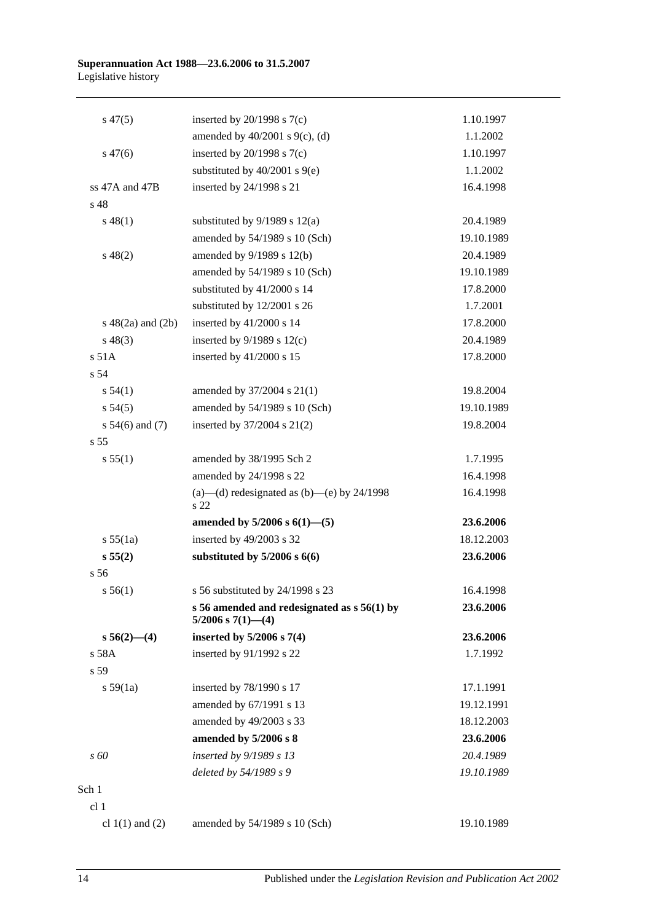| $s\,47(5)$             | inserted by $20/1998$ s $7(c)$                                           | 1.10.1997  |
|------------------------|--------------------------------------------------------------------------|------------|
|                        | amended by $40/2001$ s $9(c)$ , (d)                                      | 1.1.2002   |
| $s\,47(6)$             | inserted by $20/1998$ s $7(c)$                                           | 1.10.1997  |
|                        | substituted by $40/2001$ s $9(e)$                                        | 1.1.2002   |
| ss 47A and 47B         | inserted by 24/1998 s 21                                                 | 16.4.1998  |
| s <sub>48</sub>        |                                                                          |            |
| $s\,48(1)$             | substituted by $9/1989$ s $12(a)$                                        | 20.4.1989  |
|                        | amended by 54/1989 s 10 (Sch)                                            | 19.10.1989 |
| $s\ 48(2)$             | amended by 9/1989 s 12(b)                                                | 20.4.1989  |
|                        | amended by 54/1989 s 10 (Sch)                                            | 19.10.1989 |
|                        | substituted by 41/2000 s 14                                              | 17.8.2000  |
|                        | substituted by 12/2001 s 26                                              | 1.7.2001   |
| $s\ 48(2a)$ and $(2b)$ | inserted by 41/2000 s 14                                                 | 17.8.2000  |
| $s\,48(3)$             | inserted by $9/1989$ s $12(c)$                                           | 20.4.1989  |
| s 51A                  | inserted by 41/2000 s 15                                                 | 17.8.2000  |
| s <sub>54</sub>        |                                                                          |            |
| s 54(1)                | amended by 37/2004 s 21(1)                                               | 19.8.2004  |
| s 54(5)                | amended by 54/1989 s 10 (Sch)                                            | 19.10.1989 |
| s $54(6)$ and $(7)$    | inserted by $37/2004$ s $21(2)$                                          | 19.8.2004  |
| s <sub>55</sub>        |                                                                          |            |
| s 55(1)                | amended by 38/1995 Sch 2                                                 | 1.7.1995   |
|                        | amended by 24/1998 s 22                                                  | 16.4.1998  |
|                        | (a)—(d) redesignated as (b)—(e) by $24/1998$<br>s 22                     | 16.4.1998  |
|                        | amended by $5/2006$ s $6(1)$ — $(5)$                                     | 23.6.2006  |
| s 55(1a)               | inserted by 49/2003 s 32                                                 | 18.12.2003 |
| s 55(2)                | substituted by $5/2006$ s $6(6)$                                         | 23.6.2006  |
| s <sub>56</sub>        |                                                                          |            |
| s 56(1)                | s 56 substituted by 24/1998 s 23                                         | 16.4.1998  |
|                        | s 56 amended and redesignated as $s$ 56(1) by<br>$5/2006$ s $7(1)$ - (4) | 23.6.2006  |
| $s\,56(2)$ —(4)        | inserted by $5/2006$ s $7(4)$                                            | 23.6.2006  |
| s 58A                  | inserted by 91/1992 s 22                                                 | 1.7.1992   |
| s 59                   |                                                                          |            |
| s 59(1a)               | inserted by 78/1990 s 17                                                 | 17.1.1991  |
|                        | amended by 67/1991 s 13                                                  | 19.12.1991 |
|                        | amended by 49/2003 s 33                                                  | 18.12.2003 |
|                        | amended by 5/2006 s 8                                                    | 23.6.2006  |
| s 60                   | inserted by 9/1989 s 13                                                  | 20.4.1989  |
|                        | deleted by 54/1989 s 9                                                   | 19.10.1989 |
| Sch 1                  |                                                                          |            |
| cl 1                   |                                                                          |            |
| cl $1(1)$ and $(2)$    | amended by 54/1989 s 10 (Sch)                                            | 19.10.1989 |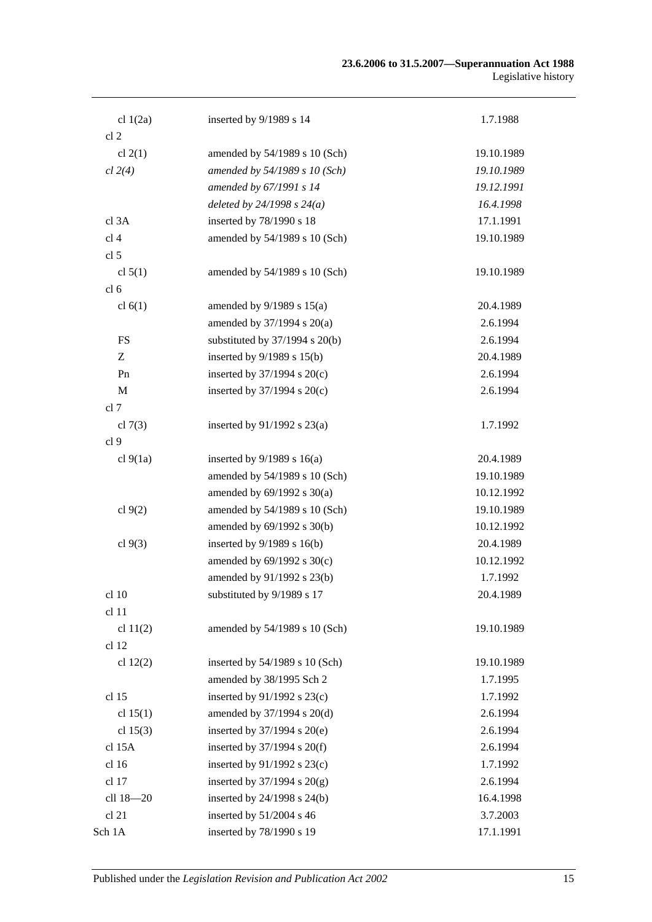| cl $1(2a)$       | inserted by 9/1989 s 14            | 1.7.1988   |
|------------------|------------------------------------|------------|
| cl <sub>2</sub>  |                                    |            |
| cl $2(1)$        | amended by 54/1989 s 10 (Sch)      | 19.10.1989 |
| cl 2(4)          | amended by 54/1989 s 10 (Sch)      | 19.10.1989 |
|                  | amended by 67/1991 s 14            | 19.12.1991 |
|                  | deleted by $24/1998 s 24(a)$       | 16.4.1998  |
| cl 3A            | inserted by 78/1990 s 18           | 17.1.1991  |
| cl <sub>4</sub>  | amended by 54/1989 s 10 (Sch)      | 19.10.1989 |
| cl <sub>5</sub>  |                                    |            |
| cl $5(1)$        | amended by 54/1989 s 10 (Sch)      | 19.10.1989 |
| cl <sub>6</sub>  |                                    |            |
| cl $6(1)$        | amended by $9/1989$ s $15(a)$      | 20.4.1989  |
|                  | amended by 37/1994 s 20(a)         | 2.6.1994   |
| <b>FS</b>        | substituted by $37/1994$ s $20(b)$ | 2.6.1994   |
| Z                | inserted by $9/1989$ s $15(b)$     | 20.4.1989  |
| Pn               | inserted by $37/1994$ s $20(c)$    | 2.6.1994   |
| M                | inserted by $37/1994$ s $20(c)$    | 2.6.1994   |
| cl 7             |                                    |            |
| cl $7(3)$        | inserted by $91/1992$ s $23(a)$    | 1.7.1992   |
| cl <sub>9</sub>  |                                    |            |
| cl $9(1a)$       | inserted by $9/1989$ s 16(a)       | 20.4.1989  |
|                  | amended by 54/1989 s 10 (Sch)      | 19.10.1989 |
|                  | amended by $69/1992$ s $30(a)$     | 10.12.1992 |
| cl $9(2)$        | amended by 54/1989 s 10 (Sch)      | 19.10.1989 |
|                  | amended by 69/1992 s 30(b)         | 10.12.1992 |
| cl $9(3)$        | inserted by $9/1989$ s $16(b)$     | 20.4.1989  |
|                  | amended by 69/1992 s 30(c)         | 10.12.1992 |
|                  | amended by 91/1992 s 23(b)         | 1.7.1992   |
| cl 10            | substituted by 9/1989 s 17         | 20.4.1989  |
| cl 11            |                                    |            |
| cl $11(2)$       | amended by 54/1989 s 10 (Sch)      | 19.10.1989 |
| cl 12            |                                    |            |
| cl $12(2)$       | inserted by 54/1989 s 10 (Sch)     | 19.10.1989 |
|                  | amended by 38/1995 Sch 2           | 1.7.1995   |
| cl <sub>15</sub> | inserted by $91/1992$ s $23(c)$    | 1.7.1992   |
| cl $15(1)$       | amended by 37/1994 s 20(d)         | 2.6.1994   |
| cl $15(3)$       | inserted by $37/1994$ s $20(e)$    | 2.6.1994   |
| cl 15A           | inserted by $37/1994$ s $20(f)$    | 2.6.1994   |
| cl 16            | inserted by 91/1992 s 23(c)        | 1.7.1992   |
| cl 17            | inserted by $37/1994$ s $20(g)$    | 2.6.1994   |
| cll 18-20        | inserted by 24/1998 s 24(b)        | 16.4.1998  |
| cl 21            | inserted by 51/2004 s 46           | 3.7.2003   |
| Sch 1A           | inserted by 78/1990 s 19           | 17.1.1991  |
|                  |                                    |            |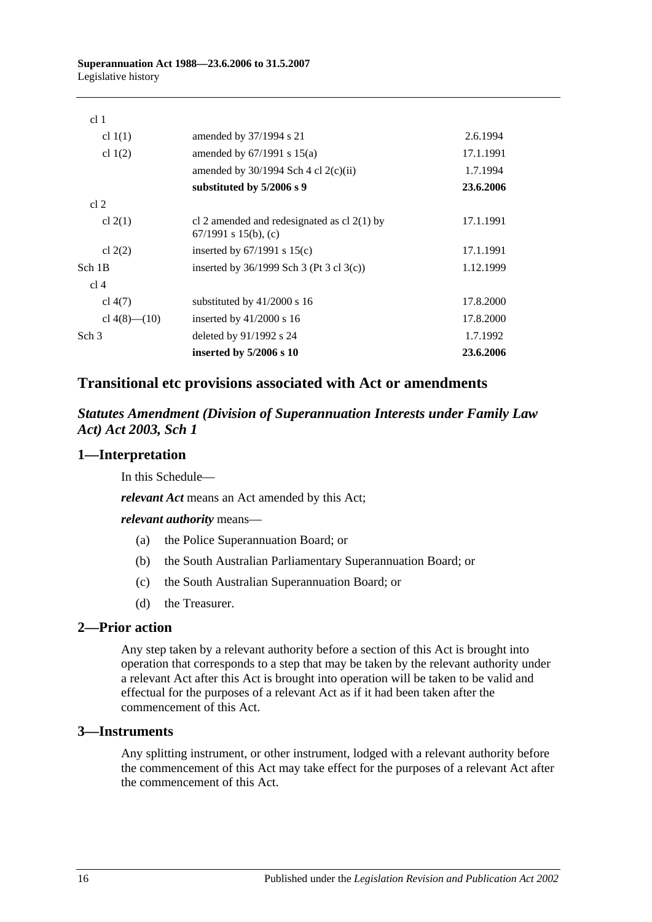| cl <sub>1</sub>    |                                                                       |           |
|--------------------|-----------------------------------------------------------------------|-----------|
| cl $1(1)$          | amended by 37/1994 s 21                                               | 2.6.1994  |
| cl $1(2)$          | amended by $67/1991$ s $15(a)$                                        | 17.1.1991 |
|                    | amended by $30/1994$ Sch 4 cl $2(c)(ii)$                              | 1.7.1994  |
|                    | substituted by 5/2006 s 9                                             | 23.6.2006 |
| cl 2               |                                                                       |           |
| cl $2(1)$          | cl 2 amended and redesignated as cl $2(1)$ by<br>67/1991 s 15(b), (c) | 17.1.1991 |
| cl $2(2)$          | inserted by $67/1991$ s $15(c)$                                       | 17.1.1991 |
| Sch 1B             | inserted by $36/1999$ Sch 3 (Pt 3 cl 3(c))                            | 1.12.1999 |
| cl <sub>4</sub>    |                                                                       |           |
| cl $4(7)$          | substituted by $41/2000$ s 16                                         | 17.8.2000 |
| cl $4(8)$ — $(10)$ | inserted by $41/2000$ s 16                                            | 17.8.2000 |
| Sch <sub>3</sub>   | deleted by 91/1992 s 24                                               | 1.7.1992  |
|                    | inserted by $5/2006$ s 10                                             | 23.6.2006 |

## **Transitional etc provisions associated with Act or amendments**

*Statutes Amendment (Division of Superannuation Interests under Family Law Act) Act 2003, Sch 1*

## **1—Interpretation**

In this Schedule—

*relevant Act* means an Act amended by this Act;

*relevant authority* means—

- (a) the Police Superannuation Board; or
- (b) the South Australian Parliamentary Superannuation Board; or
- (c) the South Australian Superannuation Board; or
- (d) the Treasurer.

#### **2—Prior action**

Any step taken by a relevant authority before a section of this Act is brought into operation that corresponds to a step that may be taken by the relevant authority under a relevant Act after this Act is brought into operation will be taken to be valid and effectual for the purposes of a relevant Act as if it had been taken after the commencement of this Act.

#### **3—Instruments**

Any splitting instrument, or other instrument, lodged with a relevant authority before the commencement of this Act may take effect for the purposes of a relevant Act after the commencement of this Act.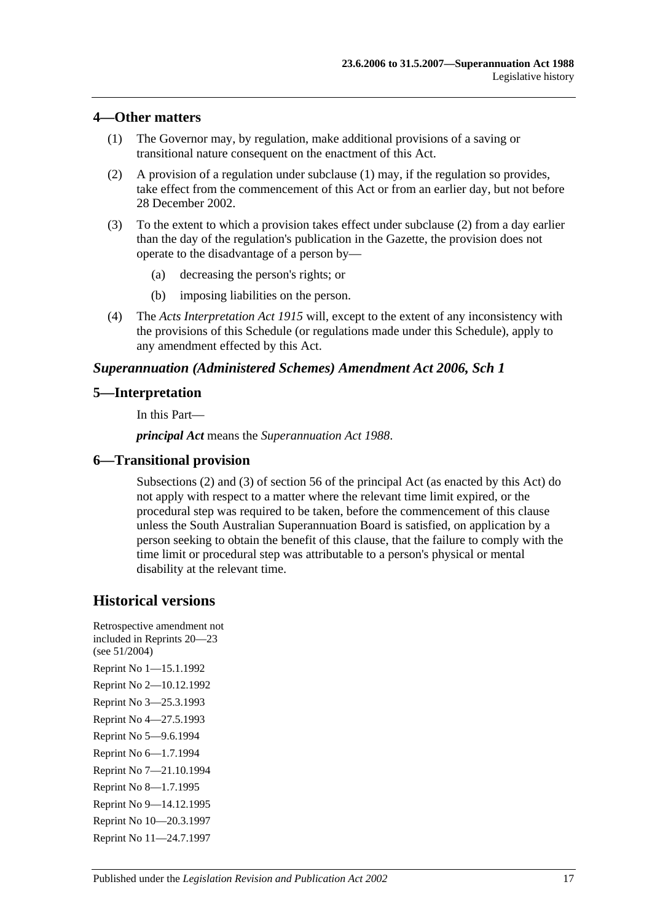#### **4—Other matters**

- (1) The Governor may, by regulation, make additional provisions of a saving or transitional nature consequent on the enactment of this Act.
- (2) A provision of a regulation under subclause (1) may, if the regulation so provides, take effect from the commencement of this Act or from an earlier day, but not before 28 December 2002.
- (3) To the extent to which a provision takes effect under subclause (2) from a day earlier than the day of the regulation's publication in the Gazette, the provision does not operate to the disadvantage of a person by—
	- (a) decreasing the person's rights; or
	- (b) imposing liabilities on the person.
- (4) The *[Acts Interpretation Act](http://www.legislation.sa.gov.au/index.aspx?action=legref&type=act&legtitle=Acts%20Interpretation%20Act%201915) 1915* will, except to the extent of any inconsistency with the provisions of this Schedule (or regulations made under this Schedule), apply to any amendment effected by this Act.

## *Superannuation (Administered Schemes) Amendment Act 2006, Sch 1*

## **5—Interpretation**

In this Part—

*principal Act* means the *[Superannuation Act](http://www.legislation.sa.gov.au/index.aspx?action=legref&type=act&legtitle=Superannuation%20Act%201988) 1988*.

## **6—Transitional provision**

Subsections (2) and (3) of section 56 of the principal Act (as enacted by this Act) do not apply with respect to a matter where the relevant time limit expired, or the procedural step was required to be taken, before the commencement of this clause unless the South Australian Superannuation Board is satisfied, on application by a person seeking to obtain the benefit of this clause, that the failure to comply with the time limit or procedural step was attributable to a person's physical or mental disability at the relevant time.

# **Historical versions**

Retrospective amendment not included in Reprints 20—23 (see 51/2004) Reprint No 1—15.1.1992 Reprint No 2—10.12.1992 Reprint No 3—25.3.1993 Reprint No 4—27.5.1993 Reprint No 5—9.6.1994 Reprint No 6—1.7.1994 Reprint No 7—21.10.1994 Reprint No 8—1.7.1995 Reprint No 9—14.12.1995 Reprint No 10—20.3.1997 Reprint No 11—24.7.1997